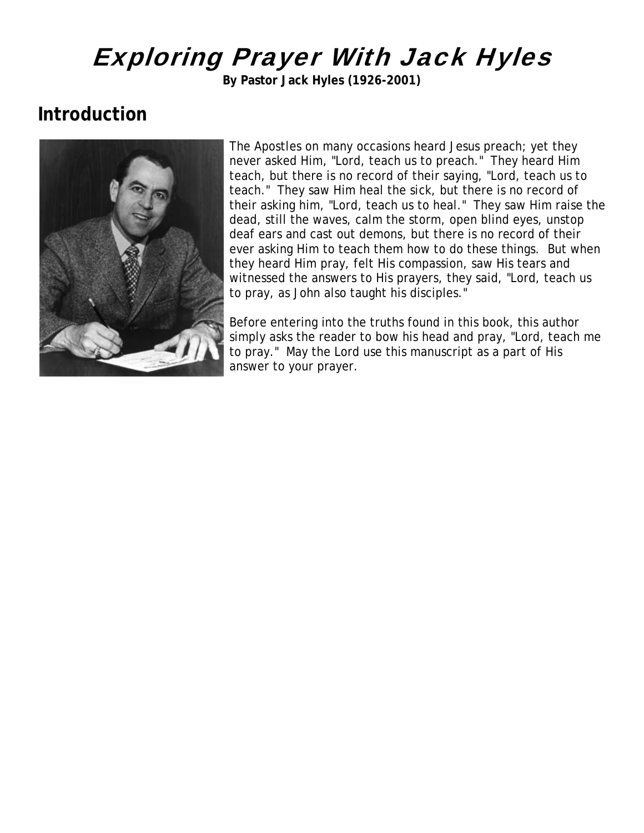# Exploring Prayer With Jack Hyles

**By Pastor Jack Hyles (1926-2001)**

### **Introduction**



The Apostles on many occasions heard Jesus preach; yet they never asked Him, "Lord, teach us to preach." They heard Him teach, but there is no record of their saying, "Lord, teach us to teach." They saw Him heal the sick, but there is no record of their asking him, "Lord, teach us to heal." They saw Him raise t he dead, still the waves, calm the storm, open blind eyes, unsto p deaf ears and cast out demons, but there is no record of their ever asking Him to teach them how to do these things. But when they heard Him pray, felt His compassion, saw His tears and witnessed the answers to His prayers, they said, "Lord, teach us to pray, as John also taught his disciples."

Before entering into the truths found in this book, this author simply asks the reader to bow his head and pray, "Lord, teach me to pray." May the Lord use this manuscript as a part of His answer to your prayer.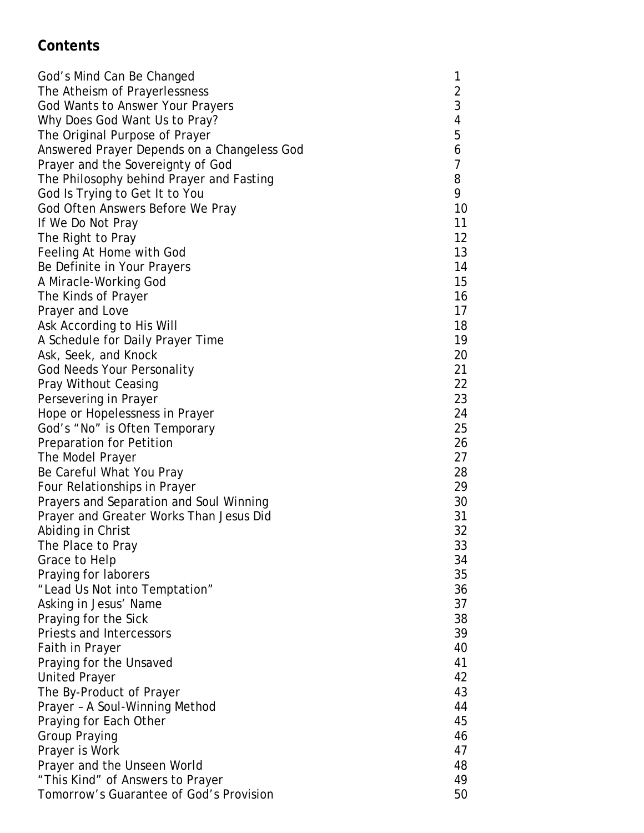#### **Contents**

| God's Mind Can Be Changed                   | 1              |
|---------------------------------------------|----------------|
| The Atheism of Prayerlessness               |                |
| <b>God Wants to Answer Your Prayers</b>     | 2<br>3<br>4    |
| Why Does God Want Us to Pray?               |                |
| The Original Purpose of Prayer              | 5              |
| Answered Prayer Depends on a Changeless God | 6              |
| Prayer and the Sovereignty of God           | $\overline{7}$ |
| The Philosophy behind Prayer and Fasting    | 8              |
| God Is Trying to Get It to You              | 9              |
| God Often Answers Before We Pray            | 10             |
| If We Do Not Pray                           | 11             |
| The Right to Pray                           | 12             |
| Feeling At Home with God                    | 13             |
| Be Definite in Your Prayers                 | 14             |
| A Miracle-Working God                       | 15             |
| The Kinds of Prayer                         | 16             |
| Prayer and Love                             | 17             |
| Ask According to His Will                   | 18             |
| A Schedule for Daily Prayer Time            | 19             |
| Ask, Seek, and Knock                        | 20             |
| <b>God Needs Your Personality</b>           | 21             |
| <b>Pray Without Ceasing</b>                 | 22             |
| Persevering in Prayer                       | 23             |
| Hope or Hopelessness in Prayer              | 24             |
| God's "No" is Often Temporary               | 25             |
| Preparation for Petition                    | 26             |
| The Model Prayer                            | 27             |
| Be Careful What You Pray                    | 28             |
| Four Relationships in Prayer                | 29             |
| Prayers and Separation and Soul Winning     | 30             |
| Prayer and Greater Works Than Jesus Did     | 31             |
| Abiding in Christ                           | 32             |
| The Place to Pray                           | 33             |
| Grace to Help                               | 34             |
| Praying for laborers                        | 35             |
| "Lead Us Not into Temptation"               | 36             |
| Asking in Jesus' Name                       | 37             |
| Praying for the Sick                        | 38             |
| Priests and Intercessors                    | 39             |
| Faith in Prayer                             | 40             |
| Praying for the Unsaved                     | 41             |
| <b>United Prayer</b>                        | 42             |
| The By-Product of Prayer                    | 43             |
| Prayer - A Soul-Winning Method              | 44             |
| Praying for Each Other                      | 45             |
| <b>Group Praying</b>                        | 46             |
| Prayer is Work                              | 47             |
| Prayer and the Unseen World                 | 48             |
| "This Kind" of Answers to Prayer            | 49             |
| Tomorrow's Guarantee of God's Provision     | 50             |
|                                             |                |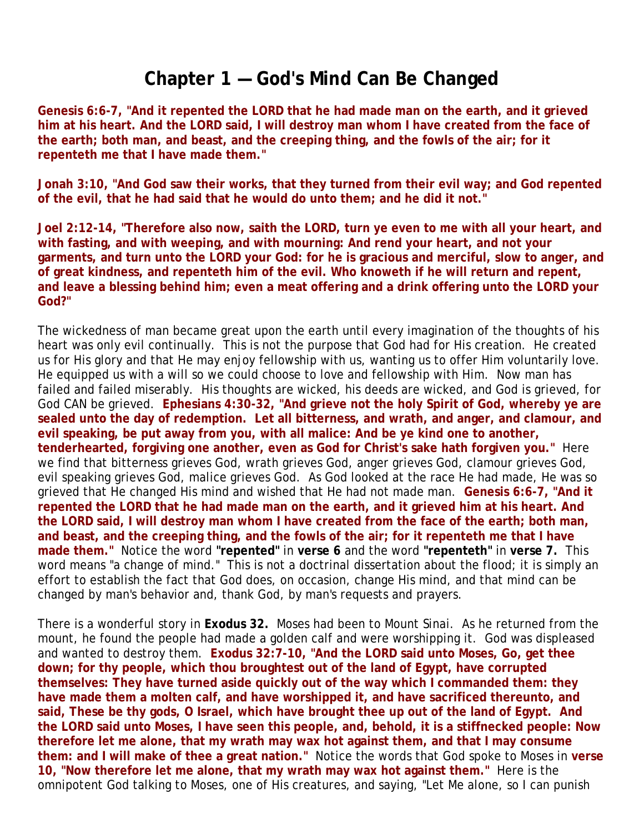#### **Chapter 1 — God's Mind Can Be Changed**

**Genesis 6:6-7, "And it repented the LORD that he had made man on the earth, and it grieved him at his heart. And the LORD said, I will destroy man whom I have created from the face of the earth; both man, and beast, and the creeping thing, and the fowls of the air; for it repenteth me that I have made them."**

**Jonah 3:10, "And God saw their works, that they turned from their evil way; and God repented of the evil, that he had said that he would do unto them; and he did it not."**

**Joel 2:12-14, "Therefore also now, saith the LORD, turn ye even to me with all your heart, and with fasting, and with weeping, and with mourning: And rend your heart, and not your garments, and turn unto the LORD your God: for he is gracious and merciful, slow to anger, and of great kindness, and repenteth him of the evil. Who knoweth if he will return and repent, and leave a blessing behind him; even a meat offering and a drink offering unto the LORD your God?"**

The wickedness of man became great upon the earth until every imagination of the thoughts of his heart was only evil continually. This is not the purpose that God had for His creation. He created us for His glory and that He may enjoy fellowship with us, wanting us to offer Him voluntarily love. He equipped us with a will so we could choose to love and fellowship with Him. Now man has failed and failed miserably. His thoughts are wicked, his deeds are wicked, and God is grieved, for God CAN be grieved. **Ephesians 4:30-32, "And grieve not the holy Spirit of God, whereby ye are sealed unto the day of redemption. Let all bitterness, and wrath, and anger, and clamour, and evil speaking, be put away from you, with all malice: And be ye kind one to another, tenderhearted, forgiving one another, even as God for Christ's sake hath forgiven you."** Here we find that bitterness grieves God, wrath grieves God, anger grieves God, clamour grieves God, evil speaking grieves God, malice grieves God. As God looked at the race He had made, He was so grieved that He changed His mind and wished that He had not made man. **Genesis 6:6-7, "And it repented the LORD that he had made man on the earth, and it grieved him at his heart. And the LORD said, I will destroy man whom I have created from the face of the earth; both man, and beast, and the creeping thing, and the fowls of the air; for it repenteth me that I have made them."** Notice the word **"repented"** in **verse 6** and the word **"repenteth"** in **verse 7.** This word means "a change of mind." This is not a doctrinal dissertation about the flood; it is simply an effort to establish the fact that God does, on occasion, change His mind, and that mind can be changed by man's behavior and, thank God, by man's requests and prayers.

There is a wonderful story in **Exodus 32.** Moses had been to Mount Sinai. As he returned from the mount, he found the people had made a golden calf and were worshipping it. God was displeased and wanted to destroy them. **Exodus 32:7-10, "And the LORD said unto Moses, Go, get thee down; for thy people, which thou broughtest out of the land of Egypt, have corrupted themselves: They have turned aside quickly out of the way which I commanded them: they have made them a molten calf, and have worshipped it, and have sacrificed thereunto, and said, These be thy gods, O Israel, which have brought thee up out of the land of Egypt. And the LORD said unto Moses, I have seen this people, and, behold, it is a stiffnecked people: Now therefore let me alone, that my wrath may wax hot against them, and that I may consume them: and I will make of thee a great nation."** Notice the words that God spoke to Moses in **verse 10, "Now therefore let me alone, that my wrath may wax hot against them."** Here is the omnipotent God talking to Moses, one of His creatures, and saying, "Let Me alone, so I can punish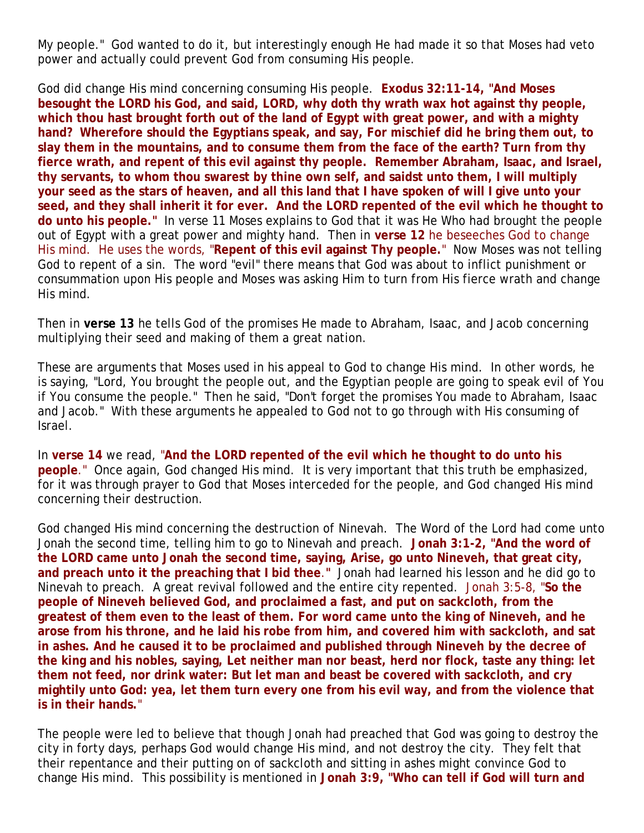My people." God wanted to do it, but interestingly enough He had made it so that Moses had veto power and actually could prevent God from consuming His people.

God did change His mind concerning consuming His people. **Exodus 32:11-14, "And Moses besought the LORD his God, and said, LORD, why doth thy wrath wax hot against thy people, which thou hast brought forth out of the land of Egypt with great power, and with a mighty hand? Wherefore should the Egyptians speak, and say, For mischief did he bring them out, to slay them in the mountains, and to consume them from the face of the earth? Turn from thy fierce wrath, and repent of this evil against thy people. Remember Abraham, Isaac, and Israel, thy servants, to whom thou swarest by thine own self, and saidst unto them, I will multiply your seed as the stars of heaven, and all this land that I have spoken of will I give unto your seed, and they shall inherit it for ever. And the LORD repented of the evil which he thought to do unto his people."** In verse 11 Moses explains to God that it was He Who had brought the people out of Egypt with a great power and mighty hand. Then in **verse 12** he beseeches God to change His mind. He uses the words, "**Repent of this evil against Thy people.**" Now Moses was not telling God to repent of a sin. The word "evil" there means that God was about to inflict punishment or consummation upon His people and Moses was asking Him to turn from His fierce wrath and change His mind.

Then in **verse 13** he tells God of the promises He made to Abraham, Isaac, and Jacob concerning multiplying their seed and making of them a great nation.

These are arguments that Moses used in his appeal to God to change His mind. In other words, he is saying, "Lord, You brought the people out, and the Egyptian people are going to speak evil of You if You consume the people." Then he said, "Don't forget the promises You made to Abraham, Isaac and Jacob." With these arguments he appealed to God not to go through with His consuming of Israel.

In **verse 14** we read, "**And the LORD repented of the evil which he thought to do unto his people**." Once again, God changed His mind. It is very important that this truth be emphasized, for it was through prayer to God that Moses interceded for the people, and God changed His mind concerning their destruction.

God changed His mind concerning the destruction of Ninevah. The Word of the Lord had come unto Jonah the second time, telling him to go to Ninevah and preach. **Jonah 3:1-2, "And the word of the LORD came unto Jonah the second time, saying, Arise, go unto Nineveh, that great city, and preach unto it the preaching that I bid thee**.**"** Jonah had learned his lesson and he did go to Ninevah to preach. A great revival followed and the entire city repented. Jonah 3:5-8, "**So the people of Nineveh believed God, and proclaimed a fast, and put on sackcloth, from the greatest of them even to the least of them. For word came unto the king of Nineveh, and he arose from his throne, and he laid his robe from him, and covered him with sackcloth, and sat in ashes. And he caused it to be proclaimed and published through Nineveh by the decree of the king and his nobles, saying, Let neither man nor beast, herd nor flock, taste any thing: let them not feed, nor drink water: But let man and beast be covered with sackcloth, and cry mightily unto God: yea, let them turn every one from his evil way, and from the violence that is in their hands.**"

The people were led to believe that though Jonah had preached that God was going to destroy the city in forty days, perhaps God would change His mind, and not destroy the city. They felt that their repentance and their putting on of sackcloth and sitting in ashes might convince God to change His mind. This possibility is mentioned in **Jonah 3:9, "Who can tell if God will turn and**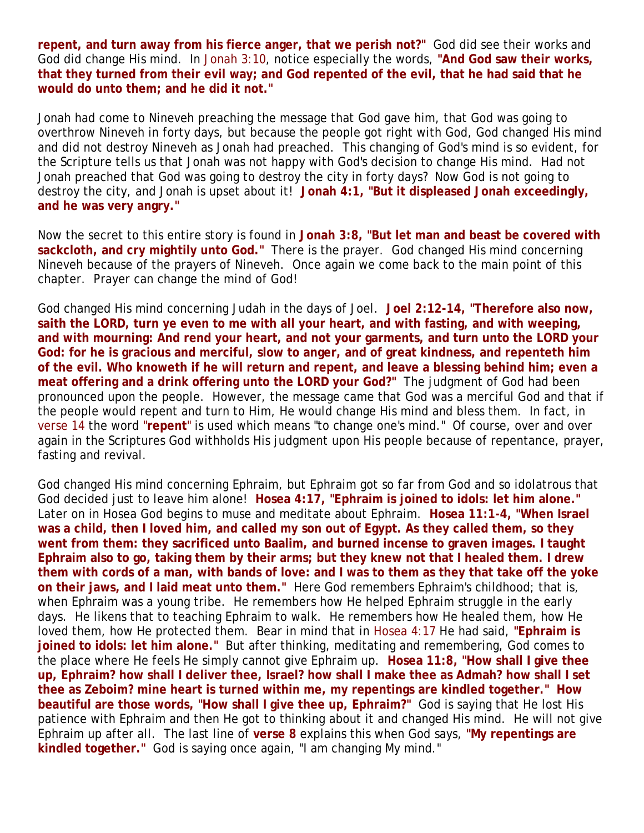**repent, and turn away from his fierce anger, that we perish not?"** God did see their works and God did change His mind. In Jonah 3:10, notice especially the words, **"And God saw their works, that they turned from their evil way; and God repented of the evil, that he had said that he would do unto them; and he did it not."**

Jonah had come to Nineveh preaching the message that God gave him, that God was going to overthrow Nineveh in forty days, but because the people got right with God, God changed His mind and did not destroy Nineveh as Jonah had preached. This changing of God's mind is so evident, for the Scripture tells us that Jonah was not happy with God's decision to change His mind. Had not Jonah preached that God was going to destroy the city in forty days? Now God is not going to destroy the city, and Jonah is upset about it! **Jonah 4:1, "But it displeased Jonah exceedingly, and he was very angry."** 

Now the secret to this entire story is found in **Jonah 3:8, "But let man and beast be covered with sackcloth, and cry mightily unto God."** There is the prayer. God changed His mind concerning Nineveh because of the prayers of Nineveh. Once again we come back to the main point of this chapter. Prayer can change the mind of God!

God changed His mind concerning Judah in the days of Joel. **Joel 2:12-14, "Therefore also now, saith the LORD, turn ye even to me with all your heart, and with fasting, and with weeping, and with mourning: And rend your heart, and not your garments, and turn unto the LORD your God: for he is gracious and merciful, slow to anger, and of great kindness, and repenteth him of the evil. Who knoweth if he will return and repent, and leave a blessing behind him; even a meat offering and a drink offering unto the LORD your God?"** The judgment of God had been pronounced upon the people. However, the message came that God was a merciful God and that if the people would repent and turn to Him, He would change His mind and bless them. In fact, in verse 14 the word "**repent**" is used which means "to change one's mind." Of course, over and over again in the Scriptures God withholds His judgment upon His people because of repentance, prayer, fasting and revival.

God changed His mind concerning Ephraim, but Ephraim got so far from God and so idolatrous that God decided just to leave him alone! **Hosea 4:17, "Ephraim is joined to idols: let him alone."** Later on in Hosea God begins to muse and meditate about Ephraim. **Hosea 11:1-4, "When Israel was a child, then I loved him, and called my son out of Egypt. As they called them, so they went from them: they sacrificed unto Baalim, and burned incense to graven images. I taught Ephraim also to go, taking them by their arms; but they knew not that I healed them. I drew them with cords of a man, with bands of love: and I was to them as they that take off the yoke on their jaws, and I laid meat unto them."** Here God remembers Ephraim's childhood; that is, when Ephraim was a young tribe. He remembers how He helped Ephraim struggle in the early days. He likens that to teaching Ephraim to walk. He remembers how He healed them, how He loved them, how He protected them. Bear in mind that in Hosea 4:17 He had said, **"Ephraim is joined to idols: let him alone."** But after thinking, meditating and remembering, God comes to the place where He feels He simply cannot give Ephraim up. **Hosea 11:8, "How shall I give thee up, Ephraim? how shall I deliver thee, Israel? how shall I make thee as Admah? how shall I set thee as Zeboim? mine heart is turned within me, my repentings are kindled together." How beautiful are those words, "How shall I give thee up, Ephraim?"** God is saying that He lost His patience with Ephraim and then He got to thinking about it and changed His mind. He will not give Ephraim up after all. The last line of **verse 8** explains this when God says, **"My repentings are kindled together."** God is saying once again, "I am changing My mind."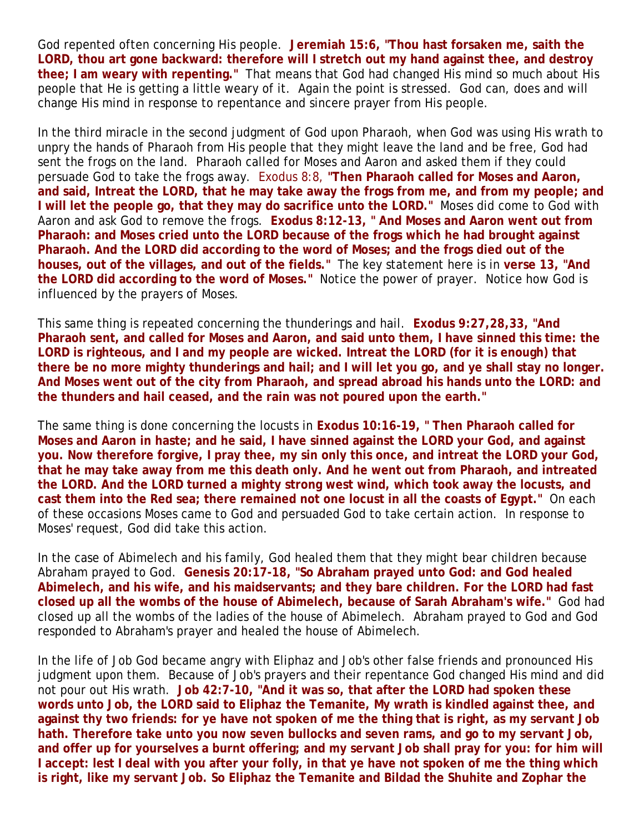God repented often concerning His people. **Jeremiah 15:6, "Thou hast forsaken me, saith the LORD, thou art gone backward: therefore will I stretch out my hand against thee, and destroy thee; I am weary with repenting."** That means that God had changed His mind so much about His people that He is getting a little weary of it. Again the point is stressed. God can, does and will change His mind in response to repentance and sincere prayer from His people.

In the third miracle in the second judgment of God upon Pharaoh, when God was using His wrath to unpry the hands of Pharaoh from His people that they might leave the land and be free, God had sent the frogs on the land. Pharaoh called for Moses and Aaron and asked them if they could persuade God to take the frogs away. Exodus 8:8, **"Then Pharaoh called for Moses and Aaron, and said, Intreat the LORD, that he may take away the frogs from me, and from my people; and I will let the people go, that they may do sacrifice unto the LORD."** Moses did come to God with Aaron and ask God to remove the frogs. **Exodus 8:12-13, " And Moses and Aaron went out from Pharaoh: and Moses cried unto the LORD because of the frogs which he had brought against Pharaoh. And the LORD did according to the word of Moses; and the frogs died out of the houses, out of the villages, and out of the fields."** The key statement here is in **verse 13, "And the LORD did according to the word of Moses."** Notice the power of prayer. Notice how God is influenced by the prayers of Moses.

This same thing is repeated concerning the thunderings and hail. **Exodus 9:27,28,33, "And Pharaoh sent, and called for Moses and Aaron, and said unto them, I have sinned this time: the LORD is righteous, and I and my people are wicked. Intreat the LORD (for it is enough) that there be no more mighty thunderings and hail; and I will let you go, and ye shall stay no longer. And Moses went out of the city from Pharaoh, and spread abroad his hands unto the LORD: and the thunders and hail ceased, and the rain was not poured upon the earth."**

The same thing is done concerning the locusts in **Exodus 10:16-19, " Then Pharaoh called for Moses and Aaron in haste; and he said, I have sinned against the LORD your God, and against you. Now therefore forgive, I pray thee, my sin only this once, and intreat the LORD your God, that he may take away from me this death only. And he went out from Pharaoh, and intreated the LORD. And the LORD turned a mighty strong west wind, which took away the locusts, and cast them into the Red sea; there remained not one locust in all the coasts of Egypt."** On each of these occasions Moses came to God and persuaded God to take certain action. In response to Moses' request, God did take this action.

In the case of Abimelech and his family, God healed them that they might bear children because Abraham prayed to God. **Genesis 20:17-18, "So Abraham prayed unto God: and God healed Abimelech, and his wife, and his maidservants; and they bare children. For the LORD had fast closed up all the wombs of the house of Abimelech, because of Sarah Abraham's wife."** God had closed up all the wombs of the ladies of the house of Abimelech. Abraham prayed to God and God responded to Abraham's prayer and healed the house of Abimelech.

In the life of Job God became angry with Eliphaz and Job's other false friends and pronounced His judgment upon them. Because of Job's prayers and their repentance God changed His mind and did not pour out His wrath. **Job 42:7-10, "And it was so, that after the LORD had spoken these words unto Job, the LORD said to Eliphaz the Temanite, My wrath is kindled against thee, and against thy two friends: for ye have not spoken of me the thing that is right, as my servant Job hath. Therefore take unto you now seven bullocks and seven rams, and go to my servant Job, and offer up for yourselves a burnt offering; and my servant Job shall pray for you: for him will I accept: lest I deal with you after your folly, in that ye have not spoken of me the thing which is right, like my servant Job. So Eliphaz the Temanite and Bildad the Shuhite and Zophar the**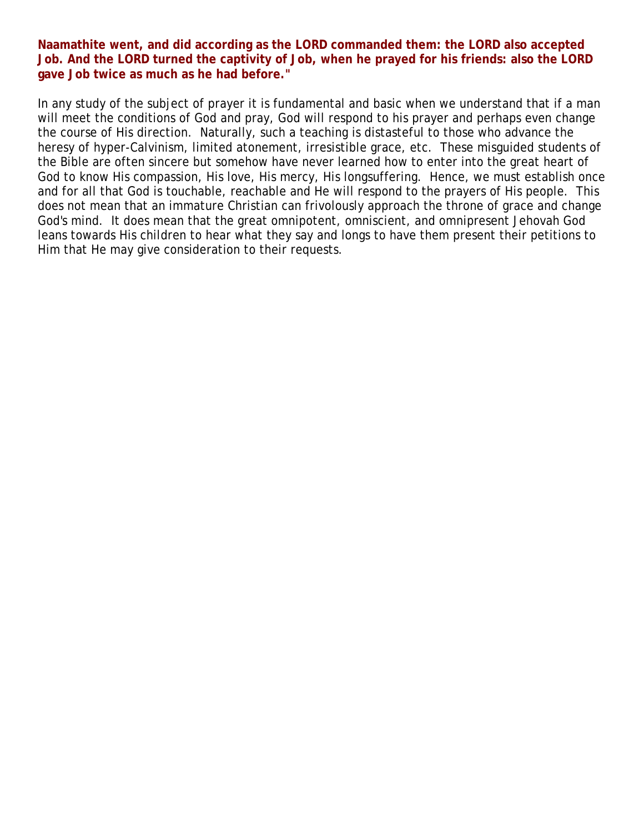**Naamathite went, and did according as the LORD commanded them: the LORD also accepted Job. And the LORD turned the captivity of Job, when he prayed for his friends: also the LORD gave Job twice as much as he had before."** 

In any study of the subject of prayer it is fundamental and basic when we understand that if a man will meet the conditions of God and pray, God will respond to his prayer and perhaps even change the course of His direction. Naturally, such a teaching is distasteful to those who advance the heresy of hyper-Calvinism, limited atonement, irresistible grace, etc. These misguided students of the Bible are often sincere but somehow have never learned how to enter into the great heart of God to know His compassion, His love, His mercy, His longsuffering. Hence, we must establish once and for all that God is touchable, reachable and He will respond to the prayers of His people. This does not mean that an immature Christian can frivolously approach the throne of grace and change God's mind. It does mean that the great omnipotent, omniscient, and omnipresent Jehovah God leans towards His children to hear what they say and longs to have them present their petitions to Him that He may give consideration to their requests.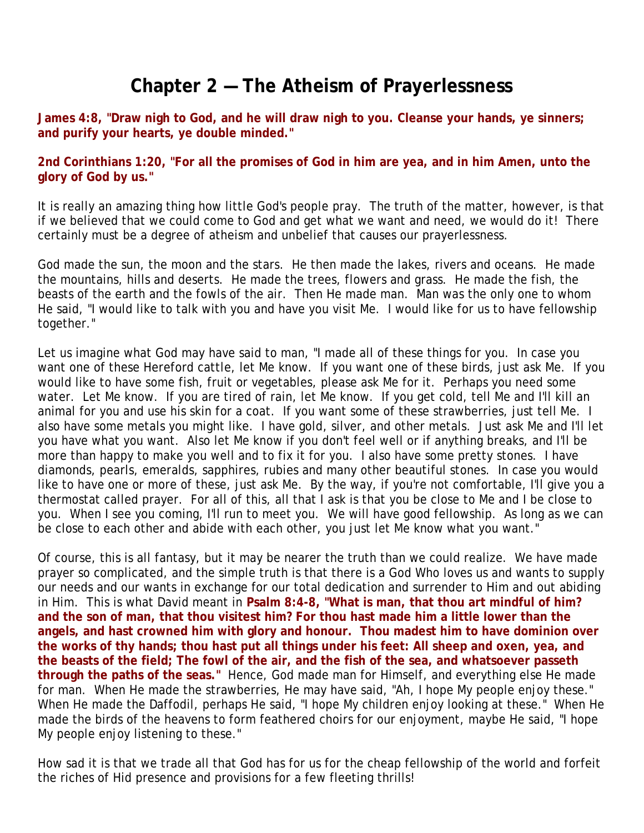### **Chapter 2 — The Atheism of Prayerlessness**

**James 4:8, "Draw nigh to God, and he will draw nigh to you. Cleanse your hands, ye sinners; and purify your hearts, ye double minded."**

**2nd Corinthians 1:20, "For all the promises of God in him are yea, and in him Amen, unto the glory of God by us."**

It is really an amazing thing how little God's people pray. The truth of the matter, however, is that if we believed that we could come to God and get what we want and need, we would do it! There certainly must be a degree of atheism and unbelief that causes our prayerlessness.

God made the sun, the moon and the stars. He then made the lakes, rivers and oceans. He made the mountains, hills and deserts. He made the trees, flowers and grass. He made the fish, the beasts of the earth and the fowls of the air. Then He made man. Man was the only one to whom He said, "I would like to talk with you and have you visit Me. I would like for us to have fellowship together."

Let us imagine what God may have said to man, "I made all of these things for you. In case you want one of these Hereford cattle, let Me know. If you want one of these birds, just ask Me. If you would like to have some fish, fruit or vegetables, please ask Me for it. Perhaps you need some water. Let Me know. If you are tired of rain, let Me know. If you get cold, tell Me and I'll kill an animal for you and use his skin for a coat. If you want some of these strawberries, just tell Me. I also have some metals you might like. I have gold, silver, and other metals. Just ask Me and I'll let you have what you want. Also let Me know if you don't feel well or if anything breaks, and I'll be more than happy to make you well and to fix it for you. I also have some pretty stones. I have diamonds, pearls, emeralds, sapphires, rubies and many other beautiful stones. In case you would like to have one or more of these, just ask Me. By the way, if you're not comfortable, I'll give you a thermostat called prayer. For all of this, all that I ask is that you be close to Me and I be close to you. When I see you coming, I'll run to meet you. We will have good fellowship. As long as we can be close to each other and abide with each other, you just let Me know what you want."

Of course, this is all fantasy, but it may be nearer the truth than we could realize. We have made prayer so complicated, and the simple truth is that there is a God Who loves us and wants to supply our needs and our wants in exchange for our total dedication and surrender to Him and out abiding in Him. This is what David meant in **Psalm 8:4-8, "What is man, that thou art mindful of him? and the son of man, that thou visitest him? For thou hast made him a little lower than the angels, and hast crowned him with glory and honour. Thou madest him to have dominion over the works of thy hands; thou hast put all things under his feet: All sheep and oxen, yea, and the beasts of the field; The fowl of the air, and the fish of the sea, and whatsoever passeth through the paths of the seas."** Hence, God made man for Himself, and everything else He made for man. When He made the strawberries, He may have said, "Ah, I hope My people enjoy these." When He made the Daffodil, perhaps He said, "I hope My children enjoy looking at these." When He made the birds of the heavens to form feathered choirs for our enjoyment, maybe He said, "I hope My people enjoy listening to these."

How sad it is that we trade all that God has for us for the cheap fellowship of the world and forfeit the riches of Hid presence and provisions for a few fleeting thrills!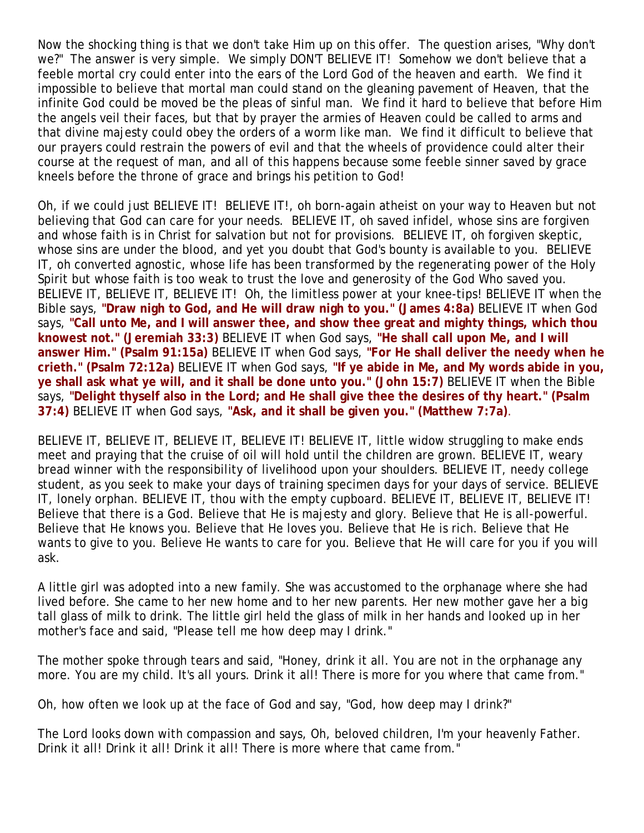Now the shocking thing is that we don't take Him up on this offer. The question arises, "Why don't we?" The answer is very simple. We simply DON'T BELIEVE IT! Somehow we don't believe that a feeble mortal cry could enter into the ears of the Lord God of the heaven and earth. We find it impossible to believe that mortal man could stand on the gleaning pavement of Heaven, that the infinite God could be moved be the pleas of sinful man. We find it hard to believe that before Him the angels veil their faces, but that by prayer the armies of Heaven could be called to arms and that divine majesty could obey the orders of a worm like man. We find it difficult to believe that our prayers could restrain the powers of evil and that the wheels of providence could alter their course at the request of man, and all of this happens because some feeble sinner saved by grace kneels before the throne of grace and brings his petition to God!

Oh, if we could just BELIEVE IT! BELIEVE IT!, oh born-again atheist on your way to Heaven but not believing that God can care for your needs. BELIEVE IT, oh saved infidel, whose sins are forgiven and whose faith is in Christ for salvation but not for provisions. BELIEVE IT, oh forgiven skeptic, whose sins are under the blood, and yet you doubt that God's bounty is available to you. BELIEVE IT, oh converted agnostic, whose life has been transformed by the regenerating power of the Holy Spirit but whose faith is too weak to trust the love and generosity of the God Who saved you. BELIEVE IT, BELIEVE IT, BELIEVE IT! Oh, the limitless power at your knee-tips! BELIEVE IT when the Bible says, **"Draw nigh to God, and He will draw nigh to you." (James 4:8a)** BELIEVE IT when God says, **"Call unto Me, and I will answer thee, and show thee great and mighty things, which thou knowest not." (Jeremiah 33:3)** BELIEVE IT when God says, **"He shall call upon Me, and I will answer Him." (Psalm 91:15a)** BELIEVE IT when God says, **"For He shall deliver the needy when he crieth." (Psalm 72:12a)** BELIEVE IT when God says, **"If ye abide in Me, and My words abide in you, ye shall ask what ye will, and it shall be done unto you." (John 15:7)** BELIEVE IT when the Bible says, "Delight thyself also in the Lord; and He shall give thee the desires of thy heart." (Psalm **37:4)** BELIEVE IT when God says, **"Ask, and it shall be given you." (Matthew 7:7a)**.

BELIEVE IT, BELIEVE IT, BELIEVE IT, BELIEVE IT! BELIEVE IT, little widow struggling to make ends meet and praying that the cruise of oil will hold until the children are grown. BELIEVE IT, weary bread winner with the responsibility of livelihood upon your shoulders. BELIEVE IT, needy college student, as you seek to make your days of training specimen days for your days of service. BELIEVE IT, lonely orphan. BELIEVE IT, thou with the empty cupboard. BELIEVE IT, BELIEVE IT, BELIEVE IT! Believe that there is a God. Believe that He is majesty and glory. Believe that He is all-powerful. Believe that He knows you. Believe that He loves you. Believe that He is rich. Believe that He wants to give to you. Believe He wants to care for you. Believe that He will care for you if you will ask.

A little girl was adopted into a new family. She was accustomed to the orphanage where she had lived before. She came to her new home and to her new parents. Her new mother gave her a big tall glass of milk to drink. The little girl held the glass of milk in her hands and looked up in her mother's face and said, "Please tell me how deep may I drink."

The mother spoke through tears and said, "Honey, drink it all. You are not in the orphanage any more. You are my child. It's all yours. Drink it all! There is more for you where that came from."

Oh, how often we look up at the face of God and say, "God, how deep may I drink?"

The Lord looks down with compassion and says, Oh, beloved children, I'm your heavenly Father. Drink it all! Drink it all! Drink it all! There is more where that came from."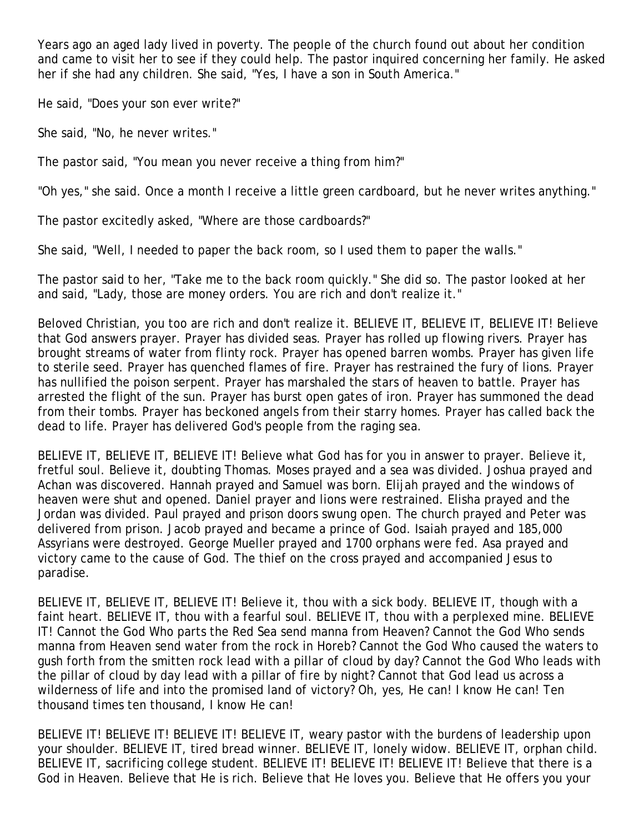Years ago an aged lady lived in poverty. The people of the church found out about her condition and came to visit her to see if they could help. The pastor inquired concerning her family. He asked her if she had any children. She said, "Yes, I have a son in South America."

He said, "Does your son ever write?"

She said, "No, he never writes."

The pastor said, "You mean you never receive a thing from him?"

"Oh yes," she said. Once a month I receive a little green cardboard, but he never writes anything."

The pastor excitedly asked, "Where are those cardboards?"

She said, "Well, I needed to paper the back room, so I used them to paper the walls."

The pastor said to her, "Take me to the back room quickly." She did so. The pastor looked at her and said, "Lady, those are money orders. You are rich and don't realize it."

Beloved Christian, you too are rich and don't realize it. BELIEVE IT, BELIEVE IT, BELIEVE IT! Believe that God answers prayer. Prayer has divided seas. Prayer has rolled up flowing rivers. Prayer has brought streams of water from flinty rock. Prayer has opened barren wombs. Prayer has given life to sterile seed. Prayer has quenched flames of fire. Prayer has restrained the fury of lions. Prayer has nullified the poison serpent. Prayer has marshaled the stars of heaven to battle. Prayer has arrested the flight of the sun. Prayer has burst open gates of iron. Prayer has summoned the dead from their tombs. Prayer has beckoned angels from their starry homes. Prayer has called back the dead to life. Prayer has delivered God's people from the raging sea.

BELIEVE IT, BELIEVE IT, BELIEVE IT! Believe what God has for you in answer to prayer. Believe it, fretful soul. Believe it, doubting Thomas. Moses prayed and a sea was divided. Joshua prayed and Achan was discovered. Hannah prayed and Samuel was born. Elijah prayed and the windows of heaven were shut and opened. Daniel prayer and lions were restrained. Elisha prayed and the Jordan was divided. Paul prayed and prison doors swung open. The church prayed and Peter was delivered from prison. Jacob prayed and became a prince of God. Isaiah prayed and 185,000 Assyrians were destroyed. George Mueller prayed and 1700 orphans were fed. Asa prayed and victory came to the cause of God. The thief on the cross prayed and accompanied Jesus to paradise.

BELIEVE IT, BELIEVE IT, BELIEVE IT! Believe it, thou with a sick body. BELIEVE IT, though with a faint heart. BELIEVE IT, thou with a fearful soul. BELIEVE IT, thou with a perplexed mine. BELIEVE IT! Cannot the God Who parts the Red Sea send manna from Heaven? Cannot the God Who sends manna from Heaven send water from the rock in Horeb? Cannot the God Who caused the waters to gush forth from the smitten rock lead with a pillar of cloud by day? Cannot the God Who leads with the pillar of cloud by day lead with a pillar of fire by night? Cannot that God lead us across a wilderness of life and into the promised land of victory? Oh, yes, He can! I know He can! Ten thousand times ten thousand, I know He can!

BELIEVE IT! BELIEVE IT! BELIEVE IT! BELIEVE IT, weary pastor with the burdens of leadership upon your shoulder. BELIEVE IT, tired bread winner. BELIEVE IT, lonely widow. BELIEVE IT, orphan child. BELIEVE IT, sacrificing college student. BELIEVE IT! BELIEVE IT! BELIEVE IT! Believe that there is a God in Heaven. Believe that He is rich. Believe that He loves you. Believe that He offers you your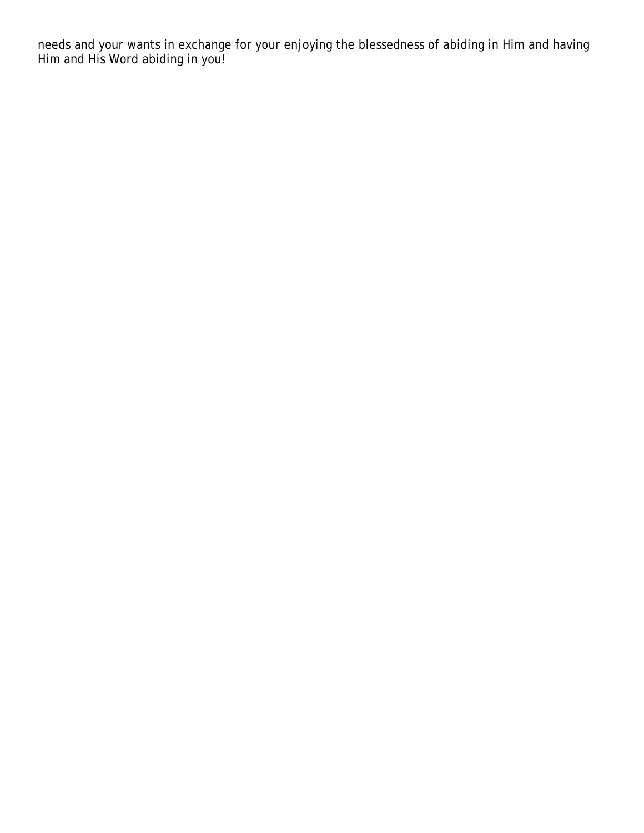needs and your wants in exchange for your enjoying the blessedness of abiding in Him and having Him and His Word abiding in you!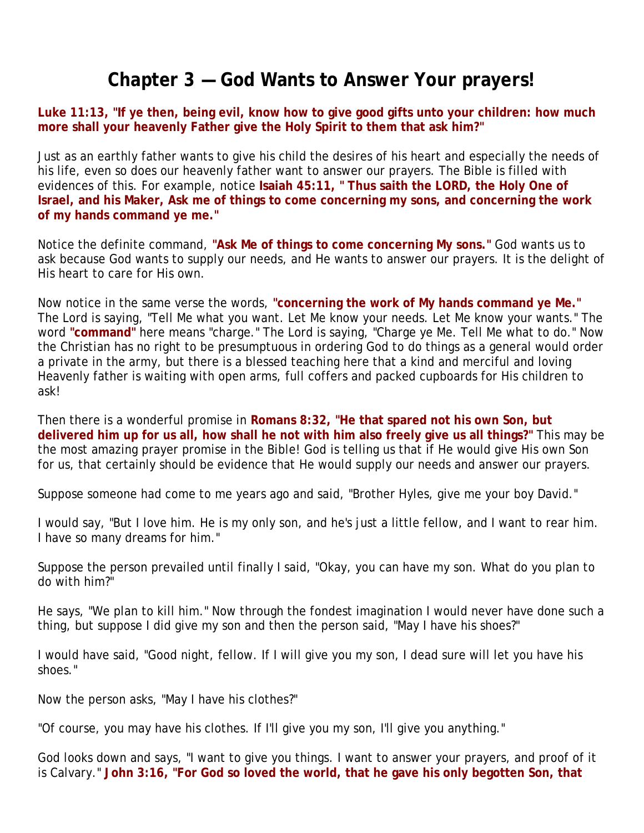#### **Chapter 3 — God Wants to Answer Your prayers!**

#### **Luke 11:13, "If ye then, being evil, know how to give good gifts unto your children: how much more shall your heavenly Father give the Holy Spirit to them that ask him?"**

Just as an earthly father wants to give his child the desires of his heart and especially the needs of his life, even so does our heavenly father want to answer our prayers. The Bible is filled with evidences of this. For example, notice **Isaiah 45:11, " Thus saith the LORD, the Holy One of Israel, and his Maker, Ask me of things to come concerning my sons, and concerning the work of my hands command ye me."** 

Notice the definite command, **"Ask Me of things to come concerning My sons."** God wants us to ask because God wants to supply our needs, and He wants to answer our prayers. It is the delight of His heart to care for His own.

Now notice in the same verse the words, **"concerning the work of My hands command ye Me."** The Lord is saying, "Tell Me what you want. Let Me know your needs. Let Me know your wants." The word **"command"** here means "charge." The Lord is saying, "Charge ye Me. Tell Me what to do." Now the Christian has no right to be presumptuous in ordering God to do things as a general would order a private in the army, but there is a blessed teaching here that a kind and merciful and loving Heavenly father is waiting with open arms, full coffers and packed cupboards for His children to ask!

Then there is a wonderful promise in **Romans 8:32, "He that spared not his own Son, but delivered him up for us all, how shall he not with him also freely give us all things?"** This may be the most amazing prayer promise in the Bible! God is telling us that if He would give His own Son for us, that certainly should be evidence that He would supply our needs and answer our prayers.

Suppose someone had come to me years ago and said, "Brother Hyles, give me your boy David."

I would say, "But I love him. He is my only son, and he's just a little fellow, and I want to rear him. I have so many dreams for him."

Suppose the person prevailed until finally I said, "Okay, you can have my son. What do you plan to do with him?"

He says, "We plan to kill him." Now through the fondest imagination I would never have done such a thing, but suppose I did give my son and then the person said, "May I have his shoes?"

I would have said, "Good night, fellow. If I will give you my son, I dead sure will let you have his shoes."

Now the person asks, "May I have his clothes?"

"Of course, you may have his clothes. If I'll give you my son, I'll give you anything."

God looks down and says, "I want to give you things. I want to answer your prayers, and proof of it is Calvary." **John 3:16, "For God so loved the world, that he gave his only begotten Son, that**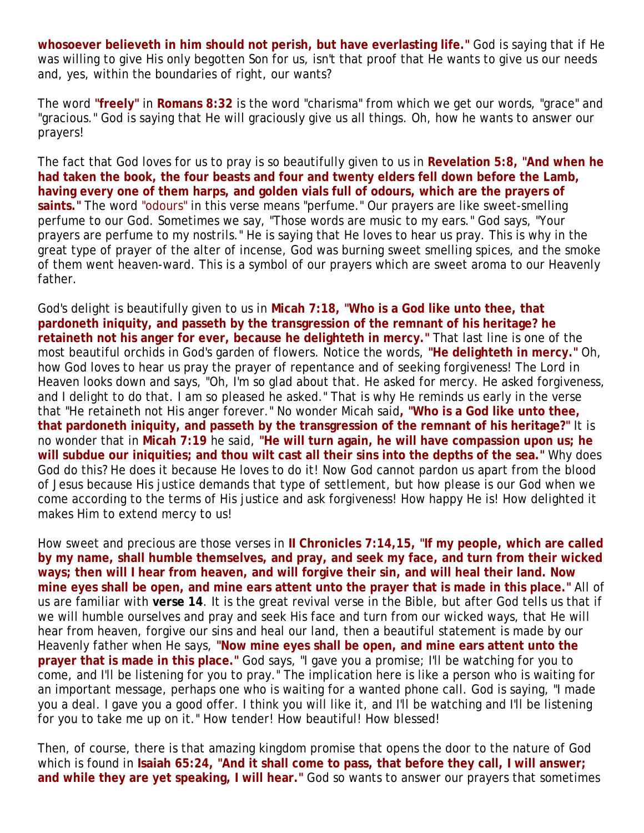**whosoever believeth in him should not perish, but have everlasting life."** God is saying that if He was willing to give His only begotten Son for us, isn't that proof that He wants to give us our needs and, yes, within the boundaries of right, our wants?

The word **"freely"** in **Romans 8:32** is the word "charisma" from which we get our words, "grace" and "gracious." God is saying that He will graciously give us all things. Oh, how he wants to answer our prayers!

The fact that God loves for us to pray is so beautifully given to us in **Revelation 5:8, "And when he had taken the book, the four beasts and four and twenty elders fell down before the Lamb, having every one of them harps, and golden vials full of odours, which are the prayers of saints."** The word "odours" in this verse means "perfume." Our prayers are like sweet-smelling perfume to our God. Sometimes we say, "Those words are music to my ears." God says, "Your prayers are perfume to my nostrils." He is saying that He loves to hear us pray. This is why in the great type of prayer of the alter of incense, God was burning sweet smelling spices, and the smoke of them went heaven-ward. This is a symbol of our prayers which are sweet aroma to our Heavenly father.

God's delight is beautifully given to us in **Micah 7:18, "Who is a God like unto thee, that pardoneth iniquity, and passeth by the transgression of the remnant of his heritage? he retaineth not his anger for ever, because he delighteth in mercy."** That last line is one of the most beautiful orchids in God's garden of flowers. Notice the words, **"He delighteth in mercy."** Oh, how God loves to hear us pray the prayer of repentance and of seeking forgiveness! The Lord in Heaven looks down and says, "Oh, I'm so glad about that. He asked for mercy. He asked forgiveness, and I delight to do that. I am so pleased he asked." That is why He reminds us early in the verse that "He retaineth not His anger forever." No wonder Micah said**, "Who is a God like unto thee, that pardoneth iniquity, and passeth by the transgression of the remnant of his heritage?"** It is no wonder that in **Micah 7:19** he said, **"He will turn again, he will have compassion upon us; he will subdue our iniquities; and thou wilt cast all their sins into the depths of the sea."** Why does God do this? He does it because He loves to do it! Now God cannot pardon us apart from the blood of Jesus because His justice demands that type of settlement, but how please is our God when we come according to the terms of His justice and ask forgiveness! How happy He is! How delighted it makes Him to extend mercy to us!

How sweet and precious are those verses in **II Chronicles 7:14,15, "If my people, which are called by my name, shall humble themselves, and pray, and seek my face, and turn from their wicked ways; then will I hear from heaven, and will forgive their sin, and will heal their land. Now mine eyes shall be open, and mine ears attent unto the prayer that is made in this place."** All of us are familiar with **verse 14**. It is the great revival verse in the Bible, but after God tells us that if we will humble ourselves and pray and seek His face and turn from our wicked ways, that He will hear from heaven, forgive our sins and heal our land, then a beautiful statement is made by our Heavenly father when He says, **"Now mine eyes shall be open, and mine ears attent unto the prayer that is made in this place."** God says, "I gave you a promise; I'll be watching for you to come, and I'll be listening for you to pray." The implication here is like a person who is waiting for an important message, perhaps one who is waiting for a wanted phone call. God is saying, "I made you a deal. I gave you a good offer. I think you will like it, and I'll be watching and I'll be listening for you to take me up on it." How tender! How beautiful! How blessed!

Then, of course, there is that amazing kingdom promise that opens the door to the nature of God which is found in **Isaiah 65:24, "And it shall come to pass, that before they call, I will answer; and while they are yet speaking, I will hear."** God so wants to answer our prayers that sometimes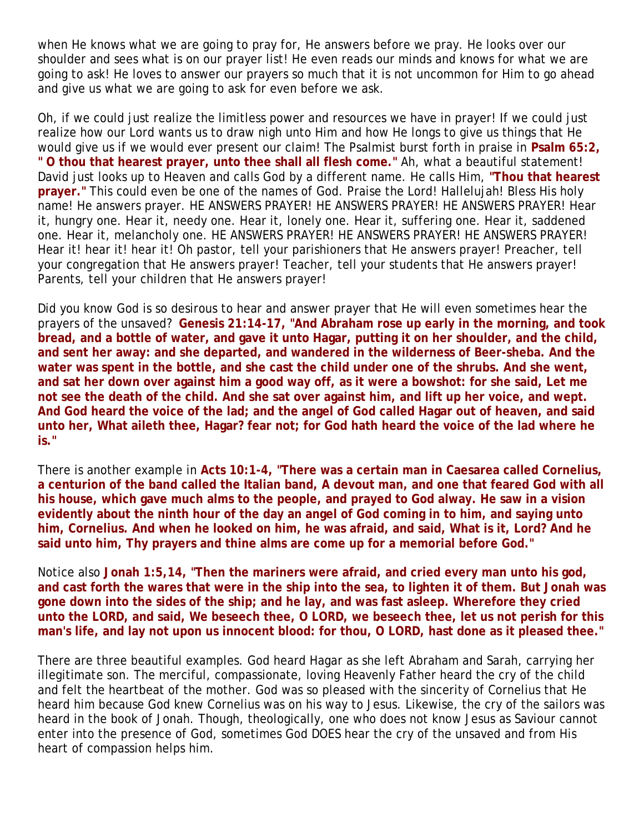when He knows what we are going to pray for, He answers before we pray. He looks over our shoulder and sees what is on our prayer list! He even reads our minds and knows for what we are going to ask! He loves to answer our prayers so much that it is not uncommon for Him to go ahead and give us what we are going to ask for even before we ask.

Oh, if we could just realize the limitless power and resources we have in prayer! If we could just realize how our Lord wants us to draw nigh unto Him and how He longs to give us things that He would give us if we would ever present our claim! The Psalmist burst forth in praise in **Psalm 65:2, " O thou that hearest prayer, unto thee shall all flesh come."** Ah, what a beautiful statement! David just looks up to Heaven and calls God by a different name. He calls Him, **"Thou that hearest prayer."** This could even be one of the names of God. Praise the Lord! Hallelujah! Bless His holy name! He answers prayer. HE ANSWERS PRAYER! HE ANSWERS PRAYER! HE ANSWERS PRAYER! Hear it, hungry one. Hear it, needy one. Hear it, lonely one. Hear it, suffering one. Hear it, saddened one. Hear it, melancholy one. HE ANSWERS PRAYER! HE ANSWERS PRAYER! HE ANSWERS PRAYER! Hear it! hear it! hear it! Oh pastor, tell your parishioners that He answers prayer! Preacher, tell your congregation that He answers prayer! Teacher, tell your students that He answers prayer! Parents, tell your children that He answers prayer!

Did you know God is so desirous to hear and answer prayer that He will even sometimes hear the prayers of the unsaved? **Genesis 21:14-17, "And Abraham rose up early in the morning, and took bread, and a bottle of water, and gave it unto Hagar, putting it on her shoulder, and the child, and sent her away: and she departed, and wandered in the wilderness of Beer-sheba. And the water was spent in the bottle, and she cast the child under one of the shrubs. And she went, and sat her down over against him a good way off, as it were a bowshot: for she said, Let me not see the death of the child. And she sat over against him, and lift up her voice, and wept. And God heard the voice of the lad; and the angel of God called Hagar out of heaven, and said unto her, What aileth thee, Hagar? fear not; for God hath heard the voice of the lad where he is."**

There is another example in **Acts 10:1-4, "There was a certain man in Caesarea called Cornelius, a centurion of the band called the Italian band, A devout man, and one that feared God with all his house, which gave much alms to the people, and prayed to God alway. He saw in a vision evidently about the ninth hour of the day an angel of God coming in to him, and saying unto him, Cornelius. And when he looked on him, he was afraid, and said, What is it, Lord? And he said unto him, Thy prayers and thine alms are come up for a memorial before God."**

Notice also **Jonah 1:5,14, "Then the mariners were afraid, and cried every man unto his god, and cast forth the wares that were in the ship into the sea, to lighten it of them. But Jonah was gone down into the sides of the ship; and he lay, and was fast asleep. Wherefore they cried unto the LORD, and said, We beseech thee, O LORD, we beseech thee, let us not perish for this man's life, and lay not upon us innocent blood: for thou, O LORD, hast done as it pleased thee."**

There are three beautiful examples. God heard Hagar as she left Abraham and Sarah, carrying her illegitimate son. The merciful, compassionate, loving Heavenly Father heard the cry of the child and felt the heartbeat of the mother. God was so pleased with the sincerity of Cornelius that He heard him because God knew Cornelius was on his way to Jesus. Likewise, the cry of the sailors was heard in the book of Jonah. Though, theologically, one who does not know Jesus as Saviour cannot enter into the presence of God, sometimes God *DOES* hear the cry of the unsaved and from His heart of compassion helps him.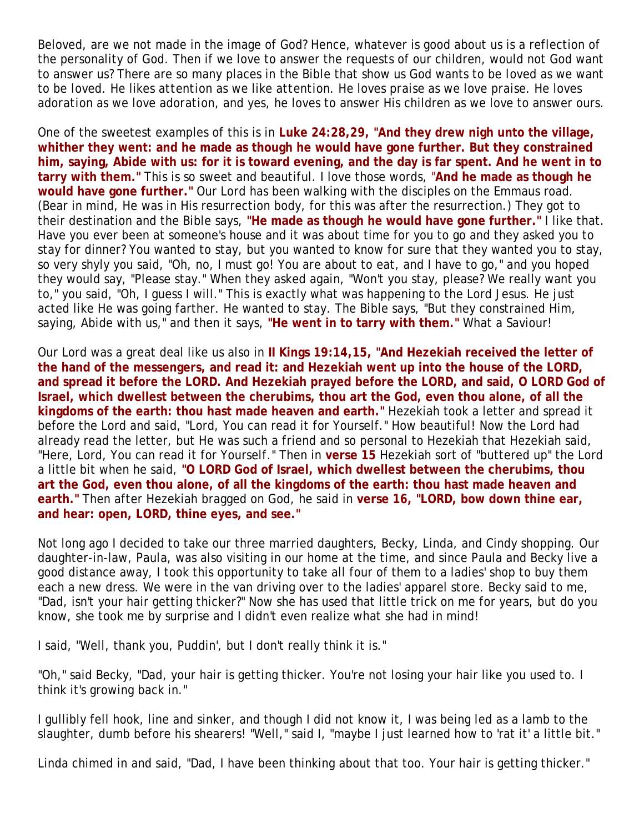Beloved, are we not made in the image of God? Hence, whatever is good about us is a reflection of the personality of God. Then if we love to answer the requests of our children, would not God want to answer us? There are so many places in the Bible that show us God wants to be *loved* as we want to be *loved*. He likes *attention* as we like *attention*. He loves *praise* as we love *praise*. He loves *adoration* as we love *adoration*, and yes, he loves to answer His children as we love to answer ours.

One of the sweetest examples of this is in **Luke 24:28,29, "And they drew nigh unto the village, whither they went: and he made as though he would have gone further. But they constrained him, saying, Abide with us: for it is toward evening, and the day is far spent. And he went in to tarry with them."** This is so sweet and beautiful. I love those words, "**And he made as though he would have gone further."** Our Lord has been walking with the disciples on the Emmaus road. (Bear in mind, He was in His resurrection body, for this was after the resurrection.) They got to their destination and the Bible says, **"He made as though he would have gone further."** I like that. Have you ever been at someone's house and it was about time for you to go and they asked you to stay for dinner? You wanted to stay, but you wanted to know for sure that they wanted you to stay, so very shyly you said, "Oh, no, I must go! You are about to eat, and I have to go," and you hoped they would say, "Please stay." When they asked again, "Won't you stay, please? We really want you to," you said, "Oh, I guess I will." This is exactly what was happening to the Lord Jesus. He just acted like He was going farther. He wanted to stay. The Bible says, "But they constrained Him, saying, Abide with us," and then it says, **"He went in to tarry with them."** What a Saviour!

Our Lord was a great deal like us also in **II Kings 19:14,15, "And Hezekiah received the letter of the hand of the messengers, and read it: and Hezekiah went up into the house of the LORD, and spread it before the LORD. And Hezekiah prayed before the LORD, and said, O LORD God of Israel, which dwellest between the cherubims, thou art the God, even thou alone, of all the kingdoms of the earth: thou hast made heaven and earth."** Hezekiah took a letter and spread it before the Lord and said, "Lord, You can read it for Yourself." How beautiful! Now the Lord had already read the letter, but He was such a friend and so personal to Hezekiah that Hezekiah said, "Here, Lord, You can read it for Yourself." Then in **verse 15** Hezekiah sort of "buttered up" the Lord a little bit when he said, **"O LORD God of Israel, which dwellest between the cherubims, thou art the God, even thou alone, of all the kingdoms of the earth: thou hast made heaven and earth."** Then after Hezekiah bragged on God, he said in **verse 16, "LORD, bow down thine ear, and hear: open, LORD, thine eyes, and see."**

Not long ago I decided to take our three married daughters, Becky, Linda, and Cindy shopping. Our daughter-in-law, Paula, was also visiting in our home at the time, and since Paula and Becky live a good distance away, I took this opportunity to take all four of them to a ladies' shop to buy them each a new dress. We were in the van driving over to the ladies' apparel store. Becky said to me, "Dad, isn't your hair getting thicker?" Now she has used that little trick on me for years, but do you know, she took me by surprise and I didn't even realize what she had in mind!

I said, "Well, thank you, Puddin', but I don't really think it is."

"Oh," said Becky, "Dad, your hair is getting thicker. You're not losing your hair like you used to. I think it's growing back in."

I gullibly fell hook, line and sinker, and though I did not know it, I was being led as a lamb to the slaughter, dumb before his shearers! "Well," said I, "maybe I just learned how to 'rat it' a little bit."

Linda chimed in and said, "Dad, I have been thinking about that too. Your hair is getting thicker."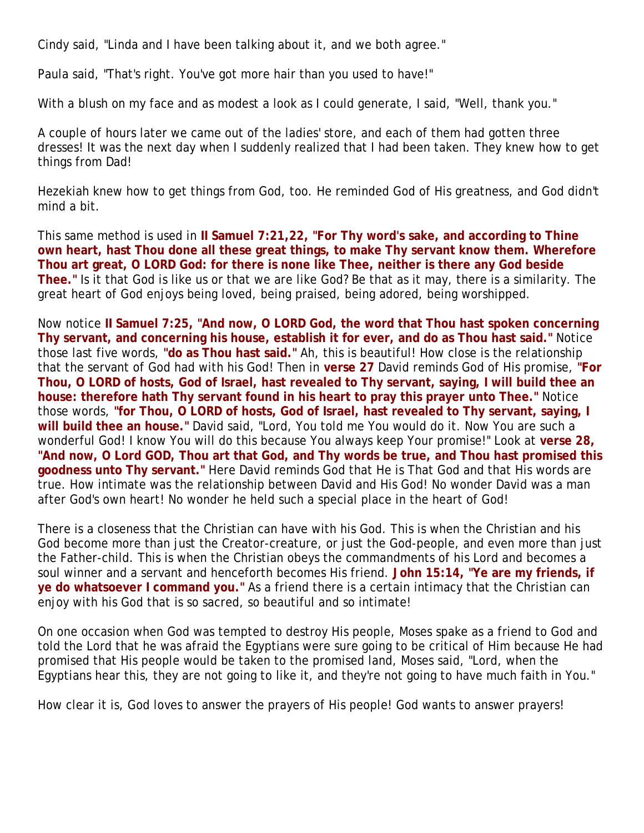Cindy said, "Linda and I have been talking about it, and we both agree."

Paula said, "That's right. You've got more hair than you used to have!"

With a blush on my face and as modest a look as I could generate, I said, "Well, thank you."

A couple of hours later we came out of the ladies' store, and each of them had gotten three dresses! It was the next day when I suddenly realized that I had been taken. They knew how to get things from Dad!

Hezekiah knew how to get things from God, too. He reminded God of His greatness, and God didn't mind a bit.

This same method is used in **II Samuel 7:21,22, "For Thy word's sake, and according to Thine own heart, hast Thou done all these great things, to make Thy servant know them. Wherefore Thou art great, O LORD God: for there is none like Thee, neither is there any God beside Thee."** Is it that God is like us or that we are like God? Be that as it may, there is a similarity. The great heart of God enjoys being loved, being praised, being adored, being worshipped.

Now notice **II Samuel 7:25, "And now, O LORD God, the word that Thou hast spoken concerning Thy servant, and concerning his house, establish it for ever, and do as Thou hast said."** Notice those last five words, **"do as Thou hast said."** Ah, this is beautiful! How close is the relationship that the servant of God had with his God! Then in **verse 27** David reminds God of His promise, **"For Thou, O LORD of hosts, God of Israel, hast revealed to Thy servant, saying, I will build thee an house: therefore hath Thy servant found in his heart to pray this prayer unto Thee."** Notice those words, **"for Thou, O LORD of hosts, God of Israel, hast revealed to Thy servant, saying, I will build thee an house."** David said, "Lord, You told me You would do it. Now You are such a wonderful God! I know You will do this because You always keep Your promise!" Look at **verse 28, "And now, O Lord GOD, Thou art that God, and Thy words be true, and Thou hast promised this goodness unto Thy servant."** Here David reminds God that He is That God and that His words are true. How intimate was the relationship between David and His God! No wonder David was a man after God's own heart! No wonder he held such a special place in the heart of God!

There is a closeness that the Christian can have with his God. This is when the Christian and his God become more than just the Creator-creature, or just the God-people, and even more than just the Father-child. This is when the Christian obeys the commandments of his Lord and becomes a soul winner and a servant and henceforth becomes His friend. **John 15:14, "Ye are my friends, if ye do whatsoever I command you."** As a friend there is a certain intimacy that the Christian can enjoy with his God that is so sacred, so beautiful and so intimate!

On one occasion when God was tempted to destroy His people, Moses spake as a friend to God and told the Lord that he was afraid the Egyptians were sure going to be critical of Him because He had promised that His people would be taken to the promised land, Moses said, "Lord, when the Egyptians hear this, they are not going to like it, and they're not going to have much faith in You."

How clear it is, God loves to answer the prayers of His people! God wants to answer prayers!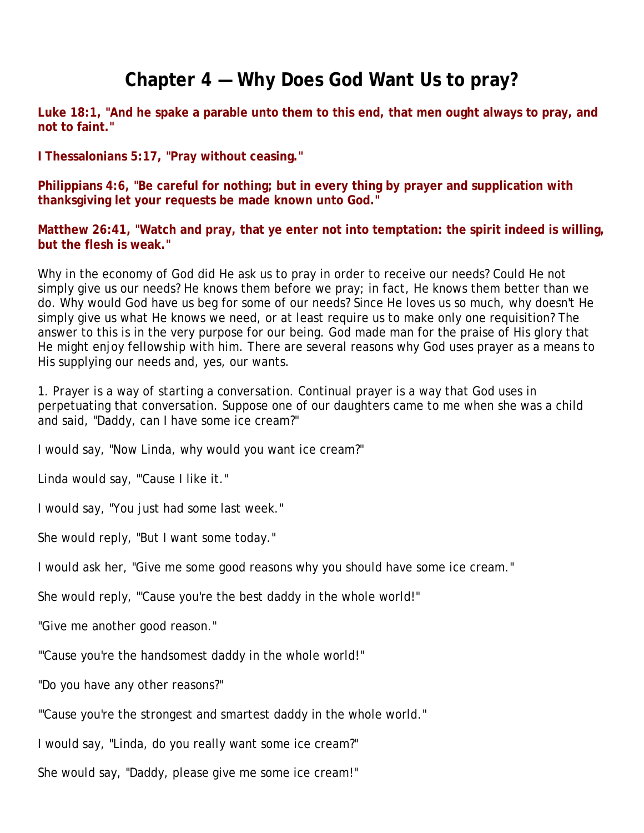## **Chapter 4 — Why Does God Want Us to pray?**

**Luke 18:1, "And he spake a parable unto them to this end, that men ought always to pray, and not to faint."**

**I Thessalonians 5:17, "Pray without ceasing."**

**Philippians 4:6, "Be careful for nothing; but in every thing by prayer and supplication with thanksgiving let your requests be made known unto God."**

**Matthew 26:41, "Watch and pray, that ye enter not into temptation: the spirit indeed is willing, but the flesh is weak."**

Why in the economy of God did He ask us to pray in order to receive our needs? Could He not simply give us our needs? He knows them before we pray; in fact, He knows them better than we do. Why would God have us beg for some of our needs? Since He loves us so much, why doesn't He simply give us what He knows we need, or at least require us to make only one requisition? The answer to this is in the very purpose for our being. God made man for the praise of His glory that He might enjoy fellowship with him. There are several reasons why God uses prayer as a means to His supplying our needs and, yes, our wants.

1. *Prayer is a way of starting a conversation*. Continual prayer is a way that God uses in perpetuating that conversation. Suppose one of our daughters came to me when she was a child and said, "Daddy, can I have some ice cream?"

I would say, "Now Linda, why would you want ice cream?"

Linda would say, "'Cause I like it."

I would say, "You just had some last week."

She would reply, "But I want some today."

I would ask her, "Give me some good reasons why you should have some ice cream."

She would reply, "'Cause you're the best daddy in the whole world!"

"Give me another good reason."

"'Cause you're the handsomest daddy in the whole world!"

"Do you have any other reasons?"

"'Cause you're the strongest and smartest daddy in the whole world."

I would say, "Linda, do you really want some ice cream?"

She would say, "Daddy, please give me some ice cream!"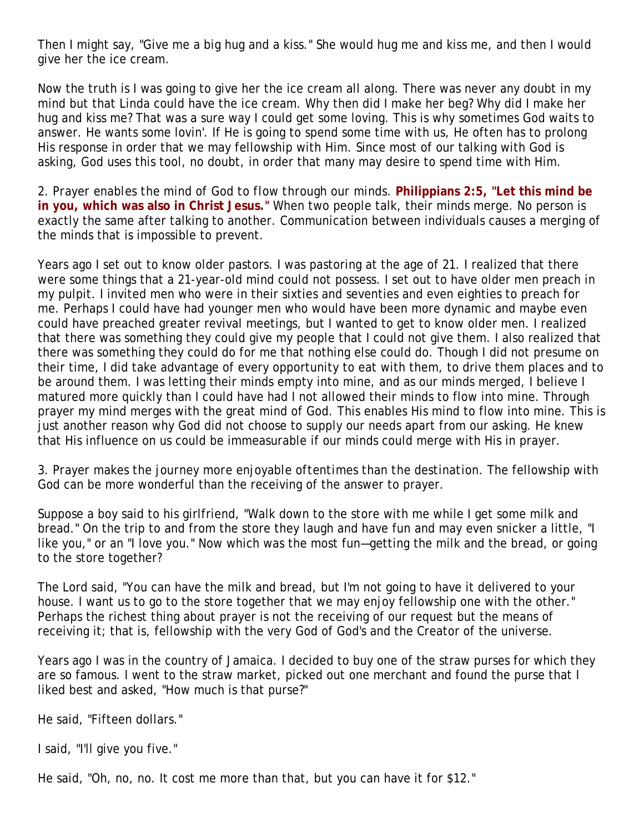Then I might say, "Give me a big hug and a kiss." She would hug me and kiss me, and then I would give her the ice cream.

Now the truth is I was going to give her the ice cream all along. There was never any doubt in my mind but that Linda could have the ice cream. Why then did I make her beg? Why did I make her hug and kiss me? That was a sure way I could get some loving. This is why sometimes God waits to answer. He wants some lovin'. If He is going to spend some time with us, He often has to prolong His response in order that we may fellowship with Him. Since most of our talking with God is asking, God uses this tool, no doubt, in order that many may desire to spend time with Him.

2. *Prayer enables the mind of God to flow through our minds*. **Philippians 2:5, "Let this mind be in you, which was also in Christ Jesus."** When two people talk, their minds merge. No person is exactly the same after talking to another. Communication between individuals causes a merging of the minds that is impossible to prevent.

Years ago I set out to know older pastors. I was pastoring at the age of 21. I realized that there were some things that a 21-year-old mind could not possess. I set out to have older men preach in my pulpit. I invited men who were in their sixties and seventies and even eighties to preach for me. Perhaps I could have had younger men who would have been more dynamic and maybe even could have preached greater revival meetings, but I wanted to get to know older men. I realized that there was something they could give my people that I could not give them. I also realized that there was something they could do for me that nothing else could do. Though I did not presume on their time, I did take advantage of every opportunity to eat with them, to drive them places and to be around them. I was letting their minds empty into mine, and as our minds merged, I believe I matured more quickly than I could have had I not allowed their minds to flow into mine. Through prayer my mind merges with the great mind of God. This enables His mind to flow into mine. This is just another reason why God did not choose to supply our needs apart from our asking. He knew that His influence on us could be immeasurable if our minds could merge with His in prayer.

3. *Prayer makes the journey more enjoyable oftentimes than the destination*. The fellowship with God can be more wonderful than the receiving of the answer to prayer.

Suppose a boy said to his girlfriend, "Walk down to the store with me while I get some milk and bread." On the trip to and from the store they laugh and have fun and may even snicker a little, "I like you," or an "I love you." Now which was the most fun—getting the milk and the bread, or going to the store together?

The Lord said, "You can have the milk and bread, but I'm not going to have it delivered to your house. I want us to go to the store together that we may enjoy fellowship one with the other." Perhaps the richest thing about prayer is not the receiving of our request but the means of receiving it; that is, fellowship with the very God of God's and the Creator of the universe.

Years ago I was in the country of Jamaica. I decided to buy one of the straw purses for which they are so famous. I went to the straw market, picked out one merchant and found the purse that I liked best and asked, "How much is that purse?"

He said, "Fifteen dollars."

I said, "I'll give you five."

He said, "Oh, no, no. It cost me more than that, but you can have it for \$12."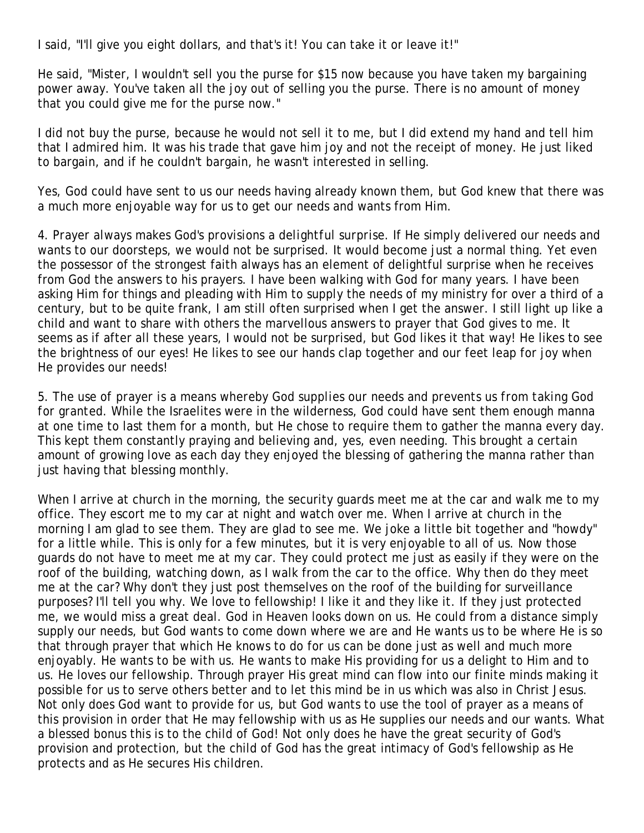I said, "I'll give you eight dollars, and that's it! You can take it or leave it!"

He said, "Mister, I wouldn't sell you the purse for \$15 now because you have taken my bargaining power away. You've taken all the joy out of selling you the purse. There is no amount of money that you could give me for the purse now."

I did not buy the purse, because he would not sell it to me, but I did extend my hand and tell him that I admired him. It was his trade that gave him joy and not the receipt of money. He just liked to bargain, and if he couldn't bargain, he wasn't interested in selling.

Yes, God could have sent to us our needs having already known them, but God knew that there was a much more enjoyable way for us to get our needs and wants from Him.

4. *Prayer always makes God's provisions a delightful surprise.* If He simply delivered our needs and wants to our doorsteps, we would not be surprised. It would become just a normal thing. Yet even the possessor of the strongest faith always has an element of delightful surprise when he receives from God the answers to his prayers. I have been walking with God for many years. I have been asking Him for things and pleading with Him to supply the needs of my ministry for over a third of a century, but to be quite frank, I am still often surprised when I get the answer. I still light up like a child and want to share with others the marvellous answers to prayer that God gives to me. It seems as if after all these years, I would not be surprised, but God likes it that way! He likes to see the brightness of our eyes! He likes to see our hands clap together and our feet leap for joy when He provides our needs!

5. *The use of prayer is a means whereby God supplies our needs and prevents us from taking God for granted.* While the Israelites were in the wilderness, God could have sent them enough manna at one time to last them for a month, but He chose to require them to gather the manna every day. This kept them constantly praying and believing and, yes, even needing. This brought a certain amount of growing love as each day they enjoyed the blessing of gathering the manna rather than just having that blessing monthly.

When I arrive at church in the morning, the security guards meet me at the car and walk me to my office. They escort me to my car at night and watch over me. When I arrive at church in the morning I am glad to see them. They are glad to see me. We joke a little bit together and "howdy" for a little while. This is only for a few minutes, but it is very enjoyable to all of us. Now those guards do not have to meet me at my car. They could protect me just as easily if they were on the roof of the building, watching down, as I walk from the car to the office. Why then do they meet me at the car? Why don't they just post themselves on the roof of the building for surveillance purposes? I'll tell you why. We love to fellowship! I like it and they like it. If they just protected me, we would miss a great deal. God in Heaven looks down on us. He could from a distance simply supply our needs, but God wants to come down where we are and He wants us to be where He is so that through prayer that which He knows to do for us can be done just as well and much more enjoyably. He wants to be with us. He wants to make His providing for us a delight to Him and to us. He loves our fellowship. Through prayer His great mind can flow into our finite minds making it possible for us to serve others better and to let this mind be in us which was also in Christ Jesus. Not only does God want to provide for us, but God wants to use the tool of prayer as a means of this provision in order that He may fellowship with us as He supplies our needs and our wants. What a blessed bonus this is to the child of God! Not only does he have the great security of God's provision and protection, but the child of God has the great intimacy of God's fellowship as He protects and as He secures His children.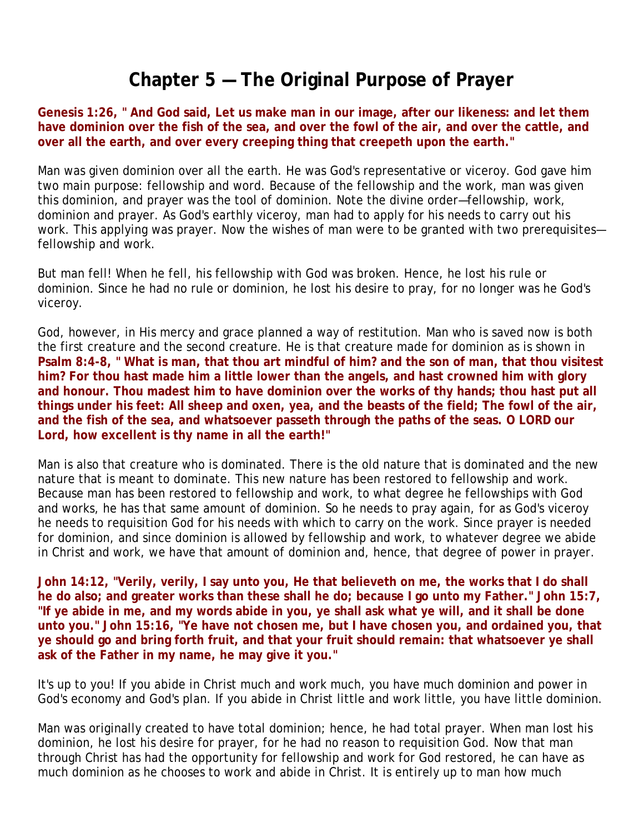#### **Chapter 5 — The Original Purpose of Prayer**

**Genesis 1:26, " And God said, Let us make man in our image, after our likeness: and let them have dominion over the fish of the sea, and over the fowl of the air, and over the cattle, and over all the earth, and over every creeping thing that creepeth upon the earth."** 

Man was given dominion over all the earth. He was God's representative or viceroy. God gave him two main purpose: fellowship and word. Because of the fellowship and the work, man was given this dominion, and prayer was the tool of dominion. Note the divine order—fellowship, work, dominion and prayer. As God's earthly viceroy, man had to apply for his needs to carry out his work. This applying was prayer. Now the wishes of man were to be granted with two prerequisites fellowship and work.

But man fell! When he fell, his fellowship with God was broken. Hence, he lost his rule or dominion. Since he had no rule or dominion, he lost his desire to pray, for no longer was he God's viceroy.

God, however, in His mercy and grace planned a way of restitution. Man who is saved now is both the first creature and the second creature. He is that creature made for dominion as is shown in **Psalm 8:4-8, " What is man, that thou art mindful of him? and the son of man, that thou visitest him? For thou hast made him a little lower than the angels, and hast crowned him with glory and honour. Thou madest him to have dominion over the works of thy hands; thou hast put all things under his feet: All sheep and oxen, yea, and the beasts of the field; The fowl of the air, and the fish of the sea, and whatsoever passeth through the paths of the seas. O LORD our Lord, how excellent is thy name in all the earth!"**

Man is also that creature who is dominated. There is the old nature that is dominated and the new nature that is meant to dominate. This new nature has been restored to fellowship and work. Because man has been restored to fellowship and work, to what degree he fellowships with God and works, he has that same amount of dominion. So he needs to pray again, for as God's viceroy he needs to requisition God for his needs with which to carry on the work. Since prayer is needed for dominion, and since dominion is allowed by fellowship and work, to whatever degree we abide in Christ and work, we have that amount of dominion and, hence, that degree of power in prayer.

**John 14:12, "Verily, verily, I say unto you, He that believeth on me, the works that I do shall he do also; and greater works than these shall he do; because I go unto my Father." John 15:7, "If ye abide in me, and my words abide in you, ye shall ask what ye will, and it shall be done unto you." John 15:16, "Ye have not chosen me, but I have chosen you, and ordained you, that ye should go and bring forth fruit, and that your fruit should remain: that whatsoever ye shall ask of the Father in my name, he may give it you."** 

It's up to you! If you abide in Christ much and work much, you have much dominion and power in God's economy and God's plan. If you abide in Christ little and work little, you have little dominion.

Man was originally created to have total dominion; hence, he had total prayer. When man lost his dominion, he lost his desire for prayer, for he had no reason to requisition God. Now that man through Christ has had the opportunity for fellowship and work for God restored, he can have as much dominion as he chooses to work and abide in Christ. It is entirely up to man how much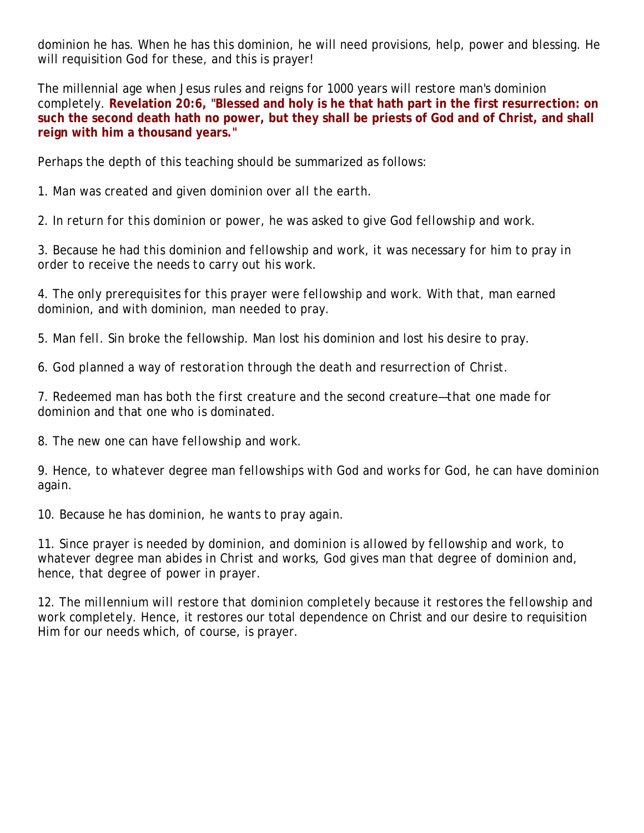dominion he has. When he has this dominion, he will need provisions, help, power and blessing. He will requisition God for these, and this is prayer!

The millennial age when Jesus rules and reigns for 1000 years will restore man's dominion completely. **Revelation 20:6, "Blessed and holy is he that hath part in the first resurrection: on such the second death hath no power, but they shall be priests of God and of Christ, and shall reign with him a thousand years."**

Perhaps the depth of this teaching should be summarized as follows:

1. *Man was created and given dominion over all the earth.*

2. *In return for this dominion or power, he was asked to give God fellowship and work.*

3. *Because he had this dominion and fellowship and work, it was necessary for him to pray in order to receive the needs to carry out his work.*

4. *The only prerequisites for this prayer were fellowship and work.* With that, man earned dominion, and with dominion, man needed to pray.

5. *Man fell.* Sin broke the fellowship. Man lost his dominion and lost his desire to pray.

6. *God planned a way of restoration through the death and resurrection of Christ.*

7. *Redeemed man has both the first creature and the second creature—that one made for dominion and that one who is dominated.*

8. *The new one can have fellowship and work.*

9. *Hence, to whatever degree man fellowships with God and works for God, he can have dominion again.*

10. *Because he has dominion, he wants to pray again.*

11. *Since prayer is needed by dominion, and dominion is allowed by fellowship and work, to whatever degree man abides in Christ and works, God gives man that degree of dominion and, hence, that degree of power in prayer.*

12. *The millennium will restore that dominion completely because it restores the fellowship and work completely.* Hence, it restores our total dependence on Christ and our desire to requisition Him for our needs which, of course, is prayer.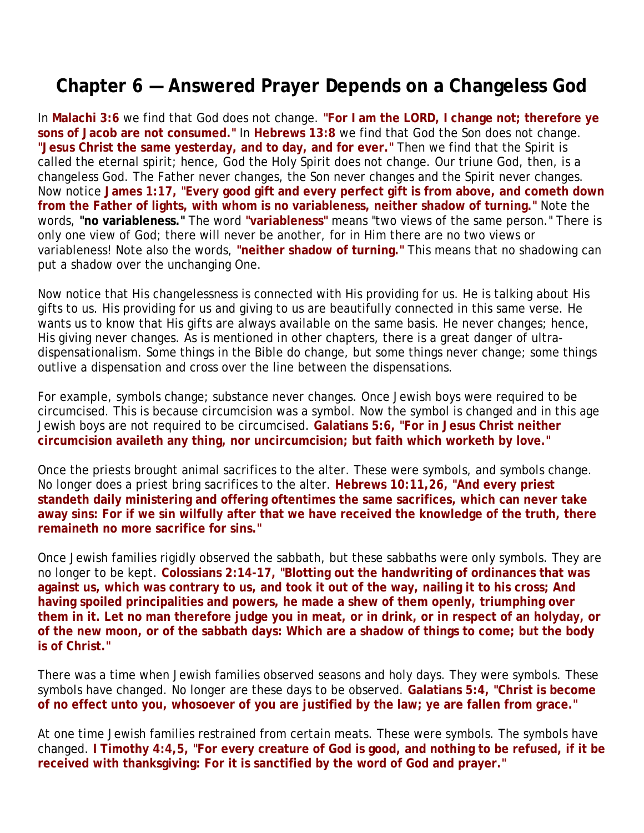#### **Chapter 6 — Answered Prayer Depends on a Changeless God**

In **Malachi 3:6** we find that God does not change. **"For I am the LORD, I change not; therefore ye sons of Jacob are not consumed."** In **Hebrews 13:8** we find that God the Son does not change. **"Jesus Christ the same yesterday, and to day, and for ever."** Then we find that the Spirit is called the eternal spirit; hence, God the Holy Spirit does not change. Our triune God, then, is a changeless God. The Father never changes, the Son never changes and the Spirit never changes. Now notice **James 1:17, "Every good gift and every perfect gift is from above, and cometh down from the Father of lights, with whom is no variableness, neither shadow of turning."** Note the words, **"no variableness."** The word **"variableness"** means "two views of the same person." There is only one view of God; there will never be another, for in Him there are no two views or variableness! Note also the words, **"neither shadow of turning."** This means that no shadowing can put a shadow over the unchanging One.

Now notice that His changelessness is connected with His providing for us. He is talking about His gifts to us. His providing for us and giving to us are beautifully connected in this same verse. He wants us to know that His gifts are always available on the same basis. He never changes; hence, His giving never changes. As is mentioned in other chapters, there is a great danger of ultradispensationalism. Some things in the Bible do change, but some things never change; some things outlive a dispensation and cross over the line between the dispensations.

For example, symbols change; substance never changes. Once Jewish boys were required to be circumcised. This is because circumcision was a symbol. Now the symbol is changed and in this age Jewish boys are not required to be circumcised. **Galatians 5:6, "For in Jesus Christ neither circumcision availeth any thing, nor uncircumcision; but faith which worketh by love."**

Once the priests brought animal sacrifices to the alter. These were symbols, and symbols change. No longer does a priest bring sacrifices to the alter. **Hebrews 10:11,26, "And every priest standeth daily ministering and offering oftentimes the same sacrifices, which can never take away sins: For if we sin wilfully after that we have received the knowledge of the truth, there remaineth no more sacrifice for sins."**

Once Jewish families rigidly observed the sabbath, but these sabbaths were only symbols. They are no longer to be kept. **Colossians 2:14-17, "Blotting out the handwriting of ordinances that was against us, which was contrary to us, and took it out of the way, nailing it to his cross; And having spoiled principalities and powers, he made a shew of them openly, triumphing over them in it. Let no man therefore judge you in meat, or in drink, or in respect of an holyday, or of the new moon, or of the sabbath days: Which are a shadow of things to come; but the body is of Christ."**

There was a time when Jewish families observed seasons and holy days. They were symbols. These symbols have changed. No longer are these days to be observed. **Galatians 5:4, "Christ is become of no effect unto you, whosoever of you are justified by the law; ye are fallen from grace."**

At one time Jewish families restrained from certain meats. These were symbols. The symbols have changed. **I Timothy 4:4,5, "For every creature of God is good, and nothing to be refused, if it be received with thanksgiving: For it is sanctified by the word of God and prayer."**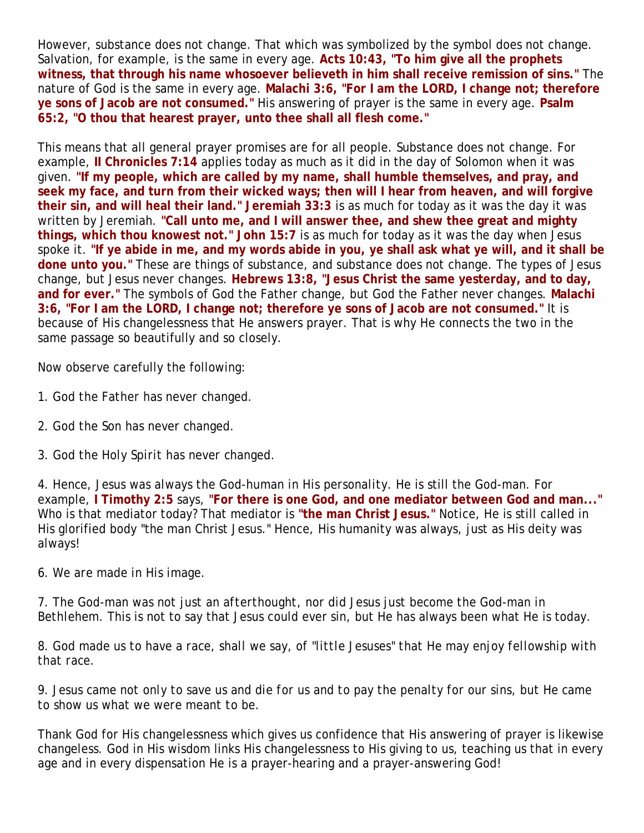However, substance does not change. That which was symbolized by the symbol does not change. Salvation, for example, is the same in every age. **Acts 10:43, "To him give all the prophets witness, that through his name whosoever believeth in him shall receive remission of sins."** The nature of God is the same in every age. **Malachi 3:6, "For I am the LORD, I change not; therefore ye sons of Jacob are not consumed."** His answering of prayer is the same in every age. **Psalm 65:2, "O thou that hearest prayer, unto thee shall all flesh come."**

This means that all general prayer promises are for all people. Substance does not change. For example, **II Chronicles 7:14** applies today as much as it did in the day of Solomon when it was given. **"If my people, which are called by my name, shall humble themselves, and pray, and seek my face, and turn from their wicked ways; then will I hear from heaven, and will forgive their sin, and will heal their land." Jeremiah 33:3** is as much for today as it was the day it was written by Jeremiah. **"Call unto me, and I will answer thee, and shew thee great and mighty things, which thou knowest not." John 15:7** is as much for today as it was the day when Jesus spoke it. **"If ye abide in me, and my words abide in you, ye shall ask what ye will, and it shall be done unto you."** These are things of substance, and substance does not change. The types of Jesus change, but Jesus never changes. **Hebrews 13:8, "Jesus Christ the same yesterday, and to day, and for ever."** The symbols of God the Father change, but God the Father never changes. **Malachi 3:6, "For I am the LORD, I change not; therefore ye sons of Jacob are not consumed."** It is because of His changelessness that He answers prayer. That is why He connects the two in the same passage so beautifully and so closely.

Now observe carefully the following:

- 1. *God the Father has never changed.*
- 2. *God the Son has never changed.*
- 3. *God the Holy Spirit has never changed.*

4. *Hence, Jesus was always the God-human in His personality.* He is still the God-man. For example, **I Timothy 2:5** says, **"For there is one God, and one mediator between God and man..."** Who is that mediator today? That mediator is **"the man Christ Jesus."** Notice, He is still called in His glorified body "the man Christ Jesus." Hence, His humanity was always, just as His deity was always!

6. *We are made in His image.*

7. *The God-man was not just an afterthought, nor did Jesus just become the God-man in Bethlehem.* This is not to say that Jesus could ever sin, but He has always been what He is today.

8. *God made us to have a race, shall we say, of "little Jesuses" that He may enjoy fellowship with that race.* 

9. *Jesus came not only to save us and die for us and to pay the penalty for our sins, but He came to show us what we were meant to be.*

Thank God for His changelessness which gives us confidence that His answering of prayer is likewise changeless. God in His wisdom links His changelessness to His giving to us, teaching us that in every age and in every dispensation He is a prayer-hearing and a prayer-answering God!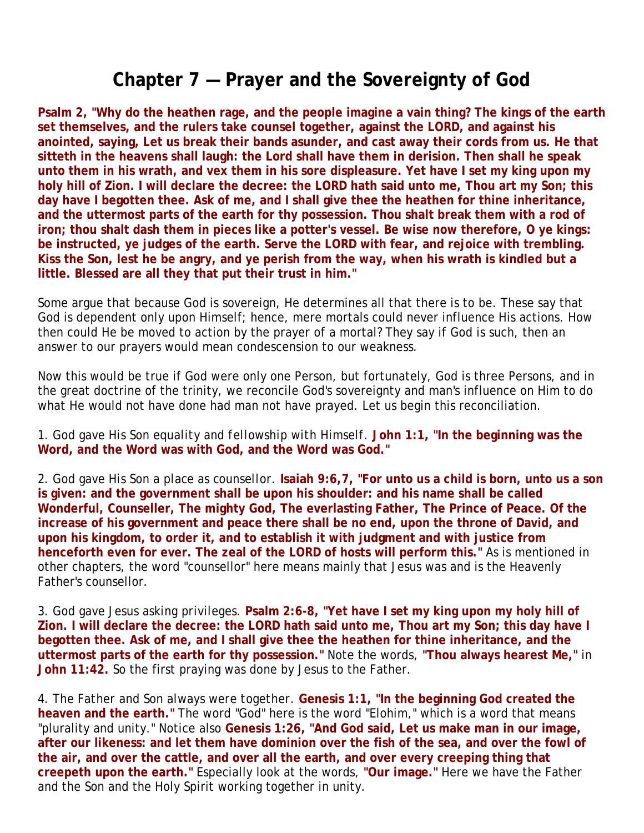#### **Chapter 7 — Prayer and the Sovereignty of God**

**Psalm 2, "Why do the heathen rage, and the people imagine a vain thing? The kings of the earth set themselves, and the rulers take counsel together, against the LORD, and against his anointed, saying, Let us break their bands asunder, and cast away their cords from us. He that sitteth in the heavens shall laugh: the Lord shall have them in derision. Then shall he speak unto them in his wrath, and vex them in his sore displeasure. Yet have I set my king upon my holy hill of Zion. I will declare the decree: the LORD hath said unto me, Thou art my Son; this day have I begotten thee. Ask of me, and I shall give thee the heathen for thine inheritance, and the uttermost parts of the earth for thy possession. Thou shalt break them with a rod of iron; thou shalt dash them in pieces like a potter's vessel. Be wise now therefore, O ye kings: be instructed, ye judges of the earth. Serve the LORD with fear, and rejoice with trembling. Kiss the Son, lest he be angry, and ye perish from the way, when his wrath is kindled but a little. Blessed are all they that put their trust in him."**

Some argue that because God is sovereign, He determines all that there is to be. These say that God is dependent only upon Himself; hence, mere mortals could never influence His actions. How then could He be moved to action by the prayer of a mortal? They say if God is such, then an answer to our prayers would mean condescension to our weakness.

Now this would be true if God were only one Person, but fortunately, God is three Persons, and in the great doctrine of the trinity, we reconcile God's sovereignty and man's influence on Him to do what He would not have done had man not have prayed. Let us begin this reconciliation.

1. *God gave His Son equality and fellowship with Himself.* **John 1:1, "In the beginning was the Word, and the Word was with God, and the Word was God."**

2. *God gave His Son a place as counsellor.* **Isaiah 9:6,7, "For unto us a child is born, unto us a son is given: and the government shall be upon his shoulder: and his name shall be called Wonderful, Counseller, The mighty God, The everlasting Father, The Prince of Peace. Of the increase of his government and peace there shall be no end, upon the throne of David, and upon his kingdom, to order it, and to establish it with judgment and with justice from henceforth even for ever. The zeal of the LORD of hosts will perform this."** As is mentioned in other chapters, the word "counsellor" here means mainly that Jesus was and is the Heavenly Father's counsellor.

3. *God gave Jesus asking privileges.* **Psalm 2:6-8, "Yet have I set my king upon my holy hill of Zion. I will declare the decree: the LORD hath said unto me, Thou art my Son; this day have I begotten thee. Ask of me, and I shall give thee the heathen for thine inheritance, and the uttermost parts of the earth for thy possession."** Note the words, **"Thou always hearest Me,"** in **John 11:42.** So the first praying was done by Jesus to the Father.

4. *The Father and Son always were together.* **Genesis 1:1, "In the beginning God created the heaven and the earth."** The word "God" here is the word "Elohim," which is a word that means "plurality and unity." Notice also **Genesis 1:26, "And God said, Let us make man in our image, after our likeness: and let them have dominion over the fish of the sea, and over the fowl of the air, and over the cattle, and over all the earth, and over every creeping thing that creepeth upon the earth."** Especially look at the words, **"Our image."** Here we have the Father and the Son and the Holy Spirit working together in unity.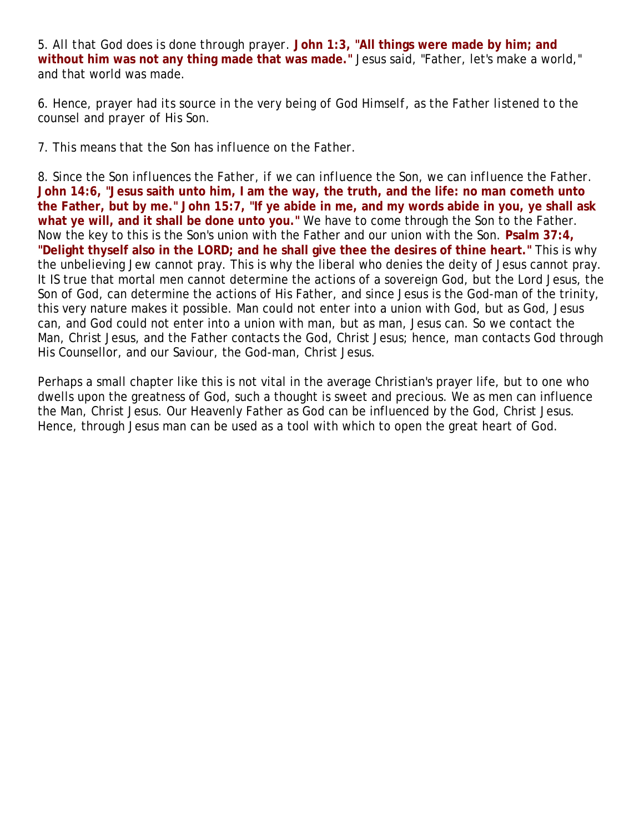5. *All that God does is done through prayer.* **John 1:3, "All things were made by him; and without him was not any thing made that was made."** Jesus said, "Father, let's make a world," and that world was made.

6. *Hence, prayer had its source in the very being of God Himself, as the Father listened to the counsel and prayer of His Son.*

7. *This means that the Son has influence on the Father.*

8. *Since the Son influences the Father, if we can influence the Son, we can influence the Father.* **John 14:6, "Jesus saith unto him, I am the way, the truth, and the life: no man cometh unto the Father, but by me." John 15:7, "If ye abide in me, and my words abide in you, ye shall ask what ye will, and it shall be done unto you."** We have to come through the Son to the Father. Now the key to this is the Son's union with the Father and our union with the Son. **Psalm 37:4, "Delight thyself also in the LORD; and he shall give thee the desires of thine heart."** This is why the unbelieving Jew cannot pray. This is why the liberal who denies the deity of Jesus cannot pray. It IS true that mortal men cannot determine the actions of a sovereign God, but the Lord Jesus, the Son of God, can determine the actions of His Father, and since Jesus is the God-man of the trinity, this very nature makes it possible. Man could not enter into a union with God, but as God, Jesus can, and God could not enter into a union with man, but as man, Jesus can. So we contact the Man, Christ Jesus, and the Father contacts the God, Christ Jesus; hence, man contacts God through His Counsellor, and our Saviour, the God-man, Christ Jesus.

Perhaps a small chapter like this is not vital in the average Christian's prayer life, but to one who dwells upon the greatness of God, such a thought is sweet and precious. We as men can influence the Man, Christ Jesus. Our Heavenly Father as God can be influenced by the God, Christ Jesus. Hence, through Jesus man can be used as a tool with which to open the great heart of God.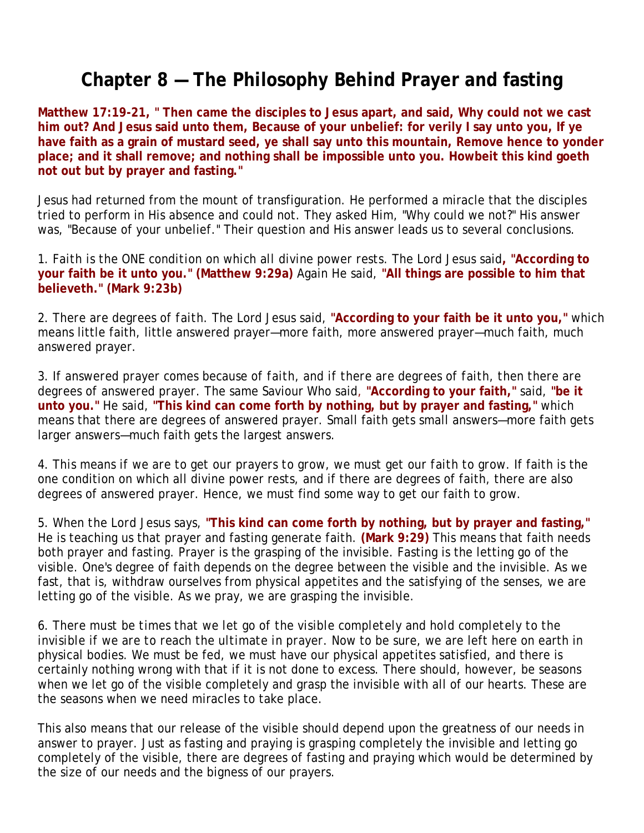#### **Chapter 8 — The Philosophy Behind Prayer and fasting**

**Matthew 17:19-21, " Then came the disciples to Jesus apart, and said, Why could not we cast him out? And Jesus said unto them, Because of your unbelief: for verily I say unto you, If ye have faith as a grain of mustard seed, ye shall say unto this mountain, Remove hence to yonder place; and it shall remove; and nothing shall be impossible unto you. Howbeit this kind goeth not out but by prayer and fasting."**

Jesus had returned from the mount of transfiguration. He performed a miracle that the disciples tried to perform in His absence and could not. They asked Him, "Why could we not?" His answer was, "Because of your unbelief." Their question and His answer leads us to several conclusions.

1. *Faith is the ONE condition on which all divine power rests.* The Lord Jesus said**, "According to your faith be it unto you." (Matthew 9:29a)** Again He said, **"All things are possible to him that believeth." (Mark 9:23b)**

2. *There are degrees of faith.* The Lord Jesus said, **"According to your faith be it unto you,"** which means little faith, little answered prayer—more faith, more answered prayer—much faith, much answered prayer.

3. *If answered prayer comes because of faith, and if there are degrees of faith, then there are degrees of answered prayer.* The same Saviour Who said, **"According to your faith,"** said, **"be it unto you."** He said, **"This kind can come forth by nothing, but by prayer and fasting,"** which means that there are degrees of answered prayer. Small faith gets small answers—more faith gets larger answers—much faith gets the largest answers.

4. *This means if we are to get our prayers to grow, we must get our faith to grow.* If faith is the one condition on which all divine power rests, and if there are degrees of faith, there are also degrees of answered prayer. Hence, we must find some way to get our faith to grow.

5. *When the Lord Jesus says*, **"This kind can come forth by nothing, but by prayer and fasting,"** He is teaching us that prayer and fasting generate faith. **(Mark 9:29)** This means that faith needs both prayer and fasting. Prayer is the grasping of the invisible. Fasting is the letting go of the visible. One's degree of faith depends on the degree between the visible and the invisible. As we fast, that is, withdraw ourselves from physical appetites and the satisfying of the senses, we are letting go of the visible. As we pray, we are grasping the invisible.

6. *There must be times that we let go of the visible completely and hold completely to the invisible if we are to reach the ultimate in prayer.* Now to be sure, we are left here on earth in physical bodies. We must be fed, we must have our physical appetites satisfied, and there is certainly nothing wrong with that if it is not done to excess. There should, however, be seasons when we let go of the visible completely and grasp the invisible with all of our hearts. These are the seasons when we need miracles to take place.

This also means that our release of the visible should depend upon the greatness of our needs in answer to prayer. Just as fasting and praying is grasping completely the invisible and letting go completely of the visible, there are degrees of fasting and praying which would be determined by the size of our needs and the bigness of our prayers.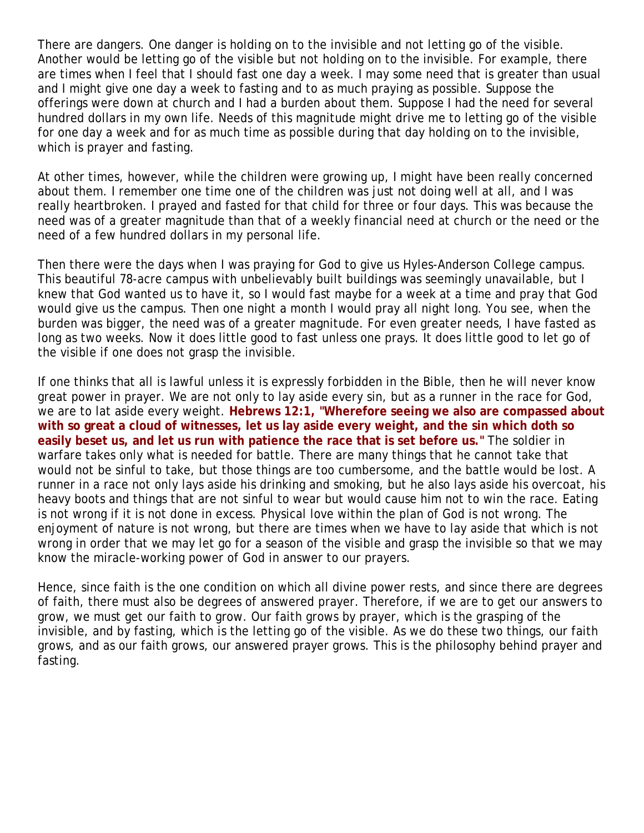There are dangers. One danger is holding on to the invisible and not letting go of the visible. Another would be letting go of the visible but not holding on to the invisible. For example, there are times when I feel that I should fast one day a week. I may some need that is greater than usual and I might give one day a week to fasting and to as much praying as possible. Suppose the offerings were down at church and I had a burden about them. Suppose I had the need for several hundred dollars in my own life. Needs of this magnitude might drive me to letting go of the visible for one day a week and for as much time as possible during that day holding on to the invisible, which is prayer and fasting.

At other times, however, while the children were growing up, I might have been really concerned about them. I remember one time one of the children was just not doing well at all, and I was really heartbroken. I prayed and fasted for that child for three or four days. This was because the need was of a greater magnitude than that of a weekly financial need at church or the need or the need of a few hundred dollars in my personal life.

Then there were the days when I was praying for God to give us Hyles-Anderson College campus. This beautiful 78-acre campus with unbelievably built buildings was seemingly unavailable, but I knew that God wanted us to have it, so I would fast maybe for a week at a time and pray that God would give us the campus. Then one night a month I would pray all night long. You see, when the burden was bigger, the need was of a greater magnitude. For even greater needs, I have fasted as long as two weeks. Now it does little good to fast unless one prays. It does little good to let go of the visible if one does not grasp the invisible.

If one thinks that all is lawful unless it is expressly forbidden in the Bible, then he will never know great power in prayer. We are not only to lay aside every sin, but as a runner in the race for God, we are to lat aside every weight. **Hebrews 12:1, "Wherefore seeing we also are compassed about with so great a cloud of witnesses, let us lay aside every weight, and the sin which doth so easily beset us, and let us run with patience the race that is set before us."** The soldier in warfare takes only what is needed for battle. There are many things that he cannot take that would not be sinful to take, but those things are too cumbersome, and the battle would be lost. A runner in a race not only lays aside his drinking and smoking, but he also lays aside his overcoat, his heavy boots and things that are not sinful to wear but would cause him not to win the race. Eating is not wrong if it is not done in excess. Physical love within the plan of God is not wrong. The enjoyment of nature is not wrong, but there are times when we have to lay aside that which is not wrong in order that we may let go for a season of the visible and grasp the invisible so that we may know the miracle-working power of God in answer to our prayers.

Hence, since faith is the one condition on which all divine power rests, and since there are degrees of faith, there must also be degrees of answered prayer. Therefore, if we are to get our answers to grow, we must get our faith to grow. Our faith grows by prayer, which is the grasping of the invisible, and by fasting, which is the letting go of the visible. As we do these two things, our faith grows, and as our faith grows, our answered prayer grows. This is the philosophy behind prayer and fasting.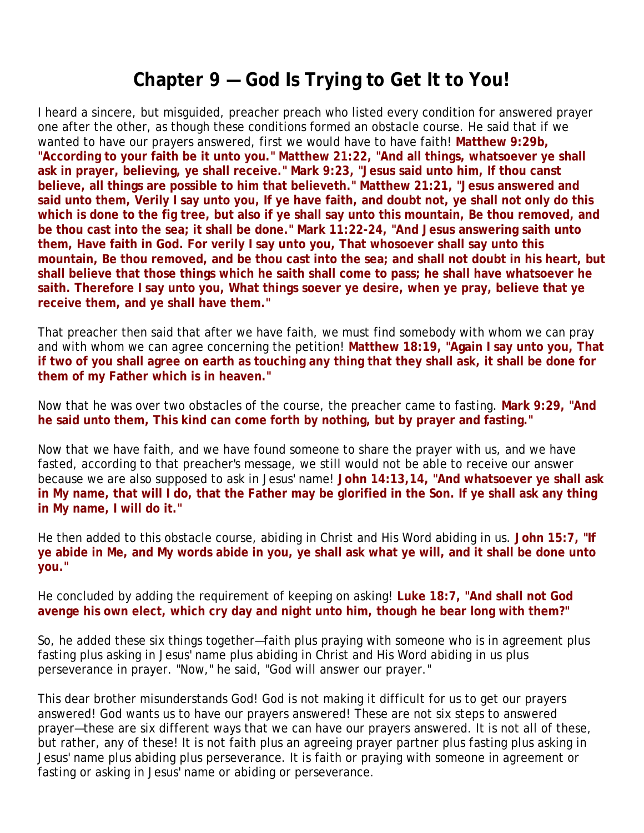### **Chapter 9 — God Is Trying to Get It to You!**

I heard a sincere, but misguided, preacher preach who listed every condition for answered prayer one after the other, as though these conditions formed an obstacle course. He said that if we wanted to have our prayers answered, first we would have to have faith! **Matthew 9:29b, "According to your faith be it unto you." Matthew 21:22, "And all things, whatsoever ye shall ask in prayer, believing, ye shall receive." Mark 9:23, "Jesus said unto him, If thou canst believe, all things are possible to him that believeth." Matthew 21:21, "Jesus answered and said unto them, Verily I say unto you, If ye have faith, and doubt not, ye shall not only do this which is done to the fig tree, but also if ye shall say unto this mountain, Be thou removed, and be thou cast into the sea; it shall be done." Mark 11:22-24, "And Jesus answering saith unto them, Have faith in God. For verily I say unto you, That whosoever shall say unto this mountain, Be thou removed, and be thou cast into the sea; and shall not doubt in his heart, but shall believe that those things which he saith shall come to pass; he shall have whatsoever he saith. Therefore I say unto you, What things soever ye desire, when ye pray, believe that ye receive them, and ye shall have them."** 

That preacher then said that after we have faith, we must find somebody with whom we can pray and with whom we can agree concerning the petition! **Matthew 18:19, "Again I say unto you, That if two of you shall agree on earth as touching any thing that they shall ask, it shall be done for them of my Father which is in heaven."**

Now that he was over two obstacles of the course, the preacher came to fasting. **Mark 9:29, "And he said unto them, This kind can come forth by nothing, but by prayer and fasting."**

Now that we have faith, and we have found someone to share the prayer with us, and we have fasted, according to that preacher's message, we still would not be able to receive our answer because we are also supposed to ask in Jesus' name! **John 14:13,14, "And whatsoever ye shall ask in My name, that will I do, that the Father may be glorified in the Son. If ye shall ask any thing in My name, I will do it."**

He then added to this obstacle course, abiding in Christ and His Word abiding in us. **John 15:7, "If ye abide in Me, and My words abide in you, ye shall ask what ye will, and it shall be done unto you."**

He concluded by adding the requirement of keeping on asking! **Luke 18:7, "And shall not God avenge his own elect, which cry day and night unto him, though he bear long with them?"**

So, he added these six things together—faith plus praying with someone who is in agreement plus fasting plus asking in Jesus' name plus abiding in Christ and His Word abiding in us plus perseverance in prayer. "Now," he said, "God will answer our prayer."

This dear brother misunderstands God! God is not making it difficult for us to get our prayers answered! God wants us to have our prayers answered! These are not six steps to answered prayer—these are six different ways that we can have our prayers answered. It is not all of these, but rather, any of these! It is not faith plus an agreeing prayer partner plus fasting plus asking in Jesus' name plus abiding plus perseverance. It is faith or praying with someone in agreement or fasting or asking in Jesus' name or abiding or perseverance.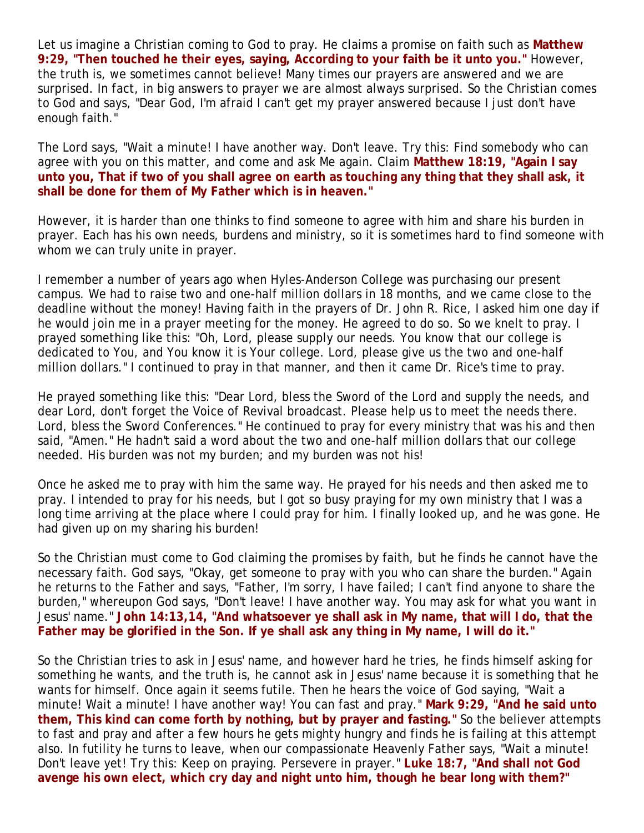Let us imagine a Christian coming to God to pray. He claims a promise on faith such as **Matthew 9:29, "Then touched he their eyes, saying, According to your faith be it unto you."** However, the truth is, we sometimes cannot believe! Many times our prayers are answered and we are surprised. In fact, in big answers to prayer we are almost always surprised. So the Christian comes to God and says, "Dear God, I'm afraid I can't get my prayer answered because I just don't have enough faith."

The Lord says, "Wait a minute! I have another way. Don't leave. Try this: Find somebody who can agree with you on this matter, and come and ask Me again. Claim **Matthew 18:19, "Again I say unto you, That if two of you shall agree on earth as touching any thing that they shall ask, it shall be done for them of My Father which is in heaven."** 

However, it is harder than one thinks to find someone to agree with him and share his burden in prayer. Each has his own needs, burdens and ministry, so it is sometimes hard to find someone with whom we can truly unite in prayer.

I remember a number of years ago when Hyles-Anderson College was purchasing our present campus. We had to raise two and one-half million dollars in 18 months, and we came close to the deadline without the money! Having faith in the prayers of Dr. John R. Rice, I asked him one day if he would join me in a prayer meeting for the money. He agreed to do so. So we knelt to pray. I prayed something like this: "Oh, Lord, please supply our needs. You know that our college is dedicated to You, and You know it is Your college. Lord, please give us the two and one-half million dollars." I continued to pray in that manner, and then it came Dr. Rice's time to pray.

He prayed something like this: "Dear Lord, bless the Sword of the Lord and supply the needs, and dear Lord, don't forget the Voice of Revival broadcast. Please help us to meet the needs there. Lord, bless the Sword Conferences." He continued to pray for every ministry that was his and then said, "Amen." He hadn't said a word about the two and one-half million dollars that our college needed. His burden was not my burden; and my burden was not his!

Once he asked me to pray with him the same way. He prayed for his needs and then asked me to pray. I intended to pray for his needs, but I got so busy praying for my own ministry that I was a long time arriving at the place where I could pray for him. I finally looked up, and he was gone. He had given up on my sharing his burden!

So the Christian must come to God claiming the promises by faith, but he finds he cannot have the necessary faith. God says, "Okay, get someone to pray with you who can share the burden." Again he returns to the Father and says, "Father, I'm sorry, I have failed; I can't find anyone to share the burden," whereupon God says, "Don't leave! I have another way. You may ask for what you want in Jesus' name." **John 14:13,14, "And whatsoever ye shall ask in My name, that will I do, that the Father may be glorified in the Son. If ye shall ask any thing in My name, I will do it."**

So the Christian tries to ask in Jesus' name, and however hard he tries, he finds himself asking for something he wants, and the truth is, he cannot ask in Jesus' name because it is something that he wants for himself. Once again it seems futile. Then he hears the voice of God saying, "Wait a minute! Wait a minute! I have another way! You can fast and pray." **Mark 9:29, "And he said unto them, This kind can come forth by nothing, but by prayer and fasting."** So the believer attempts to fast and pray and after a few hours he gets mighty hungry and finds he is failing at this attempt also. In futility he turns to leave, when our compassionate Heavenly Father says, "Wait a minute! Don't leave yet! Try this: Keep on praying. Persevere in prayer." **Luke 18:7, "And shall not God avenge his own elect, which cry day and night unto him, though he bear long with them?"**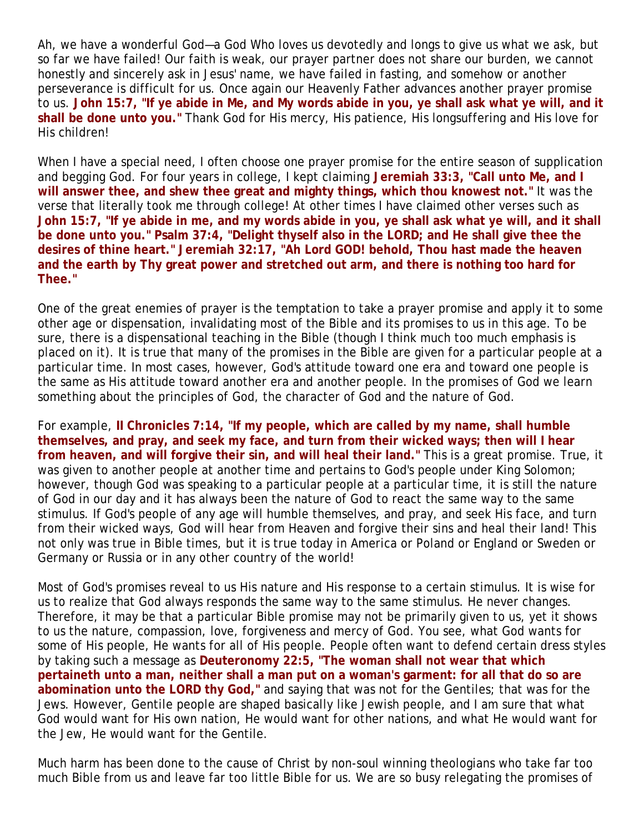Ah, we have a wonderful God—a God Who loves us devotedly and longs to give us what we ask, but so far we have failed! Our faith is weak, our prayer partner does not share our burden, we cannot honestly and sincerely ask in Jesus' name, we have failed in fasting, and somehow or another perseverance is difficult for us. Once again our Heavenly Father advances another prayer promise to us. **John 15:7, "If ye abide in Me, and My words abide in you, ye shall ask what ye will, and it shall be done unto you."** Thank God for His mercy, His patience, His longsuffering and His love for His children!

When I have a special need, I often choose one prayer promise for the entire season of supplication and begging God. For four years in college, I kept claiming **Jeremiah 33:3, "Call unto Me, and I will answer thee, and shew thee great and mighty things, which thou knowest not."** It was the verse that literally took me through college! At other times I have claimed other verses such as **John 15:7, "If ye abide in me, and my words abide in you, ye shall ask what ye will, and it shall be done unto you." Psalm 37:4, "Delight thyself also in the LORD; and He shall give thee the desires of thine heart." Jeremiah 32:17, "Ah Lord GOD! behold, Thou hast made the heaven and the earth by Thy great power and stretched out arm, and there is nothing too hard for Thee."**

One of the great enemies of prayer is the temptation to take a prayer promise and apply it to some other age or dispensation, invalidating most of the Bible and its promises to us in this age. To be sure, there is a dispensational teaching in the Bible (though I think much too much emphasis is placed on it). It is true that many of the promises in the Bible are given for a particular people at a particular time. In most cases, however, God's attitude toward one era and toward one people is the same as His attitude toward another era and another people. In the promises of God we learn something about the principles of God, the character of God and the nature of God.

For example, **II Chronicles 7:14, "If my people, which are called by my name, shall humble themselves, and pray, and seek my face, and turn from their wicked ways; then will I hear from heaven, and will forgive their sin, and will heal their land."** This is a great promise. True, it was given to another people at another time and pertains to God's people under King Solomon; however, though God was speaking to a particular people at a particular time, it is still the nature of God in our day and it has always been the nature of God to react the same way to the same stimulus. If God's people of any age will humble themselves, and pray, and seek His face, and turn from their wicked ways, God will hear from Heaven and forgive their sins and heal their land! This not only was true in Bible times, but it is true today in America or Poland or England or Sweden or Germany or Russia or in any other country of the world!

Most of God's promises reveal to us His nature and His response to a certain stimulus. It is wise for us to realize that God always responds the same way to the same stimulus. He never changes. Therefore, it may be that a particular Bible promise may not be primarily given to us, yet it shows to us the nature, compassion, love, forgiveness and mercy of God. You see, what God wants for some of His people, He wants for all of His people. People often want to defend certain dress styles by taking such a message as **Deuteronomy 22:5, "The woman shall not wear that which pertaineth unto a man, neither shall a man put on a woman's garment: for all that do so are abomination unto the LORD thy God,"** and saying that was not for the Gentiles; that was for the Jews. However, Gentile people are shaped basically like Jewish people, and I am sure that what God would want for His own nation, He would want for other nations, and what He would want for the Jew, He would want for the Gentile.

Much harm has been done to the cause of Christ by non-soul winning theologians who take far too much Bible from us and leave far too little Bible for us. We are so busy relegating the promises of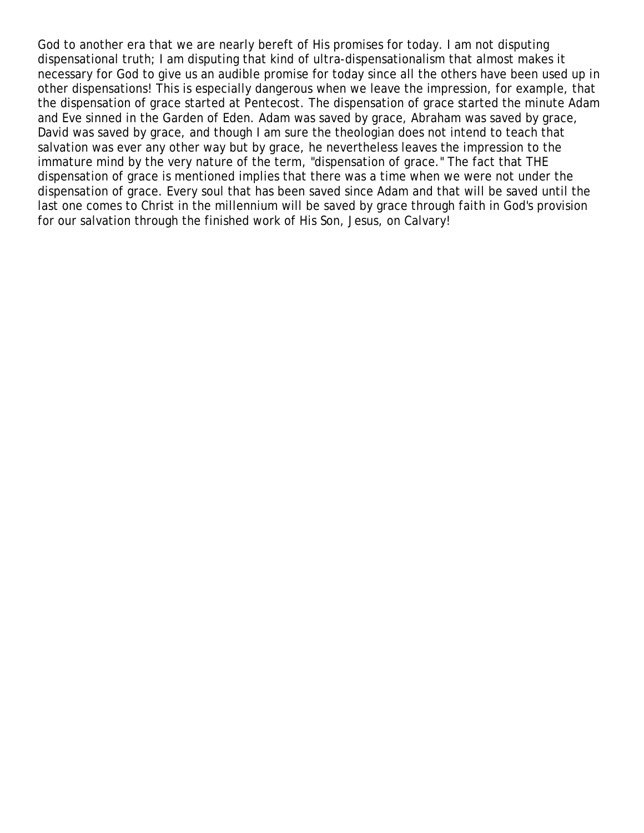God to another era that we are nearly bereft of His promises for today. I am not disputing dispensational truth; I am disputing that kind of ultra-dispensationalism that almost makes it necessary for God to give us an audible promise for today since all the others have been used up in other dispensations! This is especially dangerous when we leave the impression, for example, that the dispensation of grace started at Pentecost. The dispensation of grace started the minute Adam and Eve sinned in the Garden of Eden. Adam was saved by grace, Abraham was saved by grace, David was saved by grace, and though I am sure the theologian does not intend to teach that salvation was ever any other way but by grace, he nevertheless leaves the impression to the immature mind by the very nature of the term, "dispensation of grace." The fact that THE dispensation of grace is mentioned implies that there was a time when we were not under the dispensation of grace. Every soul that has been saved since Adam and that will be saved until the last one comes to Christ in the millennium will be saved by grace through faith in God's provision for our salvation through the finished work of His Son, Jesus, on Calvary!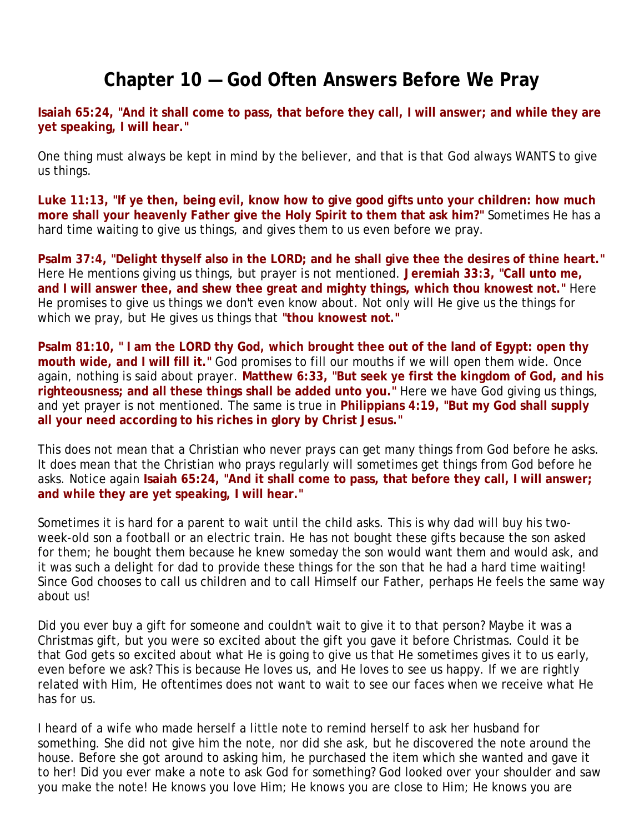#### **Chapter 10 — God Often Answers Before We Pray**

**Isaiah 65:24, "And it shall come to pass, that before they call, I will answer; and while they are yet speaking, I will hear."**

One thing must always be kept in mind by the believer, and that is that God always WANTS to give us things.

**Luke 11:13, "If ye then, being evil, know how to give good gifts unto your children: how much more shall your heavenly Father give the Holy Spirit to them that ask him?"** Sometimes He has a hard time waiting to give us things, and gives them to us even before we pray.

Psalm 37:4, "Delight thyself also in the LORD; and he shall give thee the desires of thine heart." Here He mentions giving us things, but prayer is not mentioned. **Jeremiah 33:3, "Call unto me, and I will answer thee, and shew thee great and mighty things, which thou knowest not."** Here He promises to give us things we don't even know about. Not only will He give us the things for which we pray, but He gives us things that **"thou knowest not."**

**Psalm 81:10, " I am the LORD thy God, which brought thee out of the land of Egypt: open thy mouth wide, and I will fill it."** God promises to fill our mouths if we will open them wide. Once again, nothing is said about prayer. **Matthew 6:33, "But seek ye first the kingdom of God, and his righteousness; and all these things shall be added unto you."** Here we have God giving us things, and yet prayer is not mentioned. The same is true in **Philippians 4:19, "But my God shall supply all your need according to his riches in glory by Christ Jesus."**

This does not mean that a Christian who never prays can get many things from God before he asks. It does mean that the Christian who prays regularly will sometimes get things from God before he asks. Notice again **Isaiah 65:24, "And it shall come to pass, that before they call, I will answer; and while they are yet speaking, I will hear."**

Sometimes it is hard for a parent to wait until the child asks. This is why dad will buy his twoweek-old son a football or an electric train. He has not bought these gifts because the son asked for them; he bought them because he knew someday the son would want them and would ask, and it was such a delight for dad to provide these things for the son that he had a hard time waiting! Since God chooses to call us children and to call Himself our Father, perhaps He feels the same way about us!

Did you ever buy a gift for someone and couldn't wait to give it to that person? Maybe it was a Christmas gift, but you were so excited about the gift you gave it before Christmas. Could it be that God gets so excited about what He is going to give us that He sometimes gives it to us early, even before we ask? This is because He loves us, and He loves to see us happy. If we are rightly related with Him, He oftentimes does not want to wait to see our faces when we receive what He has for us.

I heard of a wife who made herself a little note to remind herself to ask her husband for something. She did not give him the note, nor did she ask, but he discovered the note around the house. Before she got around to asking him, he purchased the item which she wanted and gave it to her! Did you ever make a note to ask God for something? God looked over your shoulder and saw you make the note! He knows you love Him; He knows you are close to Him; He knows you are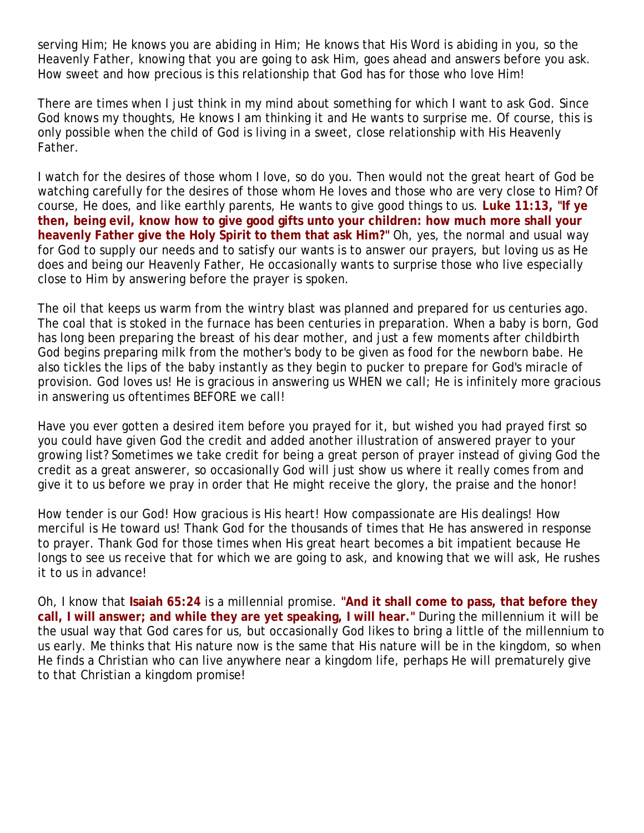serving Him; He knows you are abiding in Him; He knows that His Word is abiding in you, so the Heavenly Father, knowing that you are going to ask Him, goes ahead and answers before you ask. How sweet and how precious is this relationship that God has for those who love Him!

There are times when I just think in my mind about something for which I want to ask God. Since God knows my thoughts, He knows I am thinking it and He wants to surprise me. Of course, this is only possible when the child of God is living in a sweet, close relationship with His Heavenly Father.

I watch for the desires of those whom I love, so do you. Then would not the great heart of God be watching carefully for the desires of those whom He loves and those who are very close to Him? Of course, He does, and like earthly parents, He wants to give good things to us. **Luke 11:13, "If ye then, being evil, know how to give good gifts unto your children: how much more shall your heavenly Father give the Holy Spirit to them that ask Him?"** Oh, yes, the normal and usual way for God to supply our needs and to satisfy our wants is to answer our prayers, but loving us as He does and being our Heavenly Father, He occasionally wants to surprise those who live especially close to Him by answering before the prayer is spoken.

The oil that keeps us warm from the wintry blast was planned and prepared for us centuries ago. The coal that is stoked in the furnace has been centuries in preparation. When a baby is born, God has long been preparing the breast of his dear mother, and just a few moments after childbirth God begins preparing milk from the mother's body to be given as food for the newborn babe. He also tickles the lips of the baby instantly as they begin to pucker to prepare for God's miracle of provision. God loves us! He is gracious in answering us WHEN we call; He is infinitely more gracious in answering us oftentimes BEFORE we call!

Have you ever gotten a desired item before you prayed for it, but wished you had prayed first so you could have given God the credit and added another illustration of answered prayer to your growing list? Sometimes we take credit for being a great person of prayer instead of giving God the credit as a great answerer, so occasionally God will just show us where it really comes from and give it to us before we pray in order that He might receive the glory, the praise and the honor!

How tender is our God! How gracious is His heart! How compassionate are His dealings! How merciful is He toward us! Thank God for the thousands of times that He has answered in response to prayer. Thank God for those times when His great heart becomes a bit impatient because He longs to see us receive that for which we are going to ask, and knowing that we will ask, He rushes it to us in advance!

Oh, I know that **Isaiah 65:24** is a millennial promise. **"And it shall come to pass, that before they call, I will answer; and while they are yet speaking, I will hear."** During the millennium it will be the usual way that God cares for us, but occasionally God likes to bring a little of the millennium to us early. Me thinks that His nature now is the same that His nature will be in the kingdom, so when He finds a Christian who can live anywhere near a kingdom life, perhaps He will prematurely give to that Christian a kingdom promise!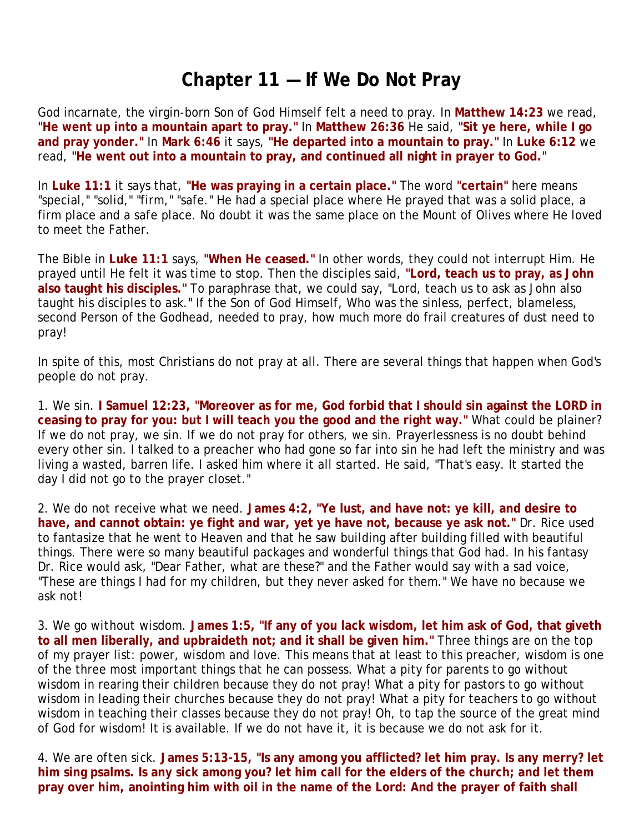#### **Chapter 11 — If We Do Not Pray**

God incarnate, the virgin-born Son of God Himself felt a need to pray. In **Matthew 14:23** we read, **"He went up into a mountain apart to pray."** In **Matthew 26:36** He said, **"Sit ye here, while I go and pray yonder."** In **Mark 6:46** it says, **"He departed into a mountain to pray."** In **Luke 6:12** we read, **"He went out into a mountain to pray, and continued all night in prayer to God."** 

In **Luke 11:1** it says that, **"He was praying in a certain place."** The word **"certain"** here means "special," "solid," "firm," "safe." He had a special place where He prayed that was a solid place, a firm place and a safe place. No doubt it was the same place on the Mount of Olives where He loved to meet the Father.

The Bible in **Luke 11:1** says, **"When He ceased."** In other words, they could not interrupt Him. He prayed until He felt it was time to stop. Then the disciples said, **"Lord, teach us to pray, as John also taught his disciples."** To paraphrase that, we could say, "Lord, teach us to ask as John also taught his disciples to ask." If the Son of God Himself, Who was the sinless, perfect, blameless, second Person of the Godhead, needed to pray, how much more do frail creatures of dust need to pray!

In spite of this, most Christians do not pray at all. There are several things that happen when God's people do not pray.

1. *We sin.* **I Samuel 12:23, "Moreover as for me, God forbid that I should sin against the LORD in ceasing to pray for you: but I will teach you the good and the right way."** What could be plainer? If we do not pray, we sin. If we do not pray for others, we sin. Prayerlessness is no doubt behind every other sin. I talked to a preacher who had gone so far into sin he had left the ministry and was living a wasted, barren life. I asked him where it all started. He said, "That's easy. It started the day I did not go to the prayer closet."

2. *We do not receive what we need.* **James 4:2, "Ye lust, and have not: ye kill, and desire to have, and cannot obtain: ye fight and war, yet ye have not, because ye ask not."** Dr. Rice used to fantasize that he went to Heaven and that he saw building after building filled with beautiful things. There were so many beautiful packages and wonderful things that God had. In his fantasy Dr. Rice would ask, "Dear Father, what are these?" and the Father would say with a sad voice, "These are things I had for my children, but they never asked for them." We have no because we ask not!

3. *We go without wisdom.* **James 1:5, "If any of you lack wisdom, let him ask of God, that giveth to all men liberally, and upbraideth not; and it shall be given him."** Three things are on the top of my prayer list: power, wisdom and love. This means that at least to this preacher, wisdom is one of the three most important things that he can possess. What a pity for parents to go without wisdom in rearing their children because they do not pray! What a pity for pastors to go without wisdom in leading their churches because they do not pray! What a pity for teachers to go without wisdom in teaching their classes because they do not pray! Oh, to tap the source of the great mind of God for wisdom! It is available. If we do not have it, it is because we do not ask for it.

4. *We are often sick.* **James 5:13-15, "Is any among you afflicted? let him pray. Is any merry? let him sing psalms. Is any sick among you? let him call for the elders of the church; and let them pray over him, anointing him with oil in the name of the Lord: And the prayer of faith shall**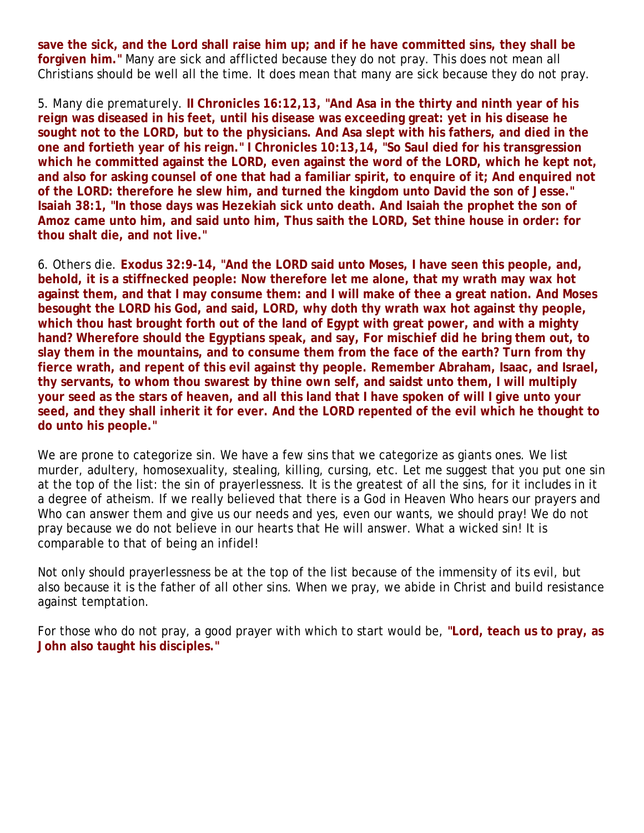**save the sick, and the Lord shall raise him up; and if he have committed sins, they shall be forgiven him."** Many are sick and afflicted because they do not pray. This does not mean all Christians should be well all the time. It does mean that many are sick because they do not pray.

5. *Many die prematurely.* **II Chronicles 16:12,13, "And Asa in the thirty and ninth year of his reign was diseased in his feet, until his disease was exceeding great: yet in his disease he sought not to the LORD, but to the physicians. And Asa slept with his fathers, and died in the one and fortieth year of his reign." I Chronicles 10:13,14, "So Saul died for his transgression which he committed against the LORD, even against the word of the LORD, which he kept not, and also for asking counsel of one that had a familiar spirit, to enquire of it; And enquired not of the LORD: therefore he slew him, and turned the kingdom unto David the son of Jesse." Isaiah 38:1, "In those days was Hezekiah sick unto death. And Isaiah the prophet the son of Amoz came unto him, and said unto him, Thus saith the LORD, Set thine house in order: for thou shalt die, and not live."** 

6. *Others die.* **Exodus 32:9-14, "And the LORD said unto Moses, I have seen this people, and, behold, it is a stiffnecked people: Now therefore let me alone, that my wrath may wax hot against them, and that I may consume them: and I will make of thee a great nation. And Moses besought the LORD his God, and said, LORD, why doth thy wrath wax hot against thy people, which thou hast brought forth out of the land of Egypt with great power, and with a mighty hand? Wherefore should the Egyptians speak, and say, For mischief did he bring them out, to slay them in the mountains, and to consume them from the face of the earth? Turn from thy fierce wrath, and repent of this evil against thy people. Remember Abraham, Isaac, and Israel, thy servants, to whom thou swarest by thine own self, and saidst unto them, I will multiply your seed as the stars of heaven, and all this land that I have spoken of will I give unto your seed, and they shall inherit it for ever. And the LORD repented of the evil which he thought to do unto his people."** 

We are prone to categorize sin. We have a few sins that we categorize as giants ones. We list murder, adultery, homosexuality, stealing, killing, cursing, etc. Let me suggest that you put one sin at the top of the list: the sin of prayerlessness. It is the greatest of all the sins, for it includes in it a degree of atheism. If we really believed that there is a God in Heaven Who hears our prayers and Who can answer them and give us our needs and yes, even our wants, we should pray! We do not pray because we do not believe in our hearts that He will answer. What a wicked sin! It is comparable to that of being an infidel!

Not only should prayerlessness be at the top of the list because of the immensity of its evil, but also because it is the father of all other sins. When we pray, we abide in Christ and build resistance against temptation.

For those who do not pray, a good prayer with which to start would be, **"Lord, teach us to pray, as John also taught his disciples."**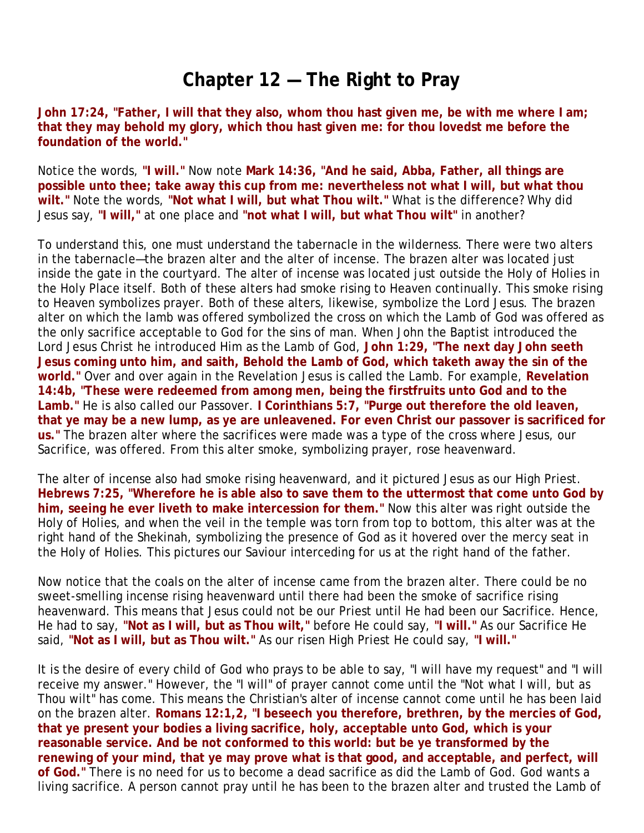#### **Chapter 12 — The Right to Pray**

**John 17:24, "Father, I will that they also, whom thou hast given me, be with me where I am; that they may behold my glory, which thou hast given me: for thou lovedst me before the foundation of the world."**

Notice the words, **"I will."** Now note **Mark 14:36, "And he said, Abba, Father, all things are possible unto thee; take away this cup from me: nevertheless not what I will, but what thou wilt."** Note the words, **"Not what I will, but what Thou wilt."** What is the difference? Why did Jesus say, **"I will,"** at one place and **"not what I will, but what Thou wilt"** in another?

To understand this, one must understand the tabernacle in the wilderness. There were two alters in the tabernacle—the brazen alter and the alter of incense. The brazen alter was located just inside the gate in the courtyard. The alter of incense was located just outside the Holy of Holies in the Holy Place itself. Both of these alters had smoke rising to Heaven continually. This smoke rising to Heaven symbolizes prayer. Both of these alters, likewise, symbolize the Lord Jesus. The brazen alter on which the lamb was offered symbolized the cross on which the Lamb of God was offered as the only sacrifice acceptable to God for the sins of man. When John the Baptist introduced the Lord Jesus Christ he introduced Him as the Lamb of God, **John 1:29, "The next day John seeth Jesus coming unto him, and saith, Behold the Lamb of God, which taketh away the sin of the world."** Over and over again in the Revelation Jesus is called the Lamb. For example, **Revelation 14:4b, "These were redeemed from among men, being the firstfruits unto God and to the Lamb."** He is also called our Passover. **I Corinthians 5:7, "Purge out therefore the old leaven, that ye may be a new lump, as ye are unleavened. For even Christ our passover is sacrificed for us."** The brazen alter where the sacrifices were made was a type of the cross where Jesus, our Sacrifice, was offered. From this alter smoke, symbolizing prayer, rose heavenward.

The alter of incense also had smoke rising heavenward, and it pictured Jesus as our High Priest. **Hebrews 7:25, "Wherefore he is able also to save them to the uttermost that come unto God by him, seeing he ever liveth to make intercession for them."** Now this alter was right outside the Holy of Holies, and when the veil in the temple was torn from top to bottom, this alter was at the right hand of the Shekinah, symbolizing the presence of God as it hovered over the mercy seat in the Holy of Holies. This pictures our Saviour interceding for us at the right hand of the father.

Now notice that the coals on the alter of incense came from the brazen alter. There could be no sweet-smelling incense rising heavenward until there had been the smoke of sacrifice rising heavenward. This means that Jesus could not be our Priest until He had been our Sacrifice. Hence, He had to say, **"Not as I will, but as Thou wilt,"** before He could say, **"I will."** As our Sacrifice He said, **"Not as I will, but as Thou wilt."** As our risen High Priest He could say, **"I will."**

It is the desire of every child of God who prays to be able to say, "I will have my request" and "I will receive my answer." However, the "I will" of prayer cannot come until the "Not what I will, but as Thou wilt" has come. This means the Christian's alter of incense cannot come until he has been laid on the brazen alter. **Romans 12:1,2, "I beseech you therefore, brethren, by the mercies of God, that ye present your bodies a living sacrifice, holy, acceptable unto God, which is your reasonable service. And be not conformed to this world: but be ye transformed by the renewing of your mind, that ye may prove what is that good, and acceptable, and perfect, will of God."** There is no need for us to become a dead sacrifice as did the Lamb of God. God wants a living sacrifice. A person cannot pray until he has been to the brazen alter and trusted the Lamb of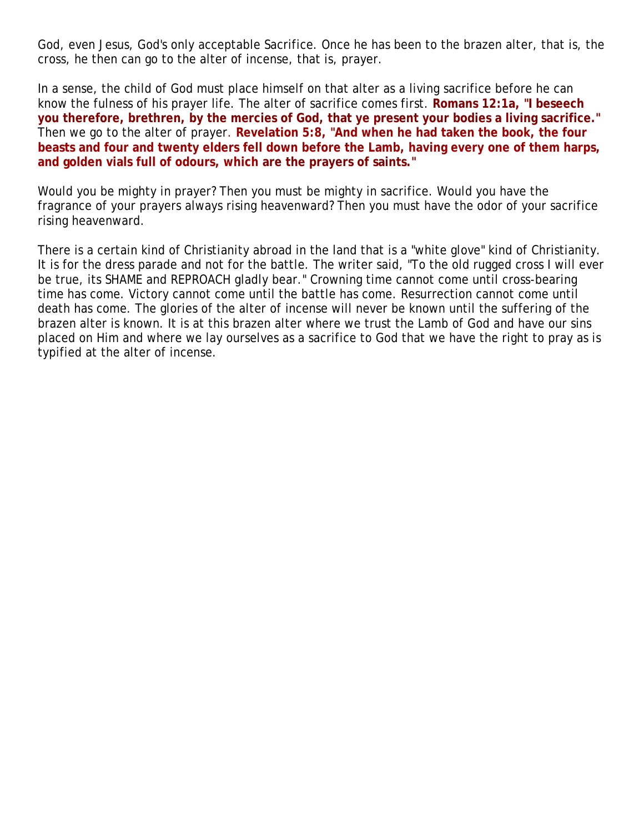God, even Jesus, God's only acceptable Sacrifice. Once he has been to the brazen alter, that is, the cross, he then can go to the alter of incense, that is, prayer.

In a sense, the child of God must place himself on that alter as a living sacrifice before he can know the fulness of his prayer life. The alter of sacrifice comes first. **Romans 12:1a, "I beseech you therefore, brethren, by the mercies of God, that ye present your bodies a living sacrifice."** Then we go to the alter of prayer. **Revelation 5:8, "And when he had taken the book, the four beasts and four and twenty elders fell down before the Lamb, having every one of them harps, and golden vials full of odours, which are the prayers of saints."**

Would you be mighty in prayer? Then you must be mighty in sacrifice. Would you have the fragrance of your prayers always rising heavenward? Then you must have the odor of your sacrifice rising heavenward.

There is a certain kind of Christianity abroad in the land that is a "white glove" kind of Christianity. It is for the dress parade and not for the battle. The writer said, "To the old rugged cross I will ever be true, its SHAME and REPROACH gladly bear." Crowning time cannot come until cross-bearing time has come. Victory cannot come until the battle has come. Resurrection cannot come until death has come. The glories of the alter of incense will never be known until the suffering of the brazen alter is known. It is at this brazen alter where we trust the Lamb of God and have our sins placed on Him and where we lay ourselves as a sacrifice to God that we have the right to pray as is typified at the alter of incense.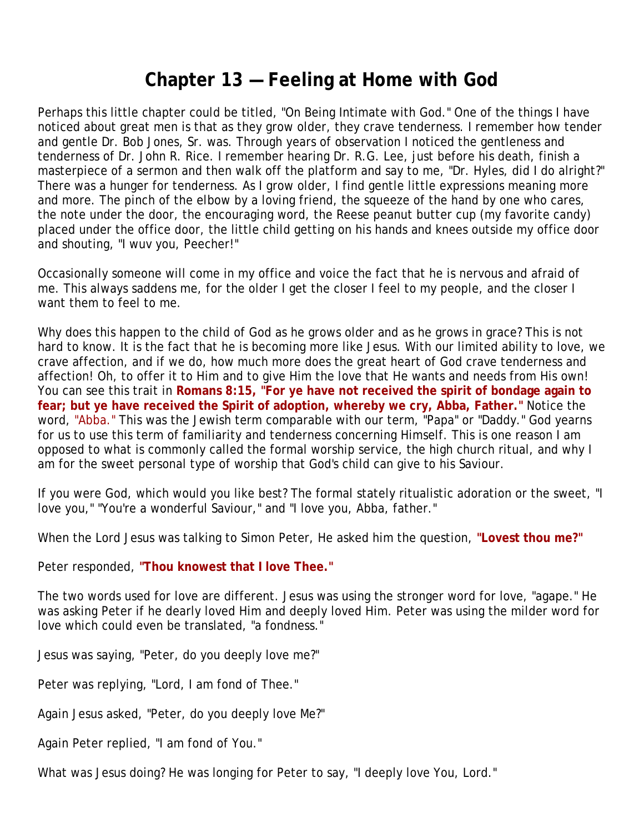## **Chapter 13 — Feeling at Home with God**

Perhaps this little chapter could be titled, "On Being Intimate with God." One of the things I have noticed about great men is that as they grow older, they crave tenderness. I remember how tender and gentle Dr. Bob Jones, Sr. was. Through years of observation I noticed the gentleness and tenderness of Dr. John R. Rice. I remember hearing Dr. R.G. Lee, just before his death, finish a masterpiece of a sermon and then walk off the platform and say to me, "Dr. Hyles, did I do alright?" There was a hunger for tenderness. As I grow older, I find gentle little expressions meaning more and more. The pinch of the elbow by a loving friend, the squeeze of the hand by one who cares, the note under the door, the encouraging word, the Reese peanut butter cup (my favorite candy) placed under the office door, the little child getting on his hands and knees outside my office door and shouting, "I wuv you, Peecher!"

Occasionally someone will come in my office and voice the fact that he is nervous and afraid of me. This always saddens me, for the older I get the closer I feel to my people, and the closer I want them to feel to me.

Why does this happen to the child of God as he grows older and as he grows in grace? This is not hard to know. It is the fact that he is becoming more like Jesus. With our limited ability to love, we crave affection, and if we do, how much more does the great heart of God crave tenderness and affection! Oh, to offer it to Him and to give Him the love that He wants and needs from His own! You can see this trait in **Romans 8:15, "For ye have not received the spirit of bondage again to fear; but ye have received the Spirit of adoption, whereby we cry, Abba, Father."** Notice the word, "Abba." This was the Jewish term comparable with our term, "Papa" or "Daddy." God yearns for us to use this term of familiarity and tenderness concerning Himself. This is one reason I am opposed to what is commonly called the formal worship service, the high church ritual, and why I am for the sweet personal type of worship that God's child can give to his Saviour.

If you were God, which would you like best? The formal stately ritualistic adoration or the sweet, "I love you," "You're a wonderful Saviour," and "I love you, Abba, father."

When the Lord Jesus was talking to Simon Peter, He asked him the question, **"Lovest thou me?"**

Peter responded, **"Thou knowest that I love Thee."**

The two words used for love are different. Jesus was using the stronger word for love, "agape." He was asking Peter if he dearly loved Him and deeply loved Him. Peter was using the milder word for love which could even be translated, "a fondness."

Jesus was saying, "Peter, do you deeply love me?"

Peter was replying, "Lord, I am fond of Thee."

Again Jesus asked, "Peter, do you deeply love Me?"

Again Peter replied, "I am fond of You."

What was Jesus doing? He was longing for Peter to say, "I deeply love You, Lord."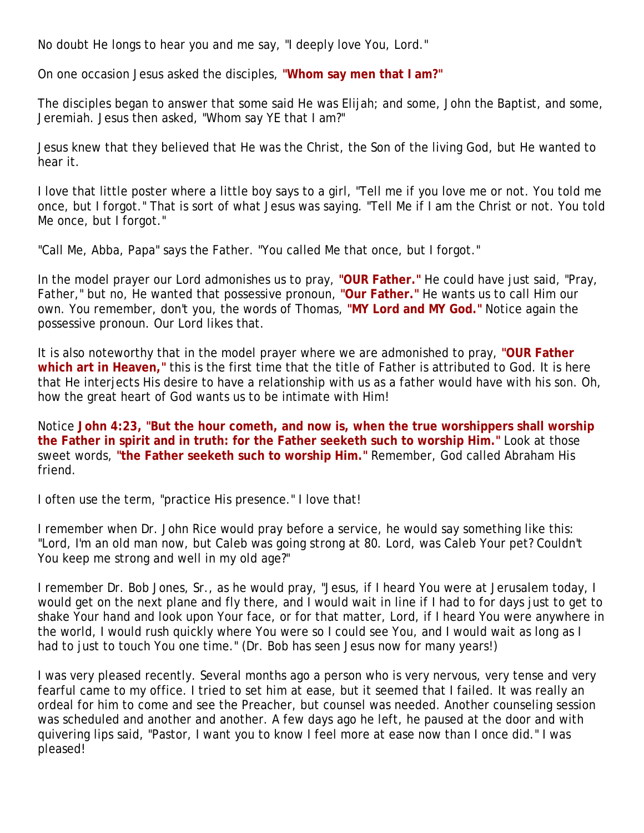No doubt He longs to hear you and me say, "I deeply love You, Lord."

On one occasion Jesus asked the disciples, **"Whom say men that I am?"**

The disciples began to answer that some said He was Elijah; and some, John the Baptist, and some, Jeremiah. Jesus then asked, "Whom say YE that I am?"

Jesus knew that they believed that He was the Christ, the Son of the living God, but He wanted to hear it.

I love that little poster where a little boy says to a girl, "Tell me if you love me or not. You told me once, but I forgot." That is sort of what Jesus was saying. "Tell Me if I am the Christ or not. You told Me once, but I forgot."

"Call Me, Abba, Papa" says the Father. "You called Me that once, but I forgot."

In the model prayer our Lord admonishes us to pray, **"OUR Father."** He could have just said, "Pray, Father," but no, He wanted that possessive pronoun, **"Our Father."** He wants us to call Him our own. You remember, don't you, the words of Thomas, **"MY Lord and MY God."** Notice again the possessive pronoun. Our Lord likes that.

It is also noteworthy that in the model prayer where we are admonished to pray, **"OUR Father which art in Heaven,"** this is the first time that the title of Father is attributed to God. It is here that He interjects His desire to have a relationship with us as a father would have with his son. Oh, how the great heart of God wants us to be intimate with Him!

Notice **John 4:23, "But the hour cometh, and now is, when the true worshippers shall worship the Father in spirit and in truth: for the Father seeketh such to worship Him."** Look at those sweet words, **"the Father seeketh such to worship Him."** Remember, God called Abraham His friend.

I often use the term, "practice His presence." I love that!

I remember when Dr. John Rice would pray before a service, he would say something like this: "Lord, I'm an old man now, but Caleb was going strong at 80. Lord, was Caleb Your pet? Couldn't You keep me strong and well in my old age?"

I remember Dr. Bob Jones, Sr., as he would pray, "Jesus, if I heard You were at Jerusalem today, I would get on the next plane and fly there, and I would wait in line if I had to for days just to get to shake Your hand and look upon Your face, or for that matter, Lord, if I heard You were anywhere in the world, I would rush quickly where You were so I could see You, and I would wait as long as I had to just to touch You one time." (Dr. Bob has seen Jesus now for many years!)

I was very pleased recently. Several months ago a person who is very nervous, very tense and very fearful came to my office. I tried to set him at ease, but it seemed that I failed. It was really an ordeal for him to come and see the Preacher, but counsel was needed. Another counseling session was scheduled and another and another. A few days ago he left, he paused at the door and with quivering lips said, "Pastor, I want you to know I feel more at ease now than I once did." I was pleased!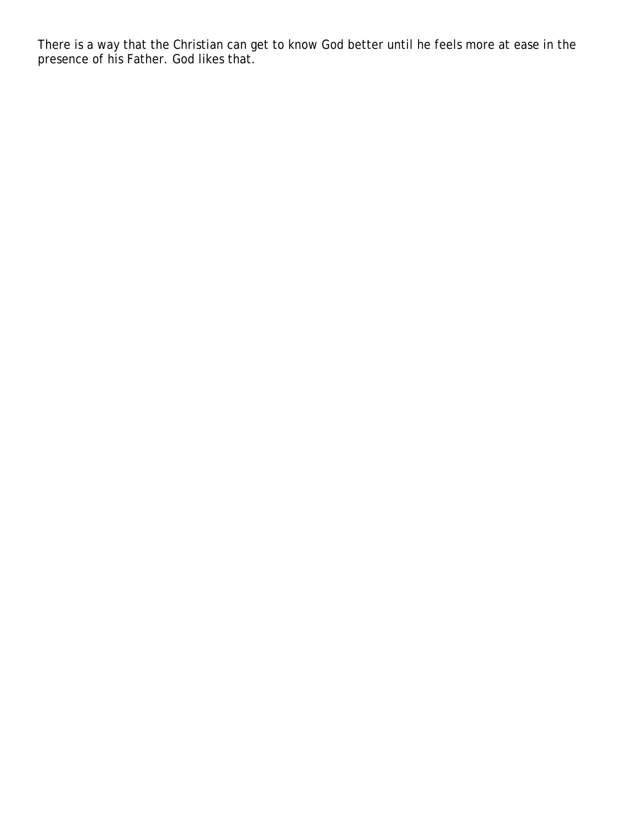There is a way that the Christian can get to know God better until he feels more at ease in the presence of his Father. God likes that.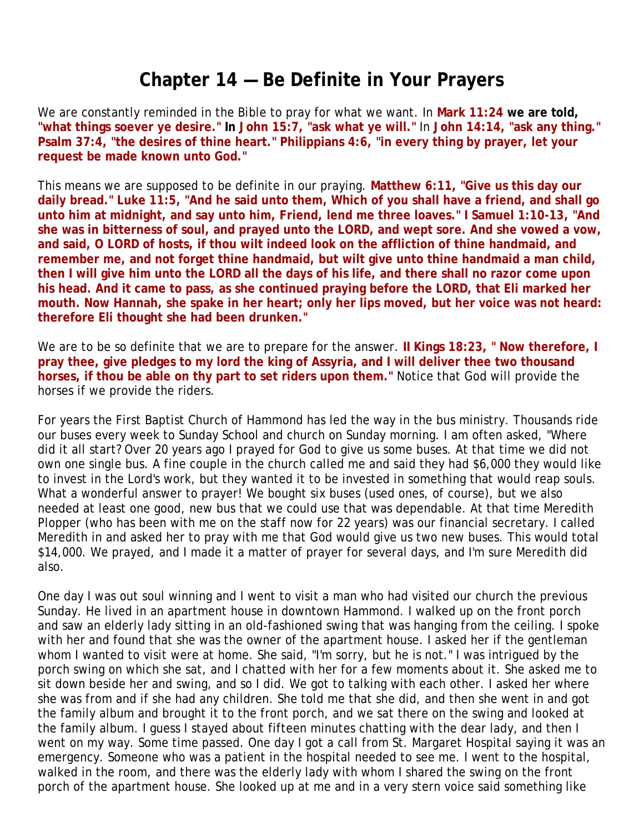## **Chapter 14 — Be Definite in Your Prayers**

We are constantly reminded in the Bible to pray for what we want. In **Mark 11:24 we are told, "what things soever ye desire." In John 15:7, "ask what ye will."** In **John 14:14, "ask any thing." Psalm 37:4, "the desires of thine heart." Philippians 4:6, "in every thing by prayer, let your request be made known unto God."**

This means we are supposed to be definite in our praying. **Matthew 6:11, "Give us this day our daily bread." Luke 11:5, "And he said unto them, Which of you shall have a friend, and shall go unto him at midnight, and say unto him, Friend, lend me three loaves." I Samuel 1:10-13, "And she was in bitterness of soul, and prayed unto the LORD, and wept sore. And she vowed a vow, and said, O LORD of hosts, if thou wilt indeed look on the affliction of thine handmaid, and remember me, and not forget thine handmaid, but wilt give unto thine handmaid a man child, then I will give him unto the LORD all the days of his life, and there shall no razor come upon his head. And it came to pass, as she continued praying before the LORD, that Eli marked her mouth. Now Hannah, she spake in her heart; only her lips moved, but her voice was not heard: therefore Eli thought she had been drunken."**

We are to be so definite that we are to prepare for the answer. **II Kings 18:23, " Now therefore, I pray thee, give pledges to my lord the king of Assyria, and I will deliver thee two thousand horses, if thou be able on thy part to set riders upon them."** Notice that God will provide the horses if we provide the riders.

For years the First Baptist Church of Hammond has led the way in the bus ministry. Thousands ride our buses every week to Sunday School and church on Sunday morning. I am often asked, "Where did it all start? Over 20 years ago I prayed for God to give us some buses. At that time we did not own one single bus. A fine couple in the church called me and said they had \$6,000 they would like to invest in the Lord's work, but they wanted it to be invested in something that would reap souls. What a wonderful answer to prayer! We bought six buses (used ones, of course), but we also needed at least one good, new bus that we could use that was dependable. At that time Meredith Plopper (who has been with me on the staff now for 22 years) was our financial secretary. I called Meredith in and asked her to pray with me that God would give us two new buses. This would total \$14,000. We prayed, and I made it a matter of prayer for several days, and I'm sure Meredith did also.

One day I was out soul winning and I went to visit a man who had visited our church the previous Sunday. He lived in an apartment house in downtown Hammond. I walked up on the front porch and saw an elderly lady sitting in an old-fashioned swing that was hanging from the ceiling. I spoke with her and found that she was the owner of the apartment house. I asked her if the gentleman whom I wanted to visit were at home. She said, "I'm sorry, but he is not." I was intrigued by the porch swing on which she sat, and I chatted with her for a few moments about it. She asked me to sit down beside her and swing, and so I did. We got to talking with each other. I asked her where she was from and if she had any children. She told me that she did, and then she went in and got the family album and brought it to the front porch, and we sat there on the swing and looked at the family album. I guess I stayed about fifteen minutes chatting with the dear lady, and then I went on my way. Some time passed. One day I got a call from St. Margaret Hospital saying it was an emergency. Someone who was a patient in the hospital needed to see me. I went to the hospital, walked in the room, and there was the elderly lady with whom I shared the swing on the front porch of the apartment house. She looked up at me and in a very stern voice said something like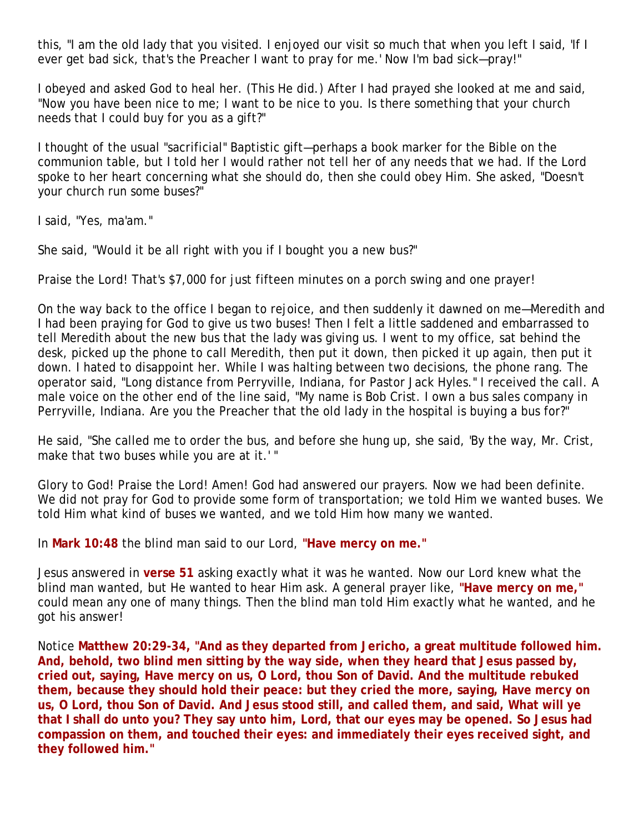this, "I am the old lady that you visited. I enjoyed our visit so much that when you left I said, 'If I ever get bad sick, that's the Preacher I want to pray for me.' Now I'm bad sick—pray!"

I obeyed and asked God to heal her. (This He did.) After I had prayed she looked at me and said, "Now you have been nice to me; I want to be nice to you. Is there something that your church needs that I could buy for you as a gift?"

I thought of the usual "sacrificial" Baptistic gift—perhaps a book marker for the Bible on the communion table, but I told her I would rather not tell her of any needs that we had. If the Lord spoke to her heart concerning what she should do, then she could obey Him. She asked, "Doesn't your church run some buses?"

I said, "Yes, ma'am."

She said, "Would it be all right with you if I bought you a new bus?"

Praise the Lord! That's \$7,000 for just fifteen minutes on a porch swing and one prayer!

On the way back to the office I began to rejoice, and then suddenly it dawned on me—Meredith and I had been praying for God to give us two buses! Then I felt a little saddened and embarrassed to tell Meredith about the new bus that the lady was giving us. I went to my office, sat behind the desk, picked up the phone to call Meredith, then put it down, then picked it up again, then put it down. I hated to disappoint her. While I was halting between two decisions, the phone rang. The operator said, "Long distance from Perryville, Indiana, for Pastor Jack Hyles." I received the call. A male voice on the other end of the line said, "My name is Bob Crist. I own a bus sales company in Perryville, Indiana. Are you the Preacher that the old lady in the hospital is buying a bus for?"

He said, "She called me to order the bus, and before she hung up, she said, 'By the way, Mr. Crist, make that two buses while you are at it.' "

Glory to God! Praise the Lord! Amen! God had answered our prayers. Now we had been definite. We did not pray for God to provide some form of transportation; we told Him we wanted buses. We told Him what kind of buses we wanted, and we told Him how many we wanted.

In **Mark 10:48** the blind man said to our Lord, **"Have mercy on me."**

Jesus answered in **verse 51** asking exactly what it was he wanted. Now our Lord knew what the blind man wanted, but He wanted to hear Him ask. A general prayer like, **"Have mercy on me,"** could mean any one of many things. Then the blind man told Him exactly what he wanted, and he got his answer!

Notice **Matthew 20:29-34, "And as they departed from Jericho, a great multitude followed him. And, behold, two blind men sitting by the way side, when they heard that Jesus passed by, cried out, saying, Have mercy on us, O Lord, thou Son of David. And the multitude rebuked them, because they should hold their peace: but they cried the more, saying, Have mercy on us, O Lord, thou Son of David. And Jesus stood still, and called them, and said, What will ye that I shall do unto you? They say unto him, Lord, that our eyes may be opened. So Jesus had compassion on them, and touched their eyes: and immediately their eyes received sight, and they followed him."**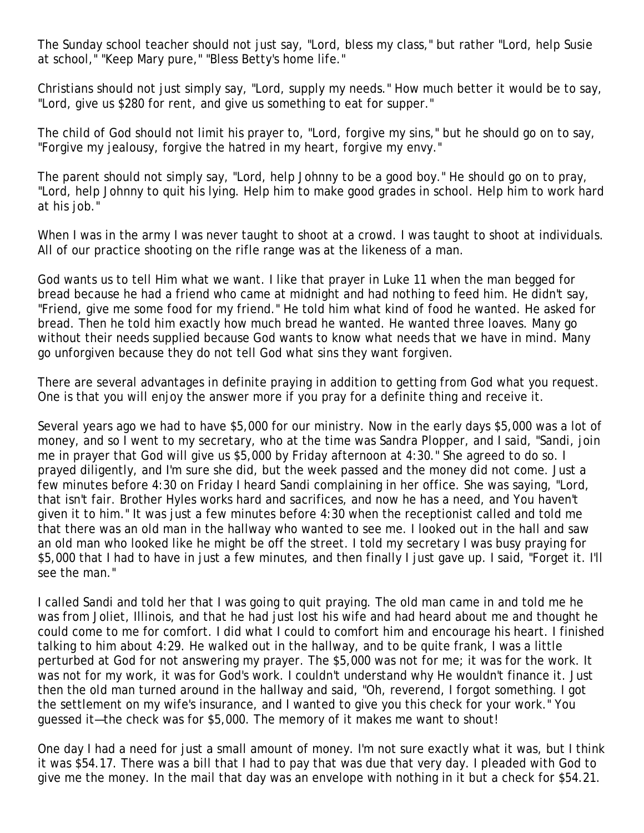The Sunday school teacher should not just say, "Lord, bless my class," but rather "Lord, help Susie at school," "Keep Mary pure," "Bless Betty's home life."

Christians should not just simply say, "Lord, supply my needs." How much better it would be to say, "Lord, give us \$280 for rent, and give us something to eat for supper."

The child of God should not limit his prayer to, "Lord, forgive my sins," but he should go on to say, "Forgive my jealousy, forgive the hatred in my heart, forgive my envy."

The parent should not simply say, "Lord, help Johnny to be a good boy." He should go on to pray, "Lord, help Johnny to quit his lying. Help him to make good grades in school. Help him to work hard at his job."

When I was in the army I was never taught to shoot at a crowd. I was taught to shoot at individuals. All of our practice shooting on the rifle range was at the likeness of a man.

God wants us to tell Him what we want. I like that prayer in Luke 11 when the man begged for bread because he had a friend who came at midnight and had nothing to feed him. He didn't say, "Friend, give me some food for my friend." He told him what kind of food he wanted. He asked for bread. Then he told him exactly how much bread he wanted. He wanted three loaves. Many go without their needs supplied because God wants to know what needs that we have in mind. Many go unforgiven because they do not tell God what sins they want forgiven.

There are several advantages in definite praying in addition to getting from God what you request. One is that you will enjoy the answer more if you pray for a definite thing and receive it.

Several years ago we had to have \$5,000 for our ministry. Now in the early days \$5,000 was a lot of money, and so I went to my secretary, who at the time was Sandra Plopper, and I said, "Sandi, join me in prayer that God will give us \$5,000 by Friday afternoon at 4:30." She agreed to do so. I prayed diligently, and I'm sure she did, but the week passed and the money did not come. Just a few minutes before 4:30 on Friday I heard Sandi complaining in her office. She was saying, "Lord, that isn't fair. Brother Hyles works hard and sacrifices, and now he has a need, and You haven't given it to him." It was just a few minutes before 4:30 when the receptionist called and told me that there was an old man in the hallway who wanted to see me. I looked out in the hall and saw an old man who looked like he might be off the street. I told my secretary I was busy praying for \$5,000 that I had to have in just a few minutes, and then finally I just gave up. I said, "Forget it. I'll see the man."

I called Sandi and told her that I was going to quit praying. The old man came in and told me he was from Joliet, Illinois, and that he had just lost his wife and had heard about me and thought he could come to me for comfort. I did what I could to comfort him and encourage his heart. I finished talking to him about 4:29. He walked out in the hallway, and to be quite frank, I was a little perturbed at God for not answering my prayer. The \$5,000 was not for me; it was for the work. It was not for my work, it was for God's work. I couldn't understand why He wouldn't finance it. Just then the old man turned around in the hallway and said, "Oh, reverend, I forgot something. I got the settlement on my wife's insurance, and I wanted to give you this check for your work." You guessed it—the check was for \$5,000. The memory of it makes me want to shout!

One day I had a need for just a small amount of money. I'm not sure exactly what it was, but I think it was \$54.17. There was a bill that I had to pay that was due that very day. I pleaded with God to give me the money. In the mail that day was an envelope with nothing in it but a check for \$54.21.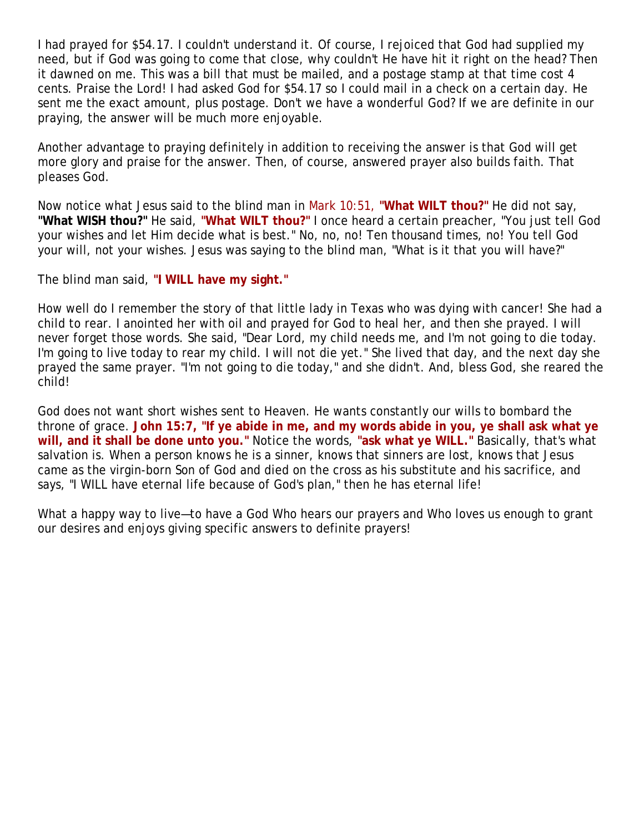I had prayed for \$54.17. I couldn't understand it. Of course, I rejoiced that God had supplied my need, but if God was going to come that close, why couldn't He have hit it right on the head? Then it dawned on me. This was a bill that must be mailed, and a postage stamp at that time cost 4 cents. Praise the Lord! I had asked God for \$54.17 so I could mail in a check on a certain day. He sent me the exact amount, plus postage. Don't we have a wonderful God? If we are definite in our praying, the answer will be much more enjoyable.

Another advantage to praying definitely in addition to receiving the answer is that God will get more glory and praise for the answer. Then, of course, answered prayer also builds faith. That pleases God.

Now notice what Jesus said to the blind man in Mark 10:51, **"What WILT thou?"** He did not say, **"What WISH thou?"** He said, **"What WILT thou?"** I once heard a certain preacher, "You just tell God your wishes and let Him decide what is best." No, no, no! Ten thousand times, no! You tell God your will, not your wishes. Jesus was saying to the blind man, "What is it that you will have?"

The blind man said, **"I WILL have my sight."**

How well do I remember the story of that little lady in Texas who was dying with cancer! She had a child to rear. I anointed her with oil and prayed for God to heal her, and then she prayed. I will never forget those words. She said, "Dear Lord, my child needs me, and I'm not going to die today. I'm going to live today to rear my child. I will not die yet." She lived that day, and the next day she prayed the same prayer. "I'm not going to die today," and she didn't. And, bless God, she reared the child!

God does not want short wishes sent to Heaven. He wants constantly our wills to bombard the throne of grace. **John 15:7, "If ye abide in me, and my words abide in you, ye shall ask what ye will, and it shall be done unto you."** Notice the words, **"ask what ye WILL."** Basically, that's what salvation is. When a person knows he is a sinner, knows that sinners are lost, knows that Jesus came as the virgin-born Son of God and died on the cross as his substitute and his sacrifice, and says, "I WILL have eternal life because of God's plan," then he has eternal life!

What a happy way to live—to have a God Who hears our prayers and Who loves us enough to grant our desires and enjoys giving specific answers to definite prayers!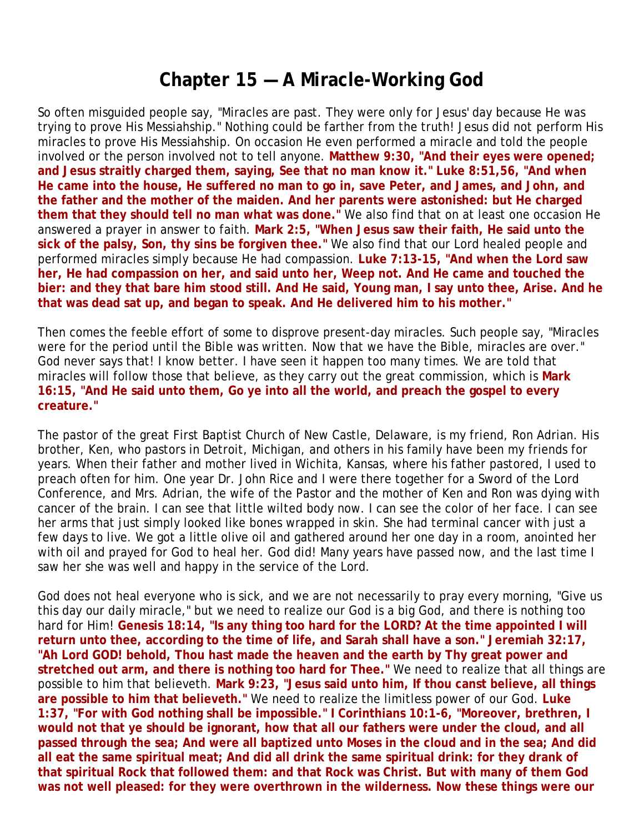### **Chapter 15 — A Miracle-Working God**

So often misguided people say, "Miracles are past. They were only for Jesus' day because He was trying to prove His Messiahship." Nothing could be farther from the truth! Jesus did *not* perform His miracles to prove His Messiahship. On occasion He even performed a miracle and told the people involved or the person involved not to tell anyone. **Matthew 9:30, "And their eyes were opened; and Jesus straitly charged them, saying, See that no man know it." Luke 8:51,56, "And when He came into the house, He suffered no man to go in, save Peter, and James, and John, and the father and the mother of the maiden. And her parents were astonished: but He charged them that they should tell no man what was done."** We also find that on at least one occasion He answered a prayer in answer to faith. **Mark 2:5, "When Jesus saw their faith, He said unto the sick of the palsy, Son, thy sins be forgiven thee."** We also find that our Lord healed people and performed miracles simply because He had compassion. **Luke 7:13-15, "And when the Lord saw her, He had compassion on her, and said unto her, Weep not. And He came and touched the bier: and they that bare him stood still. And He said, Young man, I say unto thee, Arise. And he that was dead sat up, and began to speak. And He delivered him to his mother."**

Then comes the feeble effort of some to disprove present-day miracles. Such people say, "Miracles were for the period until the Bible was written. Now that we have the Bible, miracles are over." God never says that! I know better. I have seen it happen too many times. We are told that miracles will follow those that believe, as they carry out the great commission, which is **Mark 16:15, "And He said unto them, Go ye into all the world, and preach the gospel to every creature."**

The pastor of the great First Baptist Church of New Castle, Delaware, is my friend, Ron Adrian. His brother, Ken, who pastors in Detroit, Michigan, and others in his family have been my friends for years. When their father and mother lived in Wichita, Kansas, where his father pastored, I used to preach often for him. One year Dr. John Rice and I were there together for a Sword of the Lord Conference, and Mrs. Adrian, the wife of the Pastor and the mother of Ken and Ron was dying with cancer of the brain. I can see that little wilted body now. I can see the color of her face. I can see her arms that just simply looked like bones wrapped in skin. She had terminal cancer with just a few days to live. We got a little olive oil and gathered around her one day in a room, anointed her with oil and prayed for God to heal her. God did! Many years have passed now, and the last time I saw her she was well and happy in the service of the Lord.

God does not heal everyone who is sick, and we are not necessarily to pray every morning, "Give us this day our daily miracle," but we need to realize our God is a big God, and there is nothing too hard for Him! **Genesis 18:14, "Is any thing too hard for the LORD? At the time appointed I will return unto thee, according to the time of life, and Sarah shall have a son." Jeremiah 32:17, "Ah Lord GOD! behold, Thou hast made the heaven and the earth by Thy great power and stretched out arm, and there is nothing too hard for Thee."** We need to realize that all things are possible to him that believeth. **Mark 9:23, "Jesus said unto him, If thou canst believe, all things are possible to him that believeth."** We need to realize the limitless power of our God. **Luke 1:37, "For with God nothing shall be impossible." I Corinthians 10:1-6, "Moreover, brethren, I would not that ye should be ignorant, how that all our fathers were under the cloud, and all passed through the sea; And were all baptized unto Moses in the cloud and in the sea; And did all eat the same spiritual meat; And did all drink the same spiritual drink: for they drank of that spiritual Rock that followed them: and that Rock was Christ. But with many of them God was not well pleased: for they were overthrown in the wilderness. Now these things were our**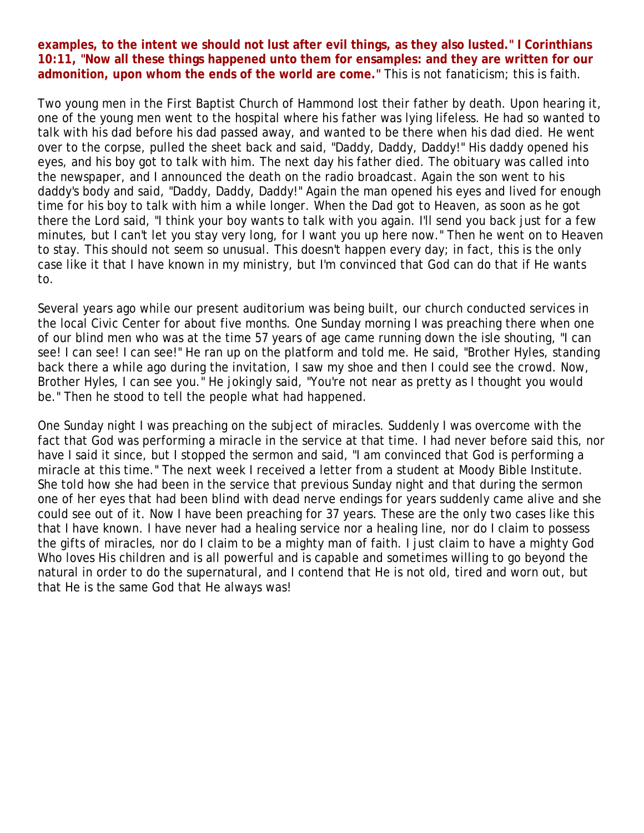#### **examples, to the intent we should not lust after evil things, as they also lusted." I Corinthians 10:11, "Now all these things happened unto them for ensamples: and they are written for our admonition, upon whom the ends of the world are come."** This is not fanaticism; this is faith.

Two young men in the First Baptist Church of Hammond lost their father by death. Upon hearing it, one of the young men went to the hospital where his father was lying lifeless. He had so wanted to talk with his dad before his dad passed away, and wanted to be there when his dad died. He went over to the corpse, pulled the sheet back and said, "Daddy, Daddy, Daddy!" His daddy opened his eyes, and his boy got to talk with him. The next day his father died. The obituary was called into the newspaper, and I announced the death on the radio broadcast. Again the son went to his daddy's body and said, "Daddy, Daddy, Daddy!" Again the man opened his eyes and lived for enough time for his boy to talk with him a while longer. When the Dad got to Heaven, as soon as he got there the Lord said, "I think your boy wants to talk with you again. I'll send you back just for a few minutes, but I can't let you stay very long, for I want you up here now." Then he went on to Heaven to stay. This should not seem so unusual. This doesn't happen every day; in fact, this is the only case like it that I have known in my ministry, but I'm convinced that God can do that if He wants to.

Several years ago while our present auditorium was being built, our church conducted services in the local Civic Center for about five months. One Sunday morning I was preaching there when one of our blind men who was at the time 57 years of age came running down the isle shouting, "I can see! I can see! I can see!" He ran up on the platform and told me. He said, "Brother Hyles, standing back there a while ago during the invitation, I saw my shoe and then I could see the crowd. Now, Brother Hyles, I can see you." He jokingly said, "You're not near as pretty as I thought you would be." Then he stood to tell the people what had happened.

One Sunday night I was preaching on the subject of miracles. Suddenly I was overcome with the fact that God was performing a miracle in the service at that time. I had never before said this, nor have I said it since, but I stopped the sermon and said, "I am convinced that God is performing a miracle at this time." The next week I received a letter from a student at Moody Bible Institute. She told how she had been in the service that previous Sunday night and that during the sermon one of her eyes that had been blind with dead nerve endings for years suddenly came alive and she could see out of it. Now I have been preaching for 37 years. These are the only two cases like this that I have known. I have never had a healing service nor a healing line, nor do I claim to possess the gifts of miracles, nor do I claim to be a mighty man of faith. I just claim to have a mighty God Who loves His children and is all powerful and is capable and sometimes willing to go beyond the natural in order to do the supernatural, and I contend that He is not old, tired and worn out, but that He is the same God that He always was!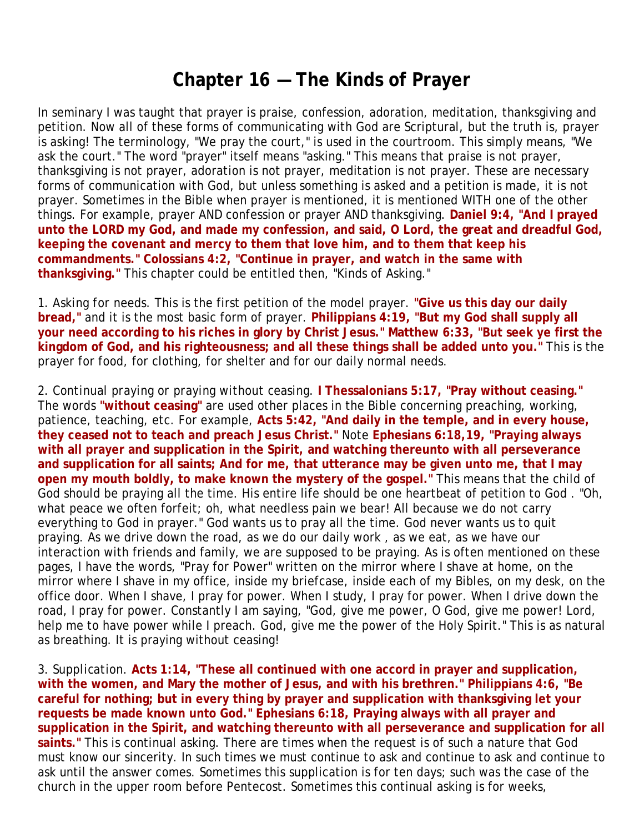## **Chapter 16 — The Kinds of Prayer**

In seminary I was taught that prayer is praise, confession, adoration, meditation, thanksgiving and petition. Now all of these forms of communicating with God are Scriptural, but the truth is, prayer is asking! The terminology, "We pray the court," is used in the courtroom. This simply means, "We ask the court." The word "prayer" itself means "asking." This means that praise is not prayer, thanksgiving is not prayer, adoration is not prayer, meditation is not prayer. These are necessary forms of communication with God, but unless something is asked and a petition is made, it is not prayer. Sometimes in the Bible when prayer is mentioned, it is mentioned WITH one of the other things. For example, prayer AND confession or prayer AND thanksgiving. **Daniel 9:4, "And I prayed unto the LORD my God, and made my confession, and said, O Lord, the great and dreadful God, keeping the covenant and mercy to them that love him, and to them that keep his commandments." Colossians 4:2, "Continue in prayer, and watch in the same with thanksgiving."** This chapter could be entitled then, "Kinds of Asking."

1. *Asking for needs.* This is the first petition of the model prayer. **"Give us this day our daily bread,"** and it is the most basic form of prayer. **Philippians 4:19, "But my God shall supply all your need according to his riches in glory by Christ Jesus." Matthew 6:33, "But seek ye first the kingdom of God, and his righteousness; and all these things shall be added unto you."** This is the prayer for food, for clothing, for shelter and for our daily normal needs.

2. *Continual praying or praying without ceasing.* **I Thessalonians 5:17, "Pray without ceasing."**  The words **"without ceasing"** are used other places in the Bible concerning preaching, working, patience, teaching, etc. For example, **Acts 5:42, "And daily in the temple, and in every house, they ceased not to teach and preach Jesus Christ."** Note **Ephesians 6:18,19, "Praying always with all prayer and supplication in the Spirit, and watching thereunto with all perseverance and supplication for all saints; And for me, that utterance may be given unto me, that I may open my mouth boldly, to make known the mystery of the gospel."** This means that the child of God should be praying all the time. His entire life should be one heartbeat of petition to God . "Oh, what peace we often forfeit; oh, what needless pain we bear! All because we do not carry everything to God in prayer." God wants us to pray all the time. God never wants us to quit praying. As we drive down the road, as we do our daily work , as we eat, as we have our interaction with friends and family, we are supposed to be praying. As is often mentioned on these pages, I have the words, "Pray for Power" written on the mirror where I shave at home, on the mirror where I shave in my office, inside my briefcase, inside each of my Bibles, on my desk, on the office door. When I shave, I pray for power. When I study, I pray for power. When I drive down the road, I pray for power. Constantly I am saying, "God, give me power, O God, give me power! Lord, help me to have power while I preach. God, give me the power of the Holy Spirit." This is as natural as breathing. It is praying without ceasing!

3. *Supplication.* **Acts 1:14, "These all continued with one accord in prayer and supplication, with the women, and Mary the mother of Jesus, and with his brethren." Philippians 4:6, "Be careful for nothing; but in every thing by prayer and supplication with thanksgiving let your requests be made known unto God." Ephesians 6:18, Praying always with all prayer and supplication in the Spirit, and watching thereunto with all perseverance and supplication for all saints."** This is continual asking. There are times when the request is of such a nature that God must know our sincerity. In such times we must continue to ask and continue to ask and continue to ask until the answer comes. Sometimes this supplication is for ten days; such was the case of the church in the upper room before Pentecost. Sometimes this continual asking is for weeks,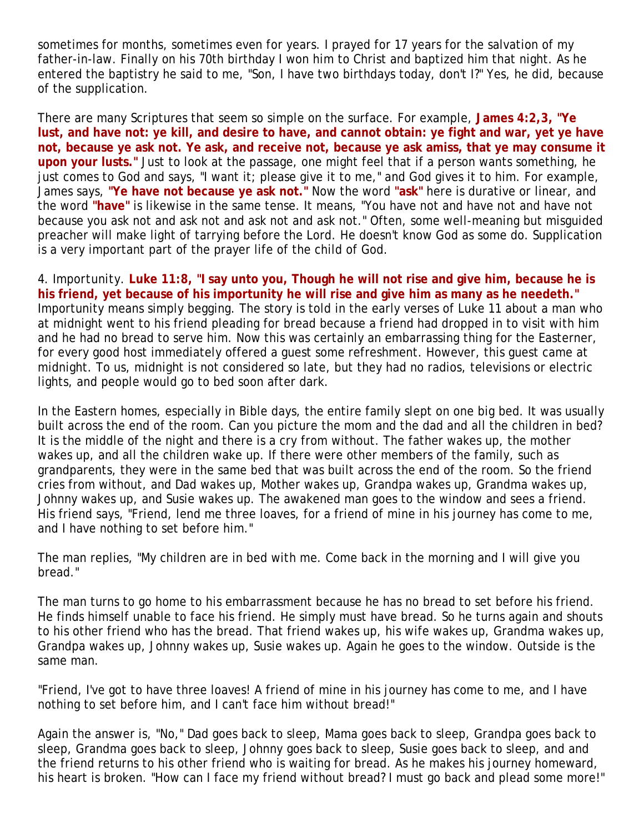sometimes for months, sometimes even for years. I prayed for 17 years for the salvation of my father-in-law. Finally on his 70th birthday I won him to Christ and baptized him that night. As he entered the baptistry he said to me, "Son, I have two birthdays today, don't I?" Yes, he did, because of the supplication.

There are many Scriptures that seem so simple on the surface. For example, **James 4:2,3, "Ye lust, and have not: ye kill, and desire to have, and cannot obtain: ye fight and war, yet ye have not, because ye ask not. Ye ask, and receive not, because ye ask amiss, that ye may consume it upon your lusts."** Just to look at the passage, one might feel that if a person wants something, he just comes to God and says, "I want it; please give it to me," and God gives it to him. For example, James says, **"Ye have not because ye ask not."** Now the word **"ask"** here is durative or linear, and the word **"have"** is likewise in the same tense. It means, "You have not and have not and have not because you ask not and ask not and ask not and ask not." Often, some well-meaning but misguided preacher will make light of tarrying before the Lord. He doesn't know God as some do. Supplication is a very important part of the prayer life of the child of God.

4. *Importunity.* **Luke 11:8, "I say unto you, Though he will not rise and give him, because he is his friend, yet because of his importunity he will rise and give him as many as he needeth."**  Importunity means simply begging. The story is told in the early verses of Luke 11 about a man who at midnight went to his friend pleading for bread because a friend had dropped in to visit with him and he had no bread to serve him. Now this was certainly an embarrassing thing for the Easterner, for every good host immediately offered a guest some refreshment. However, this guest came at midnight. To us, midnight is not considered so late, but they had no radios, televisions or electric lights, and people would go to bed soon after dark.

In the Eastern homes, especially in Bible days, the entire family slept on one big bed. It was usually built across the end of the room. Can you picture the mom and the dad and all the children in bed? It is the middle of the night and there is a cry from without. The father wakes up, the mother wakes up, and all the children wake up. If there were other members of the family, such as grandparents, they were in the same bed that was built across the end of the room. So the friend cries from without, and Dad wakes up, Mother wakes up, Grandpa wakes up, Grandma wakes up, Johnny wakes up, and Susie wakes up. The awakened man goes to the window and sees a friend. His friend says, "Friend, lend me three loaves, for a friend of mine in his journey has come to me, and I have nothing to set before him."

The man replies, "My children are in bed with me. Come back in the morning and I will give you bread."

The man turns to go home to his embarrassment because he has no bread to set before his friend. He finds himself unable to face his friend. He simply must have bread. So he turns again and shouts to his other friend who has the bread. That friend wakes up, his wife wakes up, Grandma wakes up, Grandpa wakes up, Johnny wakes up, Susie wakes up. Again he goes to the window. Outside is the same man.

"Friend, I've got to have three loaves! A friend of mine in his journey has come to me, and I have nothing to set before him, and I can't face him without bread!"

Again the answer is, "No," Dad goes back to sleep, Mama goes back to sleep, Grandpa goes back to sleep, Grandma goes back to sleep, Johnny goes back to sleep, Susie goes back to sleep, and and the friend returns to his other friend who is waiting for bread. As he makes his journey homeward, his heart is broken. "How can I face my friend without bread? I must go back and plead some more!"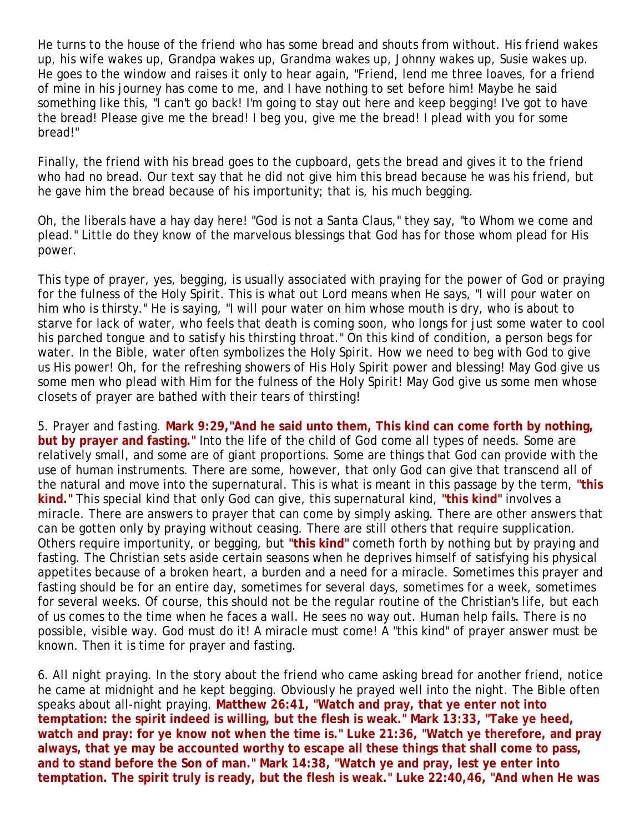He turns to the house of the friend who has some bread and shouts from without. His friend wakes up, his wife wakes up, Grandpa wakes up, Grandma wakes up, Johnny wakes up, Susie wakes up. He goes to the window and raises it only to hear again, "Friend, lend me three loaves, for a friend of mine in his journey has come to me, and I have nothing to set before him! Maybe he said something like this, "I can't go back! I'm going to stay out here and keep begging! I've got to have the bread! Please give me the bread! I beg you, give me the bread! I plead with you for some bread!"

Finally, the friend with his bread goes to the cupboard, gets the bread and gives it to the friend who had no bread. Our text say that he did not give him this bread because he was his friend, but he gave him the bread because of his importunity; that is, his much begging.

Oh, the liberals have a hay day here! "God is not a Santa Claus," they say, "to Whom we come and plead." Little do they know of the marvelous blessings that God has for those whom plead for His power.

This type of prayer, yes, begging, is usually associated with praying for the power of God or praying for the fulness of the Holy Spirit. This is what out Lord means when He says, "I will pour water on him who is thirsty." He is saying, "I will pour water on him whose mouth is dry, who is about to starve for lack of water, who feels that death is coming soon, who longs for just some water to cool his parched tongue and to satisfy his thirsting throat." On this kind of condition, a person begs for water. In the Bible, water often symbolizes the Holy Spirit. How we need to beg with God to give us His power! Oh, for the refreshing showers of His Holy Spirit power and blessing! May God give us some men who plead with Him for the fulness of the Holy Spirit! May God give us some men whose closets of prayer are bathed with their tears of thirsting!

5. *Prayer and fasting*. **Mark 9:29,"And he said unto them, This kind can come forth by nothing, but by prayer and fasting."** Into the life of the child of God come all types of needs. Some are relatively small, and some are of giant proportions. Some are things that God can provide with the use of human instruments. There are some, however, that only God can give that transcend all of the natural and move into the supernatural. This is what is meant in this passage by the term, **"this kind."** This special kind that only God can give, this supernatural kind, **"this kind"** involves a miracle. There are answers to prayer that can come by simply asking. There are other answers that can be gotten only by praying without ceasing. There are still others that require supplication. Others require importunity, or begging, but **"this kind"** cometh forth by nothing but by praying and fasting. The Christian sets aside certain seasons when he deprives himself of satisfying his physical appetites because of a broken heart, a burden and a need for a miracle. Sometimes this prayer and fasting should be for an entire day, sometimes for several days, sometimes for a week, sometimes for several weeks. Of course, this should not be the regular routine of the Christian's life, but each of us comes to the time when he faces a wall. He sees no way out. Human help fails. There is no possible, visible way. God must do it! A miracle must come! A "this kind" of prayer answer must be known. Then it is time for prayer and fasting.

6. *All night praying.* In the story about the friend who came asking bread for another friend, notice he came at midnight and he kept begging. Obviously he prayed well into the night. The Bible often speaks about all-night praying. **Matthew 26:41, "Watch and pray, that ye enter not into temptation: the spirit indeed is willing, but the flesh is weak." Mark 13:33, "Take ye heed, watch and pray: for ye know not when the time is." Luke 21:36, "Watch ye therefore, and pray always, that ye may be accounted worthy to escape all these things that shall come to pass, and to stand before the Son of man." Mark 14:38, "Watch ye and pray, lest ye enter into temptation. The spirit truly is ready, but the flesh is weak." Luke 22:40,46, "And when He was**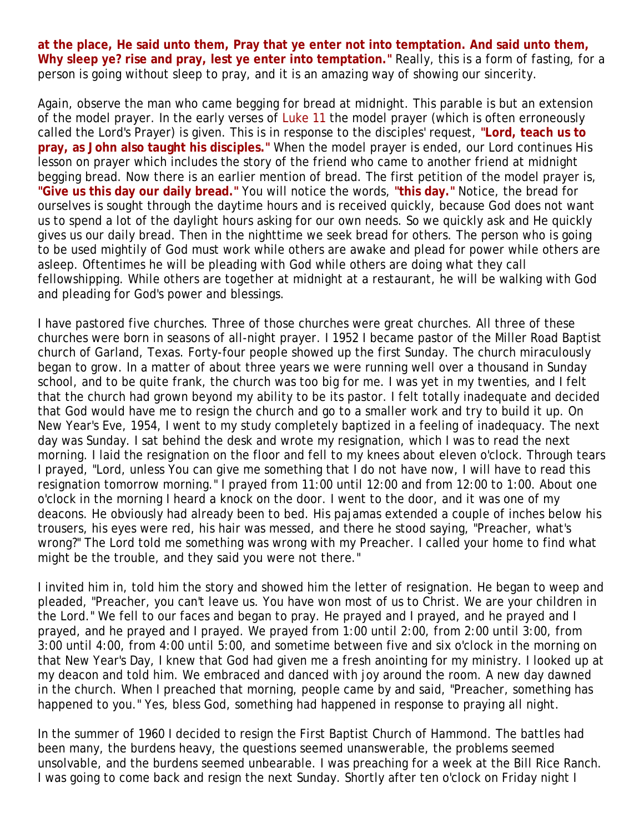**at the place, He said unto them, Pray that ye enter not into temptation. And said unto them, Why sleep ye? rise and pray, lest ye enter into temptation."** Really, this is a form of fasting, for a person is going without sleep to pray, and it is an amazing way of showing our sincerity.

Again, observe the man who came begging for bread at midnight. This parable is but an extension of the model prayer. In the early verses of Luke 11 the model prayer (which is often erroneously called the Lord's Prayer) is given. This is in response to the disciples' request, **"Lord, teach us to pray, as John also taught his disciples."** When the model prayer is ended, our Lord continues His lesson on prayer which includes the story of the friend who came to another friend at midnight begging bread. Now there is an earlier mention of bread. The first petition of the model prayer is, **"Give us this day our daily bread."** You will notice the words, **"this day."** Notice, the bread for ourselves is sought through the daytime hours and is received quickly, because God does not want us to spend a lot of the daylight hours asking for our own needs. So we quickly ask and He quickly gives us our daily bread. Then in the nighttime we seek bread for others. The person who is going to be used mightily of God must work while others are awake and plead for power while others are asleep. Oftentimes he will be pleading with God while others are doing what they call fellowshipping. While others are together at midnight at a restaurant, he will be walking with God and pleading for God's power and blessings.

I have pastored five churches. Three of those churches were great churches. All three of these churches were born in seasons of all-night prayer. I 1952 I became pastor of the Miller Road Baptist church of Garland, Texas. Forty-four people showed up the first Sunday. The church miraculously began to grow. In a matter of about three years we were running well over a thousand in Sunday school, and to be quite frank, the church was too big for me. I was yet in my twenties, and I felt that the church had grown beyond my ability to be its pastor. I felt totally inadequate and decided that God would have me to resign the church and go to a smaller work and try to build it up. On New Year's Eve, 1954, I went to my study completely baptized in a feeling of inadequacy. The next day was Sunday. I sat behind the desk and wrote my resignation, which I was to read the next morning. I laid the resignation on the floor and fell to my knees about eleven o'clock. Through tears I prayed, "Lord, unless You can give me something that I do not have now, I will have to read this resignation tomorrow morning." I prayed from 11:00 until 12:00 and from 12:00 to 1:00. About one o'clock in the morning I heard a knock on the door. I went to the door, and it was one of my deacons. He obviously had already been to bed. His pajamas extended a couple of inches below his trousers, his eyes were red, his hair was messed, and there he stood saying, "Preacher, what's wrong?" The Lord told me something was wrong with my Preacher. I called your home to find what might be the trouble, and they said you were not there."

I invited him in, told him the story and showed him the letter of resignation. He began to weep and pleaded, "Preacher, you can't leave us. You have won most of us to Christ. We are your children in the Lord." We fell to our faces and began to pray. He prayed and I prayed, and he prayed and I prayed, and he prayed and I prayed. We prayed from 1:00 until 2:00, from 2:00 until 3:00, from 3:00 until 4:00, from 4:00 until 5:00, and sometime between five and six o'clock in the morning on that New Year's Day, I knew that God had given me a fresh anointing for my ministry. I looked up at my deacon and told him. We embraced and danced with joy around the room. A new day dawned in the church. When I preached that morning, people came by and said, "Preacher, something has happened to you." Yes, bless God, something had happened in response to praying all night.

In the summer of 1960 I decided to resign the First Baptist Church of Hammond. The battles had been many, the burdens heavy, the questions seemed unanswerable, the problems seemed unsolvable, and the burdens seemed unbearable. I was preaching for a week at the Bill Rice Ranch. I was going to come back and resign the next Sunday. Shortly after ten o'clock on Friday night I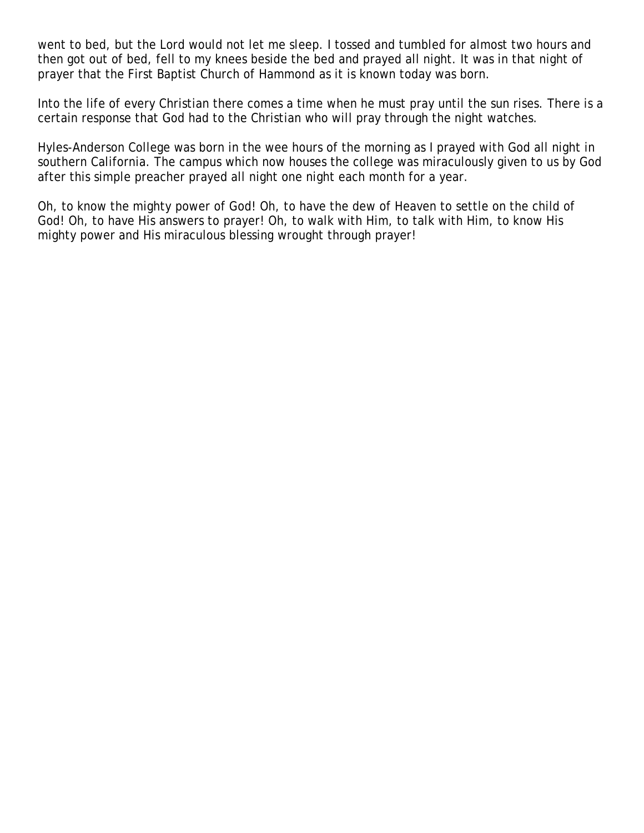went to bed, but the Lord would not let me sleep. I tossed and tumbled for almost two hours and then got out of bed, fell to my knees beside the bed and prayed all night. It was in that night of prayer that the First Baptist Church of Hammond as it is known today was born.

Into the life of every Christian there comes a time when he must pray until the sun rises. There is a certain response that God had to the Christian who will pray through the night watches.

Hyles-Anderson College was born in the wee hours of the morning as I prayed with God all night in southern California. The campus which now houses the college was miraculously given to us by God after this simple preacher prayed all night one night each month for a year.

Oh, to know the mighty power of God! Oh, to have the dew of Heaven to settle on the child of God! Oh, to have His answers to prayer! Oh, to walk with Him, to talk with Him, to know His mighty power and His miraculous blessing wrought through prayer!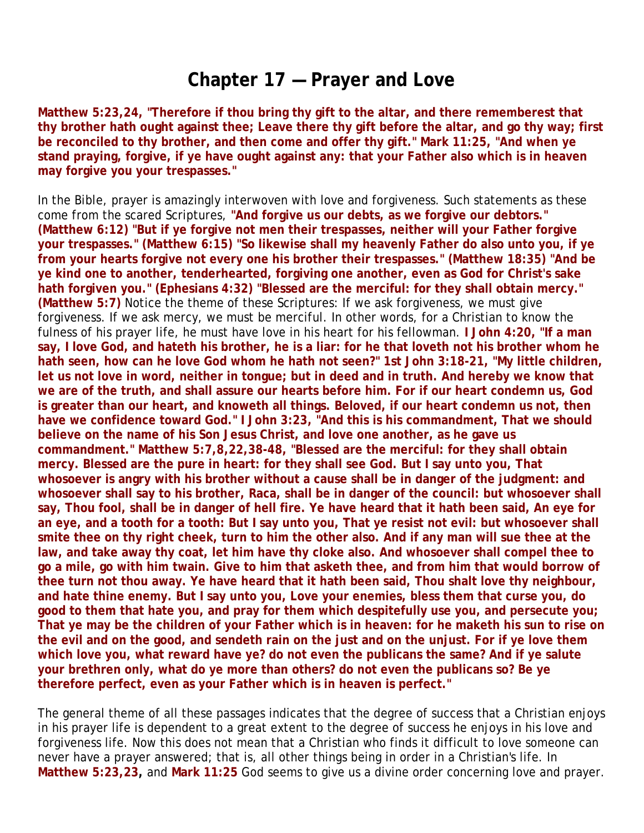#### **Chapter 17 — Prayer and Love**

**Matthew 5:23,24, "Therefore if thou bring thy gift to the altar, and there rememberest that thy brother hath ought against thee; Leave there thy gift before the altar, and go thy way; first be reconciled to thy brother, and then come and offer thy gift." Mark 11:25, "And when ye stand praying, forgive, if ye have ought against any: that your Father also which is in heaven may forgive you your trespasses."**

In the Bible, prayer is amazingly interwoven with love and forgiveness. Such statements as these come from the scared Scriptures, **"And forgive us our debts, as we forgive our debtors." (Matthew 6:12) "But if ye forgive not men their trespasses, neither will your Father forgive your trespasses." (Matthew 6:15) "So likewise shall my heavenly Father do also unto you, if ye from your hearts forgive not every one his brother their trespasses." (Matthew 18:35) "And be ye kind one to another, tenderhearted, forgiving one another, even as God for Christ's sake hath forgiven you." (Ephesians 4:32) "Blessed are the merciful: for they shall obtain mercy." (Matthew 5:7)** Notice the theme of these Scriptures: If we ask forgiveness, we must give forgiveness. If we ask mercy, we must be merciful. In other words, for a Christian to know the fulness of his prayer life, he must have love in his heart for his fellowman. **I John 4:20, "If a man say, I love God, and hateth his brother, he is a liar: for he that loveth not his brother whom he hath seen, how can he love God whom he hath not seen?" 1st John 3:18-21, "My little children, let us not love in word, neither in tongue; but in deed and in truth. And hereby we know that we are of the truth, and shall assure our hearts before him. For if our heart condemn us, God is greater than our heart, and knoweth all things. Beloved, if our heart condemn us not, then have we confidence toward God." I John 3:23, "And this is his commandment, That we should believe on the name of his Son Jesus Christ, and love one another, as he gave us commandment." Matthew 5:7,8,22,38-48, "Blessed are the merciful: for they shall obtain mercy. Blessed are the pure in heart: for they shall see God. But I say unto you, That whosoever is angry with his brother without a cause shall be in danger of the judgment: and whosoever shall say to his brother, Raca, shall be in danger of the council: but whosoever shall say, Thou fool, shall be in danger of hell fire. Ye have heard that it hath been said, An eye for an eye, and a tooth for a tooth: But I say unto you, That ye resist not evil: but whosoever shall smite thee on thy right cheek, turn to him the other also. And if any man will sue thee at the law, and take away thy coat, let him have thy cloke also. And whosoever shall compel thee to go a mile, go with him twain. Give to him that asketh thee, and from him that would borrow of thee turn not thou away. Ye have heard that it hath been said, Thou shalt love thy neighbour, and hate thine enemy. But I say unto you, Love your enemies, bless them that curse you, do good to them that hate you, and pray for them which despitefully use you, and persecute you; That ye may be the children of your Father which is in heaven: for he maketh his sun to rise on the evil and on the good, and sendeth rain on the just and on the unjust. For if ye love them which love you, what reward have ye? do not even the publicans the same? And if ye salute your brethren only, what do ye more than others? do not even the publicans so? Be ye therefore perfect, even as your Father which is in heaven is perfect."**

The general theme of all these passages indicates that the degree of success that a Christian enjoys in his prayer life is dependent to a great extent to the degree of success he enjoys in his love and forgiveness life. Now this does not mean that a Christian who finds it difficult to love someone can never have a prayer answered; that is, all other things being in order in a Christian's life. In **Matthew 5:23,23,** and **Mark 11:25** God seems to give us a divine order concerning love and prayer.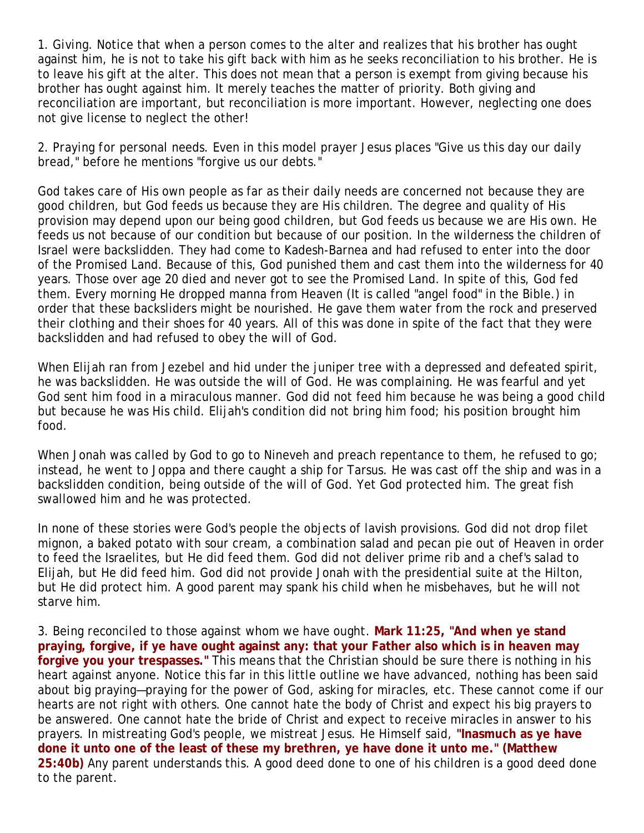1. *Giving.* Notice that when a person comes to the alter and realizes that his brother has ought against him, he is not to take his gift back with him as he seeks reconciliation to his brother. He is to leave his gift at the alter. This does not mean that a person is exempt from giving because his brother has ought against him. It merely teaches the matter of priority. Both giving and reconciliation are important, but reconciliation is more important. However, neglecting one does not give license to neglect the other!

2. *Praying for personal needs.* Even in this model prayer Jesus places "Give us this day our daily bread," before he mentions "forgive us our debts."

God takes care of His own people as far as their daily needs are concerned not because they are good children, but God feeds us because they are His children. The degree and quality of His provision may depend upon our being good children, but God feeds us because we are His own. He feeds us not because of our condition but because of our position. In the wilderness the children of Israel were backslidden. They had come to Kadesh-Barnea and had refused to enter into the door of the Promised Land. Because of this, God punished them and cast them into the wilderness for 40 years. Those over age 20 died and never got to see the Promised Land. In spite of this, God fed them. Every morning He dropped manna from Heaven (It is called "angel food" in the Bible.) in order that these backsliders might be nourished. He gave them water from the rock and preserved their clothing and their shoes for 40 years. All of this was done in spite of the fact that they were backslidden and had refused to obey the will of God.

When Elijah ran from Jezebel and hid under the juniper tree with a depressed and defeated spirit, he was backslidden. He was outside the will of God. He was complaining. He was fearful and yet God sent him food in a miraculous manner. God did not feed him because he was being a good child but because he was His child. Elijah's condition did not bring him food; his position brought him food.

When Jonah was called by God to go to Nineveh and preach repentance to them, he refused to go; instead, he went to Joppa and there caught a ship for Tarsus. He was cast off the ship and was in a backslidden condition, being outside of the will of God. Yet God protected him. The great fish swallowed him and he was protected.

In none of these stories were God's people the objects of lavish provisions. God did not drop filet mignon, a baked potato with sour cream, a combination salad and pecan pie out of Heaven in order to feed the Israelites, but He did feed them. God did not deliver prime rib and a chef's salad to Elijah, but He did feed him. God did not provide Jonah with the presidential suite at the Hilton, but He did protect him. A good parent may spank his child when he misbehaves, but he will not starve him.

3. *Being reconciled to those against whom we have ought.* **Mark 11:25, "And when ye stand praying, forgive, if ye have ought against any: that your Father also which is in heaven may forgive you your trespasses."** This means that the Christian should be sure there is nothing in his heart against anyone. Notice this far in this little outline we have advanced, nothing has been said about big praying—praying for the power of God, asking for miracles, etc. These cannot come if our hearts are not right with others. One cannot hate the body of Christ and expect his big prayers to be answered. One cannot hate the bride of Christ and expect to receive miracles in answer to his prayers. In mistreating God's people, we mistreat Jesus. He Himself said, **"Inasmuch as ye have done it unto one of the least of these my brethren, ye have done it unto me." (Matthew 25:40b)** Any parent understands this. A good deed done to one of his children is a good deed done to the parent.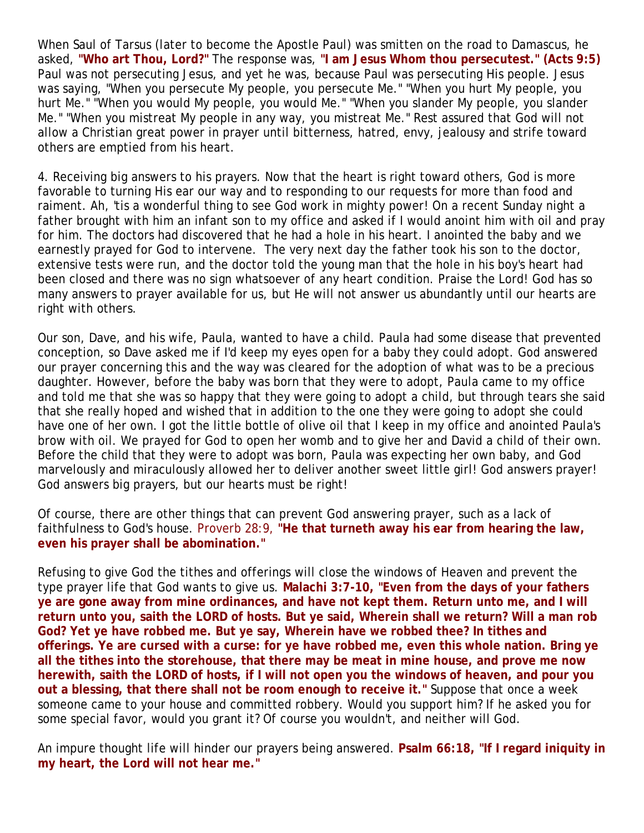When Saul of Tarsus (later to become the Apostle Paul) was smitten on the road to Damascus, he asked, **"Who art Thou, Lord?"** The response was, **"I am Jesus Whom thou persecutest." (Acts 9:5)** Paul was not persecuting Jesus, and yet he was, because Paul was persecuting His people. Jesus was saying, "When you persecute My people, you persecute Me." "When you hurt My people, you hurt Me." "When you would My people, you would Me." "When you slander My people, you slander Me." "When you mistreat My people in any way, you mistreat Me." Rest assured that God will not allow a Christian great power in prayer until bitterness, hatred, envy, jealousy and strife toward others are emptied from his heart.

4. Receiving big answers to his prayers. Now that the heart is right toward others, God is more favorable to turning His ear our way and to responding to our requests for more than food and raiment. Ah, 'tis a wonderful thing to see God work in mighty power! On a recent Sunday night a father brought with him an infant son to my office and asked if I would anoint him with oil and pray for him. The doctors had discovered that he had a hole in his heart. I anointed the baby and we earnestly prayed for God to intervene. The very next day the father took his son to the doctor, extensive tests were run, and the doctor told the young man that the hole in his boy's heart had been closed and there was no sign whatsoever of any heart condition. Praise the Lord! God has so many answers to prayer available for us, but He will not answer us abundantly until our hearts are right with others.

Our son, Dave, and his wife, Paula, wanted to have a child. Paula had some disease that prevented conception, so Dave asked me if I'd keep my eyes open for a baby they could adopt. God answered our prayer concerning this and the way was cleared for the adoption of what was to be a precious daughter. However, before the baby was born that they were to adopt, Paula came to my office and told me that she was so happy that they were going to adopt a child, but through tears she said that she really hoped and wished that in addition to the one they were going to adopt she could have one of her own. I got the little bottle of olive oil that I keep in my office and anointed Paula's brow with oil. We prayed for God to open her womb and to give her and David a child of their own. Before the child that they were to adopt was born, Paula was expecting her own baby, and God marvelously and miraculously allowed her to deliver another sweet little girl! God answers prayer! God answers big prayers, but our hearts must be right!

Of course, there are other things that can prevent God answering prayer, such as a lack of faithfulness to God's house. Proverb 28:9, **"He that turneth away his ear from hearing the law, even his prayer shall be abomination."**

Refusing to give God the tithes and offerings will close the windows of Heaven and prevent the type prayer life that God wants to give us. **Malachi 3:7-10, "Even from the days of your fathers ye are gone away from mine ordinances, and have not kept them. Return unto me, and I will return unto you, saith the LORD of hosts. But ye said, Wherein shall we return? Will a man rob God? Yet ye have robbed me. But ye say, Wherein have we robbed thee? In tithes and offerings. Ye are cursed with a curse: for ye have robbed me, even this whole nation. Bring ye all the tithes into the storehouse, that there may be meat in mine house, and prove me now herewith, saith the LORD of hosts, if I will not open you the windows of heaven, and pour you out a blessing, that there shall not be room enough to receive it."** Suppose that once a week someone came to your house and committed robbery. Would you support him? If he asked you for some special favor, would you grant it? Of course you wouldn't, and neither will God.

An impure thought life will hinder our prayers being answered. **Psalm 66:18, "If I regard iniquity in my heart, the Lord will not hear me."**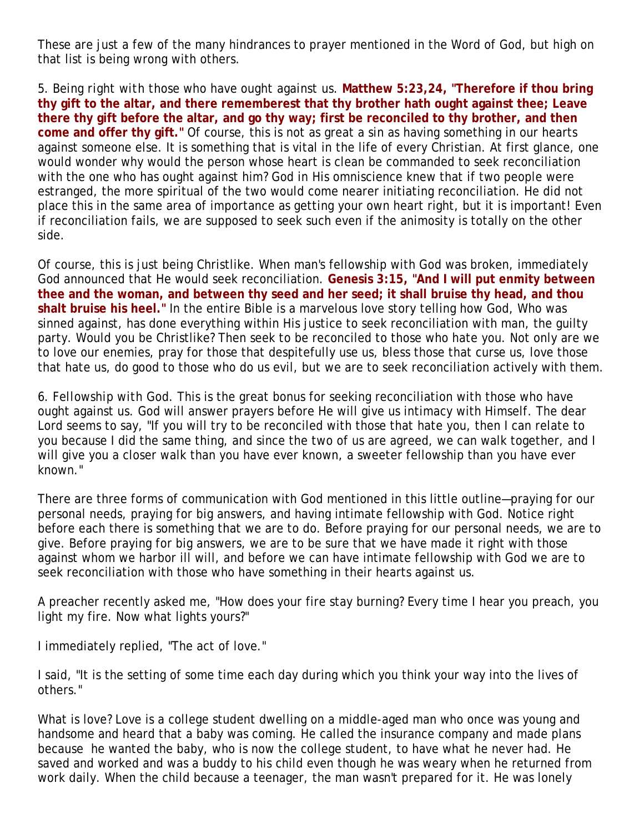These are just a few of the many hindrances to prayer mentioned in the Word of God, but high on that list is being wrong with others.

5. *Being right with those who have ought against us.* **Matthew 5:23,24, "Therefore if thou bring thy gift to the altar, and there rememberest that thy brother hath ought against thee; Leave there thy gift before the altar, and go thy way; first be reconciled to thy brother, and then come and offer thy gift."** Of course, this is not as great a sin as having something in our hearts against someone else. It is something that is vital in the life of every Christian. At first glance, one would wonder why would the person whose heart is clean be commanded to seek reconciliation with the one who has ought against him? God in His omniscience knew that if two people were estranged, the more spiritual of the two would come nearer initiating reconciliation. He did not place this in the same area of importance as getting your own heart right, but it is important! Even if reconciliation fails, we are supposed to seek such even if the animosity is totally on the other side.

Of course, this is just being Christlike. When man's fellowship with God was broken, immediately God announced that He would seek reconciliation. **Genesis 3:15, "And I will put enmity between thee and the woman, and between thy seed and her seed; it shall bruise thy head, and thou shalt bruise his heel."** In the entire Bible is a marvelous love story telling how God, Who was sinned against, has done everything within His justice to seek reconciliation with man, the guilty party. Would you be Christlike? Then seek to be reconciled to those who hate you. Not only are we to love our enemies, pray for those that despitefully use us, bless those that curse us, love those that hate us, do good to those who do us evil, but we are to seek reconciliation actively with them.

6. *Fellowship with God.* This is the great bonus for seeking reconciliation with those who have ought against us. God will answer prayers before He will give us intimacy with Himself. The dear Lord seems to say, "If you will try to be reconciled with those that hate you, then I can relate to you because I did the same thing, and since the two of us are agreed, we can walk together, and I will give you a closer walk than you have ever known, a sweeter fellowship than you have ever known."

There are three forms of communication with God mentioned in this little outline—praying for our personal needs, praying for big answers, and having intimate fellowship with God. Notice right before each there is something that we are to do. Before praying for our personal needs, we are to give. Before praying for big answers, we are to be sure that we have made it right with those against whom we harbor ill will, and before we can have intimate fellowship with God we are to seek reconciliation with those who have something in their hearts against us.

A preacher recently asked me, "How does your fire stay burning? Every time I hear you preach, you light my fire. Now what lights yours?"

I immediately replied, "The act of love."

I said, "It is the setting of some time each day during which you think your way into the lives of others."

What is love? Love is a college student dwelling on a middle-aged man who once was young and handsome and heard that a baby was coming. He called the insurance company and made plans because he wanted the baby, who is now the college student, to have what he never had. He saved and worked and was a buddy to his child even though he was weary when he returned from work daily. When the child because a teenager, the man wasn't prepared for it. He was lonely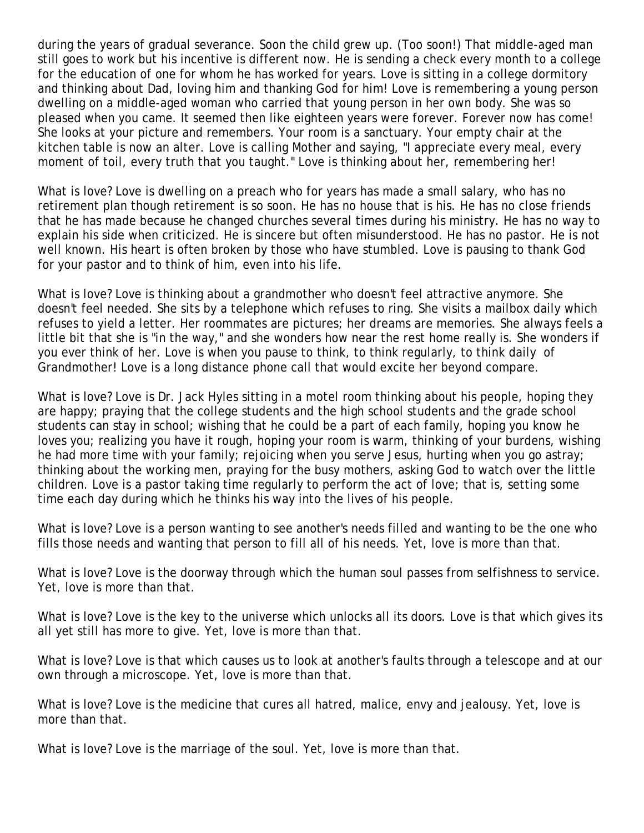during the years of gradual severance. Soon the child grew up. (Too soon!) That middle-aged man still goes to work but his incentive is different now. He is sending a check every month to a college for the education of one for whom he has worked for years. Love is sitting in a college dormitory and thinking about Dad, loving him and thanking God for him! Love is remembering a young person dwelling on a middle-aged woman who carried that young person in her own body. She was so pleased when you came. It seemed then like eighteen years were forever. Forever now has come! She looks at your picture and remembers. Your room is a sanctuary. Your empty chair at the kitchen table is now an alter. Love is calling Mother and saying, "I appreciate every meal, every moment of toil, every truth that you taught." Love is thinking about her, remembering her!

What is love? Love is dwelling on a preach who for years has made a small salary, who has no retirement plan though retirement is so soon. He has no house that is his. He has no close friends that he has made because he changed churches several times during his ministry. He has no way to explain his side when criticized. He is sincere but often misunderstood. He has no pastor. He is not well known. His heart is often broken by those who have stumbled. Love is pausing to thank God for your pastor and to think of him, even into his life.

What is love? Love is thinking about a grandmother who doesn't feel attractive anymore. She doesn't feel needed. She sits by a telephone which refuses to ring. She visits a mailbox daily which refuses to yield a letter. Her roommates are pictures; her dreams are memories. She always feels a little bit that she is "in the way," and she wonders how near the rest home really is. She wonders if you ever think of her. Love is when you pause to think, to think regularly, to think daily of Grandmother! Love is a long distance phone call that would excite her beyond compare.

What is love? Love is Dr. Jack Hyles sitting in a motel room thinking about his people, hoping they are happy; praying that the college students and the high school students and the grade school students can stay in school; wishing that he could be a part of each family, hoping you know he loves you; realizing you have it rough, hoping your room is warm, thinking of your burdens, wishing he had more time with your family; rejoicing when you serve Jesus, hurting when you go astray; thinking about the working men, praying for the busy mothers, asking God to watch over the little children. Love is a pastor taking time regularly to perform the act of love; that is, setting some time each day during which he thinks his way into the lives of his people.

What is love? Love is a person wanting to see another's needs filled and wanting to be the one who fills those needs and wanting that person to fill all of his needs. Yet, love is more than that.

What is love? Love is the doorway through which the human soul passes from selfishness to service. Yet, love is more than that.

What is love? Love is the key to the universe which unlocks all its doors. Love is that which gives its all yet still has more to give. Yet, love is more than that.

What is love? Love is that which causes us to look at another's faults through a telescope and at our own through a microscope. Yet, love is more than that.

What is love? Love is the medicine that cures all hatred, malice, envy and jealousy. Yet, love is more than that.

What is love? Love is the marriage of the soul. Yet, love is more than that.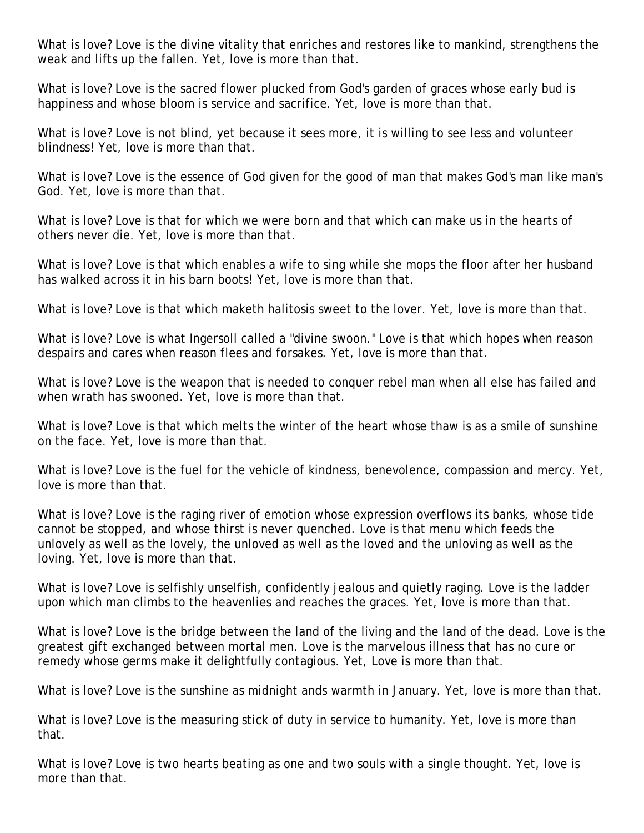What is love? Love is the divine vitality that enriches and restores like to mankind, strengthens the weak and lifts up the fallen. Yet, love is more than that.

What is love? Love is the sacred flower plucked from God's garden of graces whose early bud is happiness and whose bloom is service and sacrifice. Yet, love is more than that.

What is love? Love is not blind, yet because it sees more, it is willing to see less and volunteer blindness! Yet, love is more than that.

What is love? Love is the essence of God given for the good of man that makes God's man like man's God. Yet, love is more than that.

What is love? Love is that for which we were born and that which can make us in the hearts of others never die. Yet, love is more than that.

What is love? Love is that which enables a wife to sing while she mops the floor after her husband has walked across it in his barn boots! Yet, love is more than that.

What is love? Love is that which maketh halitosis sweet to the lover. Yet, love is more than that.

What is love? Love is what Ingersoll called a "divine swoon." Love is that which hopes when reason despairs and cares when reason flees and forsakes. Yet, love is more than that.

What is love? Love is the weapon that is needed to conquer rebel man when all else has failed and when wrath has swooned. Yet, love is more than that.

What is love? Love is that which melts the winter of the heart whose thaw is as a smile of sunshine on the face. Yet, love is more than that.

What is love? Love is the fuel for the vehicle of kindness, benevolence, compassion and mercy. Yet, love is more than that.

What is love? Love is the raging river of emotion whose expression overflows its banks, whose tide cannot be stopped, and whose thirst is never quenched. Love is that menu which feeds the unlovely as well as the lovely, the unloved as well as the loved and the unloving as well as the loving. Yet, love is more than that.

What is love? Love is selfishly unselfish, confidently jealous and quietly raging. Love is the ladder upon which man climbs to the heavenlies and reaches the graces. Yet, love is more than that.

What is love? Love is the bridge between the land of the living and the land of the dead. Love is the greatest gift exchanged between mortal men. Love is the marvelous illness that has no cure or remedy whose germs make it delightfully contagious. Yet, Love is more than that.

What is love? Love is the sunshine as midnight ands warmth in January. Yet, love is more than that.

What is love? Love is the measuring stick of duty in service to humanity. Yet, love is more than that.

What is love? Love is two hearts beating as one and two souls with a single thought. Yet, love is more than that.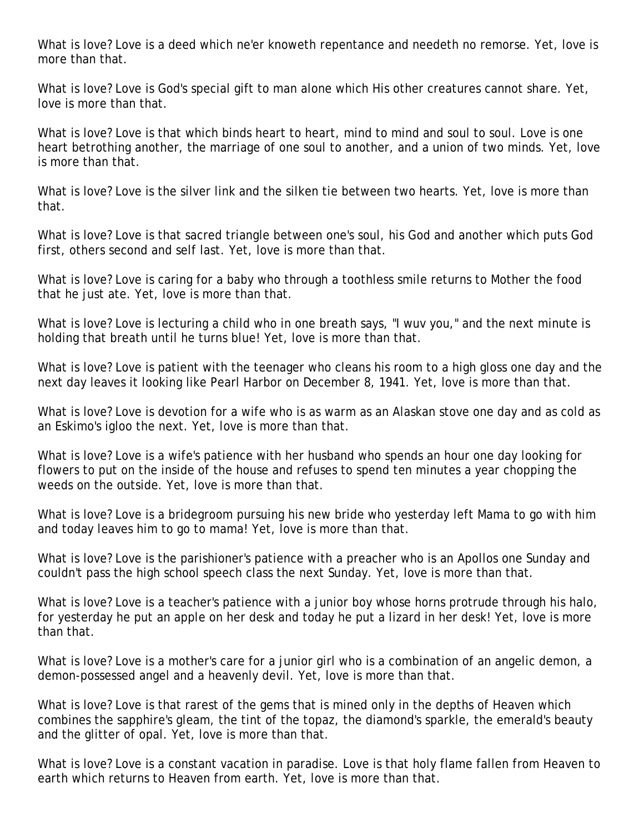What is love? Love is a deed which ne'er knoweth repentance and needeth no remorse. Yet, love is more than that.

What is love? Love is God's special gift to man alone which His other creatures cannot share. Yet, love is more than that.

What is love? Love is that which binds heart to heart, mind to mind and soul to soul. Love is one heart betrothing another, the marriage of one soul to another, and a union of two minds. Yet, love is more than that.

What is love? Love is the silver link and the silken tie between two hearts. Yet, love is more than that.

What is love? Love is that sacred triangle between one's soul, his God and another which puts God first, others second and self last. Yet, love is more than that.

What is love? Love is caring for a baby who through a toothless smile returns to Mother the food that he just ate. Yet, love is more than that.

What is love? Love is lecturing a child who in one breath says, "I wuv you," and the next minute is holding that breath until he turns blue! Yet, love is more than that.

What is love? Love is patient with the teenager who cleans his room to a high gloss one day and the next day leaves it looking like Pearl Harbor on December 8, 1941. Yet, love is more than that.

What is love? Love is devotion for a wife who is as warm as an Alaskan stove one day and as cold as an Eskimo's igloo the next. Yet, love is more than that.

What is love? Love is a wife's patience with her husband who spends an hour one day looking for flowers to put on the inside of the house and refuses to spend ten minutes a year chopping the weeds on the outside. Yet, love is more than that.

What is love? Love is a bridegroom pursuing his new bride who yesterday left Mama to go with him and today leaves him to go to mama! Yet, love is more than that.

What is love? Love is the parishioner's patience with a preacher who is an Apollos one Sunday and couldn't pass the high school speech class the next Sunday. Yet, love is more than that.

What is love? Love is a teacher's patience with a junior boy whose horns protrude through his halo, for yesterday he put an apple on her desk and today he put a lizard in her desk! Yet, love is more than that.

What is love? Love is a mother's care for a junior girl who is a combination of an angelic demon, a demon-possessed angel and a heavenly devil. Yet, love is more than that.

What is love? Love is that rarest of the gems that is mined only in the depths of Heaven which combines the sapphire's gleam, the tint of the topaz, the diamond's sparkle, the emerald's beauty and the glitter of opal. Yet, love is more than that.

What is love? Love is a constant vacation in paradise. Love is that holy flame fallen from Heaven to earth which returns to Heaven from earth. Yet, love is more than that.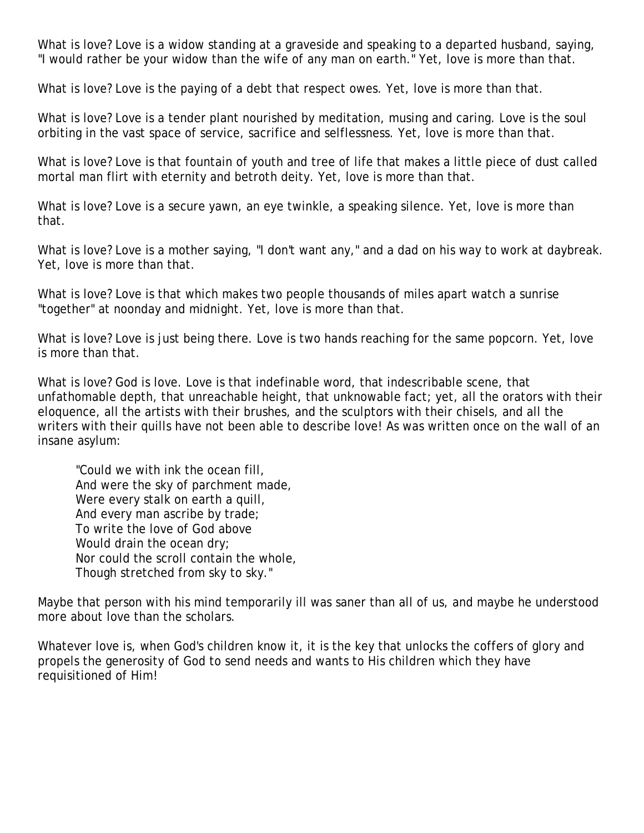What is love? Love is a widow standing at a graveside and speaking to a departed husband, saying, "I would rather be your widow than the wife of any man on earth." Yet, love is more than that.

What is love? Love is the paying of a debt that respect owes. Yet, love is more than that.

What is love? Love is a tender plant nourished by meditation, musing and caring. Love is the soul orbiting in the vast space of service, sacrifice and selflessness. Yet, love is more than that.

What is love? Love is that fountain of youth and tree of life that makes a little piece of dust called mortal man flirt with eternity and betroth deity. Yet, love is more than that.

What is love? Love is a secure yawn, an eye twinkle, a speaking silence. Yet, love is more than that.

What is love? Love is a mother saying, "I don't want any," and a dad on his way to work at daybreak. Yet, love is more than that.

What is love? Love is that which makes two people thousands of miles apart watch a sunrise "together" at noonday and midnight. Yet, love is more than that.

What is love? Love is just being there. Love is two hands reaching for the same popcorn. Yet, love is more than that.

What is love? God is love. Love is that indefinable word, that indescribable scene, that unfathomable depth, that unreachable height, that unknowable fact; yet, all the orators with their eloquence, all the artists with their brushes, and the sculptors with their chisels, and all the writers with their quills have not been able to describe love! As was written once on the wall of an insane asylum:

"Could we with ink the ocean fill, And were the sky of parchment made, Were every stalk on earth a quill, And every man ascribe by trade; To write the love of God above Would drain the ocean dry; Nor could the scroll contain the whole, Though stretched from sky to sky."

Maybe that person with his mind temporarily ill was saner than all of us, and maybe he understood more about love than the scholars.

Whatever love is, when God's children know it, it is the key that unlocks the coffers of glory and propels the generosity of God to send needs and wants to His children which they have requisitioned of Him!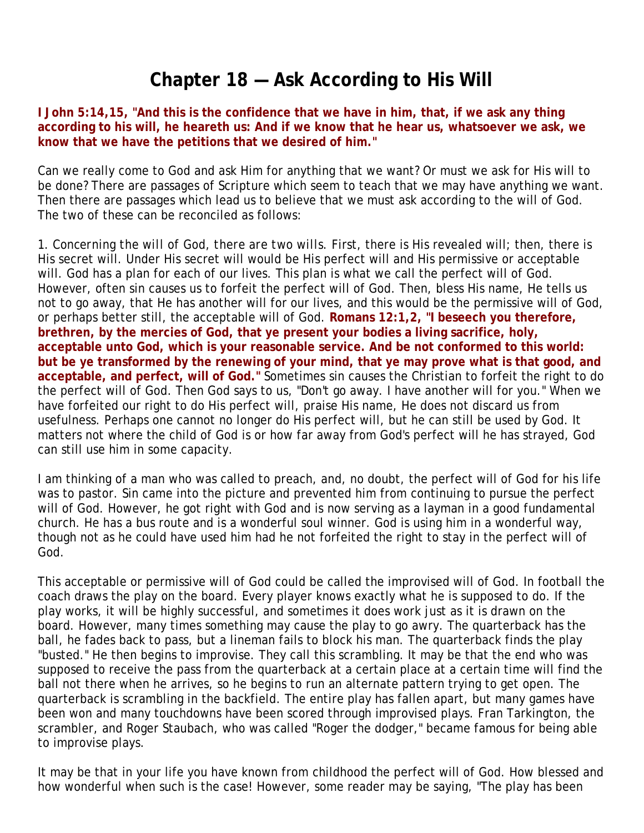# **Chapter 18 — Ask According to His Will**

**I John 5:14,15, "And this is the confidence that we have in him, that, if we ask any thing according to his will, he heareth us: And if we know that he hear us, whatsoever we ask, we know that we have the petitions that we desired of him."**

Can we really come to God and ask Him for anything that we want? Or must we ask for His will to be done? There are passages of Scripture which seem to teach that we may have anything we want. Then there are passages which lead us to believe that we must ask according to the will of God. The two of these can be reconciled as follows:

1. *Concerning the will of God, there are two wills.* First, there is His revealed will; then, there is His secret will. Under His secret will would be His perfect will and His permissive or acceptable will. God has a plan for each of our lives. This plan is what we call the perfect will of God. However, often sin causes us to forfeit the perfect will of God. Then, bless His name, He tells us not to go away, that He has another will for our lives, and this would be the permissive will of God, or perhaps better still, the acceptable will of God. **Romans 12:1,2, "I beseech you therefore, brethren, by the mercies of God, that ye present your bodies a living sacrifice, holy, acceptable unto God, which is your reasonable service. And be not conformed to this world: but be ye transformed by the renewing of your mind, that ye may prove what is that good, and acceptable, and perfect, will of God."** Sometimes sin causes the Christian to forfeit the right to do the perfect will of God. Then God says to us, "Don't go away. I have another will for you." When we have forfeited our right to do His perfect will, praise His name, He does not discard us from usefulness. Perhaps one cannot no longer do His perfect will, but he can still be used by God. It matters not where the child of God is or how far away from God's perfect will he has strayed, God can still use him in some capacity.

I am thinking of a man who was called to preach, and, no doubt, the perfect will of God for his life was to pastor. Sin came into the picture and prevented him from continuing to pursue the perfect will of God. However, he got right with God and is now serving as a layman in a good fundamental church. He has a bus route and is a wonderful soul winner. God is using him in a wonderful way, though not as he could have used him had he not forfeited the right to stay in the perfect will of God.

This acceptable or permissive will of God could be called the improvised will of God. In football the coach draws the play on the board. Every player knows exactly what he is supposed to do. If the play works, it will be highly successful, and sometimes it does work just as it is drawn on the board. However, many times something may cause the play to go awry. The quarterback has the ball, he fades back to pass, but a lineman fails to block his man. The quarterback finds the play "busted." He then begins to improvise. They call this scrambling. It may be that the end who was supposed to receive the pass from the quarterback at a certain place at a certain time will find the ball not there when he arrives, so he begins to run an alternate pattern trying to get open. The quarterback is scrambling in the backfield. The entire play has fallen apart, but many games have been won and many touchdowns have been scored through improvised plays. Fran Tarkington, the scrambler, and Roger Staubach, who was called "Roger the dodger," became famous for being able to improvise plays.

It may be that in your life you have known from childhood the perfect will of God. How blessed and how wonderful when such is the case! However, some reader may be saying, "The play has been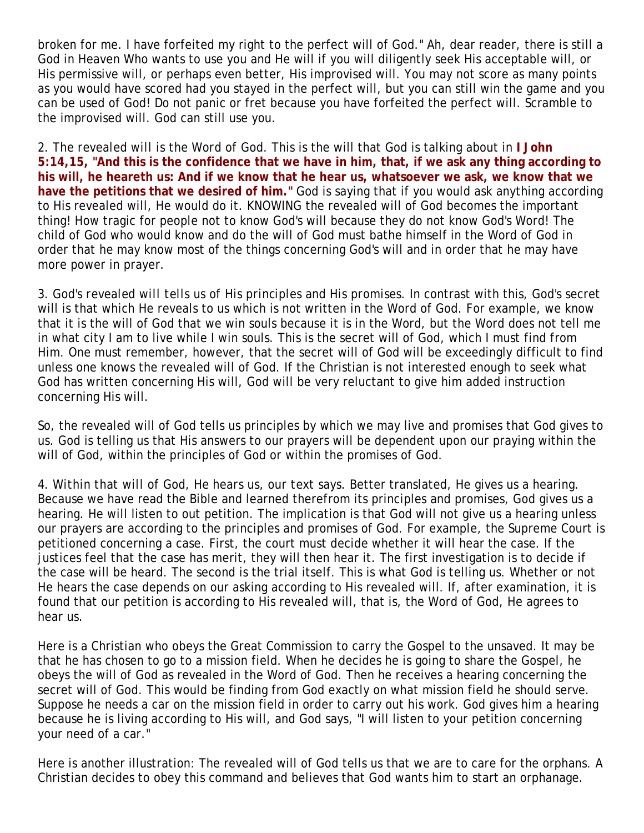broken for me. I have forfeited my right to the perfect will of God." Ah, dear reader, there is still a God in Heaven Who wants to use you and He will if you will diligently seek His acceptable will, or His permissive will, or perhaps even better, His improvised will. You may not score as many points as you would have scored had you stayed in the perfect will, but you can still win the game and you can be used of God! Do not panic or fret because you have forfeited the perfect will. Scramble to the improvised will. God can still use you.

2. *The revealed will is the Word of God.* This is the will that God is talking about in **I John 5:14,15, "And this is the confidence that we have in him, that, if we ask any thing according to his will, he heareth us: And if we know that he hear us, whatsoever we ask, we know that we have the petitions that we desired of him."** God is saying that if you would ask anything according to His revealed will, He would do it. KNOWING the revealed will of God becomes the important thing! How tragic for people not to know God's will because they do not know God's Word! The child of God who would know and do the will of God must bathe himself in the Word of God in order that he may know most of the things concerning God's will and in order that he may have more power in prayer.

3. *God's revealed will tells us of His principles and His promises.* In contrast with this, God's secret will is that which He reveals to us which is not written in the Word of God. For example, we know that it is the will of God that we win souls because it is in the Word, but the Word does not tell me in what city I am to live while I win souls. This is the secret will of God, which I must find from Him. One must remember, however, that the secret will of God will be exceedingly difficult to find unless one knows the revealed will of God. If the Christian is not interested enough to seek what God has written concerning His will, God will be very reluctant to give him added instruction concerning His will.

So, the revealed will of God tells us principles by which we may live and promises that God gives to us. God is telling us that His answers to our prayers will be dependent upon our praying within the will of God, within the principles of God or within the promises of God.

4. *Within that will of God, He hears us, our text says.* Better translated, He gives us a hearing. Because we have read the Bible and learned therefrom its principles and promises, God gives us a hearing. He will listen to out petition. The implication is that God will not give us a hearing unless our prayers are according to the principles and promises of God. For example, the Supreme Court is petitioned concerning a case. First, the court must decide whether it will hear the case. If the justices feel that the case has merit, they will then hear it. The first investigation is to decide if the case will be heard. The second is the trial itself. This is what God is telling us. Whether or not He hears the case depends on our asking according to His revealed will. If, after examination, it is found that our petition is according to His revealed will, that is, the Word of God, He agrees to hear us.

Here is a Christian who obeys the Great Commission to carry the Gospel to the unsaved. It may be that he has chosen to go to a mission field. When he decides he is going to share the Gospel, he obeys the will of God as revealed in the Word of God. Then he receives a hearing concerning the secret will of God. This would be finding from God exactly on what mission field he should serve. Suppose he needs a car on the mission field in order to carry out his work. God gives him a hearing because he is living according to His will, and God says, "I will listen to your petition concerning your need of a car."

Here is another illustration: The revealed will of God tells us that we are to care for the orphans. A Christian decides to obey this command and believes that God wants him to start an orphanage.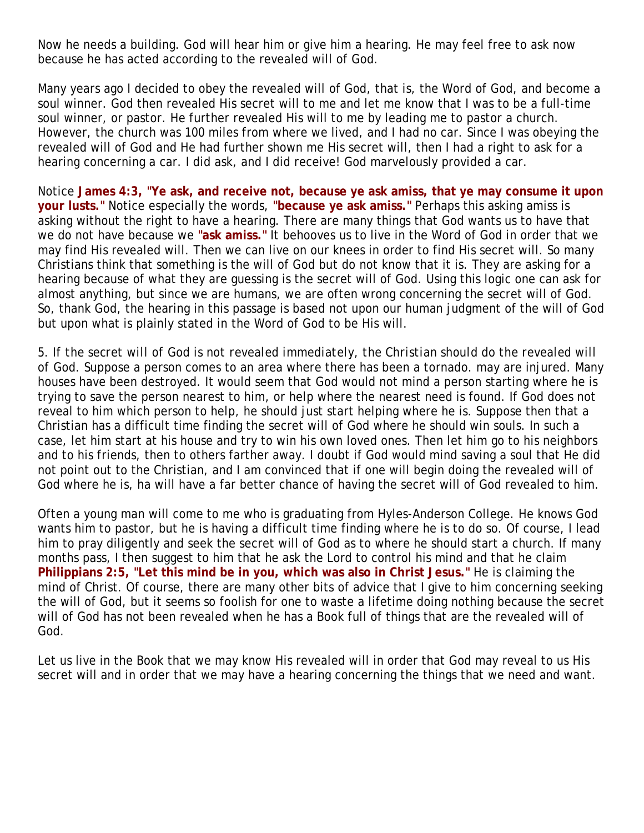Now he needs a building. God will hear him or give him a hearing. He may feel free to ask now because he has acted according to the revealed will of God.

Many years ago I decided to obey the revealed will of God, that is, the Word of God, and become a soul winner. God then revealed His secret will to me and let me know that I was to be a full-time soul winner, or pastor. He further revealed His will to me by leading me to pastor a church. However, the church was 100 miles from where we lived, and I had no car. Since I was obeying the revealed will of God and He had further shown me His secret will, then I had a right to ask for a hearing concerning a car. I did ask, and I did receive! God marvelously provided a car.

Notice **James 4:3, "Ye ask, and receive not, because ye ask amiss, that ye may consume it upon your lusts."** Notice especially the words, **"because ye ask amiss."** Perhaps this asking amiss is asking without the right to have a hearing. There are many things that God wants us to have that we do not have because we **"ask amiss."** It behooves us to live in the Word of God in order that we may find His revealed will. Then we can live on our knees in order to find His secret will. So many Christians think that something is the will of God but do not know that it is. They are asking for a hearing because of what they are guessing is the secret will of God. Using this logic one can ask for almost anything, but since we are humans, we are often wrong concerning the secret will of God. So, thank God, the hearing in this passage is based not upon our human judgment of the will of God but upon what is plainly stated in the Word of God to be His will.

5. *If the secret will of God is not revealed immediately, the Christian should do the revealed will of God.* Suppose a person comes to an area where there has been a tornado. may are injured. Many houses have been destroyed. It would seem that God would not mind a person starting where he is trying to save the person nearest to him, or help where the nearest need is found. If God does not reveal to him which person to help, he should just start helping where he is. Suppose then that a Christian has a difficult time finding the secret will of God where he should win souls. In such a case, let him start at his house and try to win his own loved ones. Then let him go to his neighbors and to his friends, then to others farther away. I doubt if God would mind saving a soul that He did not point out to the Christian, and I am convinced that if one will begin doing the revealed will of God where he is, ha will have a far better chance of having the secret will of God revealed to him.

Often a young man will come to me who is graduating from Hyles-Anderson College. He knows God wants him to pastor, but he is having a difficult time finding where he is to do so. Of course, I lead him to pray diligently and seek the secret will of God as to where he should start a church. If many months pass, I then suggest to him that he ask the Lord to control his mind and that he claim **Philippians 2:5, "Let this mind be in you, which was also in Christ Jesus."** He is claiming the mind of Christ. Of course, there are many other bits of advice that I give to him concerning seeking the will of God, but it seems so foolish for one to waste a lifetime doing nothing because the secret will of God has not been revealed when he has a Book full of things that are the revealed will of God.

Let us live in the Book that we may know His revealed will in order that God may reveal to us His secret will and in order that we may have a hearing concerning the things that we need and want.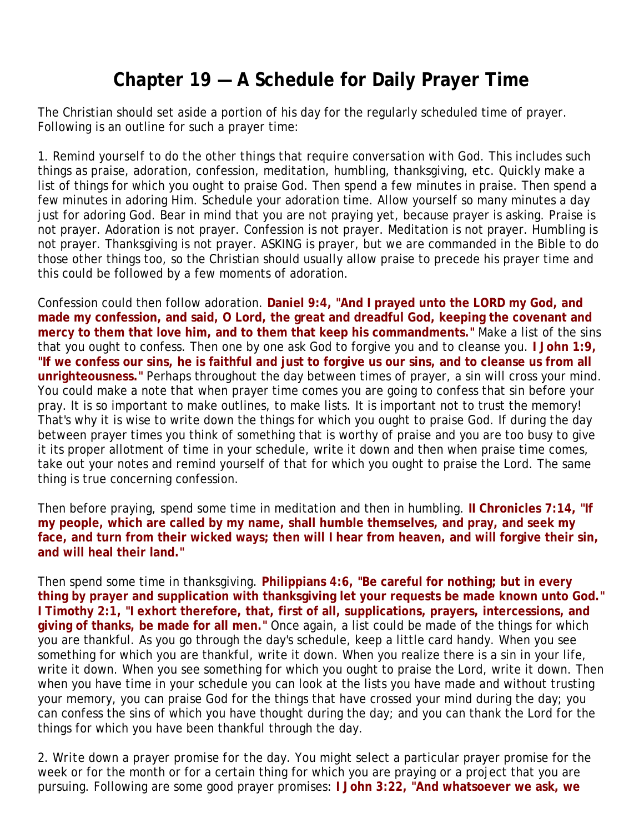# **Chapter 19 — A Schedule for Daily Prayer Time**

The Christian should set aside a portion of his day for the regularly scheduled time of prayer. Following is an outline for such a prayer time:

1. *Remind yourself to do the other things that require conversation with God.* This includes such things as praise, adoration, confession, meditation, humbling, thanksgiving, etc. Quickly make a list of things for which you ought to praise God. Then spend a few minutes in praise. Then spend a few minutes in adoring Him. Schedule your adoration time. Allow yourself so many minutes a day just for adoring God. Bear in mind that you are not praying yet, because prayer is asking. Praise is not prayer. Adoration is not prayer. Confession is not prayer. Meditation is not prayer. Humbling is not prayer. Thanksgiving is not prayer. ASKING is prayer, but we are commanded in the Bible to do those other things too, so the Christian should usually allow praise to precede his prayer time and this could be followed by a few moments of adoration.

Confession could then follow adoration. **Daniel 9:4, "And I prayed unto the LORD my God, and made my confession, and said, O Lord, the great and dreadful God, keeping the covenant and mercy to them that love him, and to them that keep his commandments."** Make a list of the sins that you ought to confess. Then one by one ask God to forgive you and to cleanse you. **I John 1:9, "If we confess our sins, he is faithful and just to forgive us our sins, and to cleanse us from all unrighteousness."** Perhaps throughout the day between times of prayer, a sin will cross your mind. You could make a note that when prayer time comes you are going to confess that sin before your pray. It is so important to make outlines, to make lists. It is important not to trust the memory! That's why it is wise to write down the things for which you ought to praise God. If during the day between prayer times you think of something that is worthy of praise and you are too busy to give it its proper allotment of time in your schedule, write it down and then when praise time comes, take out your notes and remind yourself of that for which you ought to praise the Lord. The same thing is true concerning confession.

Then before praying, spend some time in meditation and then in humbling. **II Chronicles 7:14, "If my people, which are called by my name, shall humble themselves, and pray, and seek my face, and turn from their wicked ways; then will I hear from heaven, and will forgive their sin, and will heal their land."** 

Then spend some time in thanksgiving. **Philippians 4:6, "Be careful for nothing; but in every thing by prayer and supplication with thanksgiving let your requests be made known unto God." I Timothy 2:1, "I exhort therefore, that, first of all, supplications, prayers, intercessions, and giving of thanks, be made for all men."** Once again, a list could be made of the things for which you are thankful. As you go through the day's schedule, keep a little card handy. When you see something for which you are thankful, write it down. When you realize there is a sin in your life, write it down. When you see something for which you ought to praise the Lord, write it down. Then when you have time in your schedule you can look at the lists you have made and without trusting your memory, you can praise God for the things that have crossed your mind during the day; you can confess the sins of which you have thought during the day; and you can thank the Lord for the things for which you have been thankful through the day.

2. *Write down a prayer promise for the day.* You might select a particular prayer promise for the week or for the month or for a certain thing for which you are praying or a project that you are pursuing. Following are some good prayer promises: **I John 3:22, "And whatsoever we ask, we**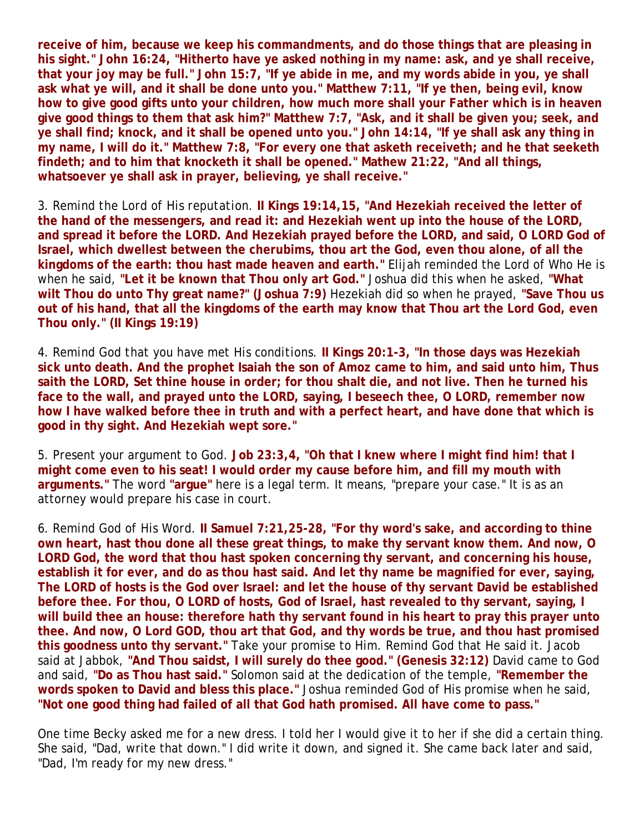**receive of him, because we keep his commandments, and do those things that are pleasing in his sight." John 16:24, "Hitherto have ye asked nothing in my name: ask, and ye shall receive, that your joy may be full." John 15:7, "If ye abide in me, and my words abide in you, ye shall ask what ye will, and it shall be done unto you." Matthew 7:11, "If ye then, being evil, know how to give good gifts unto your children, how much more shall your Father which is in heaven give good things to them that ask him?" Matthew 7:7, "Ask, and it shall be given you; seek, and ye shall find; knock, and it shall be opened unto you." John 14:14, "If ye shall ask any thing in my name, I will do it." Matthew 7:8, "For every one that asketh receiveth; and he that seeketh findeth; and to him that knocketh it shall be opened." Mathew 21:22, "And all things, whatsoever ye shall ask in prayer, believing, ye shall receive."**

3. *Remind the Lord of His reputation.* **II Kings 19:14,15, "And Hezekiah received the letter of the hand of the messengers, and read it: and Hezekiah went up into the house of the LORD, and spread it before the LORD. And Hezekiah prayed before the LORD, and said, O LORD God of Israel, which dwellest between the cherubims, thou art the God, even thou alone, of all the kingdoms of the earth: thou hast made heaven and earth."** Elijah reminded the Lord of Who He is when he said, **"Let it be known that Thou only art God."** Joshua did this when he asked, **"What wilt Thou do unto Thy great name?" (Joshua 7:9)** Hezekiah did so when he prayed, **"Save Thou us out of his hand, that all the kingdoms of the earth may know that Thou art the Lord God, even Thou only." (II Kings 19:19)**

4. *Remind God that you have met His conditions.* **II Kings 20:1-3, "In those days was Hezekiah sick unto death. And the prophet Isaiah the son of Amoz came to him, and said unto him, Thus saith the LORD, Set thine house in order; for thou shalt die, and not live. Then he turned his face to the wall, and prayed unto the LORD, saying, I beseech thee, O LORD, remember now how I have walked before thee in truth and with a perfect heart, and have done that which is good in thy sight. And Hezekiah wept sore."**

5. Present your argument to God. **Job 23:3,4, "Oh that I knew where I might find him! that I might come even to his seat! I would order my cause before him, and fill my mouth with arguments."** The word **"argue"** here is a legal term. It means, "prepare your case." It is as an attorney would prepare his case in court.

6. *Remind God of His Word.* **II Samuel 7:21,25-28, "For thy word's sake, and according to thine own heart, hast thou done all these great things, to make thy servant know them. And now, O LORD God, the word that thou hast spoken concerning thy servant, and concerning his house, establish it for ever, and do as thou hast said. And let thy name be magnified for ever, saying, The LORD of hosts is the God over Israel: and let the house of thy servant David be established before thee. For thou, O LORD of hosts, God of Israel, hast revealed to thy servant, saying, I will build thee an house: therefore hath thy servant found in his heart to pray this prayer unto thee. And now, O Lord GOD, thou art that God, and thy words be true, and thou hast promised this goodness unto thy servant."** Take your promise to Him. Remind God that He said it. Jacob said at Jabbok, **"And Thou saidst, I will surely do thee good." (Genesis 32:12)** David came to God and said, **"Do as Thou hast said."** Solomon said at the dedication of the temple, **"Remember the words spoken to David and bless this place."** Joshua reminded God of His promise when he said, **"Not one good thing had failed of all that God hath promised. All have come to pass."**

One time Becky asked me for a new dress. I told her I would give it to her if she did a certain thing. She said, "Dad, write that down." I did write it down, and signed it. She came back later and said, "Dad, I'm ready for my new dress."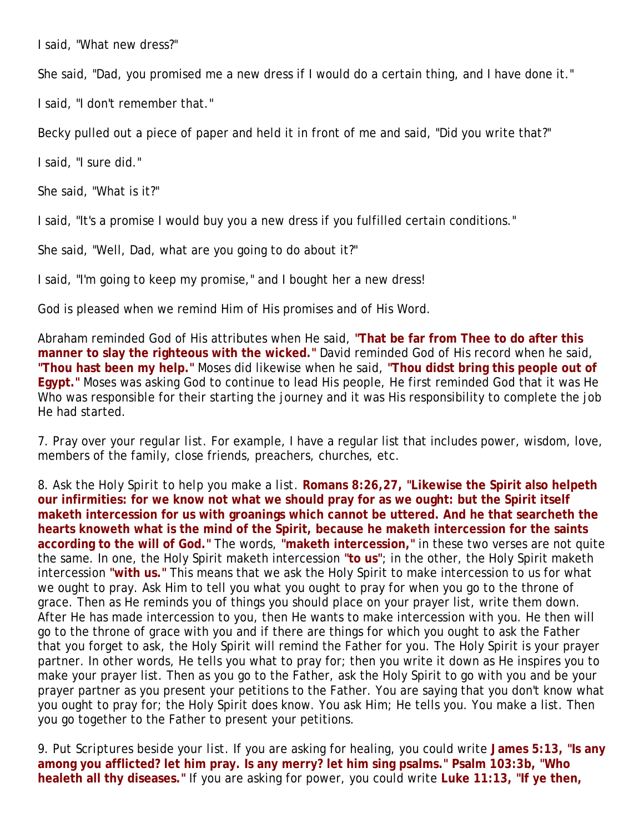I said, "What new dress?"

She said, "Dad, you promised me a new dress if I would do a certain thing, and I have done it."

I said, "I don't remember that."

Becky pulled out a piece of paper and held it in front of me and said, "Did you write that?"

I said, "I sure did."

She said, "What is it?"

I said, "It's a promise I would buy you a new dress if you fulfilled certain conditions."

She said, "Well, Dad, what are you going to do about it?"

I said, "I'm going to keep my promise," and I bought her a new dress!

God is pleased when we remind Him of His promises and of His Word.

Abraham reminded God of His attributes when He said, **"That be far from Thee to do after this manner to slay the righteous with the wicked."** David reminded God of His record when he said, **"Thou hast been my help."** Moses did likewise when he said, **"Thou didst bring this people out of Egypt."** Moses was asking God to continue to lead His people, He first reminded God that it was He Who was responsible for their starting the journey and it was His responsibility to complete the job He had started.

7. *Pray over your regular list.* For example, I have a regular list that includes power, wisdom, love, members of the family, close friends, preachers, churches, etc.

8. *Ask the Holy Spirit to help you make a list.* **Romans 8:26,27, "Likewise the Spirit also helpeth our infirmities: for we know not what we should pray for as we ought: but the Spirit itself maketh intercession for us with groanings which cannot be uttered. And he that searcheth the hearts knoweth what is the mind of the Spirit, because he maketh intercession for the saints according to the will of God."** The words, **"maketh intercession,"** in these two verses are not quite the same. In one, the Holy Spirit maketh intercession **"to us"**; in the other, the Holy Spirit maketh intercession **"with us."** This means that we ask the Holy Spirit to make intercession to us for what we ought to pray. Ask Him to tell you what you ought to pray for when you go to the throne of grace. Then as He reminds you of things you should place on your prayer list, write them down. After He has made intercession to you, then He wants to make intercession with you. He then will go to the throne of grace with you and if there are things for which you ought to ask the Father that you forget to ask, the Holy Spirit will remind the Father for you. The Holy Spirit is your prayer partner. In other words, He tells you what to pray for; then you write it down as He inspires you to make your prayer list. Then as you go to the Father, ask the Holy Spirit to go with you and be your prayer partner as you present your petitions to the Father. You are saying that you don't know what you ought to pray for; the Holy Spirit does know. You ask Him; He tells you. You make a list. Then you go together to the Father to present your petitions.

9. *Put Scriptures beside your list.* If you are asking for healing, you could write **James 5:13, "Is any among you afflicted? let him pray. Is any merry? let him sing psalms." Psalm 103:3b, "Who healeth all thy diseases."** If you are asking for power, you could write **Luke 11:13, "If ye then,**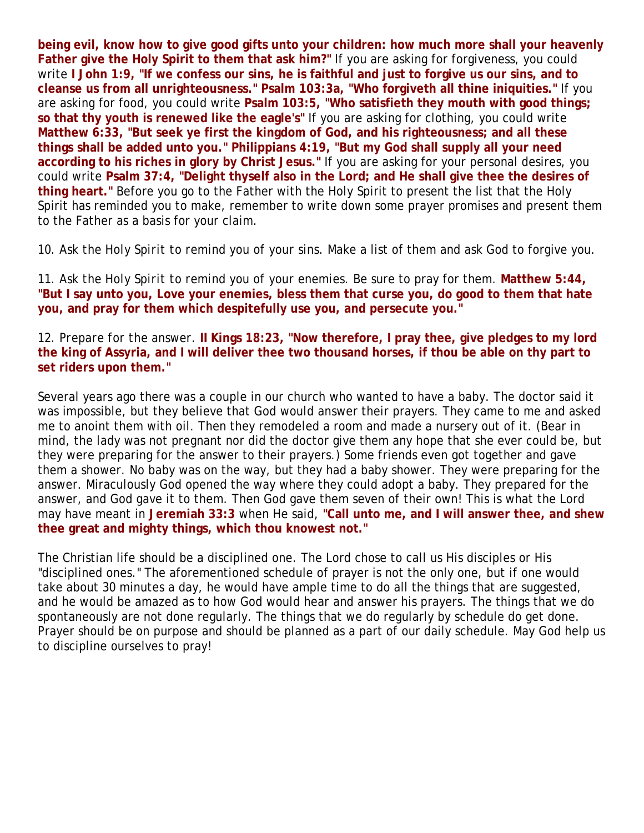**being evil, know how to give good gifts unto your children: how much more shall your heavenly Father give the Holy Spirit to them that ask him?"** If you are asking for forgiveness, you could write **I John 1:9, "If we confess our sins, he is faithful and just to forgive us our sins, and to cleanse us from all unrighteousness." Psalm 103:3a, "Who forgiveth all thine iniquities."** If you are asking for food, you could write **Psalm 103:5, "Who satisfieth they mouth with good things; so that thy youth is renewed like the eagle's"** If you are asking for clothing, you could write **Matthew 6:33, "But seek ye first the kingdom of God, and his righteousness; and all these things shall be added unto you." Philippians 4:19, "But my God shall supply all your need according to his riches in glory by Christ Jesus."** If you are asking for your personal desires, you could write **Psalm 37:4, "Delight thyself also in the Lord; and He shall give thee the desires of thing heart."** Before you go to the Father with the Holy Spirit to present the list that the Holy Spirit has reminded you to make, remember to write down some prayer promises and present them to the Father as a basis for your claim.

10. *Ask the Holy Spirit to remind you of your sins.* Make a list of them and ask God to forgive you.

11. *Ask the Holy Spirit to remind you of your enemies.* Be sure to pray for them. **Matthew 5:44, "But I say unto you, Love your enemies, bless them that curse you, do good to them that hate you, and pray for them which despitefully use you, and persecute you."**

12. *Prepare for the answer.* **II Kings 18:23, "Now therefore, I pray thee, give pledges to my lord the king of Assyria, and I will deliver thee two thousand horses, if thou be able on thy part to set riders upon them."**

Several years ago there was a couple in our church who wanted to have a baby. The doctor said it was impossible, but they believe that God would answer their prayers. They came to me and asked me to anoint them with oil. Then they remodeled a room and made a nursery out of it. (Bear in mind, the lady was not pregnant nor did the doctor give them any hope that she ever could be, but they were preparing for the answer to their prayers.) Some friends even got together and gave them a shower. No baby was on the way, but they had a baby shower. They were preparing for the answer. Miraculously God opened the way where they could adopt a baby. They prepared for the answer, and God gave it to them. Then God gave them seven of their own! This is what the Lord may have meant in **Jeremiah 33:3** when He said, **"Call unto me, and I will answer thee, and shew thee great and mighty things, which thou knowest not."**

The Christian life should be a disciplined one. The Lord chose to call us His disciples or His "disciplined ones." The aforementioned schedule of prayer is not the only one, but if one would take about 30 minutes a day, he would have ample time to do all the things that are suggested, and he would be amazed as to how God would hear and answer his prayers. The things that we do spontaneously are not done regularly. The things that we do regularly by schedule do get done. Prayer should be on purpose and should be planned as a part of our daily schedule. May God help us to discipline ourselves to pray!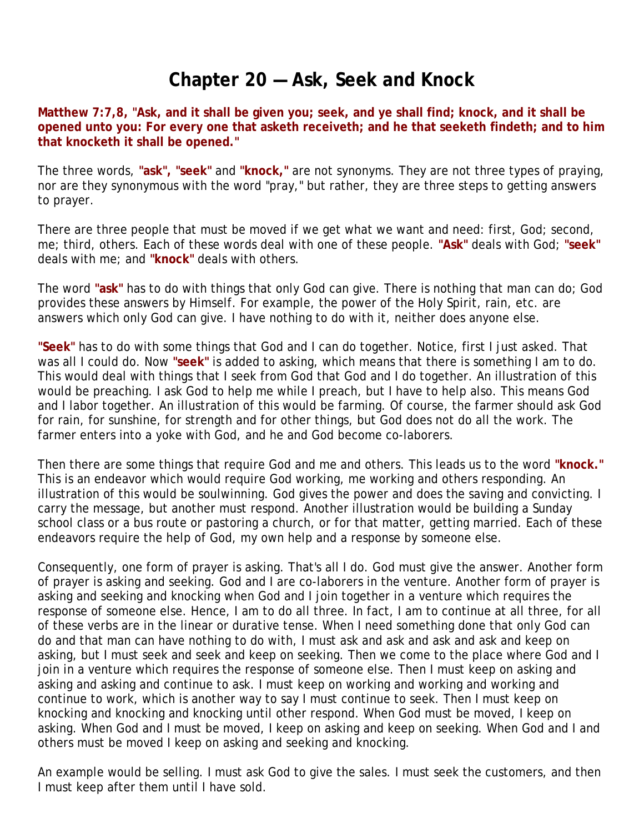## **Chapter 20 — Ask, Seek and Knock**

**Matthew 7:7,8, "Ask, and it shall be given you; seek, and ye shall find; knock, and it shall be opened unto you: For every one that asketh receiveth; and he that seeketh findeth; and to him that knocketh it shall be opened."**

The three words, **"ask", "seek"** and **"knock,"** are not synonyms. They are not three types of praying, nor are they synonymous with the word "pray," but rather, they are three steps to getting answers to prayer.

There are three people that must be moved if we get what we want and need: first, God; second, me; third, others. Each of these words deal with one of these people. **"Ask"** deals with God; **"seek"** deals with me; and **"knock"** deals with others.

The word **"ask"** has to do with things that only God can give. There is nothing that man can do; God provides these answers by Himself. For example, the power of the Holy Spirit, rain, etc. are answers which only God can give. I have nothing to do with it, neither does anyone else.

**"Seek"** has to do with some things that God and I can do together. Notice, first I just asked. That was all I could do. Now **"seek"** is added to asking, which means that there is something I am to do. This would deal with things that I seek from God that God and I do together. An illustration of this would be preaching. I ask God to help me while I preach, but I have to help also. This means God and I labor together. An illustration of this would be farming. Of course, the farmer should ask God for rain, for sunshine, for strength and for other things, but God does not do all the work. The farmer enters into a yoke with God, and he and God become co-laborers.

Then there are some things that require God and me and others. This leads us to the word **"knock."** This is an endeavor which would require God working, me working and others responding. An illustration of this would be soulwinning. God gives the power and does the saving and convicting. I carry the message, but another must respond. Another illustration would be building a Sunday school class or a bus route or pastoring a church, or for that matter, getting married. Each of these endeavors require the help of God, my own help and a response by someone else.

Consequently, one form of prayer is asking. That's all I do. God must give the answer. Another form of prayer is asking and seeking. God and I are co-laborers in the venture. Another form of prayer is asking and seeking and knocking when God and I join together in a venture which requires the response of someone else. Hence, I am to do all three. In fact, I am to continue at all three, for all of these verbs are in the linear or durative tense. When I need something done that only God can do and that man can have nothing to do with, I must ask and ask and ask and ask and keep on asking, but I must seek and seek and keep on seeking. Then we come to the place where God and I join in a venture which requires the response of someone else. Then I must keep on asking and asking and asking and continue to ask. I must keep on working and working and working and continue to work, which is another way to say I must continue to seek. Then I must keep on knocking and knocking and knocking until other respond. When God must be moved, I keep on asking. When God and I must be moved, I keep on asking and keep on seeking. When God and I and others must be moved I keep on asking and seeking and knocking.

An example would be selling. I must ask God to give the sales. I must seek the customers, and then I must keep after them until I have sold.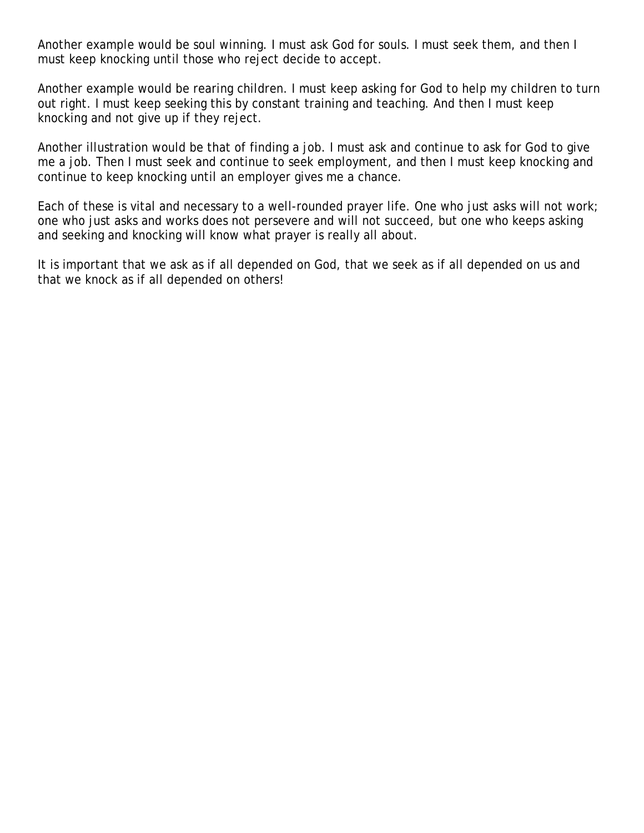Another example would be soul winning. I must ask God for souls. I must seek them, and then I must keep knocking until those who reject decide to accept.

Another example would be rearing children. I must keep asking for God to help my children to turn out right. I must keep seeking this by constant training and teaching. And then I must keep knocking and not give up if they reject.

Another illustration would be that of finding a job. I must ask and continue to ask for God to give me a job. Then I must seek and continue to seek employment, and then I must keep knocking and continue to keep knocking until an employer gives me a chance.

Each of these is vital and necessary to a well-rounded prayer life. One who just asks will not work; one who just asks and works does not persevere and will not succeed, but one who keeps asking and seeking and knocking will know what prayer is really all about.

It is important that we ask as if all depended on God, that we seek as if all depended on us and that we knock as if all depended on others!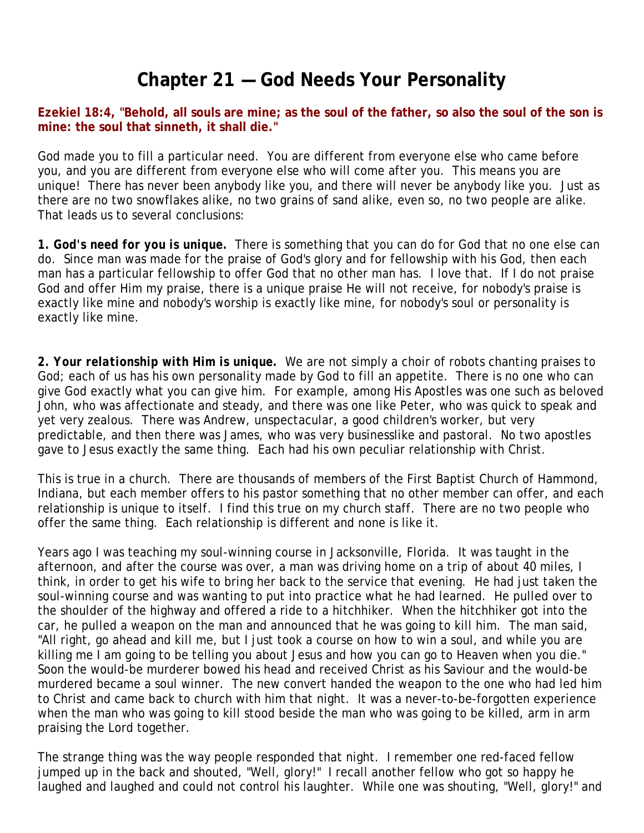# **Chapter 21 — God Needs Your Personality**

**Ezekiel 18:4, "Behold, all souls are mine; as the soul of the father, so also the soul of the son is mine: the soul that sinneth, it shall die."**

God made you to fill a particular need. You are different from everyone else who came before you, and you are different from everyone else who will come after you. This means you are unique! There has never been anybody like you, and there will never be anybody like you. Just as there are no two snowflakes alike, no two grains of sand alike, even so, no two people are alike. That leads us to several conclusions:

*1. God's need for you is unique.* There is something that you can do for God that no one else can do. Since man was made for the praise of God's glory and for fellowship with his God, then each man has a particular fellowship to offer God that no other man has. I love that. If I do not praise God and offer Him my praise, there is a unique praise He will not receive, for nobody's praise is exactly like mine and nobody's worship is exactly like mine, for nobody's soul or personality is exactly like mine.

*2. Your relationship with Him is unique.* We are not simply a choir of robots chanting praises to God; each of us has his own personality made by God to fill an appetite. There is no one who can give God exactly what you can give him. For example, among His Apostles was one such as beloved John, who was affectionate and steady, and there was one like Peter, who was quick to speak and yet very zealous. There was Andrew, unspectacular, a good children's worker, but very predictable, and then there was James, who was very businesslike and pastoral. No two apostles gave to Jesus exactly the same thing. Each had his own peculiar relationship with Christ.

This is true in a church. There are thousands of members of the First Baptist Church of Hammond, Indiana, but each member offers to his pastor something that no other member can offer, and each relationship is unique to itself. I find this true on my church staff. There are no two people who offer the same thing. Each relationship is different and none is like it.

Years ago I was teaching my soul-winning course in Jacksonville, Florida. It was taught in the afternoon, and after the course was over, a man was driving home on a trip of about 40 miles, I think, in order to get his wife to bring her back to the service that evening. He had just taken the soul-winning course and was wanting to put into practice what he had learned. He pulled over to the shoulder of the highway and offered a ride to a hitchhiker. When the hitchhiker got into the car, he pulled a weapon on the man and announced that he was going to kill him. The man said, "All right, go ahead and kill me, but I just took a course on how to win a soul, and while you are killing me I am going to be telling you about Jesus and how you can go to Heaven when you die." Soon the would-be murderer bowed his head and received Christ as his Saviour and the would-be murdered became a soul winner. The new convert handed the weapon to the one who had led him to Christ and came back to church with him that night. It was a never-to-be-forgotten experience when the man who was going to kill stood beside the man who was going to be killed, arm in arm praising the Lord together.

The strange thing was the way people responded that night. I remember one red-faced fellow jumped up in the back and shouted, "Well, glory!" I recall another fellow who got so happy he laughed and laughed and could not control his laughter. While one was shouting, "Well, glory!" and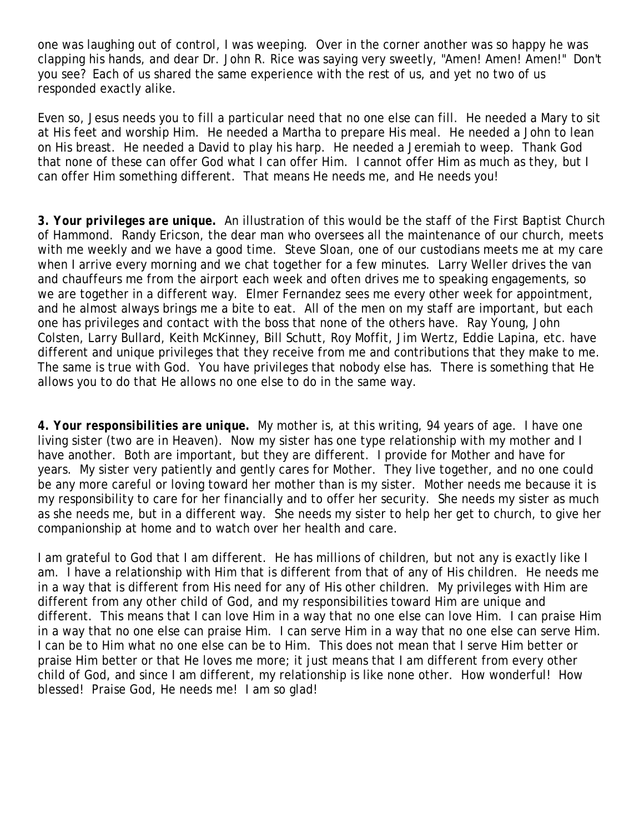one was laughing out of control, I was weeping. Over in the corner another was so happy he was clapping his hands, and dear Dr. John R. Rice was saying very sweetly, "Amen! Amen! Amen!" Don't you see? Each of us shared the same experience with the rest of us, and yet no two of us responded exactly alike.

Even so, Jesus needs you to fill a particular need that no one else can fill. He needed a Mary to sit at His feet and worship Him. He needed a Martha to prepare His meal. He needed a John to lean on His breast. He needed a David to play his harp. He needed a Jeremiah to weep. Thank God that none of these can offer God what I can offer Him. I cannot offer Him as much as they, but I can offer Him something different. That means He needs me, and He needs you!

*3. Your privileges are unique.* An illustration of this would be the staff of the First Baptist Church of Hammond. Randy Ericson, the dear man who oversees all the maintenance of our church, meets with me weekly and we have a good time. Steve Sloan, one of our custodians meets me at my care when I arrive every morning and we chat together for a few minutes. Larry Weller drives the van and chauffeurs me from the airport each week and often drives me to speaking engagements, so we are together in a different way. Elmer Fernandez sees me every other week for appointment, and he almost always brings me a bite to eat. All of the men on my staff are important, but each one has privileges and contact with the boss that none of the others have. Ray Young, John Colsten, Larry Bullard, Keith McKinney, Bill Schutt, Roy Moffit, Jim Wertz, Eddie Lapina, etc. have different and unique privileges that they receive from me and contributions that they make to me. The same is true with God. You have privileges that nobody else has. There is something that He allows you to do that He allows no one else to do in the same way.

*4. Your responsibilities are unique.* My mother is, at this writing, 94 years of age. I have one living sister (two are in Heaven). Now my sister has one type relationship with my mother and I have another. Both are important, but they are different. I provide for Mother and have for years. My sister very patiently and gently cares for Mother. They live together, and no one could be any more careful or loving toward her mother than is my sister. Mother needs me because it is my responsibility to care for her financially and to offer her security. She needs my sister as much as she needs me, but in a different way. She needs my sister to help her get to church, to give her companionship at home and to watch over her health and care.

I am grateful to God that I am different. He has millions of children, but not any is exactly like I am. I have a relationship with Him that is different from that of any of His children. He needs me in a way that is different from His need for any of His other children. My privileges with Him are different from any other child of God, and my responsibilities toward Him are unique and different. This means that I can love Him in a way that no one else can love Him. I can praise Him in a way that no one else can praise Him. I can serve Him in a way that no one else can serve Him. I can be to Him what no one else can be to Him. This does not mean that I serve Him better or praise Him better or that He loves me more; it just means that I am different from every other child of God, and since I am different, my relationship is like none other. How wonderful! How blessed! Praise God, He needs me! I am so glad!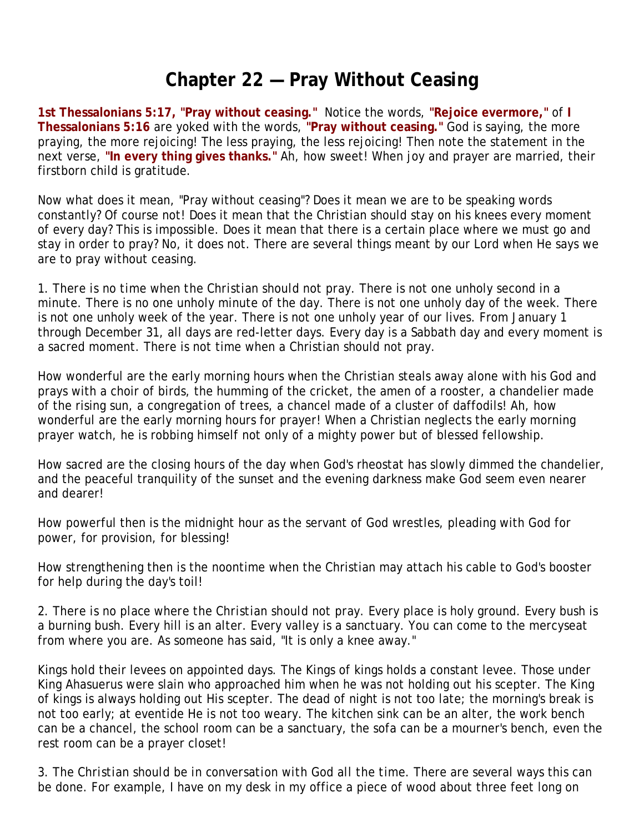## **Chapter 22 — Pray Without Ceasing**

**1st Thessalonians 5:17, "Pray without ceasing."** Notice the words, **"Rejoice evermore,"** of **I Thessalonians 5:16** are yoked with the words, **"Pray without ceasing."** God is saying, the more praying, the more rejoicing! The less praying, the less rejoicing! Then note the statement in the next verse, **"In every thing gives thanks."** Ah, how sweet! When joy and prayer are married, their firstborn child is gratitude.

Now what does it mean, "Pray without ceasing"? Does it mean we are to be speaking words constantly? Of course not! Does it mean that the Christian should stay on his knees every moment of every day? This is impossible. Does it mean that there is a certain place where we must go and stay in order to pray? No, it does not. There are several things meant by our Lord when He says we are to pray without ceasing.

1. *There is no time when the Christian should not pray.* There is not one unholy second in a minute. There is no one unholy minute of the day. There is not one unholy day of the week. There is not one unholy week of the year. There is not one unholy year of our lives. From January 1 through December 31, all days are red-letter days. Every day is a Sabbath day and every moment is a sacred moment. There is not time when a Christian should not pray.

How wonderful are the early morning hours when the Christian steals away alone with his God and prays with a choir of birds, the humming of the cricket, the amen of a rooster, a chandelier made of the rising sun, a congregation of trees, a chancel made of a cluster of daffodils! Ah, how wonderful are the early morning hours for prayer! When a Christian neglects the early morning prayer watch, he is robbing himself not only of a mighty power but of blessed fellowship.

How sacred are the closing hours of the day when God's rheostat has slowly dimmed the chandelier, and the peaceful tranquility of the sunset and the evening darkness make God seem even nearer and dearer!

How powerful then is the midnight hour as the servant of God wrestles, pleading with God for power, for provision, for blessing!

How strengthening then is the noontime when the Christian may attach his cable to God's booster for help during the day's toil!

2. *There is no place where the Christian should not pray.* Every place is holy ground. Every bush is a burning bush. Every hill is an alter. Every valley is a sanctuary. You can come to the mercyseat from where you are. As someone has said, "It is only a knee away."

Kings hold their levees on appointed days. The Kings of kings holds a constant levee. Those under King Ahasuerus were slain who approached him when he was not holding out his scepter. The King of kings is always holding out His scepter. The dead of night is not too late; the morning's break is not too early; at eventide He is not too weary. The kitchen sink can be an alter, the work bench can be a chancel, the school room can be a sanctuary, the sofa can be a mourner's bench, even the rest room can be a prayer closet!

3. *The Christian should be in conversation with God all the time.* There are several ways this can be done. For example, I have on my desk in my office a piece of wood about three feet long on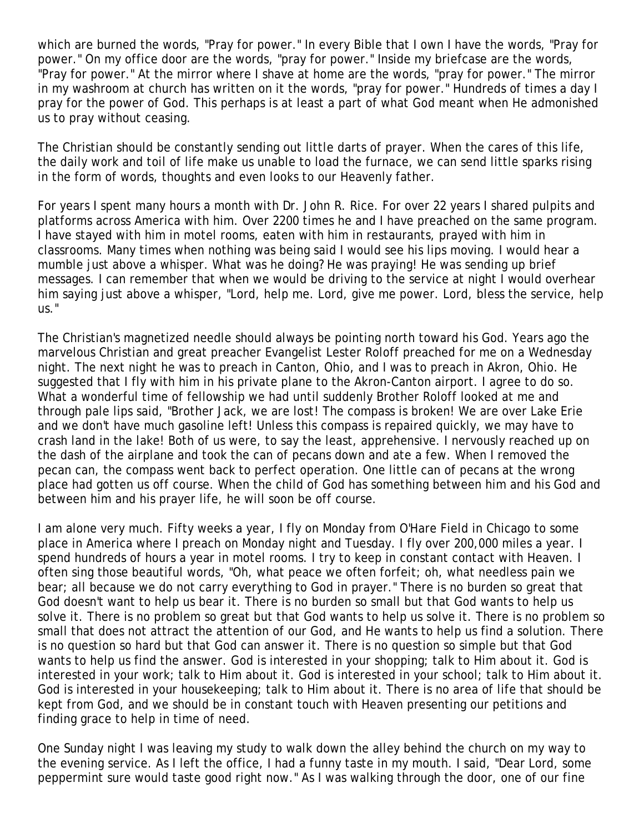which are burned the words, "Pray for power." In every Bible that I own I have the words, "Pray for power." On my office door are the words, "pray for power." Inside my briefcase are the words, "Pray for power." At the mirror where I shave at home are the words, "pray for power." The mirror in my washroom at church has written on it the words, "pray for power." Hundreds of times a day I pray for the power of God. This perhaps is at least a part of what God meant when He admonished us to pray without ceasing.

The Christian should be constantly sending out little darts of prayer. When the cares of this life, the daily work and toil of life make us unable to load the furnace, we can send little sparks rising in the form of words, thoughts and even looks to our Heavenly father.

For years I spent many hours a month with Dr. John R. Rice. For over 22 years I shared pulpits and platforms across America with him. Over 2200 times he and I have preached on the same program. I have stayed with him in motel rooms, eaten with him in restaurants, prayed with him in classrooms. Many times when nothing was being said I would see his lips moving. I would hear a mumble just above a whisper. What was he doing? He was praying! He was sending up brief messages. I can remember that when we would be driving to the service at night I would overhear him saying just above a whisper, "Lord, help me. Lord, give me power. Lord, bless the service, help us."

The Christian's magnetized needle should always be pointing north toward his God. Years ago the marvelous Christian and great preacher Evangelist Lester Roloff preached for me on a Wednesday night. The next night he was to preach in Canton, Ohio, and I was to preach in Akron, Ohio. He suggested that I fly with him in his private plane to the Akron-Canton airport. I agree to do so. What a wonderful time of fellowship we had until suddenly Brother Roloff looked at me and through pale lips said, "Brother Jack, we are lost! The compass is broken! We are over Lake Erie and we don't have much gasoline left! Unless this compass is repaired quickly, we may have to crash land in the lake! Both of us were, to say the least, apprehensive. I nervously reached up on the dash of the airplane and took the can of pecans down and ate a few. When I removed the pecan can, the compass went back to perfect operation. One little can of pecans at the wrong place had gotten us off course. When the child of God has something between him and his God and between him and his prayer life, he will soon be off course.

I am alone very much. Fifty weeks a year, I fly on Monday from O'Hare Field in Chicago to some place in America where I preach on Monday night and Tuesday. I fly over 200,000 miles a year. I spend hundreds of hours a year in motel rooms. I try to keep in constant contact with Heaven. I often sing those beautiful words, "Oh, what peace we often forfeit; oh, what needless pain we bear; all because we do not carry everything to God in prayer." There is no burden so great that God doesn't want to help us bear it. There is no burden so small but that God wants to help us solve it. There is no problem so great but that God wants to help us solve it. There is no problem so small that does not attract the attention of our God, and He wants to help us find a solution. There is no question so hard but that God can answer it. There is no question so simple but that God wants to help us find the answer. God is interested in your shopping; talk to Him about it. God is interested in your work; talk to Him about it. God is interested in your school; talk to Him about it. God is interested in your housekeeping; talk to Him about it. There is no area of life that should be kept from God, and we should be in constant touch with Heaven presenting our petitions and finding grace to help in time of need.

One Sunday night I was leaving my study to walk down the alley behind the church on my way to the evening service. As I left the office, I had a funny taste in my mouth. I said, "Dear Lord, some peppermint sure would taste good right now." As I was walking through the door, one of our fine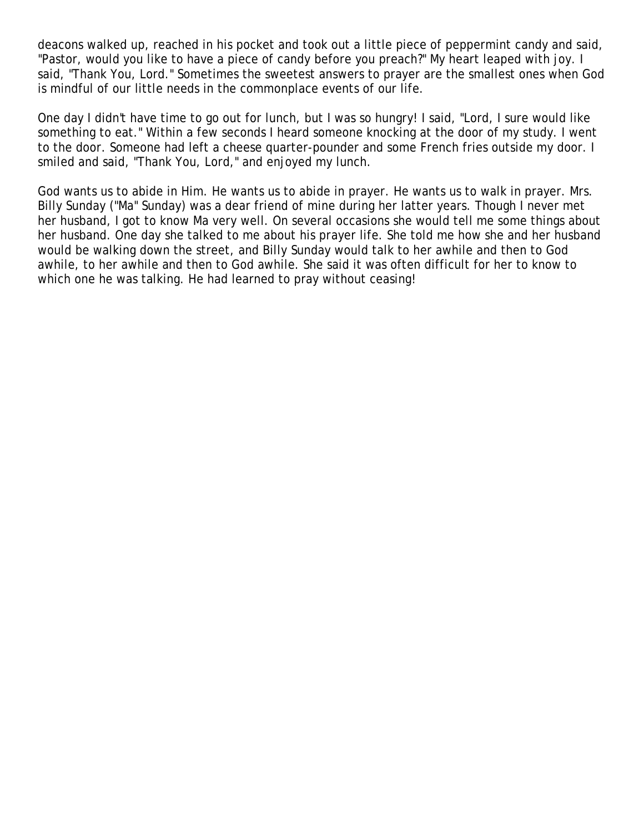deacons walked up, reached in his pocket and took out a little piece of peppermint candy and said, "Pastor, would you like to have a piece of candy before you preach?" My heart leaped with joy. I said, "Thank You, Lord." Sometimes the sweetest answers to prayer are the smallest ones when God is mindful of our little needs in the commonplace events of our life.

One day I didn't have time to go out for lunch, but I was so hungry! I said, "Lord, I sure would like something to eat." Within a few seconds I heard someone knocking at the door of my study. I went to the door. Someone had left a cheese quarter-pounder and some French fries outside my door. I smiled and said, "Thank You, Lord," and enjoyed my lunch.

God wants us to abide in Him. He wants us to abide in prayer. He wants us to walk in prayer. Mrs. Billy Sunday ("Ma" Sunday) was a dear friend of mine during her latter years. Though I never met her husband, I got to know Ma very well. On several occasions she would tell me some things about her husband. One day she talked to me about his prayer life. She told me how she and her husband would be walking down the street, and Billy Sunday would talk to her awhile and then to God awhile, to her awhile and then to God awhile. She said it was often difficult for her to know to which one he was talking. He had learned to pray without ceasing!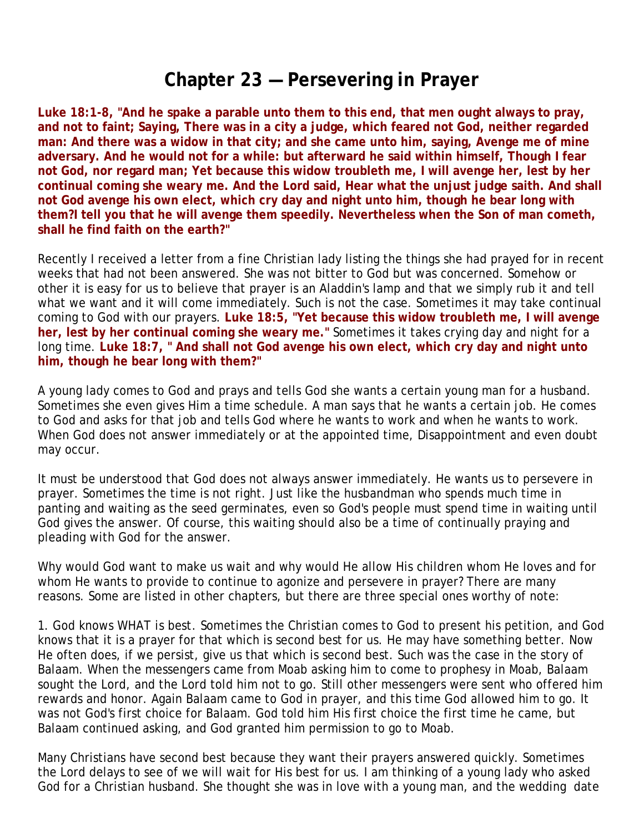#### **Chapter 23 — Persevering in Prayer**

**Luke 18:1-8, "And he spake a parable unto them to this end, that men ought always to pray, and not to faint; Saying, There was in a city a judge, which feared not God, neither regarded man: And there was a widow in that city; and she came unto him, saying, Avenge me of mine adversary. And he would not for a while: but afterward he said within himself, Though I fear not God, nor regard man; Yet because this widow troubleth me, I will avenge her, lest by her continual coming she weary me. And the Lord said, Hear what the unjust judge saith. And shall not God avenge his own elect, which cry day and night unto him, though he bear long with them?I tell you that he will avenge them speedily. Nevertheless when the Son of man cometh, shall he find faith on the earth?"**

Recently I received a letter from a fine Christian lady listing the things she had prayed for in recent weeks that had not been answered. She was not bitter to God but was concerned. Somehow or other it is easy for us to believe that prayer is an Aladdin's lamp and that we simply rub it and tell what we want and it will come immediately. Such is not the case. Sometimes it may take continual coming to God with our prayers. **Luke 18:5, "Yet because this widow troubleth me, I will avenge her, lest by her continual coming she weary me."** Sometimes it takes crying day and night for a long time. **Luke 18:7, " And shall not God avenge his own elect, which cry day and night unto him, though he bear long with them?"**

A young lady comes to God and prays and tells God she wants a certain young man for a husband. Sometimes she even gives Him a time schedule. A man says that he wants a certain job. He comes to God and asks for that job and tells God where he wants to work and when he wants to work. When God does not answer immediately or at the appointed time, Disappointment and even doubt may occur.

It must be understood that God does not always answer immediately. He wants us to persevere in prayer. Sometimes the time is not right. Just like the husbandman who spends much time in panting and waiting as the seed germinates, even so God's people must spend time in waiting until God gives the answer. Of course, this waiting should also be a time of continually praying and pleading with God for the answer.

Why would God want to make us wait and why would He allow His children whom He loves and for whom He wants to provide to continue to agonize and persevere in prayer? There are many reasons. Some are listed in other chapters, but there are three special ones worthy of note:

1. *God knows WHAT is best.* Sometimes the Christian comes to God to present his petition, and God knows that it is a prayer for that which is second best for us. He may have something better. Now He often does, if we persist, give us that which is second best. Such was the case in the story of Balaam. When the messengers came from Moab asking him to come to prophesy in Moab, Balaam sought the Lord, and the Lord told him not to go. Still other messengers were sent who offered him rewards and honor. Again Balaam came to God in prayer, and this time God allowed him to go. It was not God's first choice for Balaam. God told him His first choice the first time he came, but Balaam continued asking, and God granted him permission to go to Moab.

Many Christians have second best because they want their prayers answered quickly. Sometimes the Lord delays to see of we will wait for His best for us. I am thinking of a young lady who asked God for a Christian husband. She thought she was in love with a young man, and the wedding date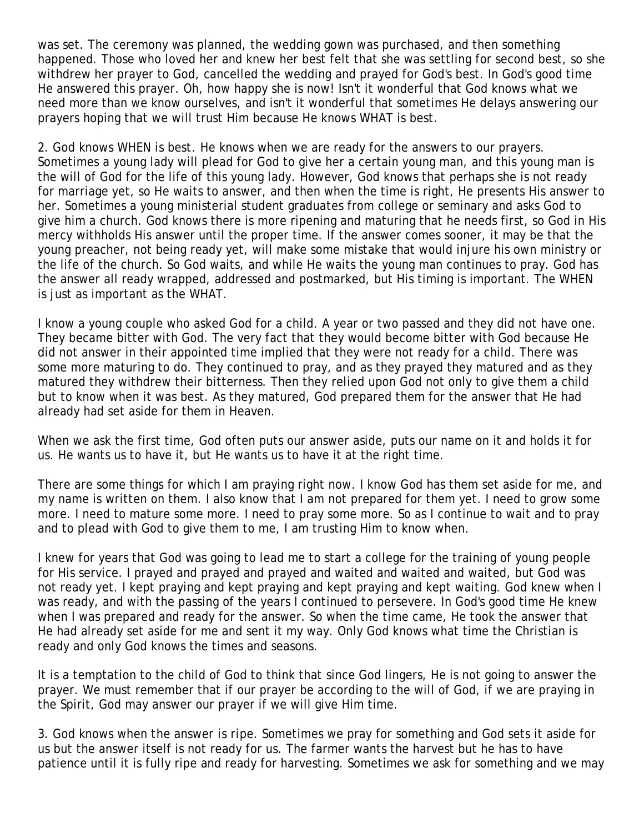was set. The ceremony was planned, the wedding gown was purchased, and then something happened. Those who loved her and knew her best felt that she was settling for second best, so she withdrew her prayer to God, cancelled the wedding and prayed for God's best. In God's good time He answered this prayer. Oh, how happy she is now! Isn't it wonderful that God knows what we need more than we know ourselves, and isn't it wonderful that sometimes He delays answering our prayers hoping that we will trust Him because He knows WHAT is best.

2. *God knows WHEN is best.* He knows when we are ready for the answers to our prayers. Sometimes a young lady will plead for God to give her a certain young man, and this young man is the will of God for the life of this young lady. However, God knows that perhaps she is not ready for marriage yet, so He waits to answer, and then when the time is right, He presents His answer to her. Sometimes a young ministerial student graduates from college or seminary and asks God to give him a church. God knows there is more ripening and maturing that he needs first, so God in His mercy withholds His answer until the proper time. If the answer comes sooner, it may be that the young preacher, not being ready yet, will make some mistake that would injure his own ministry or the life of the church. So God waits, and while He waits the young man continues to pray. God has the answer all ready wrapped, addressed and postmarked, but His timing is important. The WHEN is just as important as the WHAT.

I know a young couple who asked God for a child. A year or two passed and they did not have one. They became bitter with God. The very fact that they would become bitter with God because He did not answer in their appointed time implied that they were not ready for a child. There was some more maturing to do. They continued to pray, and as they prayed they matured and as they matured they withdrew their bitterness. Then they relied upon God not only to give them a child but to know when it was best. As they matured, God prepared them for the answer that He had already had set aside for them in Heaven.

When we ask the first time, God often puts our answer aside, puts our name on it and holds it for us. He wants us to have it, but He wants us to have it at the right time.

There are some things for which I am praying right now. I know God has them set aside for me, and my name is written on them. I also know that I am not prepared for them yet. I need to grow some more. I need to mature some more. I need to pray some more. So as I continue to wait and to pray and to plead with God to give them to me, I am trusting Him to know when.

I knew for years that God was going to lead me to start a college for the training of young people for His service. I prayed and prayed and prayed and waited and waited and waited, but God was not ready yet. I kept praying and kept praying and kept praying and kept waiting. God knew when I was ready, and with the passing of the years I continued to persevere. In God's good time He knew when I was prepared and ready for the answer. So when the time came, He took the answer that He had already set aside for me and sent it my way. Only God knows what time the Christian is ready and only God knows the times and seasons.

It is a temptation to the child of God to think that since God lingers, He is not going to answer the prayer. We must remember that if our prayer be according to the will of God, if we are praying in the Spirit, God may answer our prayer if we will give Him time.

3. *God knows when the answer is ripe.* Sometimes we pray for something and God sets it aside for us but the answer itself is not ready for us. The farmer wants the harvest but he has to have patience until it is fully ripe and ready for harvesting. Sometimes we ask for something and we may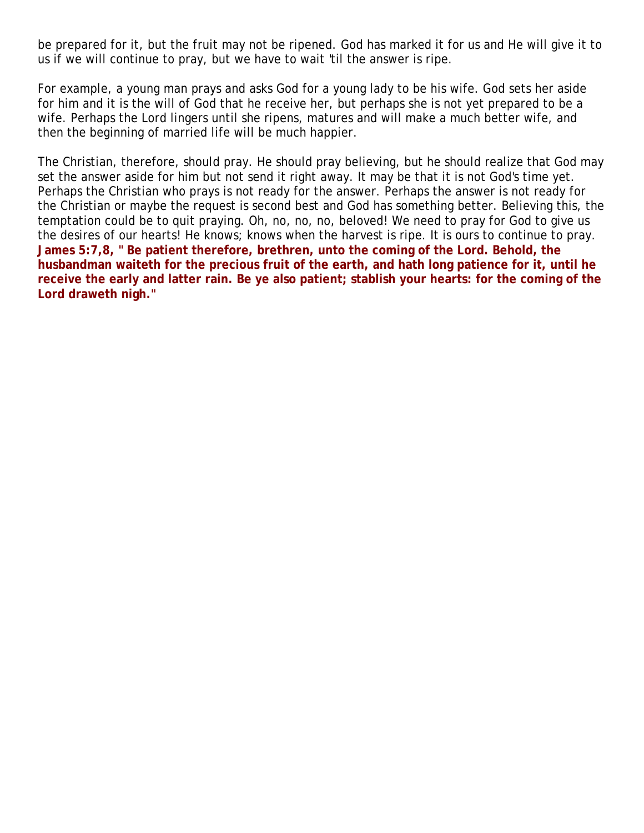be prepared for it, but the fruit may not be ripened. God has marked it for us and He will give it to us if we will continue to pray, but we have to wait 'til the answer is ripe.

For example, a young man prays and asks God for a young lady to be his wife. God sets her aside for him and it is the will of God that he receive her, but perhaps she is not yet prepared to be a wife. Perhaps the Lord lingers until she ripens, matures and will make a much better wife, and then the beginning of married life will be much happier.

The Christian, therefore, should pray. He should pray believing, but he should realize that God may set the answer aside for him but not send it right away. It may be that it is not God's time yet. Perhaps the Christian who prays is not ready for the answer. Perhaps the answer is not ready for the Christian or maybe the request is second best and God has something better. Believing this, the temptation could be to quit praying. Oh, no, no, no, beloved! We need to pray for God to give us the desires of our hearts! He knows; knows when the harvest is ripe. It is ours to continue to pray. **James 5:7,8, " Be patient therefore, brethren, unto the coming of the Lord. Behold, the husbandman waiteth for the precious fruit of the earth, and hath long patience for it, until he receive the early and latter rain. Be ye also patient; stablish your hearts: for the coming of the Lord draweth nigh."**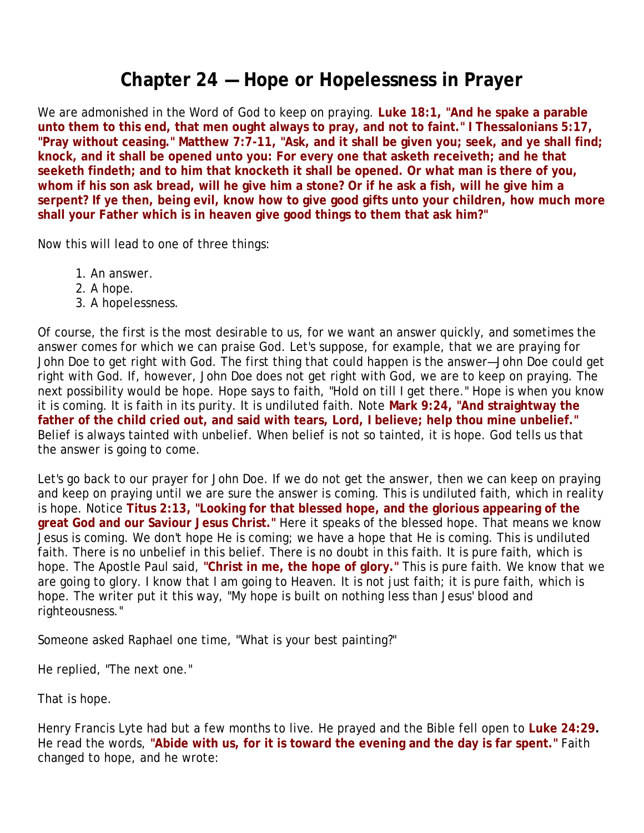## **Chapter 24 — Hope or Hopelessness in Prayer**

We are admonished in the Word of God to keep on praying. **Luke 18:1, "And he spake a parable unto them to this end, that men ought always to pray, and not to faint." I Thessalonians 5:17, "Pray without ceasing." Matthew 7:7-11, "Ask, and it shall be given you; seek, and ye shall find; knock, and it shall be opened unto you: For every one that asketh receiveth; and he that seeketh findeth; and to him that knocketh it shall be opened. Or what man is there of you, whom if his son ask bread, will he give him a stone? Or if he ask a fish, will he give him a serpent? If ye then, being evil, know how to give good gifts unto your children, how much more shall your Father which is in heaven give good things to them that ask him?"**

Now this will lead to one of three things:

- 1. *An answer.*
- 2. *A hope.*
- 3. *A hopelessness.*

Of course, the first is the most desirable to us, for we want an answer quickly, and sometimes the answer comes for which we can praise God. Let's suppose, for example, that we are praying for John Doe to get right with God. The first thing that could happen is the answer—John Doe could get right with God. If, however, John Doe does not get right with God, we are to keep on praying. The next possibility would be hope. Hope says to faith, "Hold on till I get there." Hope is when you know it is coming. It is faith in its purity. It is undiluted faith. Note **Mark 9:24, "And straightway the father of the child cried out, and said with tears, Lord, I believe; help thou mine unbelief."** Belief is always tainted with unbelief. When belief is not so tainted, it is hope. God tells us that the answer is going to come.

Let's go back to our prayer for John Doe. If we do not get the answer, then we can keep on praying and keep on praying until we are sure the answer is coming. This is undiluted faith, which in reality is hope. Notice **Titus 2:13, "Looking for that blessed hope, and the glorious appearing of the great God and our Saviour Jesus Christ."** Here it speaks of the blessed hope. That means we know Jesus is coming. We don't hope He is coming; we have a hope that He is coming. This is undiluted faith. There is no unbelief in this belief. There is no doubt in this faith. It is pure faith, which is hope. The Apostle Paul said, **"Christ in me, the hope of glory."** This is pure faith. We know that we are going to glory. I know that I am going to Heaven. It is not just faith; it is pure faith, which is hope. The writer put it this way, "My hope is built on nothing less than Jesus' blood and righteousness."

Someone asked Raphael one time, "What is your best painting?"

He replied, "The next one."

That is hope.

Henry Francis Lyte had but a few months to live. He prayed and the Bible fell open to **Luke 24:29.** He read the words, **"Abide with us, for it is toward the evening and the day is far spent."** Faith changed to hope, and he wrote: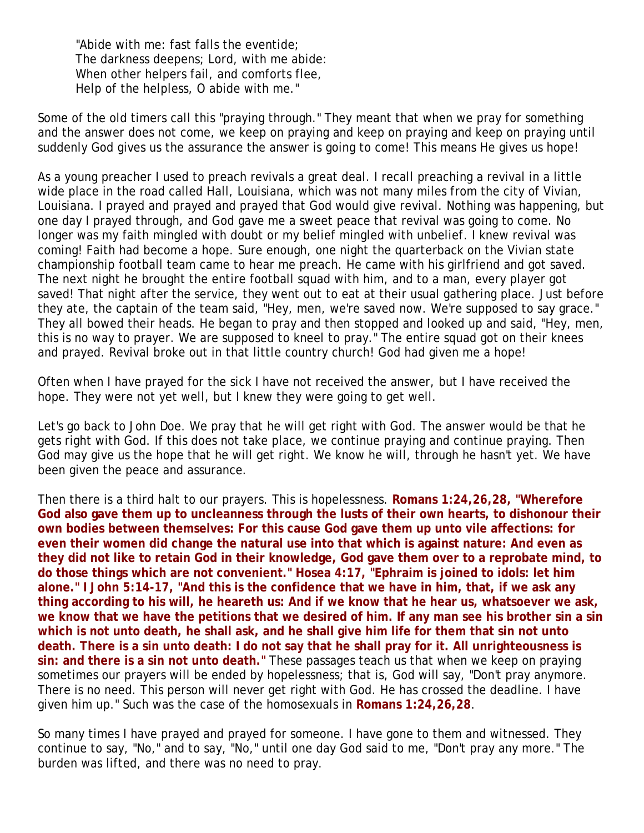"Abide with me: fast falls the eventide; The darkness deepens; Lord, with me abide: When other helpers fail, and comforts flee, Help of the helpless, O abide with me."

Some of the old timers call this "praying through." They meant that when we pray for something and the answer does not come, we keep on praying and keep on praying and keep on praying until suddenly God gives us the assurance the answer is going to come! This means He gives us hope!

As a young preacher I used to preach revivals a great deal. I recall preaching a revival in a little wide place in the road called Hall, Louisiana, which was not many miles from the city of Vivian, Louisiana. I prayed and prayed and prayed that God would give revival. Nothing was happening, but one day I prayed through, and God gave me a sweet peace that revival was going to come. No longer was my faith mingled with doubt or my belief mingled with unbelief. I knew revival was coming! Faith had become a hope. Sure enough, one night the quarterback on the Vivian state championship football team came to hear me preach. He came with his girlfriend and got saved. The next night he brought the entire football squad with him, and to a man, every player got saved! That night after the service, they went out to eat at their usual gathering place. Just before they ate, the captain of the team said, "Hey, men, we're saved now. We're supposed to say grace." They all bowed their heads. He began to pray and then stopped and looked up and said, "Hey, men, this is no way to prayer. We are supposed to kneel to pray." The entire squad got on their knees and prayed. Revival broke out in that little country church! God had given me a hope!

Often when I have prayed for the sick I have not received the answer, but I have received the hope. They were not yet well, but I knew they were going to get well.

Let's go back to John Doe. We pray that he will get right with God. The answer would be that he gets right with God. If this does not take place, we continue praying and continue praying. Then God may give us the hope that he will get right. We know he will, through he hasn't yet. We have been given the peace and assurance.

Then there is a third halt to our prayers. This is hopelessness. **Romans 1:24,26,28, "Wherefore God also gave them up to uncleanness through the lusts of their own hearts, to dishonour their own bodies between themselves: For this cause God gave them up unto vile affections: for even their women did change the natural use into that which is against nature: And even as they did not like to retain God in their knowledge, God gave them over to a reprobate mind, to do those things which are not convenient." Hosea 4:17, "Ephraim is joined to idols: let him alone." I John 5:14-17, "And this is the confidence that we have in him, that, if we ask any thing according to his will, he heareth us: And if we know that he hear us, whatsoever we ask, we know that we have the petitions that we desired of him. If any man see his brother sin a sin which is not unto death, he shall ask, and he shall give him life for them that sin not unto death. There is a sin unto death: I do not say that he shall pray for it. All unrighteousness is sin: and there is a sin not unto death."** These passages teach us that when we keep on praying sometimes our prayers will be ended by hopelessness; that is, God will say, "Don't pray anymore. There is no need. This person will never get right with God. He has crossed the deadline. I have given him up." Such was the case of the homosexuals in **Romans 1:24,26,28**.

So many times I have prayed and prayed for someone. I have gone to them and witnessed. They continue to say, "No," and to say, "No," until one day God said to me, "Don't pray any more." The burden was lifted, and there was no need to pray.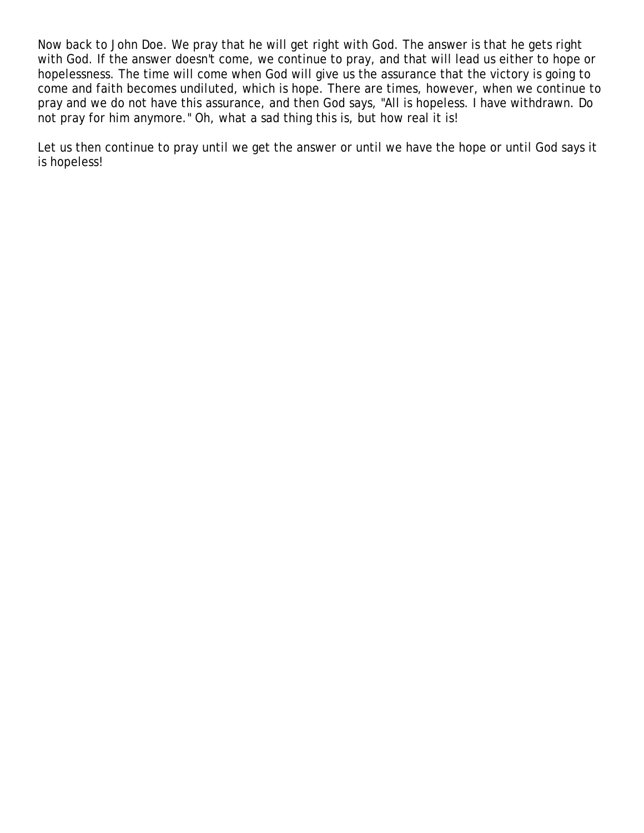Now back to John Doe. We pray that he will get right with God. The answer is that he gets right with God. If the answer doesn't come, we continue to pray, and that will lead us either to hope or hopelessness. The time will come when God will give us the assurance that the victory is going to come and faith becomes undiluted, which is hope. There are times, however, when we continue to pray and we do not have this assurance, and then God says, "All is hopeless. I have withdrawn. Do not pray for him anymore." Oh, what a sad thing this is, but how real it is!

Let us then continue to pray until we get the answer or until we have the hope or until God says it is hopeless!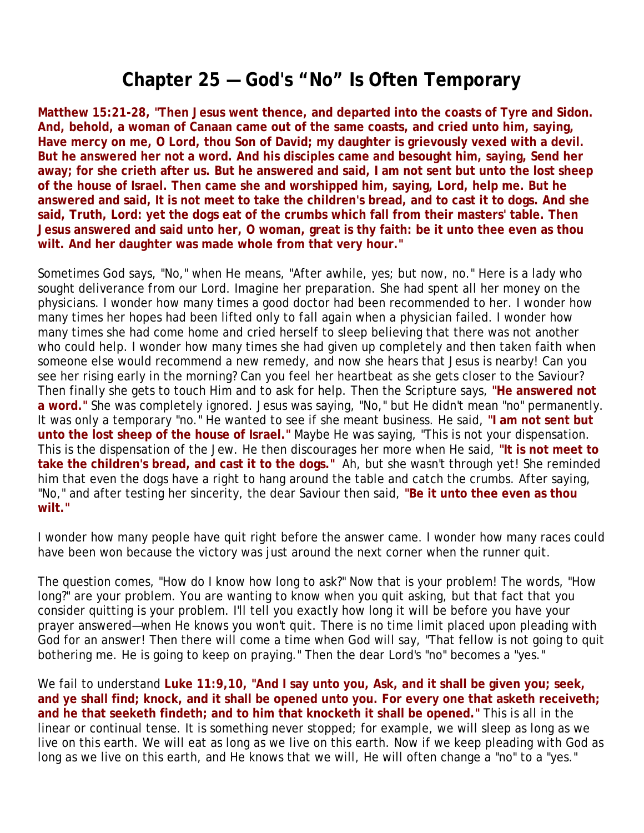# **Chapter 25 — God's "No" Is Often Temporary**

**Matthew 15:21-28, "Then Jesus went thence, and departed into the coasts of Tyre and Sidon. And, behold, a woman of Canaan came out of the same coasts, and cried unto him, saying, Have mercy on me, O Lord, thou Son of David; my daughter is grievously vexed with a devil. But he answered her not a word. And his disciples came and besought him, saying, Send her away; for she crieth after us. But he answered and said, I am not sent but unto the lost sheep of the house of Israel. Then came she and worshipped him, saying, Lord, help me. But he answered and said, It is not meet to take the children's bread, and to cast it to dogs. And she said, Truth, Lord: yet the dogs eat of the crumbs which fall from their masters' table. Then Jesus answered and said unto her, O woman, great is thy faith: be it unto thee even as thou wilt. And her daughter was made whole from that very hour."**

Sometimes God says, "No," when He means, "After awhile, yes; but now, no." Here is a lady who sought deliverance from our Lord. Imagine her preparation. She had spent all her money on the physicians. I wonder how many times a good doctor had been recommended to her. I wonder how many times her hopes had been lifted only to fall again when a physician failed. I wonder how many times she had come home and cried herself to sleep believing that there was not another who could help. I wonder how many times she had given up completely and then taken faith when someone else would recommend a new remedy, and now she hears that Jesus is nearby! Can you see her rising early in the morning? Can you feel her heartbeat as she gets closer to the Saviour? Then finally she gets to touch Him and to ask for help. Then the Scripture says, **"He answered not a word."** She was completely ignored. Jesus was saying, "No," but He didn't mean "no" permanently. It was only a temporary "no." He wanted to see if she meant business. He said, **"I am not sent but unto the lost sheep of the house of Israel."** Maybe He was saying, "This is not your dispensation. This is the dispensation of the Jew. He then discourages her more when He said, **"It is not meet to take the children's bread, and cast it to the dogs."** Ah, but she wasn't through yet! She reminded him that even the dogs have a right to hang around the table and catch the crumbs. After saying, "No," and after testing her sincerity, the dear Saviour then said, **"Be it unto thee even as thou wilt."**

I wonder how many people have quit right before the answer came. I wonder how many races could have been won because the victory was just around the next corner when the runner quit.

The question comes, "How do I know how long to ask?" Now that is your problem! The words, "How long?" are your problem. You are wanting to know when you quit asking, but that fact that you consider quitting is your problem. I'll tell you exactly how long it will be before you have your prayer answered—when He knows you won't quit. There is no time limit placed upon pleading with God for an answer! Then there will come a time when God will say, "That fellow is not going to quit bothering me. He is going to keep on praying." Then the dear Lord's "no" becomes a "yes."

We fail to understand **Luke 11:9,10, "And I say unto you, Ask, and it shall be given you; seek, and ye shall find; knock, and it shall be opened unto you. For every one that asketh receiveth; and he that seeketh findeth; and to him that knocketh it shall be opened."** This is all in the linear or continual tense. It is something never stopped; for example, we will sleep as long as we live on this earth. We will eat as long as we live on this earth. Now if we keep pleading with God as long as we live on this earth, and He knows that we will, He will often change a "no" to a "yes."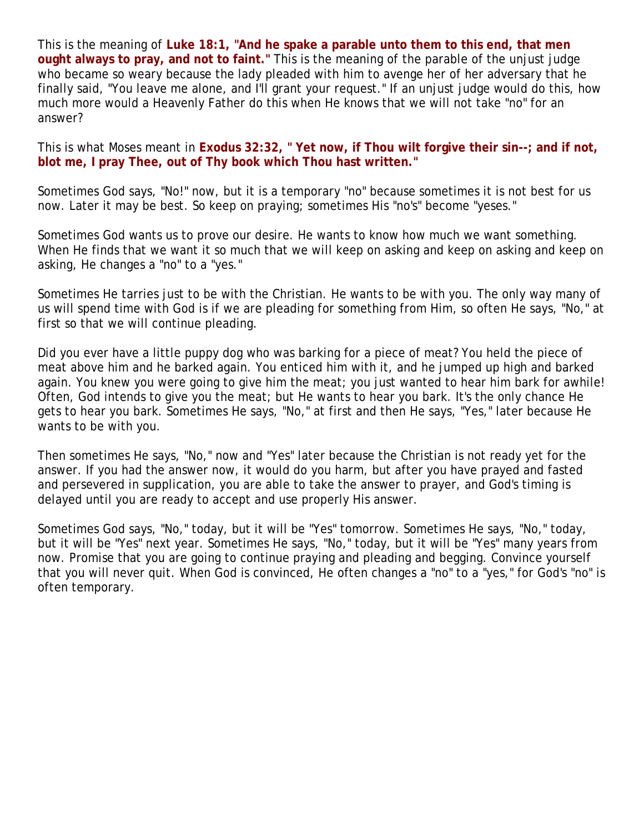This is the meaning of **Luke 18:1, "And he spake a parable unto them to this end, that men ought always to pray, and not to faint."** This is the meaning of the parable of the unjust judge who became so weary because the lady pleaded with him to avenge her of her adversary that he finally said, "You leave me alone, and I'll grant your request." If an unjust judge would do this, how much more would a Heavenly Father do this when He knows that we will not take "no" for an answer?

This is what Moses meant in **Exodus 32:32, " Yet now, if Thou wilt forgive their sin--; and if not, blot me, I pray Thee, out of Thy book which Thou hast written."**

Sometimes God says, "No!" now, but it is a temporary "no" because sometimes it is not best for us now. Later it may be best. So keep on praying; sometimes His "no's" become "yeses."

Sometimes God wants us to prove our desire. He wants to know how much we want something. When He finds that we want it so much that we will keep on asking and keep on asking and keep on asking, He changes a "no" to a "yes."

Sometimes He tarries just to be with the Christian. He wants to be with you. The only way many of us will spend time with God is if we are pleading for something from Him, so often He says, "No," at first so that we will continue pleading.

Did you ever have a little puppy dog who was barking for a piece of meat? You held the piece of meat above him and he barked again. You enticed him with it, and he jumped up high and barked again. You knew you were going to give him the meat; you just wanted to hear him bark for awhile! Often, God intends to give you the meat; but He wants to hear you bark. It's the only chance He gets to hear you bark. Sometimes He says, "No," at first and then He says, "Yes," later because He wants to be with you.

Then sometimes He says, "No," now and "Yes" later because the Christian is not ready yet for the answer. If you had the answer now, it would do you harm, but after you have prayed and fasted and persevered in supplication, you are able to take the answer to prayer, and God's timing is delayed until you are ready to accept and use properly His answer.

Sometimes God says, "No," today, but it will be "Yes" tomorrow. Sometimes He says, "No," today, but it will be "Yes" next year. Sometimes He says, "No," today, but it will be "Yes" many years from now. Promise that you are going to continue praying and pleading and begging. Convince yourself that you will never quit. When God is convinced, He often changes a "no" to a "yes," for God's "no" is often temporary.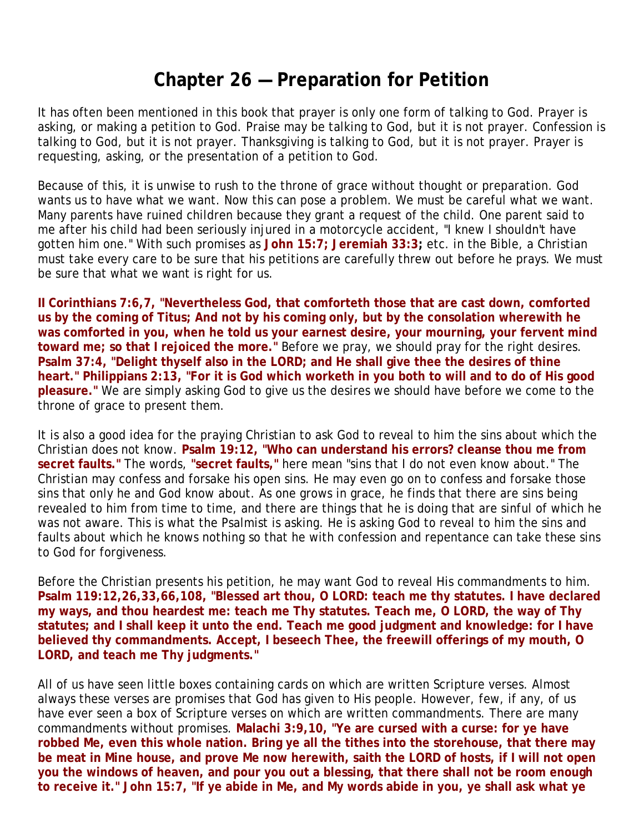## **Chapter 26 — Preparation for Petition**

It has often been mentioned in this book that prayer is only one form of talking to God. Prayer is asking, or making a petition to God. Praise may be talking to God, but it is not prayer. Confession is talking to God, but it is not prayer. Thanksgiving is talking to God, but it is not prayer. Prayer is requesting, asking, or the presentation of a petition to God.

Because of this, it is unwise to rush to the throne of grace without thought or preparation. God wants us to have what we want. Now this can pose a problem. We must be careful what we want. Many parents have ruined children because they grant a request of the child. One parent said to me after his child had been seriously injured in a motorcycle accident, "I knew I shouldn't have gotten him one." With such promises as **John 15:7; Jeremiah 33:3;** etc. in the Bible, a Christian must take every care to be sure that his petitions are carefully threw out before he prays. We must be sure that what we want is right for us.

**II Corinthians 7:6,7, "Nevertheless God, that comforteth those that are cast down, comforted us by the coming of Titus; And not by his coming only, but by the consolation wherewith he was comforted in you, when he told us your earnest desire, your mourning, your fervent mind toward me; so that I rejoiced the more."** Before we pray, we should pray for the right desires. Psalm 37:4, "Delight thyself also in the LORD; and He shall give thee the desires of thine **heart." Philippians 2:13, "For it is God which worketh in you both to will and to do of His good pleasure."** We are simply asking God to give us the desires we should have before we come to the throne of grace to present them.

It is also a good idea for the praying Christian to ask God to reveal to him the sins about which the Christian does not know. **Psalm 19:12, "Who can understand his errors? cleanse thou me from secret faults."** The words, **"secret faults,"** here mean "sins that I do not even know about." The Christian may confess and forsake his open sins. He may even go on to confess and forsake those sins that only he and God know about. As one grows in grace, he finds that there are sins being revealed to him from time to time, and there are things that he is doing that are sinful of which he was not aware. This is what the Psalmist is asking. He is asking God to reveal to him the sins and faults about which he knows nothing so that he with confession and repentance can take these sins to God for forgiveness.

Before the Christian presents his petition, he may want God to reveal His commandments to him. **Psalm 119:12,26,33,66,108, "Blessed art thou, O LORD: teach me thy statutes. I have declared my ways, and thou heardest me: teach me Thy statutes. Teach me, O LORD, the way of Thy statutes; and I shall keep it unto the end. Teach me good judgment and knowledge: for I have believed thy commandments. Accept, I beseech Thee, the freewill offerings of my mouth, O LORD, and teach me Thy judgments."**

All of us have seen little boxes containing cards on which are written Scripture verses. Almost always these verses are promises that God has given to His people. However, few, if any, of us have ever seen a box of Scripture verses on which are written commandments. There are many commandments without promises. **Malachi 3:9,10, "Ye are cursed with a curse: for ye have robbed Me, even this whole nation. Bring ye all the tithes into the storehouse, that there may be meat in Mine house, and prove Me now herewith, saith the LORD of hosts, if I will not open you the windows of heaven, and pour you out a blessing, that there shall not be room enough to receive it." John 15:7, "If ye abide in Me, and My words abide in you, ye shall ask what ye**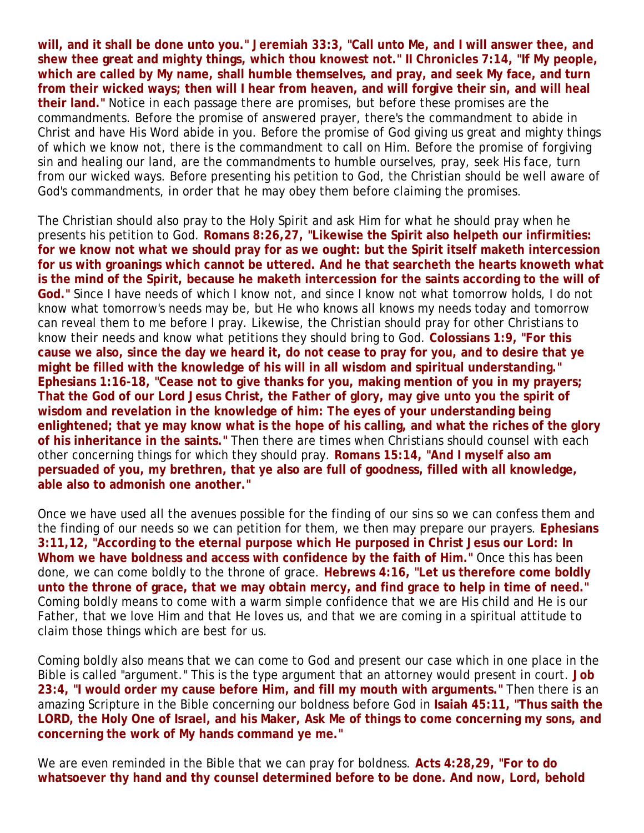**will, and it shall be done unto you." Jeremiah 33:3, "Call unto Me, and I will answer thee, and shew thee great and mighty things, which thou knowest not." II Chronicles 7:14, "If My people, which are called by My name, shall humble themselves, and pray, and seek My face, and turn from their wicked ways; then will I hear from heaven, and will forgive their sin, and will heal their land."** Notice in each passage there are promises, but before these promises are the commandments. Before the promise of answered prayer, there's the commandment to abide in Christ and have His Word abide in you. Before the promise of God giving us great and mighty things of which we know not, there is the commandment to call on Him. Before the promise of forgiving sin and healing our land, are the commandments to humble ourselves, pray, seek His face, turn from our wicked ways. Before presenting his petition to God, the Christian should be well aware of God's commandments, in order that he may obey them before claiming the promises.

The Christian should also pray to the Holy Spirit and ask Him for what he should pray when he presents his petition to God. **Romans 8:26,27, "Likewise the Spirit also helpeth our infirmities: for we know not what we should pray for as we ought: but the Spirit itself maketh intercession for us with groanings which cannot be uttered. And he that searcheth the hearts knoweth what is the mind of the Spirit, because he maketh intercession for the saints according to the will of God."** Since I have needs of which I know not, and since I know not what tomorrow holds, I do not know what tomorrow's needs may be, but He who knows all knows my needs today and tomorrow can reveal them to me before I pray. Likewise, the Christian should pray for other Christians to know their needs and know what petitions they should bring to God. **Colossians 1:9, "For this cause we also, since the day we heard it, do not cease to pray for you, and to desire that ye might be filled with the knowledge of his will in all wisdom and spiritual understanding." Ephesians 1:16-18, "Cease not to give thanks for you, making mention of you in my prayers; That the God of our Lord Jesus Christ, the Father of glory, may give unto you the spirit of wisdom and revelation in the knowledge of him: The eyes of your understanding being enlightened; that ye may know what is the hope of his calling, and what the riches of the glory of his inheritance in the saints."** Then there are times when Christians should counsel with each other concerning things for which they should pray. **Romans 15:14, "And I myself also am persuaded of you, my brethren, that ye also are full of goodness, filled with all knowledge, able also to admonish one another."** 

Once we have used all the avenues possible for the finding of our sins so we can confess them and the finding of our needs so we can petition for them, we then may prepare our prayers. **Ephesians 3:11,12, "According to the eternal purpose which He purposed in Christ Jesus our Lord: In Whom we have boldness and access with confidence by the faith of Him."** Once this has been done, we can come boldly to the throne of grace. **Hebrews 4:16, "Let us therefore come boldly unto the throne of grace, that we may obtain mercy, and find grace to help in time of need."** Coming boldly means to come with a warm simple confidence that we are His child and He is our Father, that we love Him and that He loves us, and that we are coming in a spiritual attitude to claim those things which are best for us.

Coming boldly also means that we can come to God and present our case which in one place in the Bible is called "argument." This is the type argument that an attorney would present in court. **Job 23:4, "I would order my cause before Him, and fill my mouth with arguments."** Then there is an amazing Scripture in the Bible concerning our boldness before God in **Isaiah 45:11, "Thus saith the LORD, the Holy One of Israel, and his Maker, Ask Me of things to come concerning my sons, and concerning the work of My hands command ye me."**

We are even reminded in the Bible that we can pray for boldness. **Acts 4:28,29, "For to do whatsoever thy hand and thy counsel determined before to be done. And now, Lord, behold**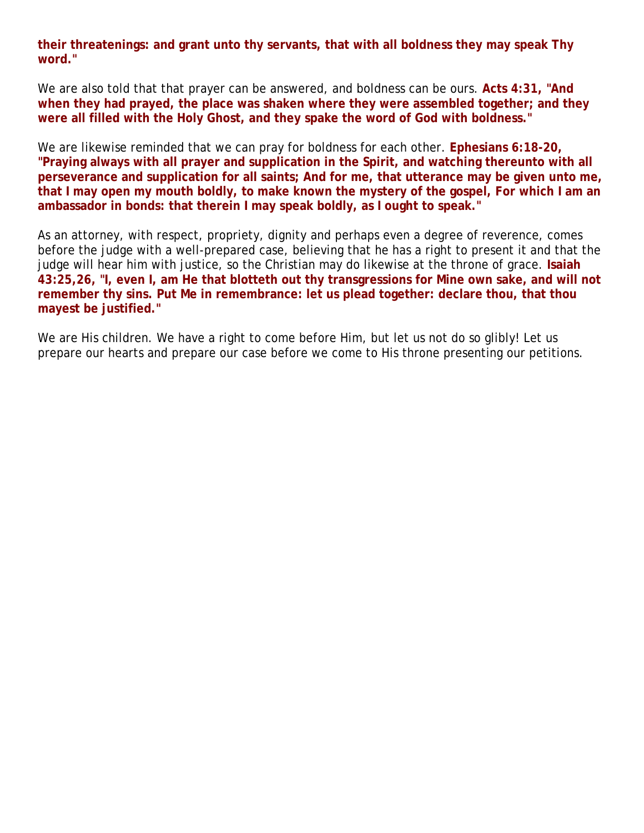**their threatenings: and grant unto thy servants, that with all boldness they may speak Thy word."**

We are also told that that prayer can be answered, and boldness can be ours. **Acts 4:31, "And when they had prayed, the place was shaken where they were assembled together; and they were all filled with the Holy Ghost, and they spake the word of God with boldness."**

We are likewise reminded that we can pray for boldness for each other. **Ephesians 6:18-20, "Praying always with all prayer and supplication in the Spirit, and watching thereunto with all perseverance and supplication for all saints; And for me, that utterance may be given unto me, that I may open my mouth boldly, to make known the mystery of the gospel, For which I am an ambassador in bonds: that therein I may speak boldly, as I ought to speak."** 

As an attorney, with respect, propriety, dignity and perhaps even a degree of reverence, comes before the judge with a well-prepared case, believing that he has a right to present it and that the judge will hear him with justice, so the Christian may do likewise at the throne of grace. **Isaiah 43:25,26, "I, even I, am He that blotteth out thy transgressions for Mine own sake, and will not remember thy sins. Put Me in remembrance: let us plead together: declare thou, that thou mayest be justified."**

We are His children. We have a right to come before Him, but let us not do so glibly! Let us prepare our hearts and prepare our case before we come to His throne presenting our petitions.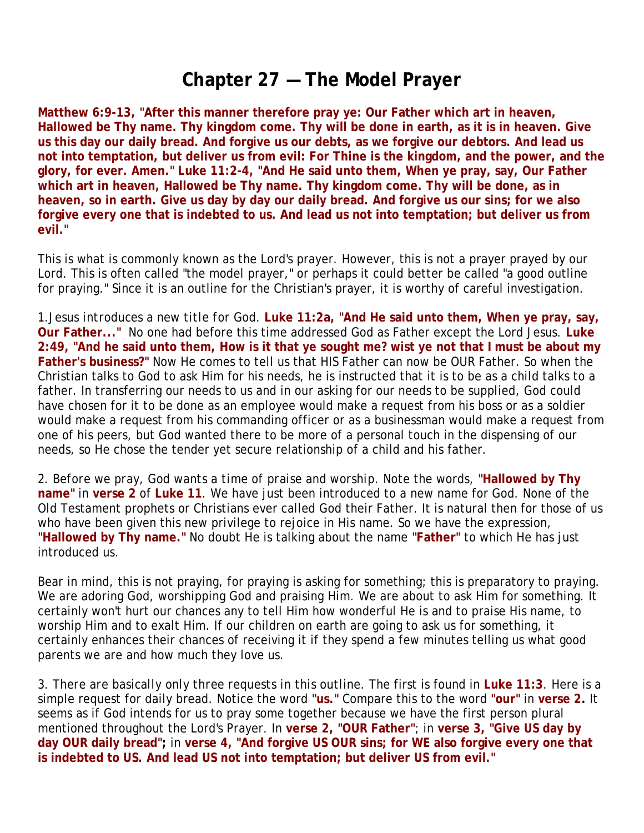#### **Chapter 27 — The Model Prayer**

**Matthew 6:9-13, "After this manner therefore pray ye: Our Father which art in heaven, Hallowed be Thy name. Thy kingdom come. Thy will be done in earth, as it is in heaven. Give us this day our daily bread. And forgive us our debts, as we forgive our debtors. And lead us not into temptation, but deliver us from evil: For Thine is the kingdom, and the power, and the glory, for ever. Amen." Luke 11:2-4, "And He said unto them, When ye pray, say, Our Father which art in heaven, Hallowed be Thy name. Thy kingdom come. Thy will be done, as in heaven, so in earth. Give us day by day our daily bread. And forgive us our sins; for we also forgive every one that is indebted to us. And lead us not into temptation; but deliver us from evil."**

This is what is commonly known as the Lord's prayer. However, this is not a prayer prayed by our Lord. This is often called "the model prayer," or perhaps it could better be called "a good outline for praying." Since it is an outline for the Christian's prayer, it is worthy of careful investigation.

1.*Jesus introduces a new title for God.* **Luke 11:2a, "And He said unto them, When ye pray, say, Our Father..."** No one had before this time addressed God as Father except the Lord Jesus. **Luke 2:49, "And he said unto them, How is it that ye sought me? wist ye not that I must be about my Father's business?"** Now He comes to tell us that HIS Father can now be OUR Father. So when the Christian talks to God to ask Him for his needs, he is instructed that it is to be as a child talks to a father. In transferring our needs to us and in our asking for our needs to be supplied, God could have chosen for it to be done as an employee would make a request from his boss or as a soldier would make a request from his commanding officer or as a businessman would make a request from one of his peers, but God wanted there to be more of a personal touch in the dispensing of our needs, so He chose the tender yet secure relationship of a child and his father.

2. *Before we pray, God wants a time of praise and worship*. Note the words, **"Hallowed by Thy name"** in **verse 2** of **Luke 11**. We have just been introduced to a new name for God. None of the Old Testament prophets or Christians ever called God their Father. It is natural then for those of us who have been given this new privilege to rejoice in His name. So we have the expression, **"Hallowed by Thy name."** No doubt He is talking about the name **"Father"** to which He has just introduced us.

Bear in mind, this is not praying, for praying is asking for something; this is preparatory to praying. We are adoring God, worshipping God and praising Him. We are about to ask Him for something. It certainly won't hurt our chances any to tell Him how wonderful He is and to praise His name, to worship Him and to exalt Him. If our children on earth are going to ask us for something, it certainly enhances their chances of receiving it if they spend a few minutes telling us what good parents we are and how much they love us.

3. *There are basically only three requests in this outline.* The first is found in **Luke 11:3**. Here is a simple request for daily bread. Notice the word **"us."** Compare this to the word **"our"** in **verse 2.** It seems as if God intends for us to pray some together because we have the first person plural mentioned throughout the Lord's Prayer. In **verse 2, "OUR Father"**; in **verse 3, "Give US day by day OUR daily bread";** in **verse 4, "And forgive US OUR sins; for WE also forgive every one that is indebted to US. And lead US not into temptation; but deliver US from evil."**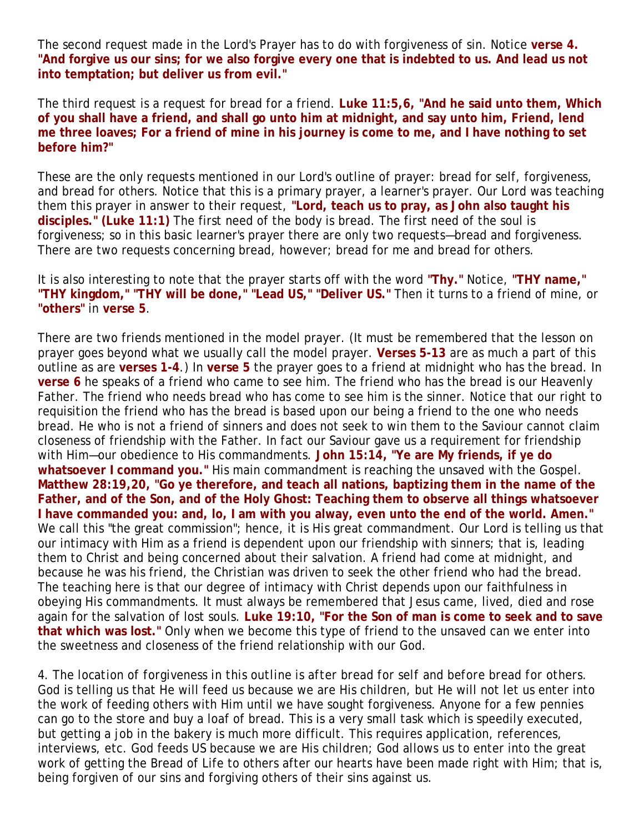The second request made in the Lord's Prayer has to do with forgiveness of sin. Notice **verse 4. "And forgive us our sins; for we also forgive every one that is indebted to us. And lead us not into temptation; but deliver us from evil."**

The third request is a request for bread for a friend. **Luke 11:5,6, "And he said unto them, Which of you shall have a friend, and shall go unto him at midnight, and say unto him, Friend, lend me three loaves; For a friend of mine in his journey is come to me, and I have nothing to set before him?"** 

These are the only requests mentioned in our Lord's outline of prayer: bread for self, forgiveness, and bread for others. Notice that this is a primary prayer, a learner's prayer. Our Lord was teaching them this prayer in answer to their request, **"Lord, teach us to pray, as John also taught his disciples." (Luke 11:1)** The first need of the body is bread. The first need of the soul is forgiveness; so in this basic learner's prayer there are only two requests—bread and forgiveness. There are two requests concerning bread, however; bread for me and bread for others.

It is also interesting to note that the prayer starts off with the word **"Thy."** Notice, **"THY name," "THY kingdom," "THY will be done," "Lead US," "Deliver US."** Then it turns to a friend of mine, or **"others"** in **verse 5**.

There are two friends mentioned in the model prayer. (It must be remembered that the lesson on prayer goes beyond what we usually call the model prayer. **Verses 5-13** are as much a part of this outline as are **verses 1-4**.) In **verse 5** the prayer goes to a friend at midnight who has the bread. In **verse 6** he speaks of a friend who came to see him. The friend who has the bread is our Heavenly Father. The friend who needs bread who has come to see him is the sinner. Notice that our right to requisition the friend who has the bread is based upon our being a friend to the one who needs bread. He who is not a friend of sinners and does not seek to win them to the Saviour cannot claim closeness of friendship with the Father. In fact our Saviour gave us a requirement for friendship with Him—our obedience to His commandments. **John 15:14, "Ye are My friends, if ye do whatsoever I command you."** His main commandment is reaching the unsaved with the Gospel. **Matthew 28:19,20, "Go ye therefore, and teach all nations, baptizing them in the name of the Father, and of the Son, and of the Holy Ghost: Teaching them to observe all things whatsoever I have commanded you: and, lo, I am with you alway, even unto the end of the world. Amen."** We call this "the great commission"; hence, it is His great commandment. Our Lord is telling us that our intimacy with Him as a friend is dependent upon our friendship with sinners; that is, leading them to Christ and being concerned about their salvation. A friend had come at midnight, and because he was his friend, the Christian was driven to seek the other friend who had the bread. The teaching here is that our degree of intimacy with Christ depends upon our faithfulness in obeying His commandments. It must always be remembered that Jesus came, lived, died and rose again for the salvation of lost souls. **Luke 19:10, "For the Son of man is come to seek and to save that which was lost."** Only when we become this type of friend to the unsaved can we enter into the sweetness and closeness of the friend relationship with our God.

4. *The location of forgiveness in this outline is after bread for self and before bread for others.* God is telling us that He will feed us because we are His children, but He will not let us enter into the work of feeding others with Him until we have sought forgiveness. Anyone for a few pennies can go to the store and buy a loaf of bread. This is a very small task which is speedily executed, but getting a job in the bakery is much more difficult. This requires application, references, interviews, etc. God feeds US because we are His children; God allows us to enter into the great work of getting the Bread of Life to others after our hearts have been made right with Him; that is, being forgiven of our sins and forgiving others of their sins against us.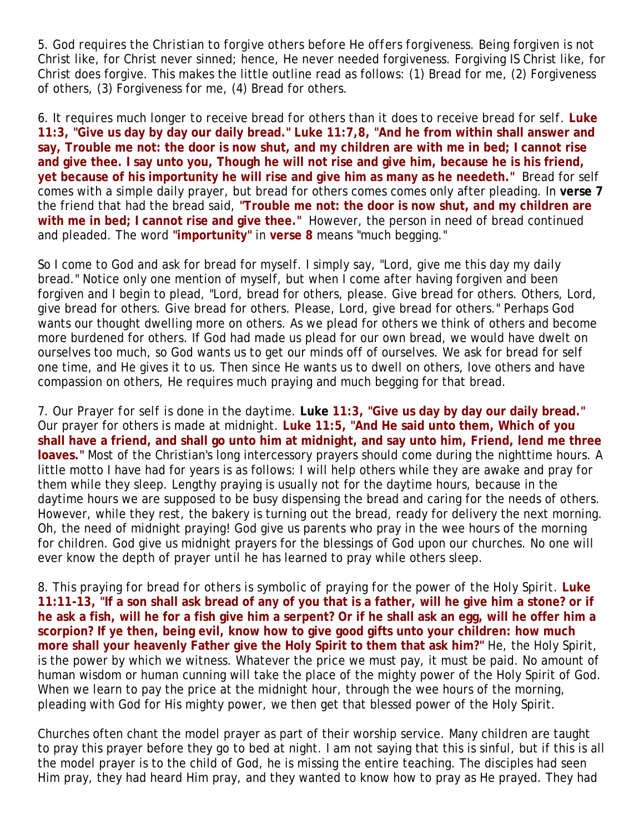5. G*od requires the Christian to forgive others before He offers forgiveness.* Being forgiven is not Christ like, for Christ never sinned; hence, He never needed forgiveness. Forgiving IS Christ like, for Christ does forgive. This makes the little outline read as follows: (1) Bread for me, (2) Forgiveness of others, (3) Forgiveness for me, (4) Bread for others.

6. *It requires much longer to receive bread for others than it does to receive bread for self.* **Luke 11:3, "Give us day by day our daily bread." Luke 11:7,8, "And he from within shall answer and say, Trouble me not: the door is now shut, and my children are with me in bed; I cannot rise and give thee. I say unto you, Though he will not rise and give him, because he is his friend, yet because of his importunity he will rise and give him as many as he needeth."** Bread for self comes with a simple daily prayer, but bread for others comes comes only after pleading. In **verse 7** the friend that had the bread said, **"Trouble me not: the door is now shut, and my children are with me in bed; I cannot rise and give thee."** However, the person in need of bread continued and pleaded. The word **"importunity"** in **verse 8** means "much begging."

So I come to God and ask for bread for myself. I simply say, "Lord, give me this day my daily bread." Notice only one mention of myself, but when I come after having forgiven and been forgiven and I begin to plead, "Lord, bread for others, please. Give bread for others. Others, Lord, give bread for others. Give bread for others. Please, Lord, give bread for others." Perhaps God wants our thought dwelling more on others. As we plead for others we think of others and become more burdened for others. If God had made us plead for our own bread, we would have dwelt on ourselves too much, so God wants us to get our minds off of ourselves. We ask for bread for self one time, and He gives it to us. Then since He wants us to dwell on others, love others and have compassion on others, He requires much praying and much begging for that bread.

7. *Our Prayer for self is done in the daytime.* **Luke 11:3, "Give us day by day our daily bread."** Our prayer for others is made at midnight. **Luke 11:5, "And He said unto them, Which of you shall have a friend, and shall go unto him at midnight, and say unto him, Friend, lend me three loaves."** Most of the Christian's long intercessory prayers should come during the nighttime hours. A little motto I have had for years is as follows: I will help others while they are awake and pray for them while they sleep. Lengthy praying is usually not for the daytime hours, because in the daytime hours we are supposed to be busy dispensing the bread and caring for the needs of others. However, while they rest, the bakery is turning out the bread, ready for delivery the next morning. Oh, the need of midnight praying! God give us parents who pray in the wee hours of the morning for children. God give us midnight prayers for the blessings of God upon our churches. No one will ever know the depth of prayer until he has learned to pray while others sleep.

8. *This praying for bread for others is symbolic of praying for the power of the Holy Spirit.* **Luke 11:11-13, "If a son shall ask bread of any of you that is a father, will he give him a stone? or if he ask a fish, will he for a fish give him a serpent? Or if he shall ask an egg, will he offer him a scorpion? If ye then, being evil, know how to give good gifts unto your children: how much more shall your heavenly Father give the Holy Spirit to them that ask him?"** He, the Holy Spirit, is the power by which we witness. Whatever the price we must pay, it must be paid. No amount of human wisdom or human cunning will take the place of the mighty power of the Holy Spirit of God. When we learn to pay the price at the midnight hour, through the wee hours of the morning, pleading with God for His mighty power, we then get that blessed power of the Holy Spirit.

Churches often chant the model prayer as part of their worship service. Many children are taught to pray this prayer before they go to bed at night. I am not saying that this is sinful, but if this is all the model prayer is to the child of God, he is missing the entire teaching. The disciples had seen Him pray, they had heard Him pray, and they wanted to know how to pray as He prayed. They had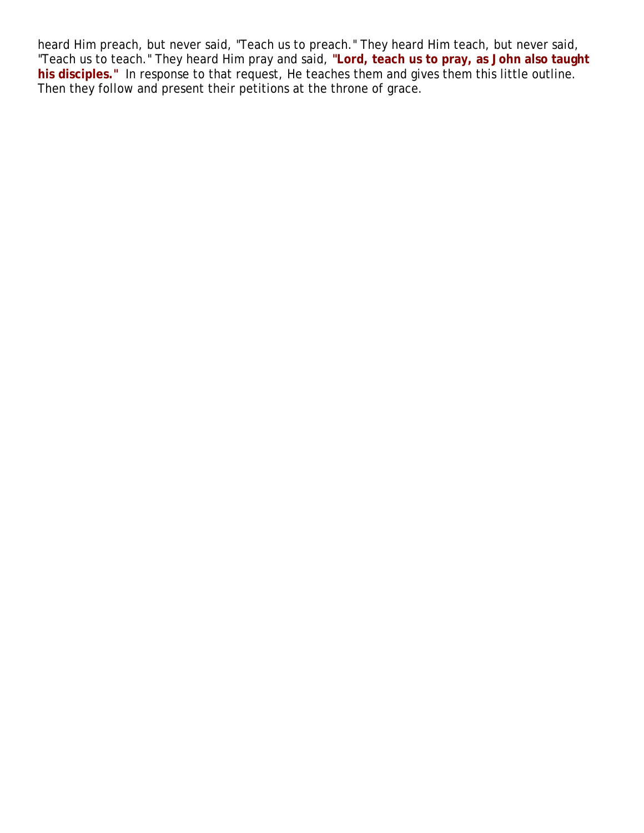heard Him preach, but never said, "Teach us to preach." They heard Him teach, but never said, "Teach us to teach." They heard Him pray and said, **"Lord, teach us to pray, as John also taught his disciples."** In response to that request, He teaches them and gives them this little outline. Then they follow and present their petitions at the throne of grace.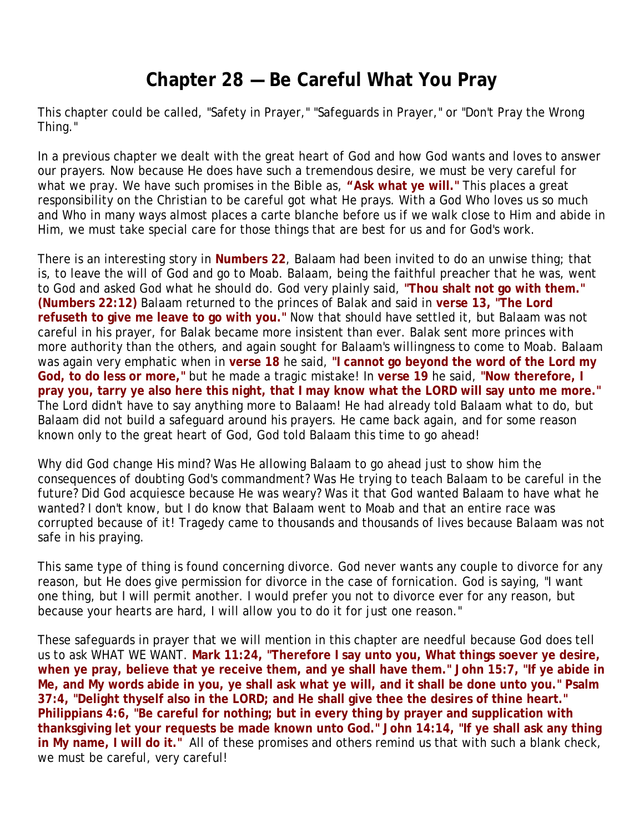# **Chapter 28 — Be Careful What You Pray**

This chapter could be called, "Safety in Prayer," "Safeguards in Prayer," or "Don't Pray the Wrong Thing."

In a previous chapter we dealt with the great heart of God and how God wants and loves to answer our prayers. Now because He does have such a tremendous desire, we must be very careful for what we pray. We have such promises in the Bible as, **"Ask what ye will."** This places a great responsibility on the Christian to be careful got what He prays. With a God Who loves us so much and Who in many ways almost places a carte blanche before us if we walk close to Him and abide in Him, we must take special care for those things that are best for us and for God's work.

There is an interesting story in **Numbers 22**, Balaam had been invited to do an unwise thing; that is, to leave the will of God and go to Moab. Balaam, being the faithful preacher that he was, went to God and asked God what he should do. God very plainly said, **"Thou shalt not go with them." (Numbers 22:12)** Balaam returned to the princes of Balak and said in **verse 13, "The Lord refuseth to give me leave to go with you."** Now that should have settled it, but Balaam was not careful in his prayer, for Balak became more insistent than ever. Balak sent more princes with more authority than the others, and again sought for Balaam's willingness to come to Moab. Balaam was again very emphatic when in **verse 18** he said, **"I cannot go beyond the word of the Lord my God, to do less or more,"** but he made a tragic mistake! In **verse 19** he said, **"Now therefore, I pray you, tarry ye also here this night, that I may know what the LORD will say unto me more."** The Lord didn't have to say anything more to Balaam! He had already told Balaam what to do, but Balaam did not build a safeguard around his prayers. He came back again, and for some reason known only to the great heart of God, God told Balaam this time to go ahead!

Why did God change His mind? Was He allowing Balaam to go ahead just to show him the consequences of doubting God's commandment? Was He trying to teach Balaam to be careful in the future? Did God acquiesce because He was weary? Was it that God wanted Balaam to have what he wanted? I don't know, but I do know that Balaam went to Moab and that an entire race was corrupted because of it! Tragedy came to thousands and thousands of lives because Balaam was not safe in his praying.

This same type of thing is found concerning divorce. God never wants any couple to divorce for any reason, but He does give permission for divorce in the case of fornication. God is saying, "I want one thing, but I will permit another. I would prefer you not to divorce ever for any reason, but because your hearts are hard, I will allow you to do it for just one reason."

These safeguards in prayer that we will mention in this chapter are needful because God does tell us to ask WHAT WE WANT. **Mark 11:24, "Therefore I say unto you, What things soever ye desire, when ye pray, believe that ye receive them, and ye shall have them." John 15:7, "If ye abide in Me, and My words abide in you, ye shall ask what ye will, and it shall be done unto you." Psalm 37:4, "Delight thyself also in the LORD; and He shall give thee the desires of thine heart." Philippians 4:6, "Be careful for nothing; but in every thing by prayer and supplication with thanksgiving let your requests be made known unto God." John 14:14, "If ye shall ask any thing in My name, I will do it."** All of these promises and others remind us that with such a blank check, we must be careful, very careful!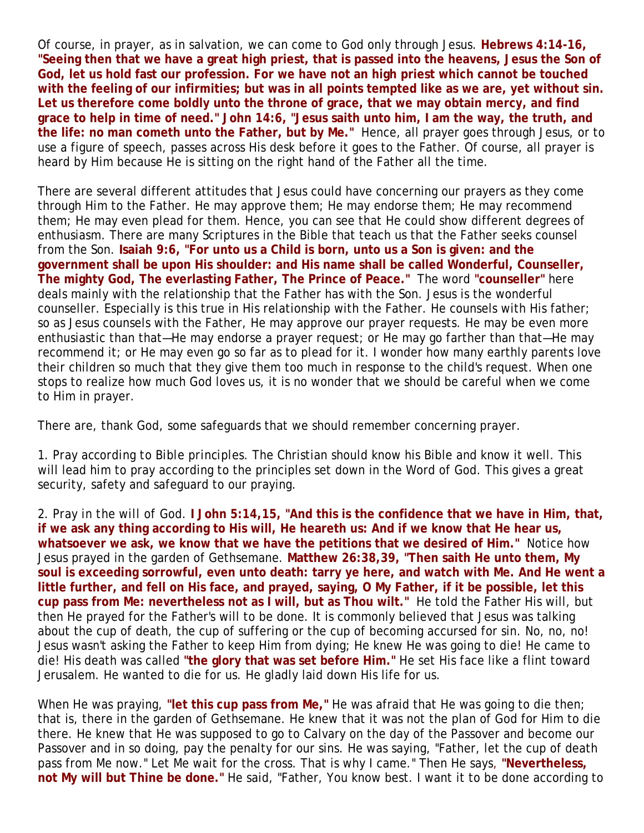Of course, in prayer, as in salvation, we can come to God only through Jesus. **Hebrews 4:14-16, "Seeing then that we have a great high priest, that is passed into the heavens, Jesus the Son of God, let us hold fast our profession. For we have not an high priest which cannot be touched with the feeling of our infirmities; but was in all points tempted like as we are, yet without sin. Let us therefore come boldly unto the throne of grace, that we may obtain mercy, and find grace to help in time of need." John 14:6, "Jesus saith unto him, I am the way, the truth, and the life: no man cometh unto the Father, but by Me."** Hence, all prayer goes through Jesus, or to use a figure of speech, passes across His desk before it goes to the Father. Of course, all prayer is heard by Him because He is sitting on the right hand of the Father all the time.

There are several different attitudes that Jesus could have concerning our prayers as they come through Him to the Father. He may approve them; He may endorse them; He may recommend them; He may even plead for them. Hence, you can see that He could show different degrees of enthusiasm. There are many Scriptures in the Bible that teach us that the Father seeks counsel from the Son. **Isaiah 9:6, "For unto us a Child is born, unto us a Son is given: and the government shall be upon His shoulder: and His name shall be called Wonderful, Counseller, The mighty God, The everlasting Father, The Prince of Peace."** The word **"counseller"** here deals mainly with the relationship that the Father has with the Son. Jesus is the wonderful counseller. Especially is this true in His relationship with the Father. He counsels with His father; so as Jesus counsels with the Father, He may approve our prayer requests. He may be even more enthusiastic than that—He may endorse a prayer request; or He may go farther than that—He may recommend it; or He may even go so far as to plead for it. I wonder how many earthly parents love their children so much that they give them too much in response to the child's request. When one stops to realize how much God loves us, it is no wonder that we should be careful when we come to Him in prayer.

There are, thank God, some safeguards that we should remember concerning prayer.

1. *Pray according to Bible principles.* The Christian should know his Bible and know it well. This will lead him to pray according to the principles set down in the Word of God. This gives a great security, safety and safeguard to our praying.

2. *Pray in the will of God.* **I John 5:14,15, "And this is the confidence that we have in Him, that, if we ask any thing according to His will, He heareth us: And if we know that He hear us, whatsoever we ask, we know that we have the petitions that we desired of Him."** Notice how Jesus prayed in the garden of Gethsemane. **Matthew 26:38,39, "Then saith He unto them, My soul is exceeding sorrowful, even unto death: tarry ye here, and watch with Me. And He went a little further, and fell on His face, and prayed, saying, O My Father, if it be possible, let this cup pass from Me: nevertheless not as I will, but as Thou wilt."** He told the Father His will, but then He prayed for the Father's will to be done. It is commonly believed that Jesus was talking about the cup of death, the cup of suffering or the cup of becoming accursed for sin. No, no, no! Jesus wasn't asking the Father to keep Him from dying; He knew He was going to die! He came to die! His death was called **"the glory that was set before Him."** He set His face like a flint toward Jerusalem. He wanted to die for us. He gladly laid down His life for us.

When He was praying, **"let this cup pass from Me,"** He was afraid that He was going to die then; that is, there in the garden of Gethsemane. He knew that it was not the plan of God for Him to die there. He knew that He was supposed to go to Calvary on the day of the Passover and become our Passover and in so doing, pay the penalty for our sins. He was saying, "Father, let the cup of death pass from Me now." Let Me wait for the cross. That is why I came." Then He says, **"Nevertheless, not My will but Thine be done."** He said, "Father, You know best. I want it to be done according to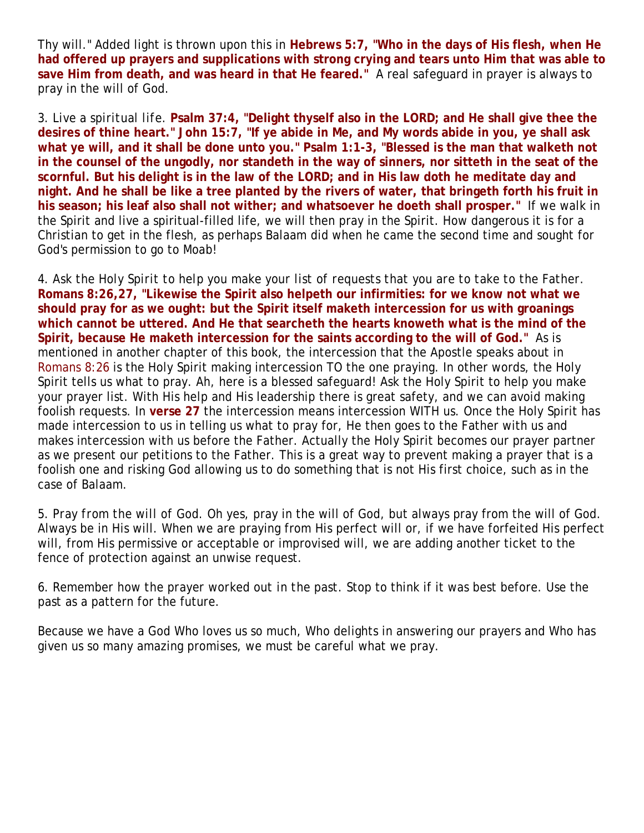Thy will." Added light is thrown upon this in **Hebrews 5:7, "Who in the days of His flesh, when He had offered up prayers and supplications with strong crying and tears unto Him that was able to save Him from death, and was heard in that He feared."** A real safeguard in prayer is always to pray in the will of God.

3. *Live a spiritual life.* **Psalm 37:4, "Delight thyself also in the LORD; and He shall give thee the desires of thine heart." John 15:7, "If ye abide in Me, and My words abide in you, ye shall ask what ye will, and it shall be done unto you." Psalm 1:1-3, "Blessed is the man that walketh not in the counsel of the ungodly, nor standeth in the way of sinners, nor sitteth in the seat of the scornful. But his delight is in the law of the LORD; and in His law doth he meditate day and night. And he shall be like a tree planted by the rivers of water, that bringeth forth his fruit in his season; his leaf also shall not wither; and whatsoever he doeth shall prosper."** If we walk in the Spirit and live a spiritual-filled life, we will then pray in the Spirit. How dangerous it is for a Christian to get in the flesh, as perhaps Balaam did when he came the second time and sought for God's permission to go to Moab!

4. *Ask the Holy Spirit to help you make your list of requests that you are to take to the Father.*  **Romans 8:26,27, "Likewise the Spirit also helpeth our infirmities: for we know not what we should pray for as we ought: but the Spirit itself maketh intercession for us with groanings which cannot be uttered. And He that searcheth the hearts knoweth what is the mind of the Spirit, because He maketh intercession for the saints according to the will of God."** As is mentioned in another chapter of this book, the intercession that the Apostle speaks about in Romans 8:26 is the Holy Spirit making intercession TO the one praying. In other words, the Holy Spirit tells us what to pray. Ah, here is a blessed safeguard! Ask the Holy Spirit to help you make your prayer list. With His help and His leadership there is great safety, and we can avoid making foolish requests. In **verse 27** the intercession means intercession WITH us. Once the Holy Spirit has made intercession to us in telling us what to pray for, He then goes to the Father with us and makes intercession with us before the Father. Actually the Holy Spirit becomes our prayer partner as we present our petitions to the Father. This is a great way to prevent making a prayer that is a foolish one and risking God allowing us to do something that is not His first choice, such as in the case of Balaam.

5. *Pray from the will of God.* Oh yes, pray in the will of God, but always pray from the will of God. Always be in His will. When we are praying from His perfect will or, if we have forfeited His perfect will, from His permissive or acceptable or improvised will, we are adding another ticket to the fence of protection against an unwise request.

6. *Remember how the prayer worked out in the past.* Stop to think if it was best before. Use the past as a pattern for the future.

Because we have a God Who loves us so much, Who delights in answering our prayers and Who has given us so many amazing promises, we must be careful what we pray.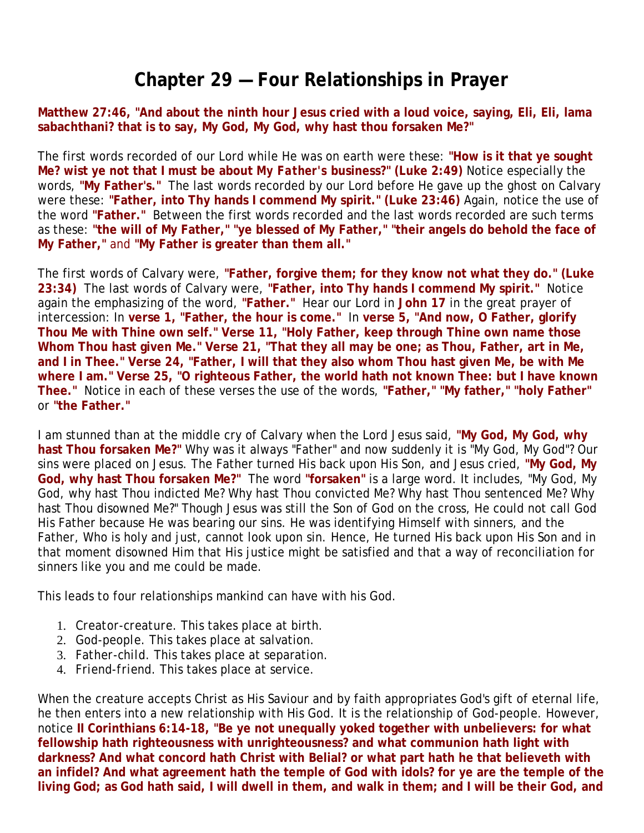# **Chapter 29 — Four Relationships in Prayer**

**Matthew 27:46, "And about the ninth hour Jesus cried with a loud voice, saying, Eli, Eli, lama sabachthani? that is to say, My God, My God, why hast thou forsaken Me?"**

The first words recorded of our Lord while He was on earth were these: **"How is it that ye sought Me? wist ye not that I must be about** *My Father's* **business?" (Luke 2:49)** Notice especially the words, **"My Father's."** The last words recorded by our Lord before He gave up the ghost on Calvary were these: **"Father, into Thy hands I commend My spirit." (Luke 23:46)** Again, notice the use of the word **"Father."** Between the first words recorded and the last words recorded are such terms as these: **"the will of My Father," "ye blessed of My Father," "their angels do behold the face of My Father,"** and **"My Father is greater than them all."**

The first words of Calvary were, **"Father, forgive them; for they know not what they do." (Luke 23:34)** The last words of Calvary were, **"Father, into Thy hands I commend My spirit."** Notice again the emphasizing of the word, **"Father."** Hear our Lord in **John 17** in the great prayer of intercession: In **verse 1, "Father, the hour is come."** In **verse 5, "And now, O Father, glorify Thou Me with Thine own self." Verse 11, "Holy Father, keep through Thine own name those Whom Thou hast given Me." Verse 21, "That they all may be one; as Thou, Father, art in Me, and I in Thee." Verse 24, "Father, I will that they also whom Thou hast given Me, be with Me where I am." Verse 25, "O righteous Father, the world hath not known Thee: but I have known Thee."** Notice in each of these verses the use of the words, **"Father," "My father," "holy Father"** or **"the Father."**

I am stunned than at the middle cry of Calvary when the Lord Jesus said, **"My God, My God, why hast Thou forsaken Me?"** Why was it always "Father" and now suddenly it is "My God, My God"? Our sins were placed on Jesus. The Father turned His back upon His Son, and Jesus cried, **"My God, My God, why hast Thou forsaken Me?"** The word **"forsaken"** is a large word. It includes, "My God, My God, why hast Thou indicted Me? Why hast Thou convicted Me? Why hast Thou sentenced Me? Why hast Thou disowned Me?" Though Jesus was still the Son of God on the cross, He could not call God His Father because He was bearing our sins. He was identifying Himself with sinners, and the Father, Who is holy and just, cannot look upon sin. Hence, He turned His back upon His Son and in that moment disowned Him that His justice might be satisfied and that a way of reconciliation for sinners like you and me could be made.

This leads to four relationships mankind can have with his God.

- 1. *Creator-creature.* This takes place at birth.
- 2. *God-people.* This takes place at salvation.
- 3. *Father-child.* This takes place at separation.
- 4. *Friend-friend.* This takes place at service.

When the creature accepts Christ as His Saviour and by faith appropriates God's gift of eternal life, he then enters into a new relationship with His God. It is the relationship of God-people. However, notice **II Corinthians 6:14-18, "Be ye not unequally yoked together with unbelievers: for what fellowship hath righteousness with unrighteousness? and what communion hath light with darkness? And what concord hath Christ with Belial? or what part hath he that believeth with an infidel? And what agreement hath the temple of God with idols? for ye are the temple of the living God; as God hath said, I will dwell in them, and walk in them; and I will be their God, and**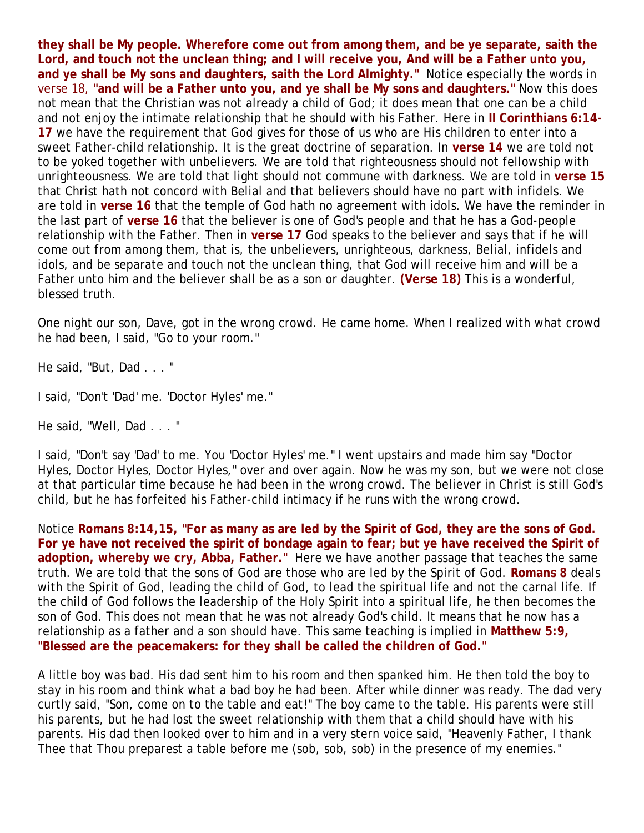**they shall be My people. Wherefore come out from among them, and be ye separate, saith the Lord, and touch not the unclean thing; and I will receive you, And will be a Father unto you, and ye shall be My sons and daughters, saith the Lord Almighty."** Notice especially the words in verse 18, **"and will be a Father unto you, and ye shall be My sons and daughters."** Now this does not mean that the Christian was not already a child of God; it does mean that one can be a child and not enjoy the intimate relationship that he should with his Father. Here in **II Corinthians 6:14- 17** we have the requirement that God gives for those of us who are His children to enter into a sweet Father-child relationship. It is the great doctrine of separation. In **verse 14** we are told not to be yoked together with unbelievers. We are told that righteousness should not fellowship with unrighteousness. We are told that light should not commune with darkness. We are told in **verse 15** that Christ hath not concord with Belial and that believers should have no part with infidels. We are told in **verse 16** that the temple of God hath no agreement with idols. We have the reminder in the last part of **verse 16** that the believer is one of God's people and that he has a God-people relationship with the Father. Then in **verse 17** God speaks to the believer and says that if he will come out from among them, that is, the unbelievers, unrighteous, darkness, Belial, infidels and idols, and be separate and touch not the unclean thing, that God will receive him and will be a Father unto him and the believer shall be as a son or daughter. **(Verse 18)** This is a wonderful, blessed truth.

One night our son, Dave, got in the wrong crowd. He came home. When I realized with what crowd he had been, I said, "Go to your room."

He said, "But, Dad . . . "

I said, "Don't 'Dad' me. 'Doctor Hyles' me."

He said, "Well, Dad . . . "

I said, "Don't say 'Dad' to me. You 'Doctor Hyles' me." I went upstairs and made him say "Doctor Hyles, Doctor Hyles, Doctor Hyles," over and over again. Now he was my son, but we were not close at that particular time because he had been in the wrong crowd. The believer in Christ is still God's child, but he has forfeited his Father-child intimacy if he runs with the wrong crowd.

Notice **Romans 8:14,15, "For as many as are led by the Spirit of God, they are the sons of God. For ye have not received the spirit of bondage again to fear; but ye have received the Spirit of adoption, whereby we cry, Abba, Father."** Here we have another passage that teaches the same truth. We are told that the sons of God are those who are led by the Spirit of God. **Romans 8** deals with the Spirit of God, leading the child of God, to lead the spiritual life and not the carnal life. If the child of God follows the leadership of the Holy Spirit into a spiritual life, he then becomes the *son* of God. This does not mean that he was not already God's child. It means that he now has a relationship as a father and a son should have. This same teaching is implied in **Matthew 5:9, "Blessed are the peacemakers: for they shall be called the children of God."**

A little boy was bad. His dad sent him to his room and then spanked him. He then told the boy to stay in his room and think what a bad boy he had been. After while dinner was ready. The dad very curtly said, "Son, come on to the table and eat!" The boy came to the table. His parents were still his parents, but he had lost the sweet relationship with them that a child should have with his parents. His dad then looked over to him and in a very stern voice said, "Heavenly Father, I thank Thee that Thou preparest a table before me (sob, sob, sob) in the presence of my enemies."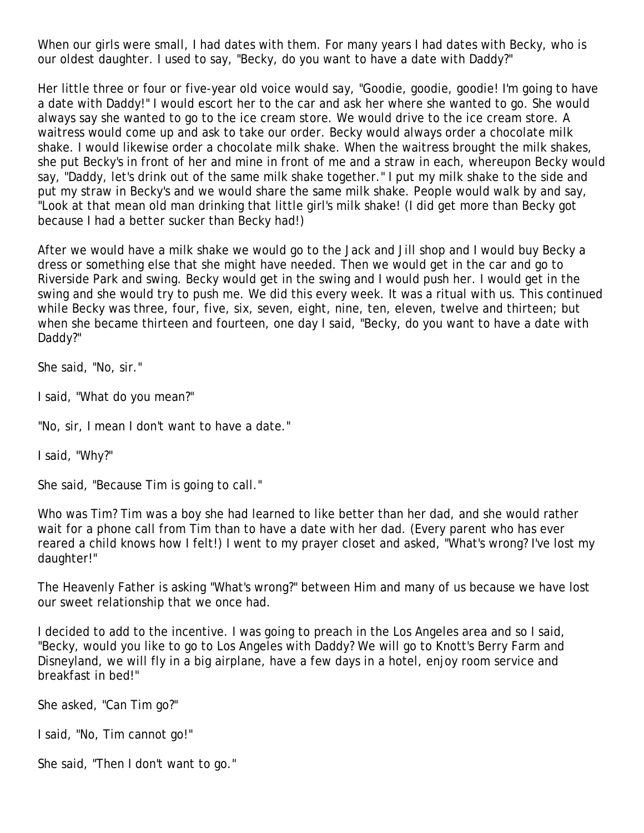When our girls were small, I had dates with them. For many years I had dates with Becky, who is our oldest daughter. I used to say, "Becky, do you want to have a date with Daddy?"

Her little three or four or five-year old voice would say, "Goodie, goodie, goodie! I'm going to have a date with Daddy!" I would escort her to the car and ask her where she wanted to go. She would always say she wanted to go to the ice cream store. We would drive to the ice cream store. A waitress would come up and ask to take our order. Becky would always order a chocolate milk shake. I would likewise order a chocolate milk shake. When the waitress brought the milk shakes, she put Becky's in front of her and mine in front of me and a straw in each, whereupon Becky would say, "Daddy, let's drink out of the same milk shake together." I put my milk shake to the side and put my straw in Becky's and we would share the same milk shake. People would walk by and say, "Look at that mean old man drinking that little girl's milk shake! (I did get more than Becky got because I had a better sucker than Becky had!)

After we would have a milk shake we would go to the Jack and Jill shop and I would buy Becky a dress or something else that she might have needed. Then we would get in the car and go to Riverside Park and swing. Becky would get in the swing and I would push her. I would get in the swing and she would try to push me. We did this every week. It was a ritual with us. This continued while Becky was three, four, five, six, seven, eight, nine, ten, eleven, twelve and thirteen; but when she became thirteen and fourteen, one day I said, "Becky, do you want to have a date with Daddy?"

She said, "No, sir."

I said, "What do you mean?"

"No, sir, I mean I don't want to have a date."

I said, "Why?"

She said, "Because Tim is going to call."

Who was Tim? Tim was a boy she had learned to like better than her dad, and she would rather wait for a phone call from Tim than to have a date with her dad. (Every parent who has ever reared a child knows how I felt!) I went to my prayer closet and asked, "What's wrong? I've lost my daughter!"

The Heavenly Father is asking "What's wrong?" between Him and many of us because we have lost our sweet relationship that we once had.

I decided to add to the incentive. I was going to preach in the Los Angeles area and so I said, "Becky, would you like to go to Los Angeles with Daddy? We will go to Knott's Berry Farm and Disneyland, we will fly in a big airplane, have a few days in a hotel, enjoy room service and breakfast in bed!"

She asked, "Can Tim go?"

I said, "No, Tim cannot go!"

She said, "Then I don't want to go."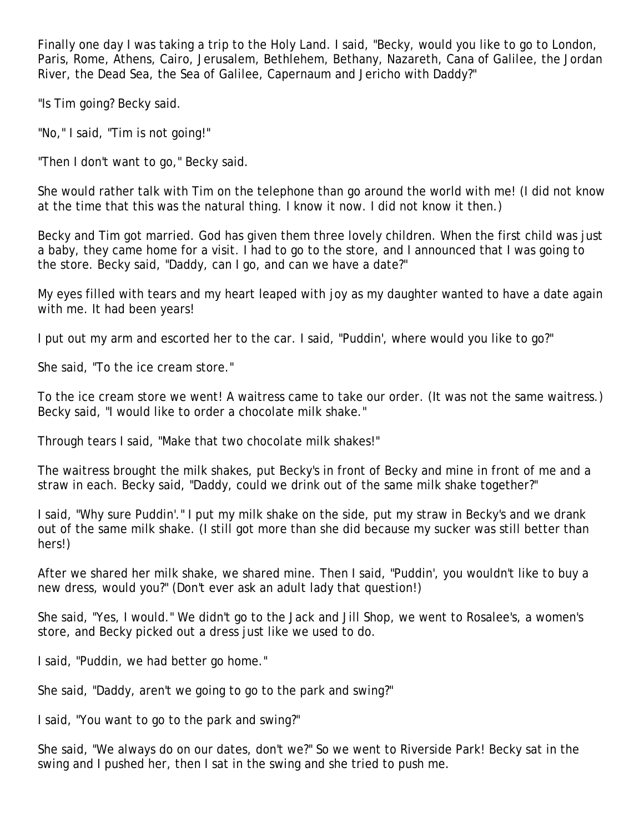Finally one day I was taking a trip to the Holy Land. I said, "Becky, would you like to go to London, Paris, Rome, Athens, Cairo, Jerusalem, Bethlehem, Bethany, Nazareth, Cana of Galilee, the Jordan River, the Dead Sea, the Sea of Galilee, Capernaum and Jericho with Daddy?"

"Is Tim going? Becky said.

"No," I said, "Tim is not going!"

"Then I don't want to go," Becky said.

She would rather talk with Tim on the telephone than go around the world with me! (I did not know at the time that this was the natural thing. I know it now. I did not know it then.)

Becky and Tim got married. God has given them three lovely children. When the first child was just a baby, they came home for a visit. I had to go to the store, and I announced that I was going to the store. Becky said, "Daddy, can I go, and can we have a date?"

My eyes filled with tears and my heart leaped with joy as my daughter wanted to have a date again with me. It had been years!

I put out my arm and escorted her to the car. I said, "Puddin', where would you like to go?"

She said, "To the ice cream store."

To the ice cream store we went! A waitress came to take our order. (It was not the same waitress.) Becky said, "I would like to order a chocolate milk shake."

Through tears I said, "Make that two chocolate milk shakes!"

The waitress brought the milk shakes, put Becky's in front of Becky and mine in front of me and a straw in each. Becky said, "Daddy, could we drink out of the same milk shake together?"

I said, "Why sure Puddin'." I put my milk shake on the side, put my straw in Becky's and we drank out of the same milk shake. (I still got more than she did because my sucker was still better than hers!)

After we shared her milk shake, we shared mine. Then I said, "Puddin', you wouldn't like to buy a new dress, would you?" (Don't ever ask an adult lady that question!)

She said, "Yes, I would." We didn't go to the Jack and Jill Shop, we went to Rosalee's, a women's store, and Becky picked out a dress just like we used to do.

I said, "Puddin, we had better go home."

She said, "Daddy, aren't we going to go to the park and swing?"

I said, "You want to go to the park and swing?"

She said, "We always do on our dates, don't we?" So we went to Riverside Park! Becky sat in the swing and I pushed her, then I sat in the swing and she tried to push me.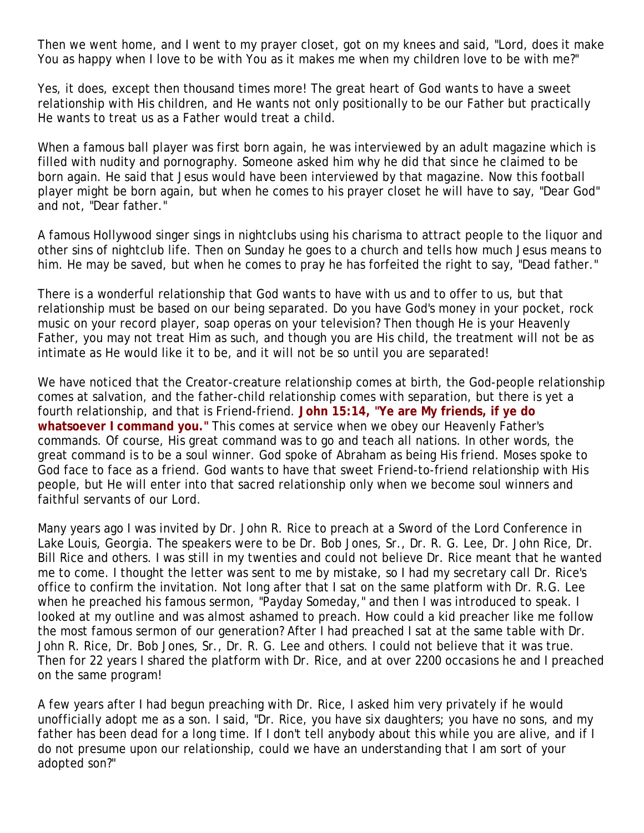Then we went home, and I went to my prayer closet, got on my knees and said, "Lord, does it make You as happy when I love to be with You as it makes me when my children love to be with me?"

Yes, it does, except then thousand times more! The great heart of God wants to have a sweet relationship with His children, and He wants not only positionally to be our Father but practically He wants to treat us as a Father would treat a child.

When a famous ball player was first born again, he was interviewed by an adult magazine which is filled with nudity and pornography. Someone asked him why he did that since he claimed to be born again. He said that Jesus would have been interviewed by that magazine. Now this football player might be born again, but when he comes to his prayer closet he will have to say, "Dear God" and not, "Dear father."

A famous Hollywood singer sings in nightclubs using his charisma to attract people to the liquor and other sins of nightclub life. Then on Sunday he goes to a church and tells how much Jesus means to him. He may be saved, but when he comes to pray he has forfeited the right to say, "Dead father."

There is a wonderful relationship that God wants to have with us and to offer to us, but that relationship must be based on our being separated. Do you have God's money in your pocket, rock music on your record player, soap operas on your television? Then though He is your Heavenly Father, you may not treat Him as such, and though you are His child, the treatment will not be as intimate as He would like it to be, and it will not be so until you are separated!

We have noticed that the Creator-creature relationship comes at birth, the God-people relationship comes at salvation, and the father-child relationship comes with separation, but there is yet a fourth relationship, and that is Friend-friend. **John 15:14, "Ye are My friends, if ye do whatsoever I command you."** This comes at service when we obey our Heavenly Father's commands. Of course, His great command was to go and teach all nations. In other words, the great command is to be a soul winner. God spoke of Abraham as being His friend. Moses spoke to God face to face as a friend. God wants to have that sweet Friend-to-friend relationship with His people, but He will enter into that sacred relationship only when we become soul winners and faithful servants of our Lord.

Many years ago I was invited by Dr. John R. Rice to preach at a Sword of the Lord Conference in Lake Louis, Georgia. The speakers were to be Dr. Bob Jones, Sr., Dr. R. G. Lee, Dr. John Rice, Dr. Bill Rice and others. I was still in my twenties and could not believe Dr. Rice meant that he wanted me to come. I thought the letter was sent to me by mistake, so I had my secretary call Dr. Rice's office to confirm the invitation. Not long after that I sat on the same platform with Dr. R.G. Lee when he preached his famous sermon, "Payday Someday," and then I was introduced to speak. I looked at my outline and was almost ashamed to preach. How could a kid preacher like me follow the most famous sermon of our generation? After I had preached I sat at the same table with Dr. John R. Rice, Dr. Bob Jones, Sr., Dr. R. G. Lee and others. I could not believe that it was true. Then for 22 years I shared the platform with Dr. Rice, and at over 2200 occasions he and I preached on the same program!

A few years after I had begun preaching with Dr. Rice, I asked him very privately if he would unofficially adopt me as a son. I said, "Dr. Rice, you have six daughters; you have no sons, and my father has been dead for a long time. If I don't tell anybody about this while you are alive, and if I do not presume upon our relationship, could we have an understanding that I am sort of your adopted son?"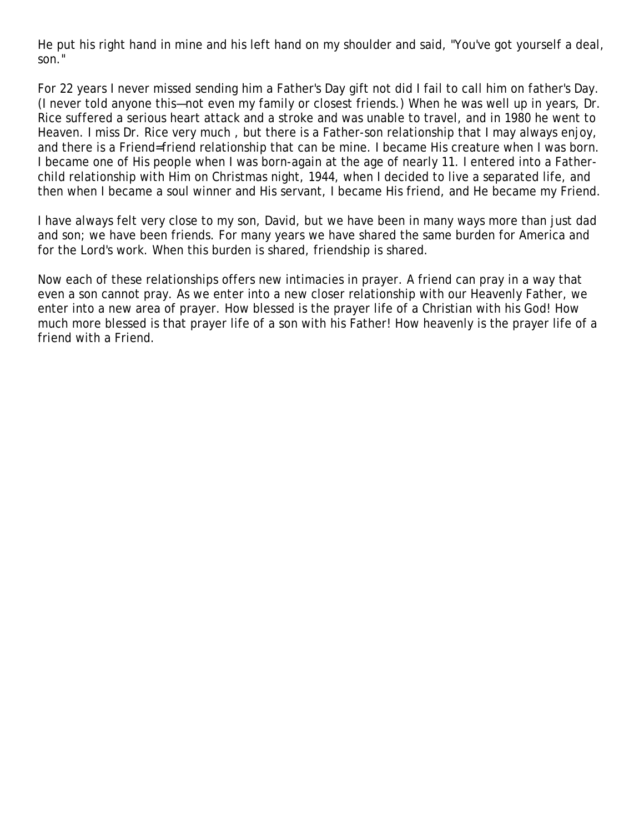He put his right hand in mine and his left hand on my shoulder and said, "You've got yourself a deal, son."

For 22 years I never missed sending him a Father's Day gift not did I fail to call him on father's Day. (I never told anyone this—not even my family or closest friends.) When he was well up in years, Dr. Rice suffered a serious heart attack and a stroke and was unable to travel, and in 1980 he went to Heaven. I miss Dr. Rice very much , but there is a Father-son relationship that I may always enjoy, and there is a Friend=friend relationship that can be mine. I became His creature when I was born. I became one of His people when I was born-again at the age of nearly 11. I entered into a Fatherchild relationship with Him on Christmas night, 1944, when I decided to live a separated life, and then when I became a soul winner and His servant, I became His friend, and He became my Friend.

I have always felt very close to my son, David, but we have been in many ways more than just dad and son; we have been friends. For many years we have shared the same burden for America and for the Lord's work. When this burden is shared, friendship is shared.

Now each of these relationships offers new intimacies in prayer. A friend can pray in a way that even a son cannot pray. As we enter into a new closer relationship with our Heavenly Father, we enter into a new area of prayer. How blessed is the prayer life of a Christian with his God! How much more blessed is that prayer life of a son with his Father! How heavenly is the prayer life of a friend with a Friend.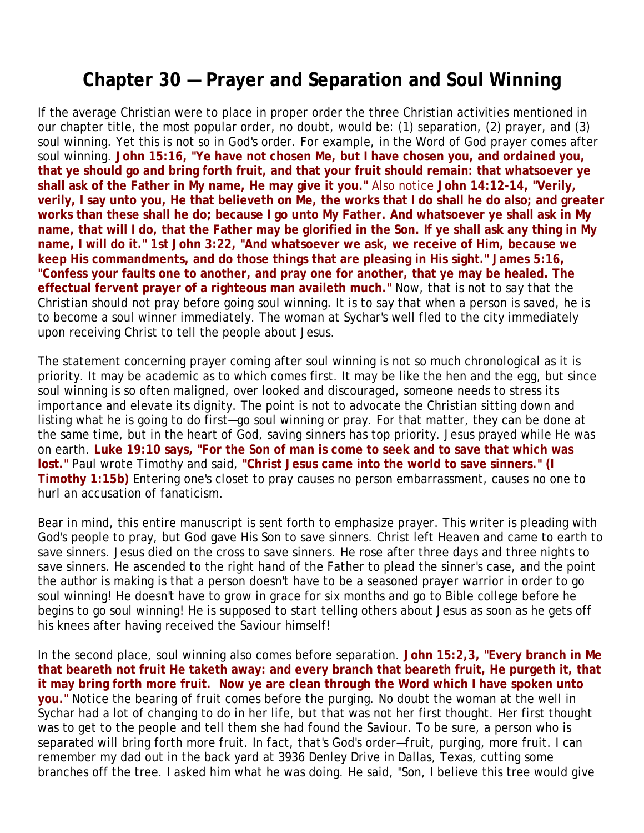## **Chapter 30 — Prayer and Separation and Soul Winning**

If the average Christian were to place in proper order the three Christian activities mentioned in our chapter title, the most popular order, no doubt, would be: (1) separation, (2) prayer, and (3) soul winning. Yet this is not so in God's order. For example, in the Word of God prayer comes after soul winning. **John 15:16, "Ye have not chosen Me, but I have chosen you, and ordained you, that ye should go and bring forth fruit, and that your fruit should remain: that whatsoever ye shall ask of the Father in My name, He may give it you."** Also notice **John 14:12-14, "Verily, verily, I say unto you, He that believeth on Me, the works that I do shall he do also; and greater works than these shall he do; because I go unto My Father. And whatsoever ye shall ask in My name, that will I do, that the Father may be glorified in the Son. If ye shall ask any thing in My name, I will do it." 1st John 3:22, "And whatsoever we ask, we receive of Him, because we keep His commandments, and do those things that are pleasing in His sight." James 5:16, "Confess your faults one to another, and pray one for another, that ye may be healed. The effectual fervent prayer of a righteous man availeth much."** Now, that is not to say that the Christian should not pray before going soul winning. It is to say that when a person is saved, he is to become a soul winner immediately. The woman at Sychar's well fled to the city immediately upon receiving Christ to tell the people about Jesus.

The statement concerning prayer coming after soul winning is not so much chronological as it is priority. It may be academic as to which comes first. It may be like the hen and the egg, but since soul winning is so often maligned, over looked and discouraged, someone needs to stress its importance and elevate its dignity. The point is not to advocate the Christian sitting down and listing what he is going to do first—go soul winning or pray. For that matter, they can be done at the same time, but in the heart of God, saving sinners has top priority. Jesus prayed while He was on earth. **Luke 19:10 says, "For the Son of man is come to seek and to save that which was lost."** Paul wrote Timothy and said, **"Christ Jesus came into the world to save sinners." (I Timothy 1:15b)** Entering one's closet to pray causes no person embarrassment, causes no one to hurl an accusation of fanaticism.

Bear in mind, this entire manuscript is sent forth to emphasize prayer. This writer is pleading with God's people to pray, but God gave His Son to save sinners. Christ left Heaven and came to earth to save sinners. Jesus died on the cross to save sinners. He rose after three days and three nights to save sinners. He ascended to the right hand of the Father to plead the sinner's case, and the point the author is making is that a person doesn't have to be a seasoned prayer warrior in order to go soul winning! He doesn't have to grow in grace for six months and go to Bible college before he begins to go soul winning! He is supposed to start telling others about Jesus as soon as he gets off his knees after having received the Saviour himself!

In the second place, soul winning also comes before separation. **John 15:2,3, "Every branch in Me that beareth not fruit He taketh away: and every branch that beareth fruit, He purgeth it, that it may bring forth more fruit. Now ye are clean through the Word which I have spoken unto you."** Notice the bearing of fruit comes before the purging. No doubt the woman at the well in Sychar had a lot of changing to do in her life, but that was not her first thought. Her first thought was to get to the people and tell them she had found the Saviour. To be sure, a person who is separated will bring forth more fruit. In fact, that's God's order—fruit, purging, more fruit. I can remember my dad out in the back yard at 3936 Denley Drive in Dallas, Texas, cutting some branches off the tree. I asked him what he was doing. He said, "Son, I believe this tree would give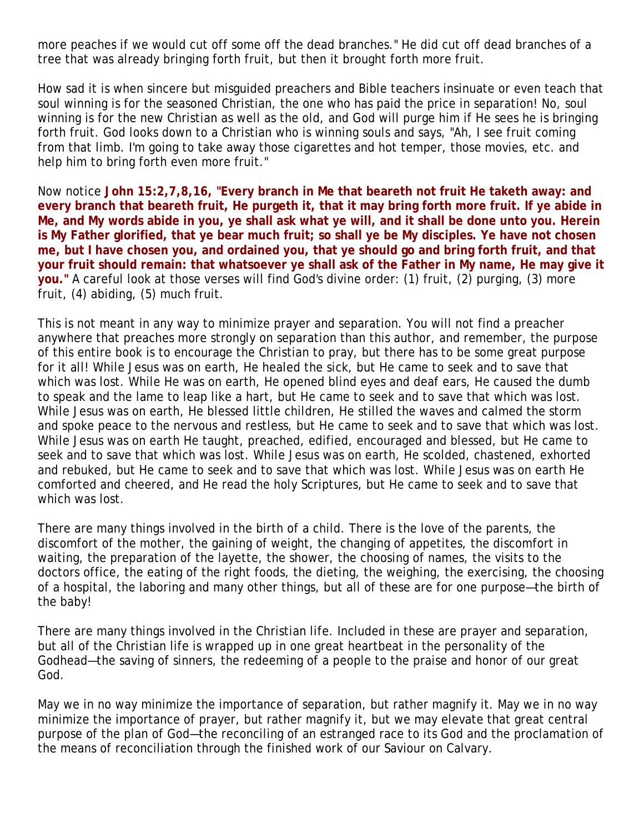more peaches if we would cut off some off the dead branches." He did cut off dead branches of a tree that was already bringing forth fruit, but then it brought forth more fruit.

How sad it is when sincere but misguided preachers and Bible teachers insinuate or even teach that soul winning is for the seasoned Christian, the one who has paid the price in separation! No, soul winning is for the new Christian as well as the old, and God will purge him if He sees he is bringing forth fruit. God looks down to a Christian who is winning souls and says, "Ah, I see fruit coming from that limb. I'm going to take away those cigarettes and hot temper, those movies, etc. and help him to bring forth even more fruit."

Now notice **John 15:2,7,8,16, "Every branch in Me that beareth not fruit He taketh away: and every branch that beareth fruit, He purgeth it, that it may bring forth more fruit. If ye abide in Me, and My words abide in you, ye shall ask what ye will, and it shall be done unto you. Herein is My Father glorified, that ye bear much fruit; so shall ye be My disciples. Ye have not chosen me, but I have chosen you, and ordained you, that ye should go and bring forth fruit, and that your fruit should remain: that whatsoever ye shall ask of the Father in My name, He may give it you."** A careful look at those verses will find God's divine order: (1) fruit, (2) purging, (3) more fruit, (4) abiding, (5) much fruit.

This is not meant in any way to minimize prayer and separation. You will not find a preacher anywhere that preaches more strongly on separation than this author, and remember, the purpose of this entire book is to encourage the Christian to pray, but there has to be some great purpose for it all! While Jesus was on earth, He healed the sick, but He came to seek and to save that which was lost. While He was on earth, He opened blind eyes and deaf ears, He caused the dumb to speak and the lame to leap like a hart, but He came to seek and to save that which was lost. While Jesus was on earth, He blessed little children, He stilled the waves and calmed the storm and spoke peace to the nervous and restless, but He came to seek and to save that which was lost. While Jesus was on earth He taught, preached, edified, encouraged and blessed, but He came to seek and to save that which was lost. While Jesus was on earth, He scolded, chastened, exhorted and rebuked, but He came to seek and to save that which was lost. While Jesus was on earth He comforted and cheered, and He read the holy Scriptures, but He came to seek and to save that which was lost.

There are many things involved in the birth of a child. There is the love of the parents, the discomfort of the mother, the gaining of weight, the changing of appetites, the discomfort in waiting, the preparation of the layette, the shower, the choosing of names, the visits to the doctors office, the eating of the right foods, the dieting, the weighing, the exercising, the choosing of a hospital, the laboring and many other things, but all of these are for one purpose—the birth of the baby!

There are many things involved in the Christian life. Included in these are prayer and separation, but all of the Christian life is wrapped up in one great heartbeat in the personality of the Godhead—the saving of sinners, the redeeming of a people to the praise and honor of our great God.

May we in no way minimize the importance of separation, but rather magnify it. May we in no way minimize the importance of prayer, but rather magnify it, but we may elevate that great central purpose of the plan of God—the reconciling of an estranged race to its God and the proclamation of the means of reconciliation through the finished work of our Saviour on Calvary.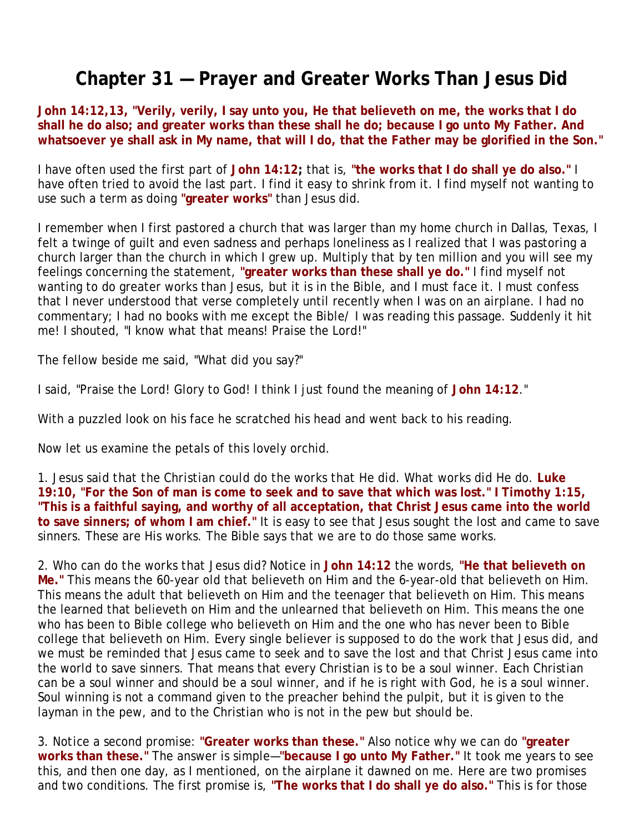# **Chapter 31 — Prayer and Greater Works Than Jesus Did**

**John 14:12,13, "Verily, verily, I say unto you, He that believeth on me, the works that I do shall he do also; and greater works than these shall he do; because I go unto My Father. And whatsoever ye shall ask in My name, that will I do, that the Father may be glorified in the Son."**

I have often used the first part of **John 14:12;** that is, **"the works that I do shall ye do also."** I have often tried to avoid the last part. I find it easy to shrink from it. I find myself not wanting to use such a term as doing **"greater works"** than Jesus did.

I remember when I first pastored a church that was larger than my home church in Dallas, Texas, I felt a twinge of guilt and even sadness and perhaps loneliness as I realized that I was pastoring a church larger than the church in which I grew up. Multiply that by ten million and you will see my feelings concerning the statement, **"greater works than these shall ye do."** I find myself not wanting to do greater works than Jesus, but it is in the Bible, and I must face it. I must confess that I never understood that verse completely until recently when I was on an airplane. I had no commentary; I had no books with me except the Bible/ I was reading this passage. Suddenly it hit me! I shouted, "I know what that means! Praise the Lord!"

The fellow beside me said, "What did you say?"

I said, "Praise the Lord! Glory to God! I think I just found the meaning of **John 14:12**."

With a puzzled look on his face he scratched his head and went back to his reading.

Now let us examine the petals of this lovely orchid.

1. *Jesus said that the Christian could do the works that He did. What works did He do.* **Luke 19:10, "For the Son of man is come to seek and to save that which was lost." I Timothy 1:15, "This is a faithful saying, and worthy of all acceptation, that Christ Jesus came into the world to save sinners; of whom I am chief."** It is easy to see that Jesus sought the lost and came to save sinners. These are His works. The Bible says that we are to do those same works.

2. *Who can do the works that Jesus did?* Notice in **John 14:12** the words, **"He that believeth on Me."** This means the 60-year old that believeth on Him and the 6-year-old that believeth on Him. This means the adult that believeth on Him and the teenager that believeth on Him. This means the learned that believeth on Him and the unlearned that believeth on Him. This means the one who has been to Bible college who believeth on Him and the one who has never been to Bible college that believeth on Him. Every single believer is supposed to do the work that Jesus did, and we must be reminded that Jesus came to seek and to save the lost and that Christ Jesus came into the world to save sinners. That means that every Christian is to be a soul winner. Each Christian can be a soul winner and should be a soul winner, and if he is right with God, he is a soul winner. Soul winning is not a command given to the preacher behind the pulpit, but it is given to the layman in the pew, and to the Christian who is not in the pew but should be.

3. *Notice a second promise:* **"Greater works than these."** Also notice why we can do **"greater works than these."** The answer is simple—**"because I go unto My Father."** It took me years to see this, and then one day, as I mentioned, on the airplane it dawned on me. Here are two promises and two conditions. The first promise is, **"The works that I do shall ye do also."** This is for those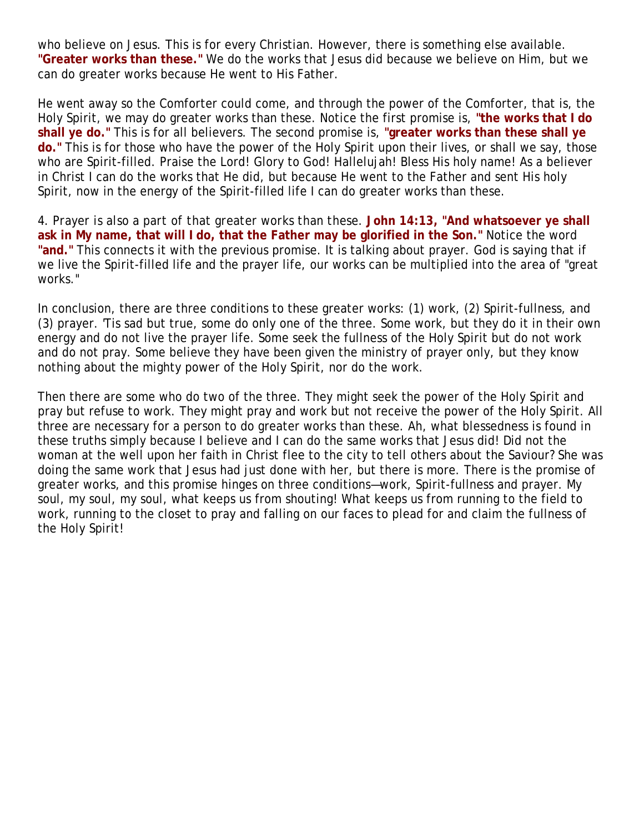who believe on Jesus. This is for every Christian. However, there is something else available. **"Greater works than these."** We do the works that Jesus did because we believe on Him, but we can do greater works because He went to His Father.

He went away so the Comforter could come, and through the power of the Comforter, that is, the Holy Spirit, we may do greater works than these. Notice the first promise is, **"the works that I do shall ye do."** This is for all believers. The second promise is, **"greater works than these shall ye do."** This is for those who have the power of the Holy Spirit upon their lives, or shall we say, those who are Spirit-filled. Praise the Lord! Glory to God! Hallelujah! Bless His holy name! As a believer in Christ I can do the works that He did, but because He went to the Father and sent His holy Spirit, now in the energy of the Spirit-filled life I can do greater works than these.

4. *Prayer is also a part of that greater works than these.* **John 14:13, "And whatsoever ye shall ask in My name, that will I do, that the Father may be glorified in the Son."** Notice the word **"and."** This connects it with the previous promise. It is talking about prayer. God is saying that if we live the Spirit-filled life and the prayer life, our works can be multiplied into the area of "great works."

In conclusion, there are three conditions to these greater works: (1) work, (2) Spirit-fullness, and (3) prayer. 'Tis sad but true, some do only one of the three. Some work, but they do it in their own energy and do not live the prayer life. Some seek the fullness of the Holy Spirit but do not work and do not pray. Some believe they have been given the ministry of prayer only, but they know nothing about the mighty power of the Holy Spirit, nor do the work.

Then there are some who do two of the three. They might seek the power of the Holy Spirit and pray but refuse to work. They might pray and work but not receive the power of the Holy Spirit. All three are necessary for a person to do greater works than these. Ah, what blessedness is found in these truths simply because I believe and I can do the same works that Jesus did! Did not the woman at the well upon her faith in Christ flee to the city to tell others about the Saviour? She was doing the same work that Jesus had just done with her, but there is more. There is the promise of greater works, and this promise hinges on three conditions—work, Spirit-fullness and prayer. My soul, my soul, my soul, what keeps us from shouting! What keeps us from running to the field to work, running to the closet to pray and falling on our faces to plead for and claim the fullness of the Holy Spirit!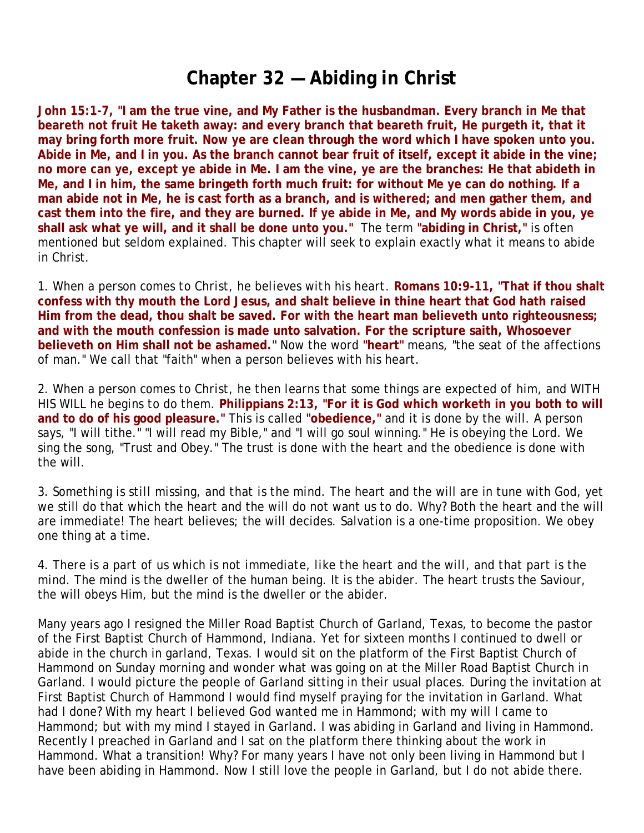## **Chapter 32 — Abiding in Christ**

**John 15:1-7, "I am the true vine, and My Father is the husbandman. Every branch in Me that beareth not fruit He taketh away: and every branch that beareth fruit, He purgeth it, that it may bring forth more fruit. Now ye are clean through the word which I have spoken unto you. Abide in Me, and I in you. As the branch cannot bear fruit of itself, except it abide in the vine; no more can ye, except ye abide in Me. I am the vine, ye are the branches: He that abideth in Me, and I in him, the same bringeth forth much fruit: for without Me ye can do nothing. If a man abide not in Me, he is cast forth as a branch, and is withered; and men gather them, and cast them into the fire, and they are burned. If ye abide in Me, and My words abide in you, ye shall ask what ye will, and it shall be done unto you."** The term **"abiding in Christ,"** is often mentioned but seldom explained. This chapter will seek to explain exactly what it means to abide in Christ.

1. *When a person comes to Christ, he believes with his heart.* **Romans 10:9-11, "That if thou shalt confess with thy mouth the Lord Jesus, and shalt believe in thine heart that God hath raised Him from the dead, thou shalt be saved. For with the heart man believeth unto righteousness; and with the mouth confession is made unto salvation. For the scripture saith, Whosoever believeth on Him shall not be ashamed."** Now the word **"heart"** means, "the seat of the affections of man." We call that "faith" when a person believes with his heart.

2. *When a person comes to Christ, he then learns that some things are expected of him, and WITH HIS WILL he begins to do them.* **Philippians 2:13, "For it is God which worketh in you both to will and to do of his good pleasure."** This is called **"obedience,"** and it is done by the will. A person says, "I will tithe." "I will read my Bible," and "I will go soul winning." He is obeying the Lord. We sing the song, "Trust and Obey." The trust is done with the heart and the obedience is done with the will.

3. *Something is still missing, and that is the mind.* The heart and the will are in tune with God, yet we still do that which the heart and the will do not want us to do. Why? Both the heart and the will are immediate! The heart believes; the will decides. Salvation is a one-time proposition. We obey one thing at a time.

4. *There is a part of us which is not immediate, like the heart and the will, and that part is the mind.* The mind is the dweller of the human being. It is the abider. The heart trusts the Saviour, the will obeys Him, but the mind is the dweller or the abider.

Many years ago I resigned the Miller Road Baptist Church of Garland, Texas, to become the pastor of the First Baptist Church of Hammond, Indiana. Yet for sixteen months I continued to dwell or abide in the church in garland, Texas. I would sit on the platform of the First Baptist Church of Hammond on Sunday morning and wonder what was going on at the Miller Road Baptist Church in Garland. I would picture the people of Garland sitting in their usual places. During the invitation at First Baptist Church of Hammond I would find myself praying for the invitation in Garland. What had I done? With my heart I believed God wanted me in Hammond; with my will I came to Hammond; but with my mind I stayed in Garland. I was abiding in Garland and living in Hammond. Recently I preached in Garland and I sat on the platform there thinking about the work in Hammond. What a transition! Why? For many years I have not only been living in Hammond but I have been abiding in Hammond. Now I still love the people in Garland, but I do not abide there.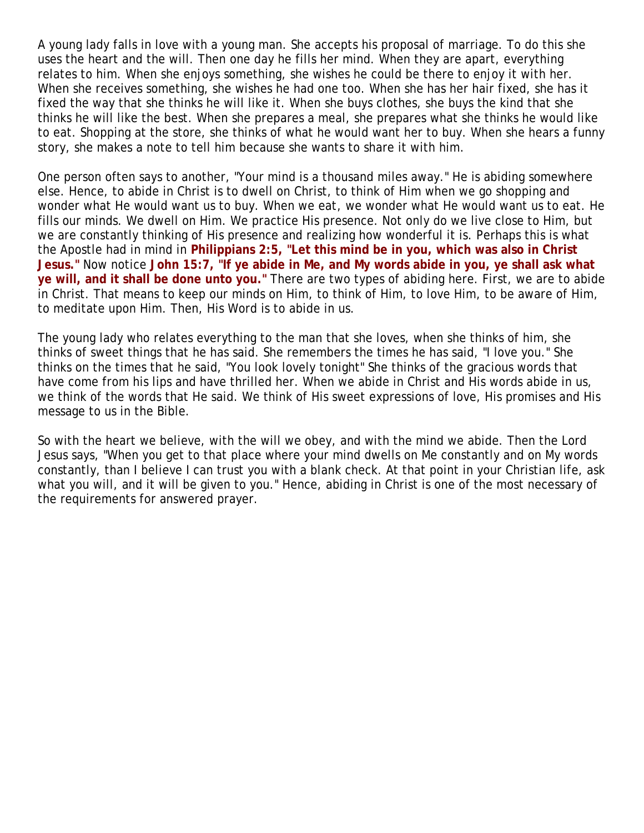A young lady falls in love with a young man. She accepts his proposal of marriage. To do this she uses the heart and the will. Then one day he fills her mind. When they are apart, everything relates to him. When she enjoys something, she wishes he could be there to enjoy it with her. When she receives something, she wishes he had one too. When she has her hair fixed, she has it fixed the way that she thinks he will like it. When she buys clothes, she buys the kind that she thinks he will like the best. When she prepares a meal, she prepares what she thinks he would like to eat. Shopping at the store, she thinks of what he would want her to buy. When she hears a funny story, she makes a note to tell him because she wants to share it with him.

One person often says to another, "Your mind is a thousand miles away." He is abiding somewhere else. Hence, to abide in Christ is to dwell on Christ, to think of Him when we go shopping and wonder what He would want us to buy. When we eat, we wonder what He would want us to eat. He fills our minds. We dwell on Him. We practice His presence. Not only do we live close to Him, but we are constantly thinking of His presence and realizing how wonderful it is. Perhaps this is what the Apostle had in mind in **Philippians 2:5, "Let this mind be in you, which was also in Christ Jesus."** Now notice **John 15:7, "If ye abide in Me, and My words abide in you, ye shall ask what ye will, and it shall be done unto you."** There are two types of abiding here. First, we are to abide in Christ. That means to keep our minds on Him, to think of Him, to love Him, to be aware of Him, to meditate upon Him. Then, His Word is to abide in us.

The young lady who relates everything to the man that she loves, when she thinks of him, she thinks of sweet things that he has said. She remembers the times he has said, "I love you." She thinks on the times that he said, "You look lovely tonight" She thinks of the gracious words that have come from his lips and have thrilled her. When we abide in Christ and His words abide in us, we think of the words that He said. We think of His sweet expressions of love, His promises and His message to us in the Bible.

So with the heart we believe, with the will we obey, and with the mind we abide. Then the Lord Jesus says, "When you get to that place where your mind dwells on Me constantly and on My words constantly, than I believe I can trust you with a blank check. At that point in your Christian life, ask what you will, and it will be given to you." Hence, abiding in Christ is one of the most necessary of the requirements for answered prayer.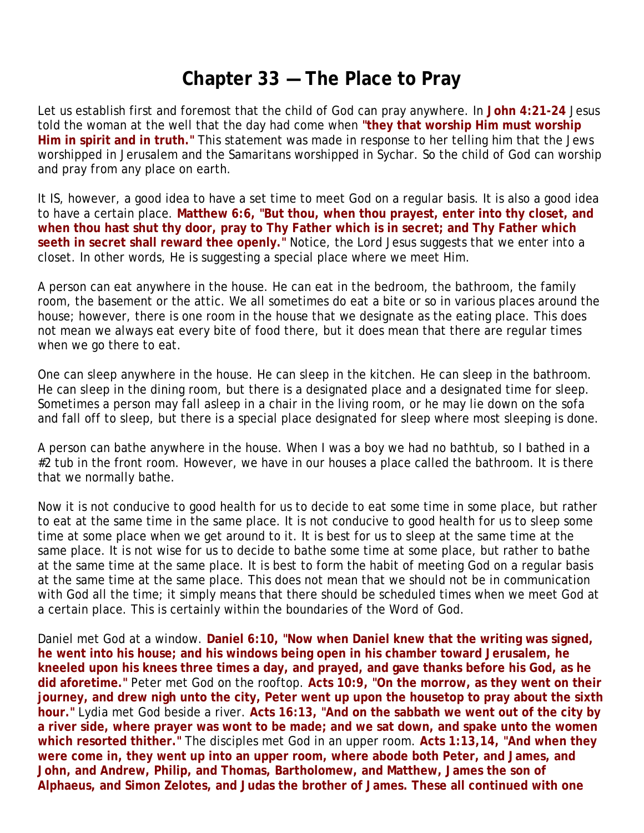# **Chapter 33 — The Place to Pray**

Let us establish first and foremost that the child of God can pray anywhere. In **John 4:21-24** Jesus told the woman at the well that the day had come when **"they that worship Him must worship Him in spirit and in truth."** This statement was made in response to her telling him that the Jews worshipped in Jerusalem and the Samaritans worshipped in Sychar. So the child of God can worship and pray from any place on earth.

It IS, however, a good idea to have a set time to meet God on a regular basis. It is also a good idea to have a certain place. **Matthew 6:6, "But thou, when thou prayest, enter into thy closet, and when thou hast shut thy door, pray to Thy Father which is in secret; and Thy Father which seeth in secret shall reward thee openly."** Notice, the Lord Jesus suggests that we enter into a closet. In other words, He is suggesting a special place where we meet Him.

A person can eat anywhere in the house. He can eat in the bedroom, the bathroom, the family room, the basement or the attic. We all sometimes do eat a bite or so in various places around the house; however, there is one room in the house that we designate as the eating place. This does not mean we always eat every bite of food there, but it does mean that there are regular times when we go there to eat.

One can sleep anywhere in the house. He can sleep in the kitchen. He can sleep in the bathroom. He can sleep in the dining room, but there is a designated place and a designated time for sleep. Sometimes a person may fall asleep in a chair in the living room, or he may lie down on the sofa and fall off to sleep, but there is a special place designated for sleep where most sleeping is done.

A person can bathe anywhere in the house. When I was a boy we had no bathtub, so I bathed in a #2 tub in the front room. However, we have in our houses a place called the bathroom. It is there that we normally bathe.

Now it is not conducive to good health for us to decide to eat some time in some place, but rather to eat at the same time in the same place. It is not conducive to good health for us to sleep some time at some place when we get around to it. It is best for us to sleep at the same time at the same place. It is not wise for us to decide to bathe some time at some place, but rather to bathe at the same time at the same place. It is best to form the habit of meeting God on a regular basis at the same time at the same place. This does not mean that we should not be in communication with God all the time; it simply means that there should be scheduled times when we meet God at a certain place. This is certainly within the boundaries of the Word of God.

Daniel met God at a window. **Daniel 6:10, "Now when Daniel knew that the writing was signed, he went into his house; and his windows being open in his chamber toward Jerusalem, he kneeled upon his knees three times a day, and prayed, and gave thanks before his God, as he did aforetime."** Peter met God on the rooftop. **Acts 10:9, "On the morrow, as they went on their journey, and drew nigh unto the city, Peter went up upon the housetop to pray about the sixth hour."** Lydia met God beside a river. **Acts 16:13, "And on the sabbath we went out of the city by a river side, where prayer was wont to be made; and we sat down, and spake unto the women which resorted thither."** The disciples met God in an upper room. **Acts 1:13,14, "And when they were come in, they went up into an upper room, where abode both Peter, and James, and John, and Andrew, Philip, and Thomas, Bartholomew, and Matthew, James the son of Alphaeus, and Simon Zelotes, and Judas the brother of James. These all continued with one**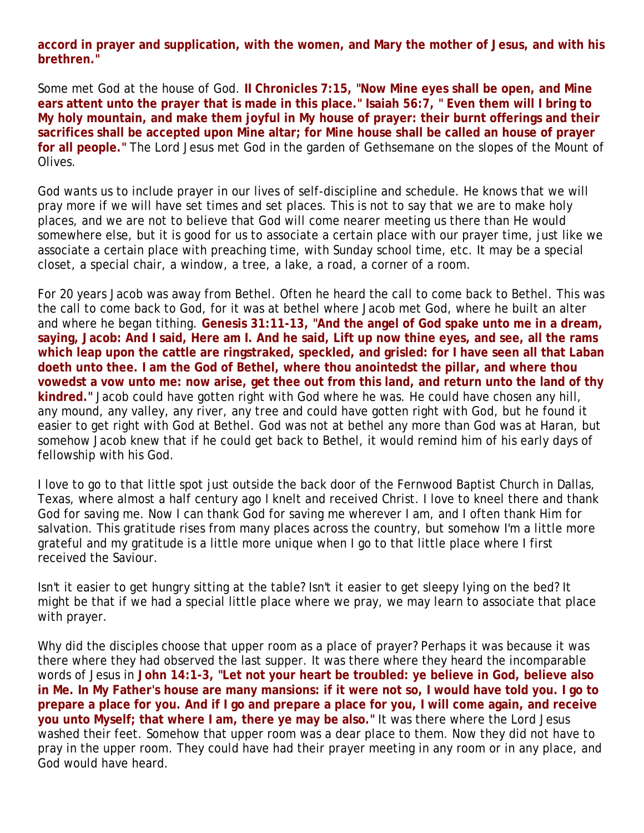**accord in prayer and supplication, with the women, and Mary the mother of Jesus, and with his brethren."** 

Some met God at the house of God. **II Chronicles 7:15, "Now Mine eyes shall be open, and Mine ears attent unto the prayer that is made in this place." Isaiah 56:7, " Even them will I bring to My holy mountain, and make them joyful in My house of prayer: their burnt offerings and their sacrifices shall be accepted upon Mine altar; for Mine house shall be called an house of prayer for all people."** The Lord Jesus met God in the garden of Gethsemane on the slopes of the Mount of Olives.

God wants us to include prayer in our lives of self-discipline and schedule. He knows that we will pray more if we will have set times and set places. This is not to say that we are to make holy places, and we are not to believe that God will come nearer meeting us there than He would somewhere else, but it is good for us to associate a certain place with our prayer time, just like we associate a certain place with preaching time, with Sunday school time, etc. It may be a special closet, a special chair, a window, a tree, a lake, a road, a corner of a room.

For 20 years Jacob was away from Bethel. Often he heard the call to come back to Bethel. This was the call to come back to God, for it was at bethel where Jacob met God, where he built an alter and where he began tithing. **Genesis 31:11-13, "And the angel of God spake unto me in a dream, saying, Jacob: And I said, Here am I. And he said, Lift up now thine eyes, and see, all the rams which leap upon the cattle are ringstraked, speckled, and grisled: for I have seen all that Laban doeth unto thee. I am the God of Bethel, where thou anointedst the pillar, and where thou vowedst a vow unto me: now arise, get thee out from this land, and return unto the land of thy kindred."** Jacob could have gotten right with God where he was. He could have chosen any hill, any mound, any valley, any river, any tree and could have gotten right with God, but he found it easier to get right with God at Bethel. God was not at bethel any more than God was at Haran, but somehow Jacob knew that if he could get back to Bethel, it would remind him of his early days of fellowship with his God.

I love to go to that little spot just outside the back door of the Fernwood Baptist Church in Dallas, Texas, where almost a half century ago I knelt and received Christ. I love to kneel there and thank God for saving me. Now I can thank God for saving me wherever I am, and I often thank Him for salvation. This gratitude rises from many places across the country, but somehow I'm a little more grateful and my gratitude is a little more unique when I go to that little place where I first received the Saviour.

Isn't it easier to get hungry sitting at the table? Isn't it easier to get sleepy lying on the bed? It might be that if we had a special little place where we pray, we may learn to associate that place with prayer.

Why did the disciples choose that upper room as a place of prayer? Perhaps it was because it was there where they had observed the last supper. It was there where they heard the incomparable words of Jesus in **John 14:1-3, "Let not your heart be troubled: ye believe in God, believe also in Me. In My Father's house are many mansions: if it were not so, I would have told you. I go to prepare a place for you. And if I go and prepare a place for you, I will come again, and receive you unto Myself; that where I am, there ye may be also."** It was there where the Lord Jesus washed their feet. Somehow that upper room was a dear place to them. Now they did not have to pray in the upper room. They could have had their prayer meeting in any room or in any place, and God would have heard.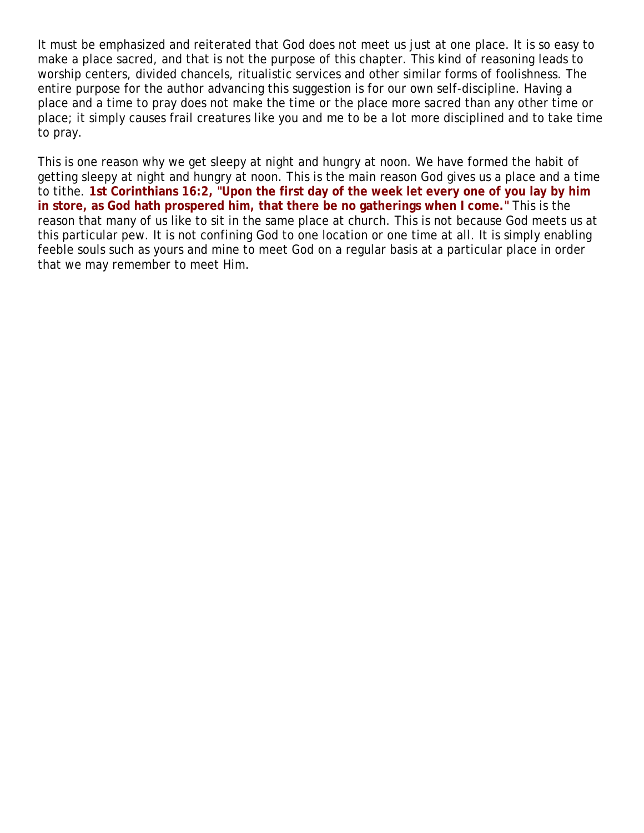It must be emphasized and reiterated that God does not meet us just at one place. It is so easy to make a place sacred, and that is not the purpose of this chapter. This kind of reasoning leads to worship centers, divided chancels, ritualistic services and other similar forms of foolishness. The entire purpose for the author advancing this suggestion is for our own self-discipline. Having a place and a time to pray does not make the time or the place more sacred than any other time or place; it simply causes frail creatures like you and me to be a lot more disciplined and to take time to pray.

This is one reason why we get sleepy at night and hungry at noon. We have formed the habit of getting sleepy at night and hungry at noon. This is the main reason God gives us a place and a time to tithe. **1st Corinthians 16:2, "Upon the first day of the week let every one of you lay by him in store, as God hath prospered him, that there be no gatherings when I come."** This is the reason that many of us like to sit in the same place at church. This is not because God meets us at this particular pew. It is not confining God to one location or one time at all. It is simply enabling feeble souls such as yours and mine to meet God on a regular basis at a particular place in order that we may remember to meet Him.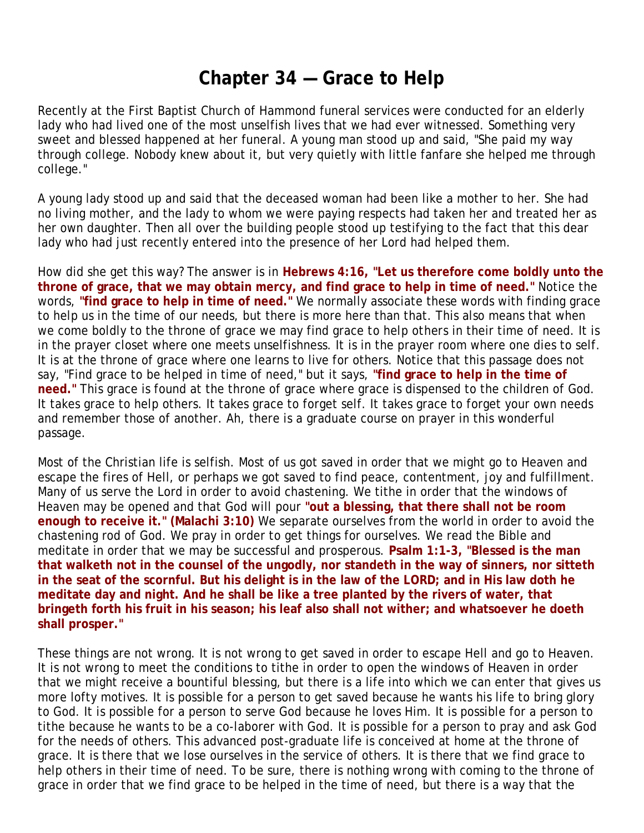## **Chapter 34 — Grace to Help**

Recently at the First Baptist Church of Hammond funeral services were conducted for an elderly lady who had lived one of the most unselfish lives that we had ever witnessed. Something very sweet and blessed happened at her funeral. A young man stood up and said, "She paid my way through college. Nobody knew about it, but very quietly with little fanfare she helped me through college."

A young lady stood up and said that the deceased woman had been like a mother to her. She had no living mother, and the lady to whom we were paying respects had taken her and treated her as her own daughter. Then all over the building people stood up testifying to the fact that this dear lady who had just recently entered into the presence of her Lord had helped them.

How did she get this way? The answer is in **Hebrews 4:16, "Let us therefore come boldly unto the throne of grace, that we may obtain mercy, and find grace to help in time of need."** Notice the words, **"find grace to help in time of need."** We normally associate these words with finding grace to help us in the time of our needs, but there is more here than that. This also means that when we come boldly to the throne of grace we may find grace *to help others* in their time of need. It is in the prayer closet where one meets unselfishness. It is in the prayer room where one dies to self. It is at the throne of grace where one learns to live for others. Notice that this passage does not say, "Find grace to *be helped* in time of need," but it says, **"find grace to help in the time of need."** This grace is found at the throne of grace where grace is dispensed to the children of God. It takes grace to help others. It takes grace to forget self. It takes grace to forget your own needs and remember those of another. Ah, there is a graduate course on prayer in this wonderful passage.

Most of the Christian life is selfish. Most of us got saved in order that we might go to Heaven and escape the fires of Hell, or perhaps we got saved to find peace, contentment, joy and fulfillment. Many of us serve the Lord in order to avoid chastening. We tithe in order that the windows of Heaven may be opened and that God will pour **"out a blessing, that there shall not be room enough to receive it." (Malachi 3:10)** We separate ourselves from the world in order to avoid the chastening rod of God. We pray in order to get things for ourselves. We read the Bible and meditate in order that we may be successful and prosperous. **Psalm 1:1-3, "Blessed is the man that walketh not in the counsel of the ungodly, nor standeth in the way of sinners, nor sitteth in the seat of the scornful. But his delight is in the law of the LORD; and in His law doth he meditate day and night. And he shall be like a tree planted by the rivers of water, that bringeth forth his fruit in his season; his leaf also shall not wither; and whatsoever he doeth shall prosper."**

These things are not wrong. It is not wrong to get saved in order to escape Hell and go to Heaven. It is not wrong to meet the conditions to tithe in order to open the windows of Heaven in order that we might receive a bountiful blessing, but there *is* a life into which we can enter that gives us more lofty motives. It is possible for a person to get saved because he wants his life to bring glory to God. It is possible for a person to serve God because he loves Him. It is possible for a person to tithe because he wants to be a co-laborer with God. It is possible for a person to pray and ask God for the needs of others. This advanced post-graduate life is conceived at home at the throne of grace. It is there that we lose ourselves in the service of others. It is there that we find grace to help others in their time of need. To be sure, there is nothing wrong with coming to the throne of grace in order that we find grace to be helped in the time of need, but there is a way that the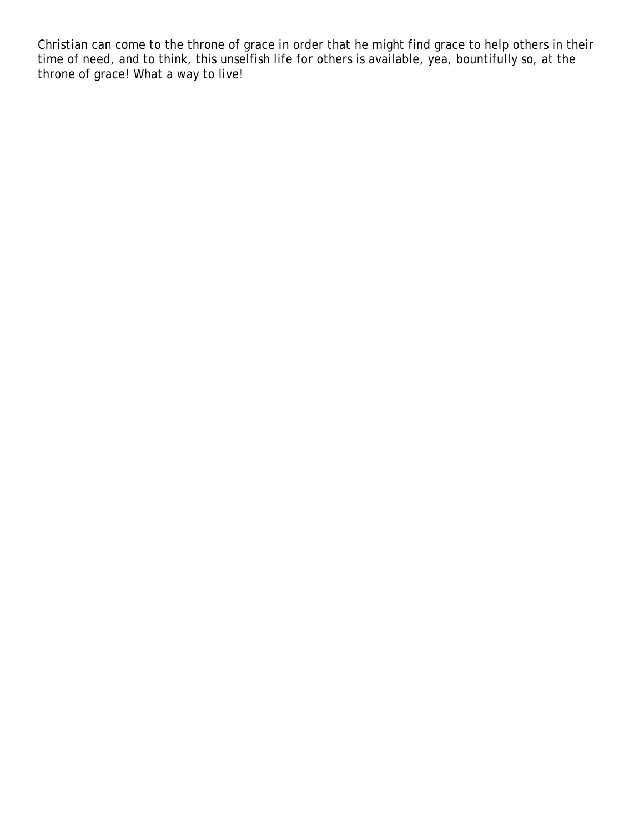Christian can come to the throne of grace in order that he might find grace to help others in their time of need, and to think, this unselfish life for others is available, yea, bountifully so, at the throne of grace! What a way to live!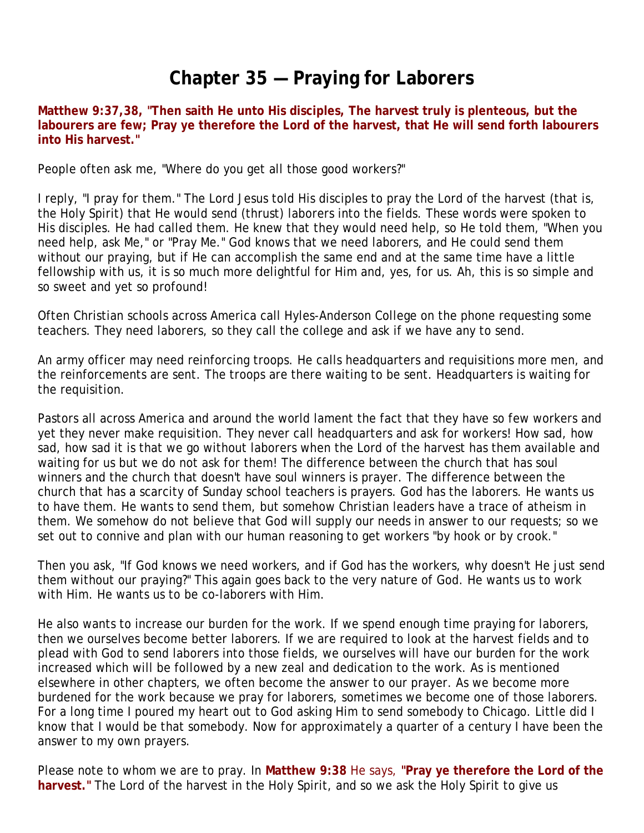# **Chapter 35 — Praying for Laborers**

**Matthew 9:37,38, "Then saith He unto His disciples, The harvest truly is plenteous, but the labourers are few; Pray ye therefore the Lord of the harvest, that He will send forth labourers into His harvest."**

People often ask me, "Where do you get all those good workers?"

I reply, "I pray for them." The Lord Jesus told His disciples to pray the Lord of the harvest (that is, the Holy Spirit) that He would send (thrust) laborers into the fields. These words were spoken to His disciples. He had called them. He knew that they would need help, so He told them, "When you need help, ask Me," or "Pray Me." God knows that we need laborers, and He could send them without our praying, but if He can accomplish the same end and at the same time have a little fellowship with us, it is so much more delightful for Him and, yes, for us. Ah, this is so simple and so sweet and yet so profound!

Often Christian schools across America call Hyles-Anderson College on the phone requesting some teachers. They need laborers, so they call the college and ask if we have any to send.

An army officer may need reinforcing troops. He calls headquarters and requisitions more men, and the reinforcements are sent. The troops are there waiting to be sent. Headquarters is waiting for the requisition.

Pastors all across America and around the world lament the fact that they have so few workers and yet they never make requisition. They never call headquarters and ask for workers! How sad, how sad, how sad it is that we go without laborers when the Lord of the harvest has them available and waiting for us but we do not ask for them! The difference between the church that has soul winners and the church that doesn't have soul winners is prayer. The difference between the church that has a scarcity of Sunday school teachers is prayers. God has the laborers. He wants us to have them. He wants to send them, but somehow Christian leaders have a trace of atheism in them. We somehow do not believe that God will supply our needs in answer to our requests; so we set out to connive and plan with our human reasoning to get workers "by hook or by crook."

Then you ask, "If God knows we need workers, and if God has the workers, why doesn't He just send them without our praying?" This again goes back to the very nature of God. He wants us to work with Him. He wants us to be co-laborers with Him.

He also wants to increase our burden for the work. If we spend enough time praying for laborers, then we ourselves become better laborers. If we are required to look at the harvest fields and to plead with God to send laborers into those fields, we ourselves will have our burden for the work increased which will be followed by a new zeal and dedication to the work. As is mentioned elsewhere in other chapters, we often become the answer to our prayer. As we become more burdened for the work because we pray for laborers, sometimes we become one of those laborers. For a long time I poured my heart out to God asking Him to send somebody to Chicago. Little did I know that I would be that somebody. Now for approximately a quarter of a century I have been the answer to my own prayers.

Please note to whom we are to pray. In **Matthew 9:38** He says, **"Pray ye therefore the Lord of the harvest."** The Lord of the harvest in the Holy Spirit, and so we ask the Holy Spirit to give us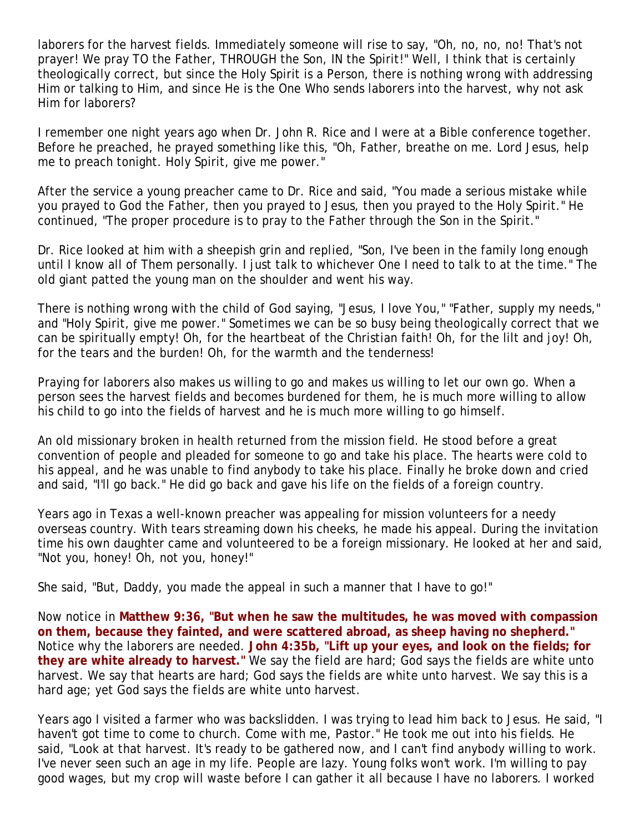laborers for the harvest fields. Immediately someone will rise to say, "Oh, no, no, no! That's not prayer! We pray TO the Father, THROUGH the Son, IN the Spirit!" Well, I think that is certainly theologically correct, but since the Holy Spirit is a Person, there is nothing wrong with addressing Him or talking to Him, and since He is the One Who sends laborers into the harvest, why not ask Him for laborers?

I remember one night years ago when Dr. John R. Rice and I were at a Bible conference together. Before he preached, he prayed something like this, "Oh, Father, breathe on me. Lord Jesus, help me to preach tonight. Holy Spirit, give me power."

After the service a young preacher came to Dr. Rice and said, "You made a serious mistake while you prayed to God the Father, then you prayed to Jesus, then you prayed to the Holy Spirit." He continued, "The proper procedure is to pray to the Father through the Son in the Spirit."

Dr. Rice looked at him with a sheepish grin and replied, "Son, I've been in the family long enough until I know all of Them personally. I just talk to whichever One I need to talk to at the time." The old giant patted the young man on the shoulder and went his way.

There is nothing wrong with the child of God saying, "Jesus, I love You," "Father, supply my needs," and "Holy Spirit, give me power." Sometimes we can be so busy being theologically correct that we can be spiritually empty! Oh, for the heartbeat of the Christian faith! Oh, for the lilt and joy! Oh, for the tears and the burden! Oh, for the warmth and the tenderness!

Praying for laborers also makes us willing to go and makes us willing to let our own go. When a person sees the harvest fields and becomes burdened for them, he is much more willing to allow his child to go into the fields of harvest and he is much more willing to go himself.

An old missionary broken in health returned from the mission field. He stood before a great convention of people and pleaded for someone to go and take his place. The hearts were cold to his appeal, and he was unable to find anybody to take his place. Finally he broke down and cried and said, "I'll go back." He did go back and gave his life on the fields of a foreign country.

Years ago in Texas a well-known preacher was appealing for mission volunteers for a needy overseas country. With tears streaming down his cheeks, he made his appeal. During the invitation time his own daughter came and volunteered to be a foreign missionary. He looked at her and said, "Not you, honey! Oh, not you, honey!"

She said, "But, Daddy, you made the appeal in such a manner that I have to go!"

Now notice in **Matthew 9:36, "But when he saw the multitudes, he was moved with compassion on them, because they fainted, and were scattered abroad, as sheep having no shepherd."** Notice why the laborers are needed. **John 4:35b, "Lift up your eyes, and look on the fields; for they are white already to harvest."** We say the field are hard; God says the fields are white unto harvest. We say that hearts are hard; God says the fields are white unto harvest. We say this is a hard age; yet God says the fields are white unto harvest.

Years ago I visited a farmer who was backslidden. I was trying to lead him back to Jesus. He said, "I haven't got time to come to church. Come with me, Pastor." He took me out into his fields. He said, "Look at that harvest. It's ready to be gathered now, and I can't find anybody willing to work. I've never seen such an age in my life. People are lazy. Young folks won't work. I'm willing to pay good wages, but my crop will waste before I can gather it all because I have no laborers. I worked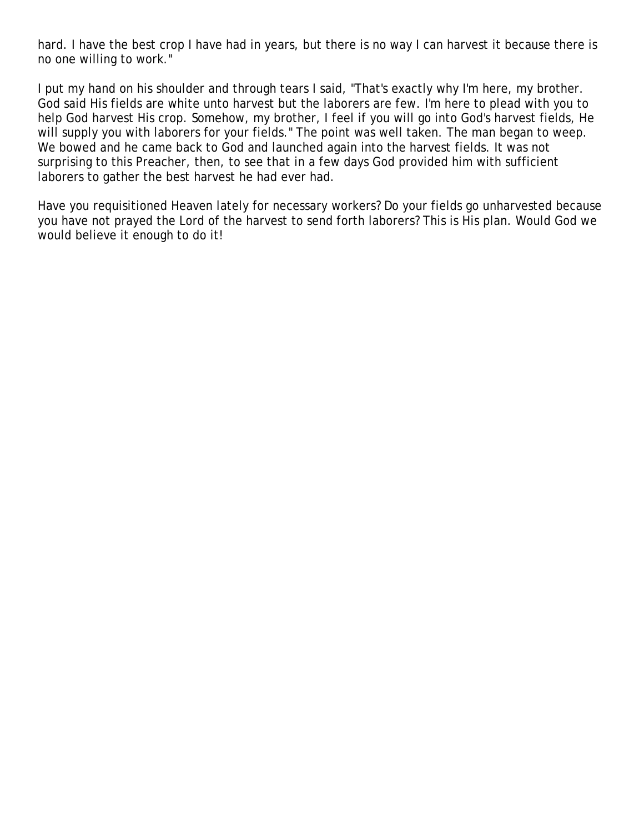hard. I have the best crop I have had in years, but there is no way I can harvest it because there is no one willing to work."

I put my hand on his shoulder and through tears I said, "That's exactly why I'm here, my brother. God said His fields are white unto harvest but the laborers are few. I'm here to plead with you to help God harvest His crop. Somehow, my brother, I feel if you will go into God's harvest fields, He will supply you with laborers for your fields." The point was well taken. The man began to weep. We bowed and he came back to God and launched again into the harvest fields. It was not surprising to this Preacher, then, to see that in a few days God provided him with sufficient laborers to gather the best harvest he had ever had.

Have you requisitioned Heaven lately for necessary workers? Do your fields go unharvested because you have not prayed the Lord of the harvest to send forth laborers? This is His plan. Would God we would believe it enough to do it!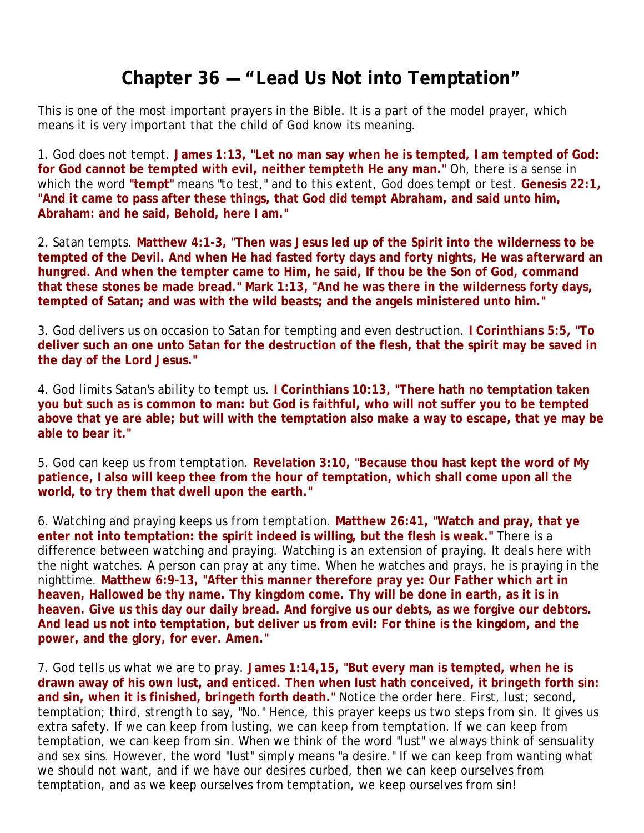# **Chapter 36 — "Lead Us Not into Temptation"**

This is one of the most important prayers in the Bible. It is a part of the model prayer, which means it is very important that the child of God know its meaning.

1. *God does not tempt.* **James 1:13, "Let no man say when he is tempted, I am tempted of God: for God cannot be tempted with evil, neither tempteth He any man."** Oh, there is a sense in which the word **"tempt"** means "to test," and to this extent, God does tempt or test. **Genesis 22:1, "And it came to pass after these things, that God did tempt Abraham, and said unto him, Abraham: and he said, Behold, here I am."**

2. *Satan tempts.* **Matthew 4:1-3, "Then was Jesus led up of the Spirit into the wilderness to be tempted of the Devil. And when He had fasted forty days and forty nights, He was afterward an hungred. And when the tempter came to Him, he said, If thou be the Son of God, command that these stones be made bread." Mark 1:13, "And he was there in the wilderness forty days, tempted of Satan; and was with the wild beasts; and the angels ministered unto him."**

3. *God delivers us on occasion to Satan for tempting and even destruction.* **I Corinthians 5:5, "To deliver such an one unto Satan for the destruction of the flesh, that the spirit may be saved in the day of the Lord Jesus."**

4. *God limits Satan's ability to tempt us.* **I Corinthians 10:13, "There hath no temptation taken you but such as is common to man: but God is faithful, who will not suffer you to be tempted above that ye are able; but will with the temptation also make a way to escape, that ye may be able to bear it."**

5. *God can keep us from temptation.* **Revelation 3:10, "Because thou hast kept the word of My patience, I also will keep thee from the hour of temptation, which shall come upon all the world, to try them that dwell upon the earth."**

6. *Watching and praying keeps us from temptation.* **Matthew 26:41, "Watch and pray, that ye enter not into temptation: the spirit indeed is willing, but the flesh is weak."** There is a difference between watching and praying. Watching is an extension of praying. It deals here with the night watches. A person can pray at any time. When he watches and prays, he is praying in the nighttime. **Matthew 6:9-13, "After this manner therefore pray ye: Our Father which art in heaven, Hallowed be thy name. Thy kingdom come. Thy will be done in earth, as it is in heaven. Give us this day our daily bread. And forgive us our debts, as we forgive our debtors. And lead us not into temptation, but deliver us from evil: For thine is the kingdom, and the power, and the glory, for ever. Amen."**

7. *God tells us what we are to pray.* **James 1:14,15, "But every man is tempted, when he is drawn away of his own lust, and enticed. Then when lust hath conceived, it bringeth forth sin: and sin, when it is finished, bringeth forth death."** Notice the order here. First, lust; second, temptation; third, strength to say, "No." Hence, this prayer keeps us two steps from sin. It gives us extra safety. If we can keep from lusting, we can keep from temptation. If we can keep from temptation, we can keep from sin. When we think of the word "lust" we always think of sensuality and sex sins. However, the word "lust" simply means "a desire." If we can keep from wanting what we should not want, and if we have our desires curbed, then we can keep ourselves from temptation, and as we keep ourselves from temptation, we keep ourselves from sin!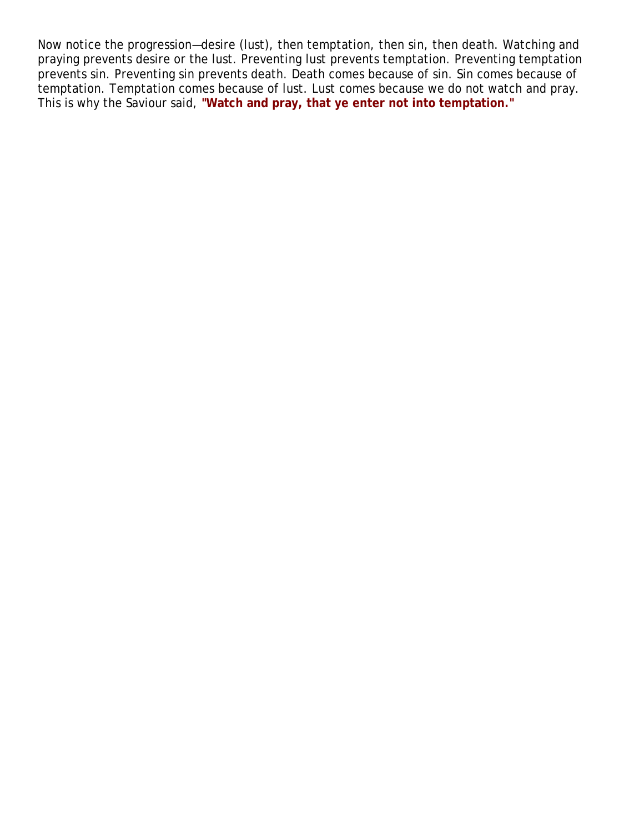Now notice the progression—desire (lust), then temptation, then sin, then death. Watching and praying prevents desire or the lust. Preventing lust prevents temptation. Preventing temptation prevents sin. Preventing sin prevents death. Death comes because of sin. Sin comes because of temptation. Temptation comes because of lust. Lust comes because we do not watch and pray. This is why the Saviour said, **"Watch and pray, that ye enter not into temptation."**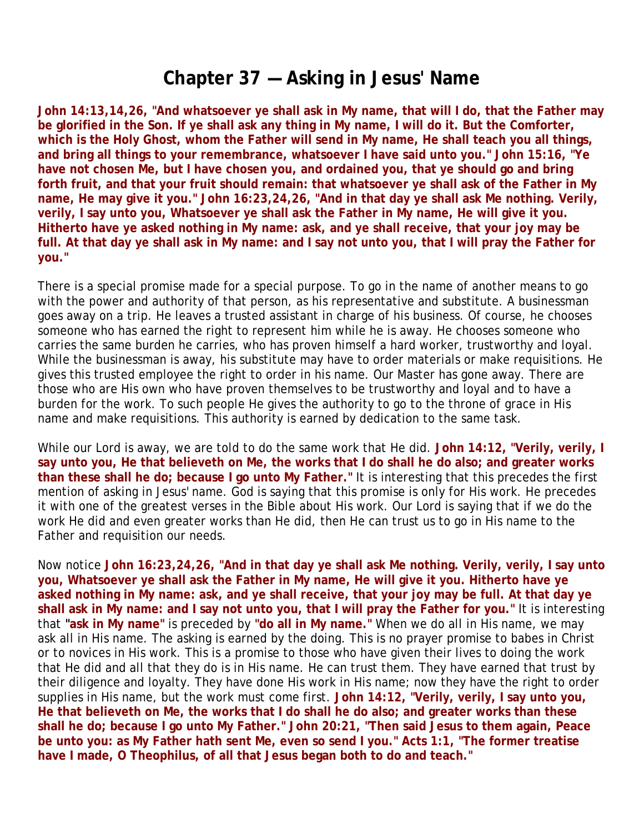### **Chapter 37 — Asking in Jesus' Name**

**John 14:13,14,26, "And whatsoever ye shall ask in My name, that will I do, that the Father may be glorified in the Son. If ye shall ask any thing in My name, I will do it. But the Comforter, which is the Holy Ghost, whom the Father will send in My name, He shall teach you all things, and bring all things to your remembrance, whatsoever I have said unto you." John 15:16, "Ye have not chosen Me, but I have chosen you, and ordained you, that ye should go and bring forth fruit, and that your fruit should remain: that whatsoever ye shall ask of the Father in My name, He may give it you." John 16:23,24,26, "And in that day ye shall ask Me nothing. Verily, verily, I say unto you, Whatsoever ye shall ask the Father in My name, He will give it you. Hitherto have ye asked nothing in My name: ask, and ye shall receive, that your joy may be full. At that day ye shall ask in My name: and I say not unto you, that I will pray the Father for you."** 

There is a special promise made for a special purpose. To go in the name of another means to go with the power and authority of that person, as his representative and substitute. A businessman goes away on a trip. He leaves a trusted assistant in charge of his business. Of course, he chooses someone who has earned the right to represent him while he is away. He chooses someone who carries the same burden he carries, who has proven himself a hard worker, trustworthy and loyal. While the businessman is away, his substitute may have to order materials or make requisitions. He gives this trusted employee the right to order in his name. Our Master has gone away. There are those who are His own who have proven themselves to be trustworthy and loyal and to have a burden for the work. To such people He gives the authority to go to the throne of grace in His name and make requisitions. This authority is earned by dedication to the same task.

While our Lord is away, we are told to do the same work that He did. **John 14:12, "Verily, verily, I say unto you, He that believeth on Me, the works that I do shall he do also; and greater works than these shall he do; because I go unto My Father."** It is interesting that this precedes the first mention of asking in Jesus' name. God is saying that this promise is only for His work. He precedes it with one of the greatest verses in the Bible about His work. Our Lord is saying that if we do the work He did and even greater works than He did, then He can trust us to go in His name to the Father and requisition our needs.

Now notice **John 16:23,24,26, "And in that day ye shall ask Me nothing. Verily, verily, I say unto you, Whatsoever ye shall ask the Father in My name, He will give it you. Hitherto have ye asked nothing in My name: ask, and ye shall receive, that your joy may be full. At that day ye shall ask in My name: and I say not unto you, that I will pray the Father for you."** It is interesting that **"ask in My name"** is preceded by **"do all in My name."** When we do all in His name, we may ask all in His name. The asking is earned by the doing. This is no prayer promise to babes in Christ or to novices in His work. This is a promise to those who have given their lives to doing the work that He did and all that they do is in His name. He can trust them. They have earned that trust by their diligence and loyalty. They have done His work in His name; now they have the right to order supplies in His name, but the work must come first. **John 14:12, "Verily, verily, I say unto you, He that believeth on Me, the works that I do shall he do also; and greater works than these shall he do; because I go unto My Father." John 20:21, "Then said Jesus to them again, Peace be unto you: as My Father hath sent Me, even so send I you." Acts 1:1, "The former treatise have I made, O Theophilus, of all that Jesus began both to do and teach."**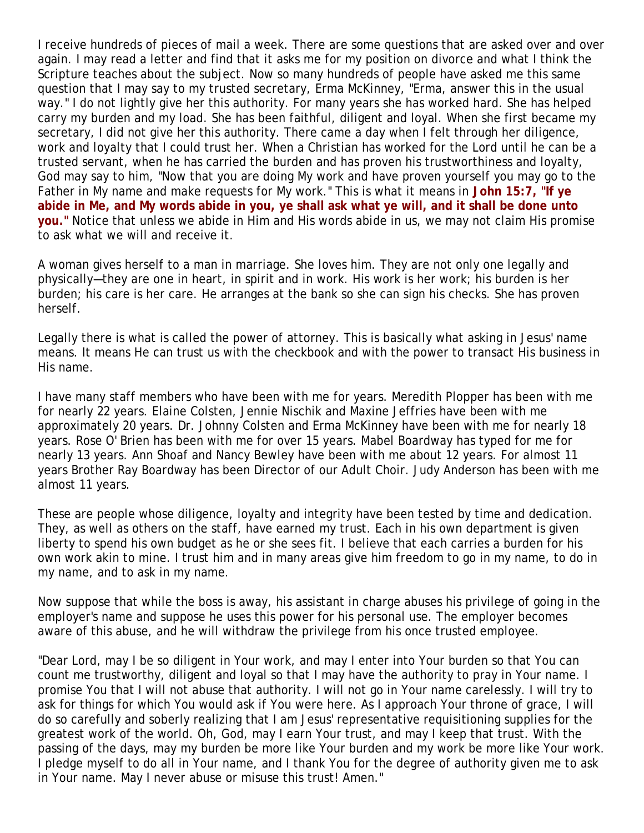I receive hundreds of pieces of mail a week. There are some questions that are asked over and over again. I may read a letter and find that it asks me for my position on divorce and what I think the Scripture teaches about the subject. Now so many hundreds of people have asked me this same question that I may say to my trusted secretary, Erma McKinney, "Erma, answer this in the usual way." I do not lightly give her this authority. For many years she has worked hard. She has helped carry my burden and my load. She has been faithful, diligent and loyal. When she first became my secretary, I did not give her this authority. There came a day when I felt through her diligence, work and loyalty that I could trust her. When a Christian has worked for the Lord until he can be a trusted servant, when he has carried the burden and has proven his trustworthiness and loyalty, God may say to him, "Now that you are doing My work and have proven yourself you may go to the Father in My name and make requests for My work." This is what it means in **John 15:7, "If ye abide in Me, and My words abide in you, ye shall ask what ye will, and it shall be done unto you."** Notice that unless we abide in Him and His words abide in us, we may not claim His promise to ask what we will and receive it.

A woman gives herself to a man in marriage. She loves him. They are not only one legally and physically—they are one in heart, in spirit and in work. His work is her work; his burden is her burden; his care is her care. He arranges at the bank so she can sign his checks. She has proven herself.

Legally there is what is called the power of attorney. This is basically what asking in Jesus' name means. It means He can trust us with the checkbook and with the power to transact His business in His name.

I have many staff members who have been with me for years. Meredith Plopper has been with me for nearly 22 years. Elaine Colsten, Jennie Nischik and Maxine Jeffries have been with me approximately 20 years. Dr. Johnny Colsten and Erma McKinney have been with me for nearly 18 years. Rose O' Brien has been with me for over 15 years. Mabel Boardway has typed for me for nearly 13 years. Ann Shoaf and Nancy Bewley have been with me about 12 years. For almost 11 years Brother Ray Boardway has been Director of our Adult Choir. Judy Anderson has been with me almost 11 years.

These are people whose diligence, loyalty and integrity have been tested by time and dedication. They, as well as others on the staff, have earned my trust. Each in his own department is given liberty to spend his own budget as he or she sees fit. I believe that each carries a burden for his own work akin to mine. I trust him and in many areas give him freedom to go in my name, to do in my name, and to ask in my name.

Now suppose that while the boss is away, his assistant in charge abuses his privilege of going in the employer's name and suppose he uses this power for his personal use. The employer becomes aware of this abuse, and he will withdraw the privilege from his once trusted employee.

"Dear Lord, may I be so diligent in Your work, and may I enter into Your burden so that You can count me trustworthy, diligent and loyal so that I may have the authority to pray in Your name. I promise You that I will not abuse that authority. I will not go in Your name carelessly. I will try to ask for things for which You would ask if You were here. As I approach Your throne of grace, I will do so carefully and soberly realizing that I am Jesus' representative requisitioning supplies for the greatest work of the world. Oh, God, may I earn Your trust, and may I keep that trust. With the passing of the days, may my burden be more like Your burden and my work be more like Your work. I pledge myself to do all in Your name, and I thank You for the degree of authority given me to ask in Your name. May I never abuse or misuse this trust! Amen."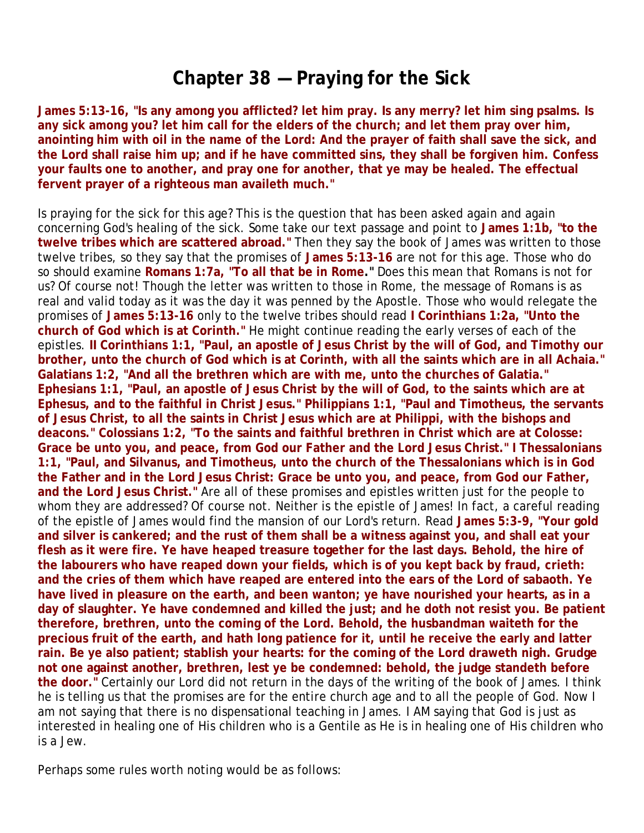### **Chapter 38 — Praying for the Sick**

**James 5:13-16, "Is any among you afflicted? let him pray. Is any merry? let him sing psalms. Is any sick among you? let him call for the elders of the church; and let them pray over him, anointing him with oil in the name of the Lord: And the prayer of faith shall save the sick, and the Lord shall raise him up; and if he have committed sins, they shall be forgiven him. Confess your faults one to another, and pray one for another, that ye may be healed. The effectual fervent prayer of a righteous man availeth much."**

Is praying for the sick for this age? This is the question that has been asked again and again concerning God's healing of the sick. Some take our text passage and point to **James 1:1b, "to the twelve tribes which are scattered abroad."** Then they say the book of James was written to those twelve tribes, so they say that the promises of **James 5:13-16** are not for this age. Those who do so should examine **Romans 1:7a, "To all that be in Rome."** Does this mean that Romans is not for us? Of course not! Though the letter was written to those in Rome, the message of Romans is as real and valid today as it was the day it was penned by the Apostle. Those who would relegate the promises of **James 5:13-16** only to the twelve tribes should read **I Corinthians 1:2a, "Unto the church of God which is at Corinth."** He might continue reading the early verses of each of the epistles. **II Corinthians 1:1, "Paul, an apostle of Jesus Christ by the will of God, and Timothy our brother, unto the church of God which is at Corinth, with all the saints which are in all Achaia." Galatians 1:2, "And all the brethren which are with me, unto the churches of Galatia." Ephesians 1:1, "Paul, an apostle of Jesus Christ by the will of God, to the saints which are at Ephesus, and to the faithful in Christ Jesus." Philippians 1:1, "Paul and Timotheus, the servants of Jesus Christ, to all the saints in Christ Jesus which are at Philippi, with the bishops and deacons." Colossians 1:2, "To the saints and faithful brethren in Christ which are at Colosse: Grace be unto you, and peace, from God our Father and the Lord Jesus Christ." I Thessalonians 1:1, "Paul, and Silvanus, and Timotheus, unto the church of the Thessalonians which is in God the Father and in the Lord Jesus Christ: Grace be unto you, and peace, from God our Father, and the Lord Jesus Christ."** Are all of these promises and epistles written just for the people to whom they are addressed? Of course not. Neither is the epistle of James! In fact, a careful reading of the epistle of James would find the mansion of our Lord's return. Read **James 5:3-9, "Your gold and silver is cankered; and the rust of them shall be a witness against you, and shall eat your flesh as it were fire. Ye have heaped treasure together for the last days. Behold, the hire of the labourers who have reaped down your fields, which is of you kept back by fraud, crieth: and the cries of them which have reaped are entered into the ears of the Lord of sabaoth. Ye have lived in pleasure on the earth, and been wanton; ye have nourished your hearts, as in a day of slaughter. Ye have condemned and killed the just; and he doth not resist you. Be patient therefore, brethren, unto the coming of the Lord. Behold, the husbandman waiteth for the precious fruit of the earth, and hath long patience for it, until he receive the early and latter rain. Be ye also patient; stablish your hearts: for the coming of the Lord draweth nigh. Grudge not one against another, brethren, lest ye be condemned: behold, the judge standeth before the door."** Certainly our Lord did not return in the days of the writing of the book of James. I think he is telling us that the promises are for the entire church age and to all the people of God. Now I am not saying that there is no dispensational teaching in James. I AM saying that God is just as interested in healing one of His children who is a Gentile as He is in healing one of His children who is a Jew.

Perhaps some rules worth noting would be as follows: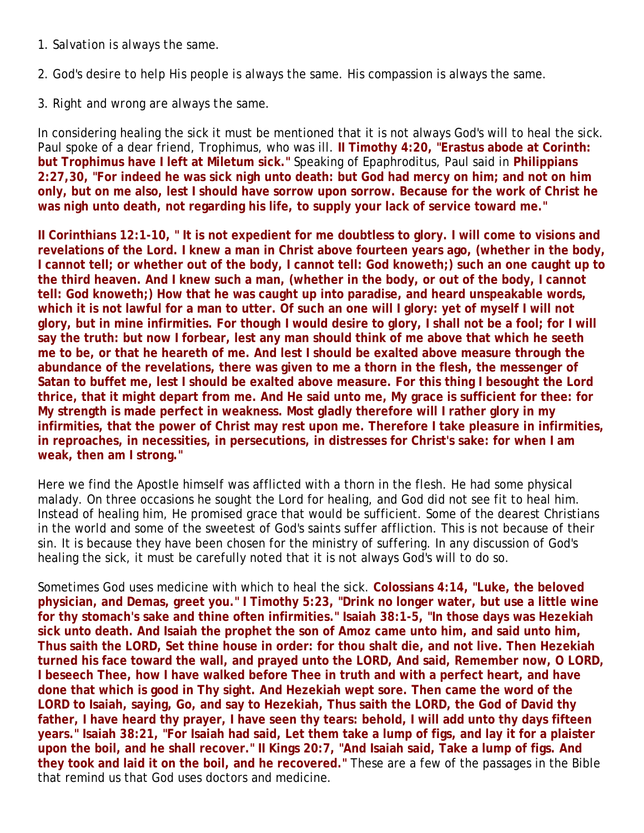- 1. *Salvation is always the same.*
- 2. *God's desire to help His people is always the same.* His compassion is always the same.

### 3. *Right and wrong are always the same.*

In considering healing the sick it must be mentioned that it is not always God's will to heal the sick. Paul spoke of a dear friend, Trophimus, who was ill. **II Timothy 4:20, "Erastus abode at Corinth: but Trophimus have I left at Miletum sick."** Speaking of Epaphroditus, Paul said in **Philippians 2:27,30, "For indeed he was sick nigh unto death: but God had mercy on him; and not on him only, but on me also, lest I should have sorrow upon sorrow. Because for the work of Christ he was nigh unto death, not regarding his life, to supply your lack of service toward me."**

**II Corinthians 12:1-10, " It is not expedient for me doubtless to glory. I will come to visions and revelations of the Lord. I knew a man in Christ above fourteen years ago, (whether in the body, I cannot tell; or whether out of the body, I cannot tell: God knoweth;) such an one caught up to the third heaven. And I knew such a man, (whether in the body, or out of the body, I cannot tell: God knoweth;) How that he was caught up into paradise, and heard unspeakable words, which it is not lawful for a man to utter. Of such an one will I glory: yet of myself I will not glory, but in mine infirmities. For though I would desire to glory, I shall not be a fool; for I will say the truth: but now I forbear, lest any man should think of me above that which he seeth me to be, or that he heareth of me. And lest I should be exalted above measure through the abundance of the revelations, there was given to me a thorn in the flesh, the messenger of Satan to buffet me, lest I should be exalted above measure. For this thing I besought the Lord thrice, that it might depart from me. And He said unto me, My grace is sufficient for thee: for My strength is made perfect in weakness. Most gladly therefore will I rather glory in my infirmities, that the power of Christ may rest upon me. Therefore I take pleasure in infirmities, in reproaches, in necessities, in persecutions, in distresses for Christ's sake: for when I am weak, then am I strong."**

Here we find the Apostle himself was afflicted with a thorn in the flesh. He had some physical malady. On three occasions he sought the Lord for healing, and God did not see fit to heal him. Instead of healing him, He promised grace that would be sufficient. Some of the dearest Christians in the world and some of the sweetest of God's saints suffer affliction. This is not because of their sin. It is because they have been chosen for the ministry of suffering. In any discussion of God's healing the sick, it must be carefully noted that it is not always God's will to do so.

Sometimes God uses medicine with which to heal the sick. **Colossians 4:14, "Luke, the beloved physician, and Demas, greet you." I Timothy 5:23, "Drink no longer water, but use a little wine for thy stomach's sake and thine often infirmities." Isaiah 38:1-5, "In those days was Hezekiah sick unto death. And Isaiah the prophet the son of Amoz came unto him, and said unto him, Thus saith the LORD, Set thine house in order: for thou shalt die, and not live. Then Hezekiah turned his face toward the wall, and prayed unto the LORD, And said, Remember now, O LORD, I beseech Thee, how I have walked before Thee in truth and with a perfect heart, and have done that which is good in Thy sight. And Hezekiah wept sore. Then came the word of the LORD to Isaiah, saying, Go, and say to Hezekiah, Thus saith the LORD, the God of David thy father, I have heard thy prayer, I have seen thy tears: behold, I will add unto thy days fifteen years." Isaiah 38:21, "For Isaiah had said, Let them take a lump of figs, and lay it for a plaister upon the boil, and he shall recover." II Kings 20:7, "And Isaiah said, Take a lump of figs. And they took and laid it on the boil, and he recovered."** These are a few of the passages in the Bible that remind us that God uses doctors and medicine.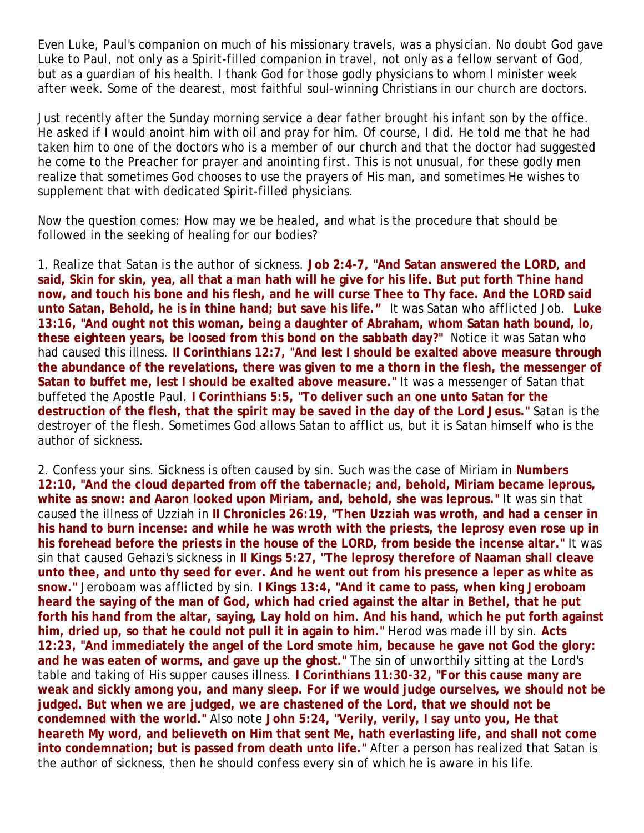Even Luke, Paul's companion on much of his missionary travels, was a physician. No doubt God gave Luke to Paul, not only as a Spirit-filled companion in travel, not only as a fellow servant of God, but as a guardian of his health. I thank God for those godly physicians to whom I minister week after week. Some of the dearest, most faithful soul-winning Christians in our church are doctors.

Just recently after the Sunday morning service a dear father brought his infant son by the office. He asked if I would anoint him with oil and pray for him. Of course, I did. He told me that he had taken him to one of the doctors who is a member of our church and that the doctor had suggested he come to the Preacher for prayer and anointing first. This is not unusual, for these godly men realize that sometimes God chooses to use the prayers of His man, and sometimes He wishes to supplement that with dedicated Spirit-filled physicians.

Now the question comes: How may we be healed, and what is the procedure that should be followed in the seeking of healing for our bodies?

1. *Realize that Satan is the author of sickness.* **Job 2:4-7, "And Satan answered the LORD, and said, Skin for skin, yea, all that a man hath will he give for his life. But put forth Thine hand now, and touch his bone and his flesh, and he will curse Thee to Thy face. And the LORD said unto Satan, Behold, he is in thine hand; but save his life."** It was Satan who afflicted Job. **Luke 13:16, "And ought not this woman, being a daughter of Abraham, whom Satan hath bound, lo, these eighteen years, be loosed from this bond on the sabbath day?"** Notice it was Satan who had caused this illness. **II Corinthians 12:7, "And lest I should be exalted above measure through the abundance of the revelations, there was given to me a thorn in the flesh, the messenger of Satan to buffet me, lest I should be exalted above measure."** It was a messenger of Satan that buffeted the Apostle Paul. **I Corinthians 5:5, "To deliver such an one unto Satan for the destruction of the flesh, that the spirit may be saved in the day of the Lord Jesus."** Satan is the destroyer of the flesh. Sometimes God allows Satan to afflict us, but it is Satan himself who is the author of sickness.

2. *Confess your sins.* Sickness is often caused by sin. Such was the case of Miriam in **Numbers 12:10, "And the cloud departed from off the tabernacle; and, behold, Miriam became leprous, white as snow: and Aaron looked upon Miriam, and, behold, she was leprous."** It was sin that caused the illness of Uzziah in **II Chronicles 26:19, "Then Uzziah was wroth, and had a censer in his hand to burn incense: and while he was wroth with the priests, the leprosy even rose up in his forehead before the priests in the house of the LORD, from beside the incense altar."** It was sin that caused Gehazi's sickness in **II Kings 5:27, "The leprosy therefore of Naaman shall cleave unto thee, and unto thy seed for ever. And he went out from his presence a leper as white as snow."** Jeroboam was afflicted by sin. **I Kings 13:4, "And it came to pass, when king Jeroboam heard the saying of the man of God, which had cried against the altar in Bethel, that he put forth his hand from the altar, saying, Lay hold on him. And his hand, which he put forth against him, dried up, so that he could not pull it in again to him."** Herod was made ill by sin. **Acts 12:23, "And immediately the angel of the Lord smote him, because he gave not God the glory: and he was eaten of worms, and gave up the ghost."** The sin of unworthily sitting at the Lord's table and taking of His supper causes illness. **I Corinthians 11:30-32, "For this cause many are weak and sickly among you, and many sleep. For if we would judge ourselves, we should not be judged. But when we are judged, we are chastened of the Lord, that we should not be condemned with the world."** Also note **John 5:24, "Verily, verily, I say unto you, He that heareth My word, and believeth on Him that sent Me, hath everlasting life, and shall not come into condemnation; but is passed from death unto life."** After a person has realized that Satan is the author of sickness, then he should confess every sin of which he is aware in his life.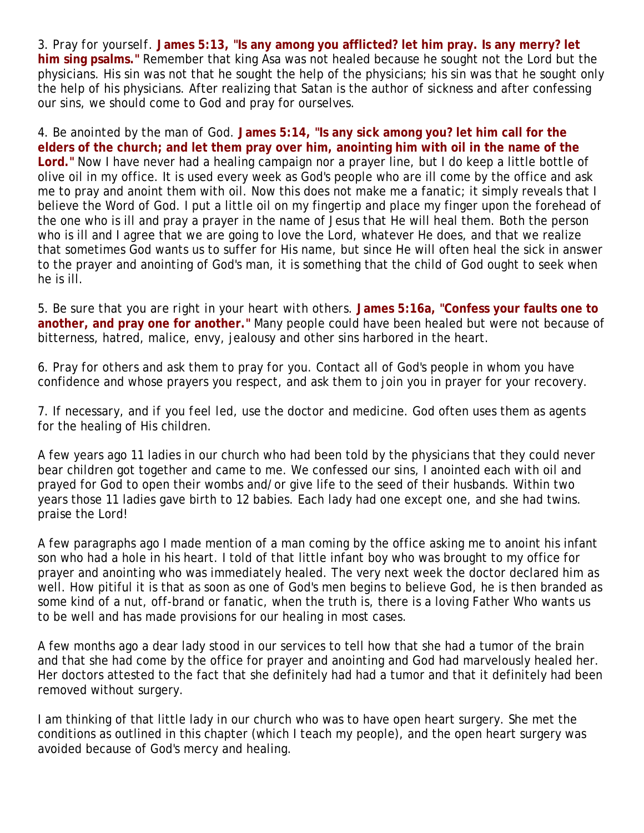3. *Pray for yourself.* **James 5:13, "Is any among you afflicted? let him pray. Is any merry? let him sing psalms."** Remember that king Asa was not healed because he sought not the Lord but the physicians. His sin was not that he sought the help of the physicians; his sin was that he sought only the help of his physicians. After realizing that Satan is the author of sickness and after confessing our sins, we should come to God and pray for ourselves.

4. *Be anointed by the man of God.* **James 5:14, "Is any sick among you? let him call for the elders of the church; and let them pray over him, anointing him with oil in the name of the Lord."** Now I have never had a healing campaign nor a prayer line, but I do keep a little bottle of olive oil in my office. It is used every week as God's people who are ill come by the office and ask me to pray and anoint them with oil. Now this does not make me a fanatic; it simply reveals that I believe the Word of God. I put a little oil on my fingertip and place my finger upon the forehead of the one who is ill and pray a prayer in the name of Jesus that He will heal them. Both the person who is ill and I agree that we are going to love the Lord, whatever He does, and that we realize that sometimes God wants us to suffer for His name, but since He will often heal the sick in answer to the prayer and anointing of God's man, it is something that the child of God ought to seek when he is ill.

5. *Be sure that you are right in your heart with others.* **James 5:16a, "Confess your faults one to another, and pray one for another."** Many people could have been healed but were not because of bitterness, hatred, malice, envy, jealousy and other sins harbored in the heart.

6. *Pray for others and ask them to pray for you.* Contact all of God's people in whom you have confidence and whose prayers you respect, and ask them to join you in prayer for your recovery.

7. *If necessary, and if you feel led, use the doctor and medicine.* God often uses them as agents for the healing of His children.

A few years ago 11 ladies in our church who had been told by the physicians that they could never bear children got together and came to me. We confessed our sins, I anointed each with oil and prayed for God to open their wombs and/or give life to the seed of their husbands. Within two years those 11 ladies gave birth to 12 babies. Each lady had one except one, and she had twins. praise the Lord!

A few paragraphs ago I made mention of a man coming by the office asking me to anoint his infant son who had a hole in his heart. I told of that little infant boy who was brought to my office for prayer and anointing who was immediately healed. The very next week the doctor declared him as well. How pitiful it is that as soon as one of God's men begins to believe God, he is then branded as some kind of a nut, off-brand or fanatic, when the truth is, there is a loving Father Who wants us to be well and has made provisions for our healing in most cases.

A few months ago a dear lady stood in our services to tell how that she had a tumor of the brain and that she had come by the office for prayer and anointing and God had marvelously healed her. Her doctors attested to the fact that she definitely had had a tumor and that it definitely had been removed without surgery.

I am thinking of that little lady in our church who was to have open heart surgery. She met the conditions as outlined in this chapter (which I teach my people), and the open heart surgery was avoided because of God's mercy and healing.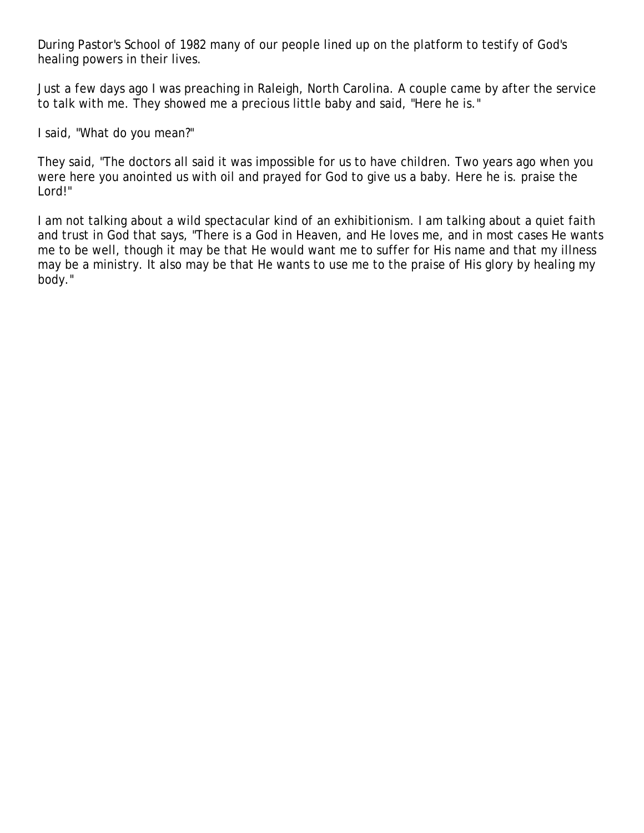During Pastor's School of 1982 many of our people lined up on the platform to testify of God's healing powers in their lives.

Just a few days ago I was preaching in Raleigh, North Carolina. A couple came by after the service to talk with me. They showed me a precious little baby and said, "Here he is."

I said, "What do you mean?"

They said, "The doctors all said it was impossible for us to have children. Two years ago when you were here you anointed us with oil and prayed for God to give us a baby. Here he is. praise the Lord!"

I am not talking about a wild spectacular kind of an exhibitionism. I am talking about a quiet faith and trust in God that says, "There is a God in Heaven, and He loves me, and in most cases He wants me to be well, though it may be that He would want me to suffer for His name and that my illness may be a ministry. It also may be that He wants to use me to the praise of His glory by healing my body."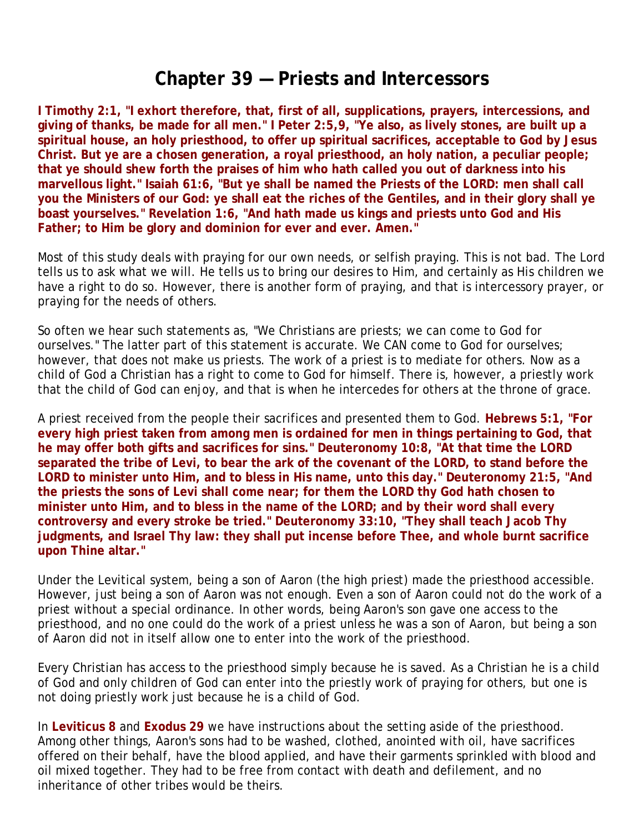### **Chapter 39 — Priests and Intercessors**

**I Timothy 2:1, "I exhort therefore, that, first of all, supplications, prayers, intercessions, and giving of thanks, be made for all men." I Peter 2:5,9, "Ye also, as lively stones, are built up a spiritual house, an holy priesthood, to offer up spiritual sacrifices, acceptable to God by Jesus Christ. But ye are a chosen generation, a royal priesthood, an holy nation, a peculiar people; that ye should shew forth the praises of him who hath called you out of darkness into his marvellous light." Isaiah 61:6, "But ye shall be named the Priests of the LORD: men shall call you the Ministers of our God: ye shall eat the riches of the Gentiles, and in their glory shall ye boast yourselves." Revelation 1:6, "And hath made us kings and priests unto God and His Father; to Him be glory and dominion for ever and ever. Amen."**

Most of this study deals with praying for our own needs, or selfish praying. This is not bad. The Lord tells us to ask what we will. He tells us to bring our desires to Him, and certainly as His children we have a right to do so. However, there is another form of praying, and that is intercessory prayer, or praying for the needs of others.

So often we hear such statements as, "We Christians are priests; we can come to God for ourselves." The latter part of this statement is accurate. We CAN come to God for ourselves; however, that does not make us priests. The work of a priest is to mediate for others. Now as a child of God a Christian has a right to come to God for himself. There is, however, a priestly work that the child of God can enjoy, and that is when he intercedes for others at the throne of grace.

A priest received from the people their sacrifices and presented them to God. **Hebrews 5:1, "For every high priest taken from among men is ordained for men in things pertaining to God, that he may offer both gifts and sacrifices for sins." Deuteronomy 10:8, "At that time the LORD separated the tribe of Levi, to bear the ark of the covenant of the LORD, to stand before the LORD to minister unto Him, and to bless in His name, unto this day." Deuteronomy 21:5, "And the priests the sons of Levi shall come near; for them the LORD thy God hath chosen to minister unto Him, and to bless in the name of the LORD; and by their word shall every controversy and every stroke be tried." Deuteronomy 33:10, "They shall teach Jacob Thy judgments, and Israel Thy law: they shall put incense before Thee, and whole burnt sacrifice upon Thine altar."**

Under the Levitical system, being a son of Aaron (the high priest) made the priesthood accessible. However, just being a son of Aaron was not enough. Even a son of Aaron could not do the work of a priest without a special ordinance. In other words, being Aaron's son gave one access to the priesthood, and no one could do the work of a priest unless he was a son of Aaron, but being a son of Aaron did not in itself allow one to enter into the work of the priesthood.

Every Christian has access to the priesthood simply because he is saved. As a Christian he is a child of God and only children of God can enter into the priestly work of praying for others, but one is not doing priestly work just because he is a child of God.

In **Leviticus 8** and **Exodus 29** we have instructions about the setting aside of the priesthood. Among other things, Aaron's sons had to be washed, clothed, anointed with oil, have sacrifices offered on their behalf, have the blood applied, and have their garments sprinkled with blood and oil mixed together. They had to be free from contact with death and defilement, and no inheritance of other tribes would be theirs.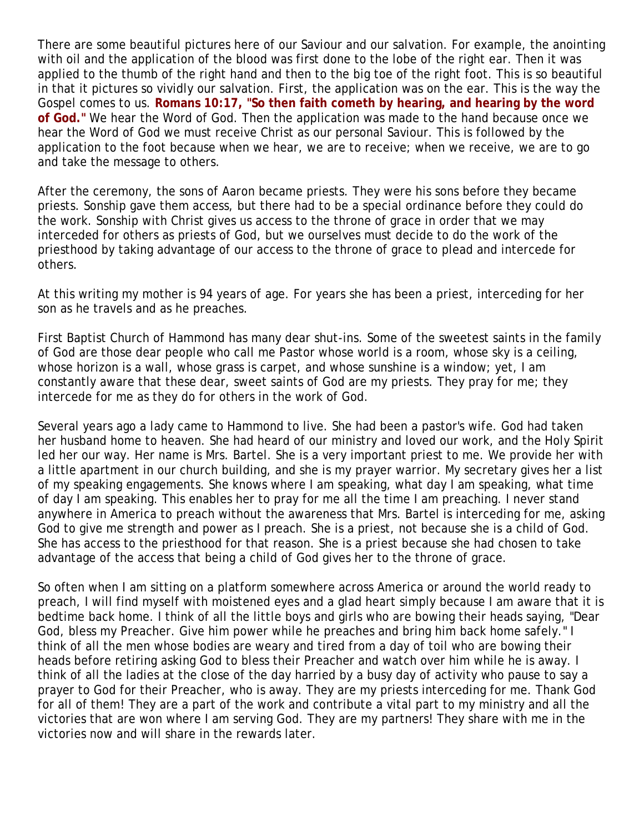There are some beautiful pictures here of our Saviour and our salvation. For example, the anointing with oil and the application of the blood was first done to the lobe of the right ear. Then it was applied to the thumb of the right hand and then to the big toe of the right foot. This is so beautiful in that it pictures so vividly our salvation. First, the application was on the ear. This is the way the Gospel comes to us. **Romans 10:17, "So then faith cometh by hearing, and hearing by the word of God."** We *hear* the Word of God. Then the application was made to the hand because once we hear the Word of God we must receive Christ as our personal Saviour. This is followed by the application to the foot because when we hear, we are to receive; when we receive, we are to go and take the message to others.

After the ceremony, the sons of Aaron became priests. They were his sons before they became priests. Sonship gave them access, but there had to be a special ordinance before they could do the work. Sonship with Christ gives us access to the throne of grace in order that we may interceded for others as priests of God, but we ourselves must decide to do the work of the priesthood by taking advantage of our access to the throne of grace to plead and intercede for others.

At this writing my mother is 94 years of age. For years she has been a priest, interceding for her son as he travels and as he preaches.

First Baptist Church of Hammond has many dear shut-ins. Some of the sweetest saints in the family of God are those dear people who call me Pastor whose world is a room, whose sky is a ceiling, whose horizon is a wall, whose grass is carpet, and whose sunshine is a window; yet, I am constantly aware that these dear, sweet saints of God are my priests. They pray for me; they intercede for me as they do for others in the work of God.

Several years ago a lady came to Hammond to live. She had been a pastor's wife. God had taken her husband home to heaven. She had heard of our ministry and loved our work, and the Holy Spirit led her our way. Her name is Mrs. Bartel. She is a very important priest to me. We provide her with a little apartment in our church building, and she is my prayer warrior. My secretary gives her a list of my speaking engagements. She knows where I am speaking, what day I am speaking, what time of day I am speaking. This enables her to pray for me all the time I am preaching. I never stand anywhere in America to preach without the awareness that Mrs. Bartel is interceding for me, asking God to give me strength and power as I preach. She is a priest, not because she is a child of God. She has access to the priesthood for that reason. She is a priest because she had chosen to take advantage of the access that being a child of God gives her to the throne of grace.

So often when I am sitting on a platform somewhere across America or around the world ready to preach, I will find myself with moistened eyes and a glad heart simply because I am aware that it is bedtime back home. I think of all the little boys and girls who are bowing their heads saying, "Dear God, bless my Preacher. Give him power while he preaches and bring him back home safely." I think of all the men whose bodies are weary and tired from a day of toil who are bowing their heads before retiring asking God to bless their Preacher and watch over him while he is away. I think of all the ladies at the close of the day harried by a busy day of activity who pause to say a prayer to God for their Preacher, who is away. They are my priests interceding for me. Thank God for all of them! They are a part of the work and contribute a vital part to my ministry and all the victories that are won where I am serving God. They are my partners! They share with me in the victories now and will share in the rewards later.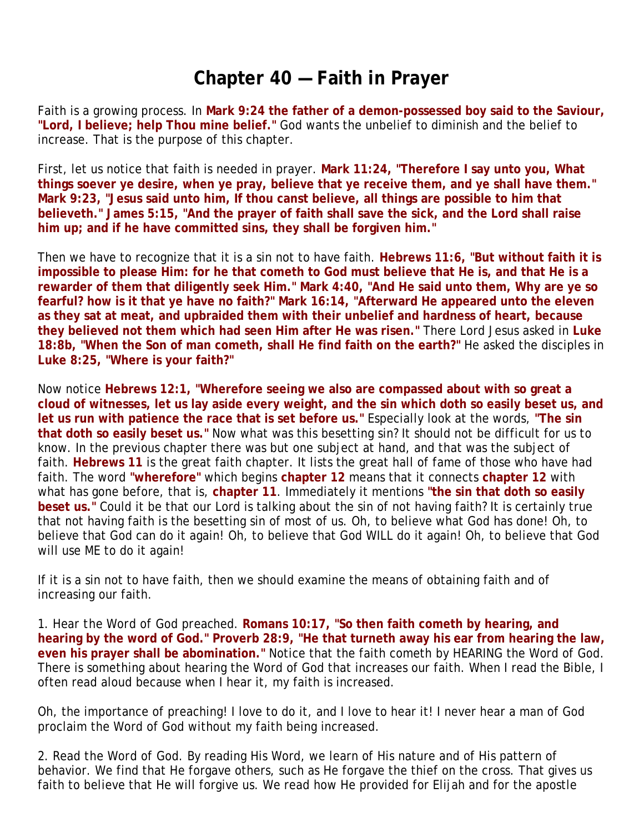# **Chapter 40 — Faith in Prayer**

Faith is a growing process. In **Mark 9:24 the father of a demon-possessed boy said to the Saviour, "Lord, I believe; help Thou mine belief."** God wants the unbelief to diminish and the belief to increase. That is the purpose of this chapter.

First, let us notice that faith is needed in prayer. **Mark 11:24, "Therefore I say unto you, What things soever ye desire, when ye pray, believe that ye receive them, and ye shall have them." Mark 9:23, "Jesus said unto him, If thou canst believe, all things are possible to him that believeth." James 5:15, "And the prayer of faith shall save the sick, and the Lord shall raise him up; and if he have committed sins, they shall be forgiven him."**

Then we have to recognize that it is a sin not to have faith. **Hebrews 11:6, "But without faith it is impossible to please Him: for he that cometh to God must believe that He is, and that He is a rewarder of them that diligently seek Him." Mark 4:40, "And He said unto them, Why are ye so fearful? how is it that ye have no faith?" Mark 16:14, "Afterward He appeared unto the eleven as they sat at meat, and upbraided them with their unbelief and hardness of heart, because they believed not them which had seen Him after He was risen."** There Lord Jesus asked in **Luke 18:8b, "When the Son of man cometh, shall He find faith on the earth?"** He asked the disciples in **Luke 8:25, "Where is your faith?"**

Now notice **Hebrews 12:1, "Wherefore seeing we also are compassed about with so great a cloud of witnesses, let us lay aside every weight, and the sin which doth so easily beset us, and let us run with patience the race that is set before us."** Especially look at the words, **"The sin that doth so easily beset us."** Now what was this besetting sin? It should not be difficult for us to know. In the previous chapter there was but one subject at hand, and that was the subject of faith. **Hebrews 11** is the great faith chapter. It lists the great hall of fame of those who have had faith. The word **"wherefore"** which begins **chapter 12** means that it connects **chapter 12** with what has gone before, that is, **chapter 11**. Immediately it mentions **"the sin that doth so easily beset us."** Could it be that our Lord is talking about the sin of not having faith? It is certainly true that not having faith is the besetting sin of most of us. Oh, to believe what God has done! Oh, to believe that God can do it again! Oh, to believe that God WILL do it again! Oh, to believe that God will use ME to do it again!

If it is a sin not to have faith, then we should examine the means of obtaining faith and of increasing our faith.

1. *Hear the Word of God preached.* **Romans 10:17, "So then faith cometh by hearing, and hearing by the word of God." Proverb 28:9, "He that turneth away his ear from hearing the law, even his prayer shall be abomination."** Notice that the faith cometh by HEARING the Word of God. There is something about hearing the Word of God that increases our faith. When I read the Bible, I often read aloud because when I hear it, my faith is increased.

Oh, the importance of preaching! I love to do it, and I love to hear it! I never hear a man of God proclaim the Word of God without my faith being increased.

2. *Read the Word of God.* By reading His Word, we learn of His nature and of His pattern of behavior. We find that He forgave others, such as He forgave the thief on the cross. That gives us faith to believe that He will forgive us. We read how He provided for Elijah and for the apostle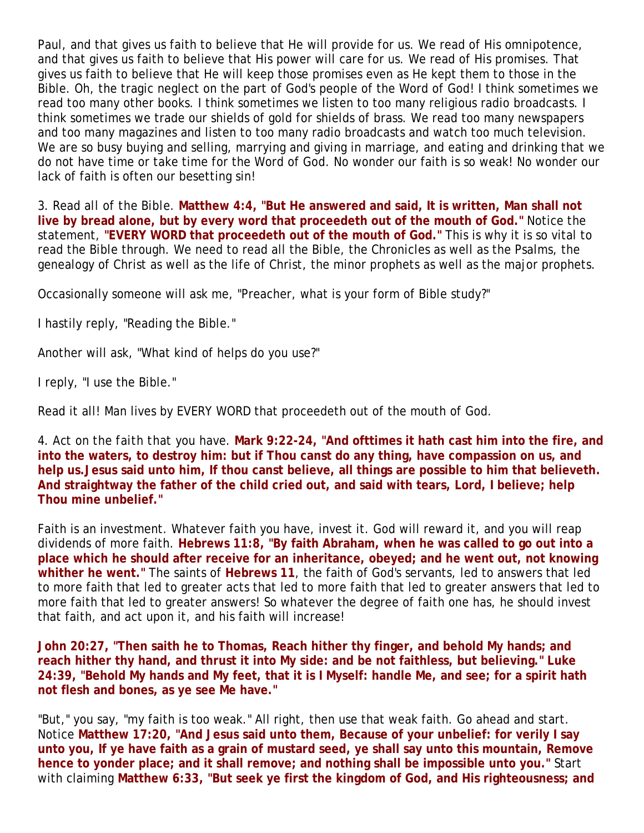Paul, and that gives us faith to believe that He will provide for us. We read of His omnipotence, and that gives us faith to believe that His power will care for us. We read of His promises. That gives us faith to believe that He will keep those promises even as He kept them to those in the Bible. Oh, the tragic neglect on the part of God's people of the Word of God! I think sometimes we read too many other books. I think sometimes we listen to too many religious radio broadcasts. I think sometimes we trade our shields of gold for shields of brass. We read too many newspapers and too many magazines and listen to too many radio broadcasts and watch too much television. We are so busy buying and selling, marrying and giving in marriage, and eating and drinking that we do not have time or take time for the Word of God. No wonder our faith is so weak! No wonder our lack of faith is often our besetting sin!

3. *Read all of the Bible.* **Matthew 4:4, "But He answered and said, It is written, Man shall not live by bread alone, but by every word that proceedeth out of the mouth of God."** Notice the statement, **"EVERY WORD that proceedeth out of the mouth of God."** This is why it is so vital to read the Bible through. We need to read all the Bible, the Chronicles as well as the Psalms, the genealogy of Christ as well as the life of Christ, the minor prophets as well as the major prophets.

Occasionally someone will ask me, "Preacher, what is your form of Bible study?"

I hastily reply, "Reading the Bible."

Another will ask, "What kind of helps do you use?"

I reply, "I use the Bible."

Read it all! Man lives by EVERY WORD that proceedeth out of the mouth of God.

4. *Act on the faith that you have.* **Mark 9:22-24, "And ofttimes it hath cast him into the fire, and into the waters, to destroy him: but if Thou canst do any thing, have compassion on us, and help us.Jesus said unto him, If thou canst believe, all things are possible to him that believeth. And straightway the father of the child cried out, and said with tears, Lord, I believe; help Thou mine unbelief."** 

Faith is an investment. Whatever faith you have, invest it. God will reward it, and you will reap dividends of more faith. **Hebrews 11:8, "By faith Abraham, when he was called to go out into a place which he should after receive for an inheritance, obeyed; and he went out, not knowing whither he went."** The saints of **Hebrews 11**, the faith of God's servants, led to answers that led to more faith that led to greater acts that led to more faith that led to greater answers that led to more faith that led to greater answers! So whatever the degree of faith one has, he should invest that faith, and act upon it, and his faith will increase!

**John 20:27, "Then saith he to Thomas, Reach hither thy finger, and behold My hands; and reach hither thy hand, and thrust it into My side: and be not faithless, but believing." Luke 24:39, "Behold My hands and My feet, that it is I Myself: handle Me, and see; for a spirit hath not flesh and bones, as ye see Me have."** 

"But," you say, "my faith is too weak." All right, then use that weak faith. Go ahead and start. Notice **Matthew 17:20, "And Jesus said unto them, Because of your unbelief: for verily I say unto you, If ye have faith as a grain of mustard seed, ye shall say unto this mountain, Remove hence to yonder place; and it shall remove; and nothing shall be impossible unto you."** Start with claiming **Matthew 6:33, "But seek ye first the kingdom of God, and His righteousness; and**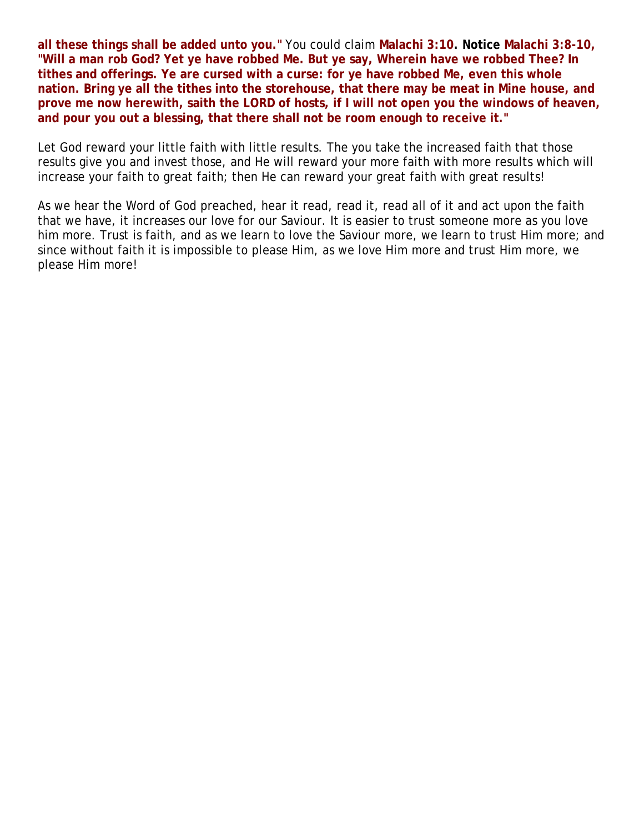**all these things shall be added unto you."** You could claim **Malachi 3:10. Notice Malachi 3:8-10, "Will a man rob God? Yet ye have robbed Me. But ye say, Wherein have we robbed Thee? In tithes and offerings. Ye are cursed with a curse: for ye have robbed Me, even this whole nation. Bring ye all the tithes into the storehouse, that there may be meat in Mine house, and prove me now herewith, saith the LORD of hosts, if I will not open you the windows of heaven, and pour you out a blessing, that there shall not be room enough to receive it."**

Let God reward your little faith with little results. The you take the increased faith that those results give you and invest those, and He will reward your more faith with more results which will increase your faith to great faith; then He can reward your great faith with great results!

As we hear the Word of God preached, hear it read, read it, read all of it and act upon the faith that we have, it increases our love for our Saviour. It is easier to trust someone more as you love him more. Trust is faith, and as we learn to love the Saviour more, we learn to trust Him more; and since without faith it is impossible to please Him, as we love Him more and trust Him more, we please Him more!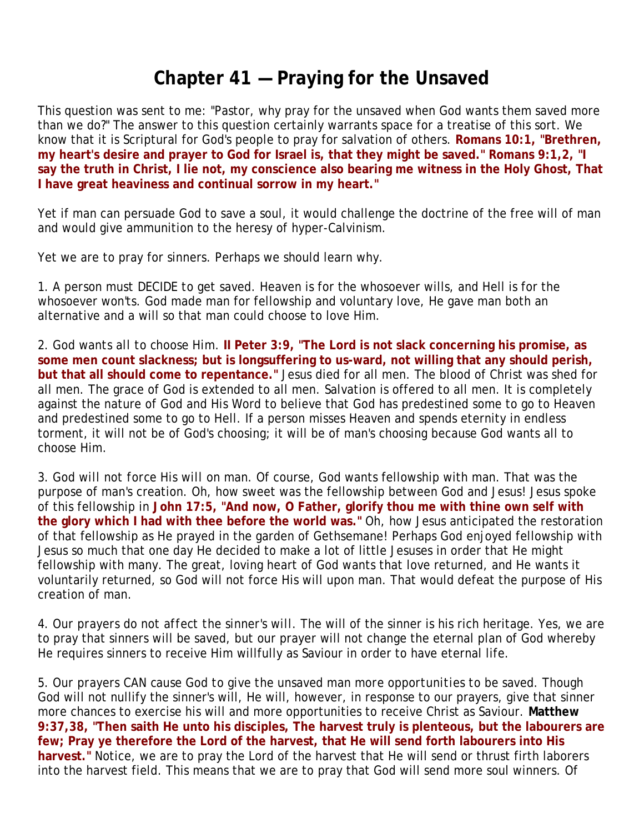## **Chapter 41 — Praying for the Unsaved**

This question was sent to me: "Pastor, why pray for the unsaved when God wants them saved more than we do?" The answer to this question certainly warrants space for a treatise of this sort. We know that it is Scriptural for God's people to pray for salvation of others. **Romans 10:1, "Brethren, my heart's desire and prayer to God for Israel is, that they might be saved." Romans 9:1,2, "I say the truth in Christ, I lie not, my conscience also bearing me witness in the Holy Ghost, That I have great heaviness and continual sorrow in my heart."**

Yet if man can persuade God to save a soul, it would challenge the doctrine of the free will of man and would give ammunition to the heresy of hyper-Calvinism.

Yet we are to pray for sinners. Perhaps we should learn why.

1. *A person must DECIDE to get saved.* Heaven is for the whosoever wills, and Hell is for the whosoever won'ts. God made man for fellowship and voluntary love, He gave man both an alternative and a will so that man could choose to love Him.

2. *God wants all to choose Him.* **II Peter 3:9, "The Lord is not slack concerning his promise, as some men count slackness; but is longsuffering to us-ward, not willing that any should perish, but that all should come to repentance."** Jesus died for all men. The blood of Christ was shed for all men. The grace of God is extended to all men. Salvation is offered to all men. It is completely against the nature of God and His Word to believe that God has predestined some to go to Heaven and predestined some to go to Hell. If a person misses Heaven and spends eternity in endless torment, it will not be of God's choosing; it will be of man's choosing because God wants all to choose Him.

3. *God will not force His will on man.* Of course, God wants fellowship with man. That was the purpose of man's creation. Oh, how sweet was the fellowship between God and Jesus! Jesus spoke of this fellowship in **John 17:5, "And now, O Father, glorify thou me with thine own self with the glory which I had with thee before the world was."** Oh, how Jesus anticipated the restoration of that fellowship as He prayed in the garden of Gethsemane! Perhaps God enjoyed fellowship with Jesus so much that one day He decided to make a lot of little Jesuses in order that He might fellowship with many. The great, loving heart of God wants that love returned, and He wants it voluntarily returned, so God will not force His will upon man. That would defeat the purpose of His creation of man.

4. *Our prayers do not affect the sinner's will.* The will of the sinner is his rich heritage. Yes, we are to pray that sinners will be saved, but our prayer will not change the eternal plan of God whereby He requires sinners to receive Him willfully as Saviour in order to have eternal life.

5. *Our prayers CAN cause God to give the unsaved man more opportunities to be saved.* Though God will not nullify the sinner's will, He will, however, in response to our prayers, give that sinner more chances to exercise his will and more opportunities to receive Christ as Saviour. **Matthew 9:37,38, "Then saith He unto his disciples, The harvest truly is plenteous, but the labourers are few; Pray ye therefore the Lord of the harvest, that He will send forth labourers into His harvest."** Notice, we are to pray the Lord of the harvest that He will send or thrust firth laborers into the harvest field. This means that we are to pray that God will send more soul winners. Of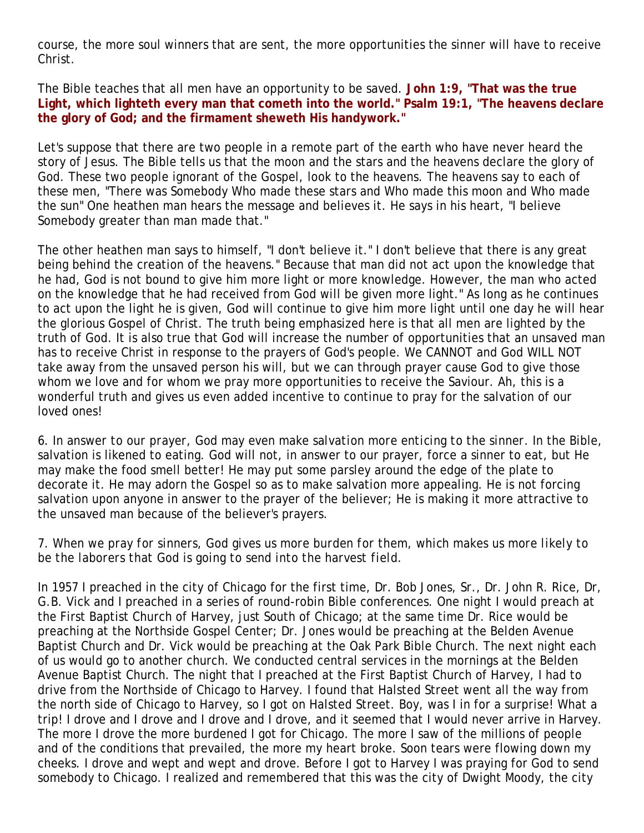course, the more soul winners that are sent, the more opportunities the sinner will have to receive Christ.

The Bible teaches that all men have an opportunity to be saved. **John 1:9, "That was the true Light, which lighteth every man that cometh into the world." Psalm 19:1, "The heavens declare the glory of God; and the firmament sheweth His handywork."** 

Let's suppose that there are two people in a remote part of the earth who have never heard the story of Jesus. The Bible tells us that the moon and the stars and the heavens declare the glory of God. These two people ignorant of the Gospel, look to the heavens. The heavens say to each of these men, "There was Somebody Who made these stars and Who made this moon and Who made the sun" One heathen man hears the message and believes it. He says in his heart, "I believe Somebody greater than man made that."

The other heathen man says to himself, "I don't believe it." I don't believe that there is any great being behind the creation of the heavens." Because that man did not act upon the knowledge that he had, God is not bound to give him more light or more knowledge. However, the man who acted on the knowledge that he had received from God will be given more light." As long as he continues to act upon the light he is given, God will continue to give him more light until one day he will hear the glorious Gospel of Christ. The truth being emphasized here is that all men are lighted by the truth of God. It is also true that God will increase the number of opportunities that an unsaved man has to receive Christ in response to the prayers of God's people. We CANNOT and God WILL NOT take away from the unsaved person his will, but we can through prayer cause God to give those whom we love and for whom we pray more opportunities to receive the Saviour. Ah, this is a wonderful truth and gives us even added incentive to continue to pray for the salvation of our loved ones!

6. *In answer to our prayer, God may even make salvation more enticing to the sinner.* In the Bible, salvation is likened to eating. God will not, in answer to our prayer, force a sinner to eat, but He may make the food smell better! He may put some parsley around the edge of the plate to decorate it. He may adorn the Gospel so as to make salvation more appealing. He is not forcing salvation upon anyone in answer to the prayer of the believer; He is making it more attractive to the unsaved man because of the believer's prayers.

### 7. *When we pray for sinners, God gives us more burden for them, which makes us more likely to be the laborers that God is going to send into the harvest field.*

In 1957 I preached in the city of Chicago for the first time, Dr. Bob Jones, Sr., Dr. John R. Rice, Dr, G.B. Vick and I preached in a series of round-robin Bible conferences. One night I would preach at the First Baptist Church of Harvey, just South of Chicago; at the same time Dr. Rice would be preaching at the Northside Gospel Center; Dr. Jones would be preaching at the Belden Avenue Baptist Church and Dr. Vick would be preaching at the Oak Park Bible Church. The next night each of us would go to another church. We conducted central services in the mornings at the Belden Avenue Baptist Church. The night that I preached at the First Baptist Church of Harvey, I had to drive from the Northside of Chicago to Harvey. I found that Halsted Street went all the way from the north side of Chicago to Harvey, so I got on Halsted Street. Boy, was I in for a surprise! What a trip! I drove and I drove and I drove and I drove, and it seemed that I would never arrive in Harvey. The more I drove the more burdened I got for Chicago. The more I saw of the millions of people and of the conditions that prevailed, the more my heart broke. Soon tears were flowing down my cheeks. I drove and wept and wept and drove. Before I got to Harvey I was praying for God to send somebody to Chicago. I realized and remembered that this was the city of Dwight Moody, the city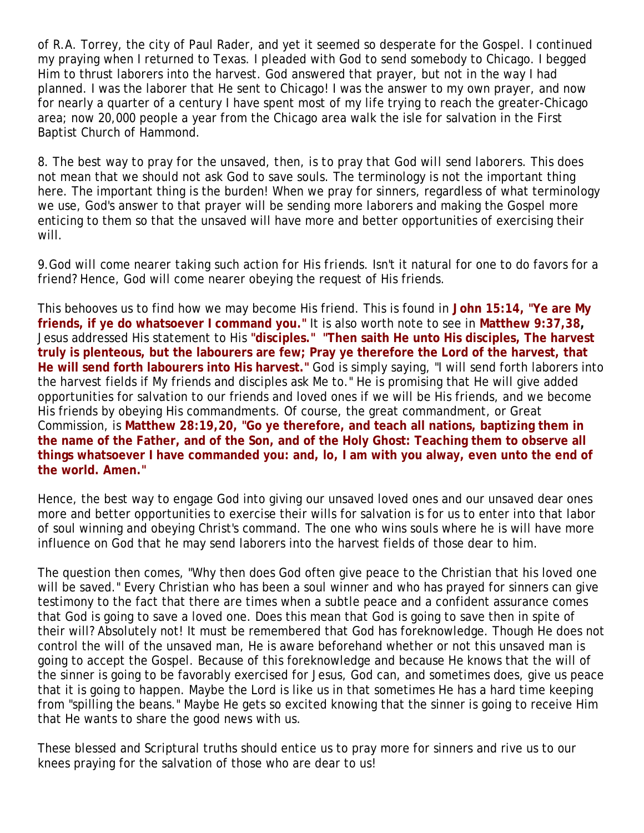of R.A. Torrey, the city of Paul Rader, and yet it seemed so desperate for the Gospel. I continued my praying when I returned to Texas. I pleaded with God to send somebody to Chicago. I begged Him to thrust laborers into the harvest. God answered that prayer, but not in the way I had planned. I was the laborer that He sent to Chicago! I was the answer to my own prayer, and now for nearly a quarter of a century I have spent most of my life trying to reach the greater-Chicago area; now 20,000 people a year from the Chicago area walk the isle for salvation in the First Baptist Church of Hammond.

8. *The best way to pray for the unsaved, then, is to pray that God will send laborers.* This does not mean that we should not ask God to save souls. The terminology is not the important thing here. The important thing is the burden! When we pray for sinners, regardless of what terminology we use, God's answer to that prayer will be sending more laborers and making the Gospel more enticing to them so that the unsaved will have more and better opportunities of exercising their will.

9.*God will come nearer taking such action for His friends.* Isn't it natural for one to do favors for a friend? Hence, God will come nearer obeying the request of His friends.

This behooves us to find how we may become His friend. This is found in **John 15:14, "Ye are My friends, if ye do whatsoever I command you."** It is also worth note to see in **Matthew 9:37,38,** Jesus addressed His statement to His **"disciples." "Then saith He unto His disciples, The harvest truly is plenteous, but the labourers are few; Pray ye therefore the Lord of the harvest, that He will send forth labourers into His harvest."** God is simply saying, "I will send forth laborers into the harvest fields if My friends and disciples ask Me to." He is promising that He will give added opportunities for salvation to our friends and loved ones if we will be His friends, and we become His friends by obeying His commandments. Of course, the great commandment, or Great Commission, is **Matthew 28:19,20, "Go ye therefore, and teach all nations, baptizing them in the name of the Father, and of the Son, and of the Holy Ghost: Teaching them to observe all things whatsoever I have commanded you: and, lo, I am with you alway, even unto the end of the world. Amen."**

Hence, the best way to engage God into giving our unsaved loved ones and our unsaved dear ones more and better opportunities to exercise their wills for salvation is for us to enter into that labor of soul winning and obeying Christ's command. The one who wins souls where he is will have more influence on God that he may send laborers into the harvest fields of those dear to him.

The question then comes, "Why then does God often give peace to the Christian that his loved one will be saved." Every Christian who has been a soul winner and who has prayed for sinners can give testimony to the fact that there are times when a subtle peace and a confident assurance comes that God is going to save a loved one. Does this mean that God is going to save then in spite of their will? Absolutely not! It must be remembered that God has foreknowledge. Though He does not control the will of the unsaved man, He is aware beforehand whether or not this unsaved man is going to accept the Gospel. Because of this foreknowledge and because He knows that the will of the sinner is going to be favorably exercised for Jesus, God can, and sometimes does, give us peace that it is going to happen. Maybe the Lord is like us in that sometimes He has a hard time keeping from "spilling the beans." Maybe He gets so excited knowing that the sinner is going to receive Him that He wants to share the good news with us.

These blessed and Scriptural truths should entice us to pray more for sinners and rive us to our knees praying for the salvation of those who are dear to us!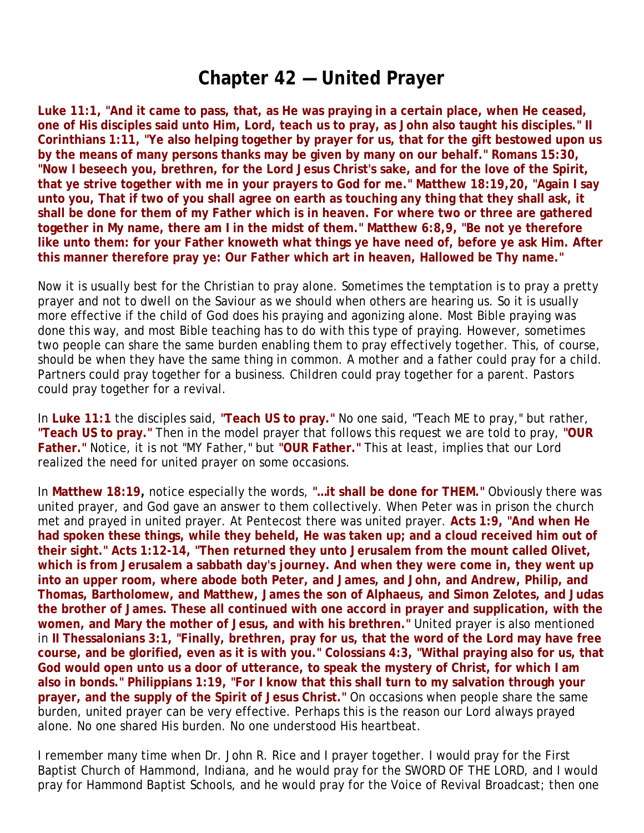### **Chapter 42 — United Prayer**

**Luke 11:1, "And it came to pass, that, as He was praying in a certain place, when He ceased, one of His disciples said unto Him, Lord, teach us to pray, as John also taught his disciples." II Corinthians 1:11, "Ye also helping together by prayer for us, that for the gift bestowed upon us by the means of many persons thanks may be given by many on our behalf." Romans 15:30, "Now I beseech you, brethren, for the Lord Jesus Christ's sake, and for the love of the Spirit, that ye strive together with me in your prayers to God for me." Matthew 18:19,20, "Again I say unto you, That if two of you shall agree on earth as touching any thing that they shall ask, it shall be done for them of my Father which is in heaven. For where two or three are gathered together in My name, there am I in the midst of them." Matthew 6:8,9, "Be not ye therefore like unto them: for your Father knoweth what things ye have need of, before ye ask Him. After this manner therefore pray ye: Our Father which art in heaven, Hallowed be Thy name."**

Now it is usually best for the Christian to pray alone. Sometimes the temptation is to pray a pretty prayer and not to dwell on the Saviour as we should when others are hearing us. So it is usually more effective if the child of God does his praying and agonizing alone. Most Bible praying was done this way, and most Bible teaching has to do with this type of praying. However, sometimes two people can share the same burden enabling them to pray effectively together. This, of course, should be when they have the same thing in common. A mother and a father could pray for a child. Partners could pray together for a business. Children could pray together for a parent. Pastors could pray together for a revival.

In **Luke 11:1** the disciples said, **"Teach US to pray."** No one said, "Teach ME to pray," but rather, **"Teach US to pray."** Then in the model prayer that follows this request we are told to pray, **"OUR Father."** Notice, it is not "MY Father," but **"OUR Father."** This at least, implies that our Lord realized the need for united prayer on some occasions.

In **Matthew 18:19,** notice especially the words, **"…it shall be done for THEM."** Obviously there was united prayer, and God gave an answer to them collectively. When Peter was in prison the church met and prayed in united prayer. At Pentecost there was united prayer. **Acts 1:9, "And when He had spoken these things, while they beheld, He was taken up; and a cloud received him out of their sight." Acts 1:12-14, "Then returned they unto Jerusalem from the mount called Olivet, which is from Jerusalem a sabbath day's journey. And when they were come in, they went up into an upper room, where abode both Peter, and James, and John, and Andrew, Philip, and Thomas, Bartholomew, and Matthew, James the son of Alphaeus, and Simon Zelotes, and Judas the brother of James. These all continued with one accord in prayer and supplication, with the women, and Mary the mother of Jesus, and with his brethren."** United prayer is also mentioned in **II Thessalonians 3:1, "Finally, brethren, pray for us, that the word of the Lord may have free course, and be glorified, even as it is with you." Colossians 4:3, "Withal praying also for us, that God would open unto us a door of utterance, to speak the mystery of Christ, for which I am also in bonds." Philippians 1:19, "For I know that this shall turn to my salvation through your prayer, and the supply of the Spirit of Jesus Christ."** On occasions when people share the same burden, united prayer can be very effective. Perhaps this is the reason our Lord always prayed alone. No one shared His burden. No one understood His heartbeat.

I remember many time when Dr. John R. Rice and I prayer together. I would pray for the First Baptist Church of Hammond, Indiana, and he would pray for the SWORD OF THE LORD, and I would pray for Hammond Baptist Schools, and he would pray for the Voice of Revival Broadcast; then one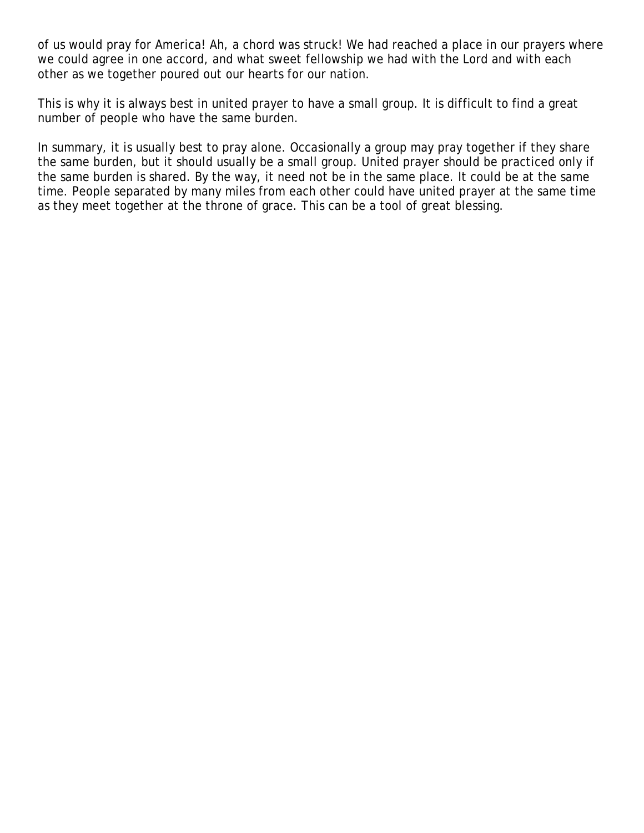of us would pray for America! Ah, a chord was struck! We had reached a place in our prayers where we could agree in one accord, and what sweet fellowship we had with the Lord and with each other as we together poured out our hearts for our nation.

This is why it is always best in united prayer to have a small group. It is difficult to find a great number of people who have the same burden.

In summary, it is usually best to pray alone. Occasionally a group may pray together if they share the same burden, but it should usually be a small group. United prayer should be practiced only if the same burden is shared. By the way, it need not be in the same place. It could be at the same time. People separated by many miles from each other could have united prayer at the same time as they meet together at the throne of grace. This can be a tool of great blessing.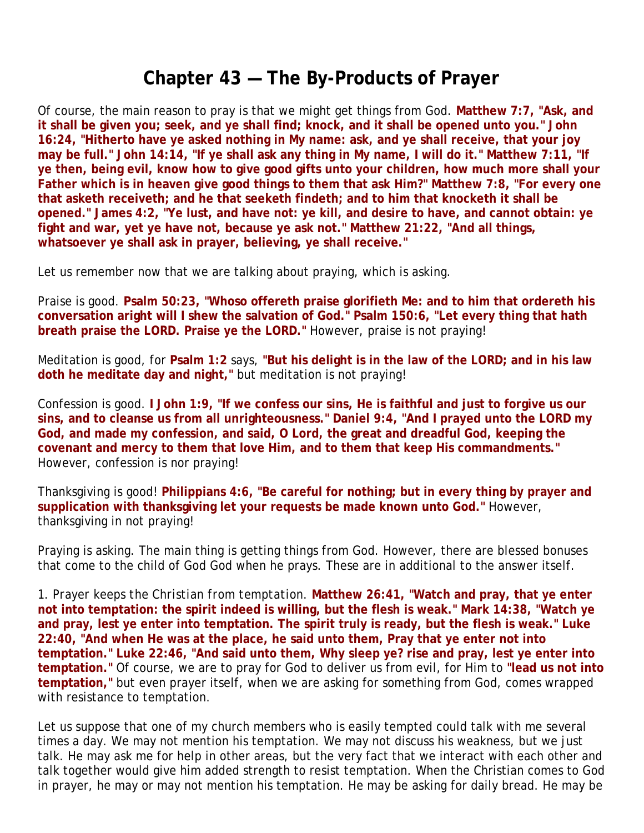## **Chapter 43 — The By-Products of Prayer**

Of course, the main reason to pray is that we might get things from God. **Matthew 7:7, "Ask, and it shall be given you; seek, and ye shall find; knock, and it shall be opened unto you." John 16:24, "Hitherto have ye asked nothing in My name: ask, and ye shall receive, that your joy may be full." John 14:14, "If ye shall ask any thing in My name, I will do it." Matthew 7:11, "If ye then, being evil, know how to give good gifts unto your children, how much more shall your Father which is in heaven give good things to them that ask Him?" Matthew 7:8, "For every one that asketh receiveth; and he that seeketh findeth; and to him that knocketh it shall be opened." James 4:2, "Ye lust, and have not: ye kill, and desire to have, and cannot obtain: ye fight and war, yet ye have not, because ye ask not." Matthew 21:22, "And all things, whatsoever ye shall ask in prayer, believing, ye shall receive."**

Let us remember now that we are talking about praying, which is asking.

Praise is good. **Psalm 50:23, "Whoso offereth praise glorifieth Me: and to him that ordereth his conversation aright will I shew the salvation of God." Psalm 150:6, "Let every thing that hath breath praise the LORD. Praise ye the LORD."** However, praise is not praying!

Meditation is good, for **Psalm 1:2** says, **"But his delight is in the law of the LORD; and in his law doth he meditate day and night,"** but meditation is not praying!

Confession is good. **I John 1:9, "If we confess our sins, He is faithful and just to forgive us our sins, and to cleanse us from all unrighteousness." Daniel 9:4, "And I prayed unto the LORD my God, and made my confession, and said, O Lord, the great and dreadful God, keeping the covenant and mercy to them that love Him, and to them that keep His commandments."** However, confession is nor praying!

Thanksgiving is good! **Philippians 4:6, "Be careful for nothing; but in every thing by prayer and supplication with thanksgiving let your requests be made known unto God."** However, thanksgiving in not praying!

Praying is asking. The main thing is getting things from God. However, there are blessed bonuses that come to the child of God God when he prays. These are in additional to the answer itself.

1. *Prayer keeps the Christian from temptation.* **Matthew 26:41, "Watch and pray, that ye enter not into temptation: the spirit indeed is willing, but the flesh is weak." Mark 14:38, "Watch ye and pray, lest ye enter into temptation. The spirit truly is ready, but the flesh is weak." Luke 22:40, "And when He was at the place, he said unto them, Pray that ye enter not into temptation." Luke 22:46, "And said unto them, Why sleep ye? rise and pray, lest ye enter into temptation."** Of course, we are to pray for God to deliver us from evil, for Him to **"lead us not into temptation,"** but even prayer itself, when we are asking for something from God, comes wrapped with resistance to temptation.

Let us suppose that one of my church members who is easily tempted could talk with me several times a day. We may not mention his temptation. We may not discuss his weakness, but we just talk. He may ask me for help in other areas, but the very fact that we interact with each other and talk together would give him added strength to resist temptation. When the Christian comes to God in prayer, he may or may not mention his temptation. He may be asking for daily bread. He may be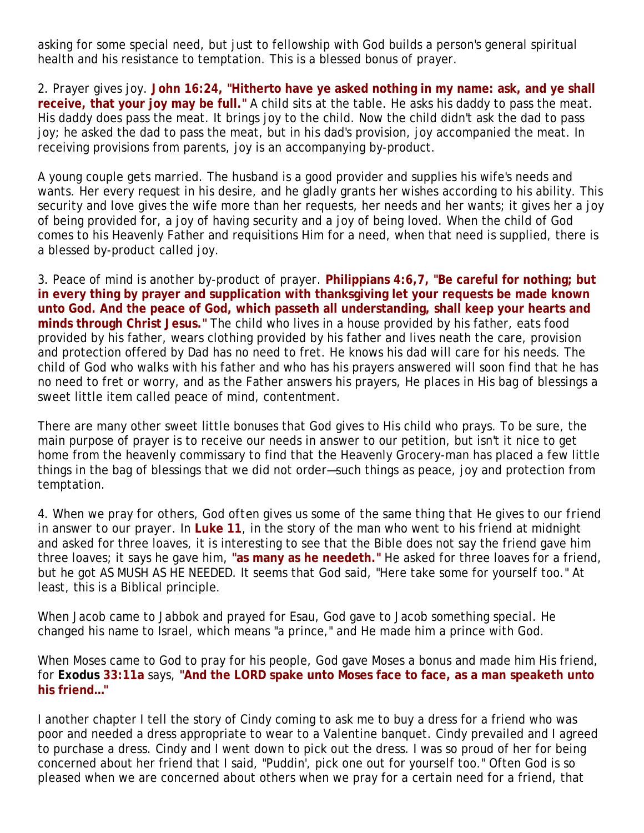asking for some special need, but just to fellowship with God builds a person's general spiritual health and his resistance to temptation. This is a blessed bonus of prayer.

2. *Prayer gives joy.* **John 16:24, "Hitherto have ye asked nothing in my name: ask, and ye shall receive, that your joy may be full."** A child sits at the table. He asks his daddy to pass the meat. His daddy does pass the meat. It brings joy to the child. Now the child didn't ask the dad to pass joy; he asked the dad to pass the meat, but in his dad's provision, joy accompanied the meat. In receiving provisions from parents, joy is an accompanying by-product.

A young couple gets married. The husband is a good provider and supplies his wife's needs and wants. Her every request in his desire, and he gladly grants her wishes according to his ability. This security and love gives the wife more than her requests, her needs and her wants; it gives her a joy of being provided for, a joy of having security and a joy of being loved. When the child of God comes to his Heavenly Father and requisitions Him for a need, when that need is supplied, there is a blessed by-product called joy.

3. *Peace of mind is another by-product of prayer.* **Philippians 4:6,7, "Be careful for nothing; but in every thing by prayer and supplication with thanksgiving let your requests be made known unto God. And the peace of God, which passeth all understanding, shall keep your hearts and minds through Christ Jesus."** The child who lives in a house provided by his father, eats food provided by his father, wears clothing provided by his father and lives neath the care, provision and protection offered by Dad has no need to fret. He knows his dad will care for his needs. The child of God who walks with his father and who has his prayers answered will soon find that he has no need to fret or worry, and as the Father answers his prayers, He places in His bag of blessings a sweet little item called peace of mind, contentment.

There are many other sweet little bonuses that God gives to His child who prays. To be sure, the main purpose of prayer is to receive our needs in answer to our petition, but isn't it nice to get home from the heavenly commissary to find that the Heavenly Grocery-man has placed a few little things in the bag of blessings that we did not order—such things as peace, joy and protection from temptation.

4. *When we pray for others, God often gives us some of the same thing that He gives to our friend in answer to our prayer.* In **Luke 11**, in the story of the man who went to his friend at midnight and asked for three loaves, it is interesting to see that the Bible does not say the friend gave him three loaves; it says he gave him, **"as many as he needeth."** He asked for three loaves for a friend, but he got AS MUSH AS HE NEEDED. It seems that God said, "Here take some for yourself too." At least, this is a Biblical principle.

When Jacob came to Jabbok and prayed for Esau, God gave to Jacob something special. He changed his name to Israel, which means "a prince," and He made him a prince with God.

When Moses came to God to pray for his people, God gave Moses a bonus and made him His friend, for **Exodus 33:11a** says, **"And the LORD spake unto Moses face to face, as a man speaketh unto his friend…"** 

I another chapter I tell the story of Cindy coming to ask me to buy a dress for a friend who was poor and needed a dress appropriate to wear to a Valentine banquet. Cindy prevailed and I agreed to purchase a dress. Cindy and I went down to pick out the dress. I was so proud of her for being concerned about her friend that I said, "Puddin', pick one out for yourself too." Often God is so pleased when we are concerned about others when we pray for a certain need for a friend, that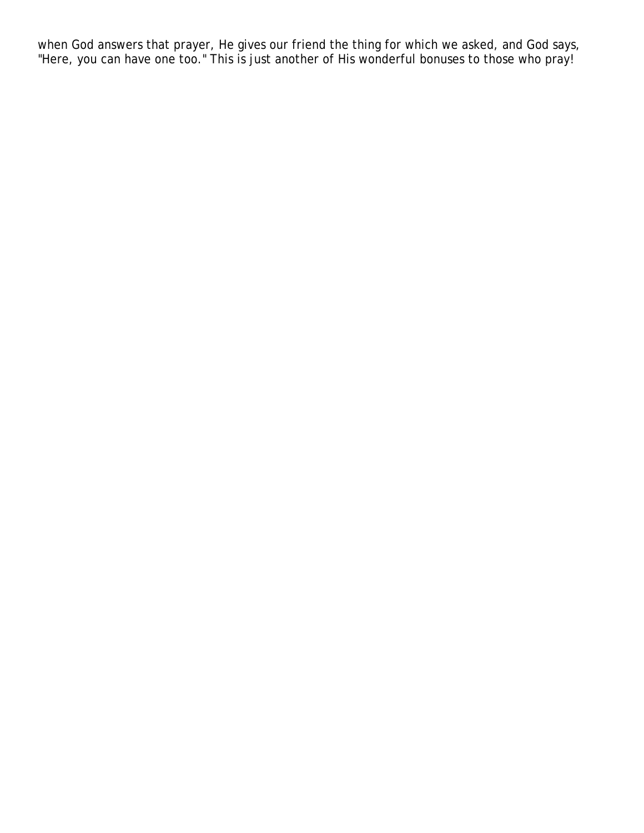when God answers that prayer, He gives our friend the thing for which we asked, and God says, "Here, you can have one too." This is just another of His wonderful bonuses to those who pray!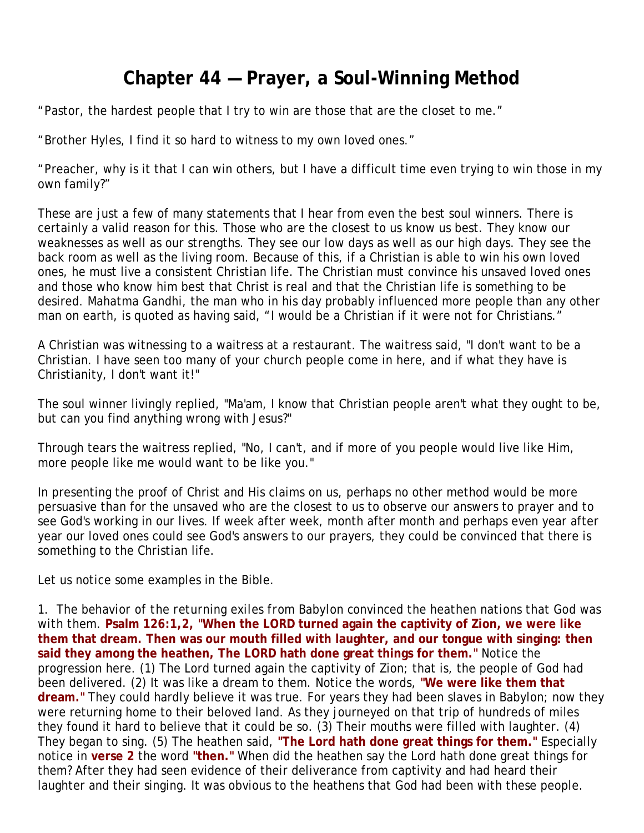# **Chapter 44 — Prayer, a Soul-Winning Method**

"Pastor, the hardest people that I try to win are those that are the closet to me."

"Brother Hyles, I find it so hard to witness to my own loved ones."

"Preacher, why is it that I can win others, but I have a difficult time even trying to win those in my own family?"

These are just a few of many statements that I hear from even the best soul winners. There is certainly a valid reason for this. Those who are the closest to us know us best. They know our weaknesses as well as our strengths. They see our low days as well as our high days. They see the back room as well as the living room. Because of this, if a Christian is able to win his own loved ones, he must live a consistent Christian life. The Christian must convince his unsaved loved ones and those who know him best that Christ is real and that the Christian life is something to be desired. Mahatma Gandhi, the man who in his day probably influenced more people than any other man on earth, is quoted as having said, "I would be a Christian if it were not for Christians."

A Christian was witnessing to a waitress at a restaurant. The waitress said, "I don't want to be a Christian. I have seen too many of your church people come in here, and if what they have is Christianity, I don't want it!"

The soul winner livingly replied, "Ma'am, I know that Christian people aren't what they ought to be, but can you find anything wrong with Jesus?"

Through tears the waitress replied, "No, I can't, and if more of you people would live like Him, more people like me would want to be like you."

In presenting the proof of Christ and His claims on us, perhaps no other method would be more persuasive than for the unsaved who are the closest to us to observe our answers to prayer and to see God's working in our lives. If week after week, month after month and perhaps even year after year our loved ones could see God's answers to our prayers, they could be convinced that there is something to the Christian life.

Let us notice some examples in the Bible.

1. *The behavior of the returning exiles from Babylon convinced the heathen nations that God was with them.* **Psalm 126:1,2, "When the LORD turned again the captivity of Zion, we were like them that dream. Then was our mouth filled with laughter, and our tongue with singing: then said they among the heathen, The LORD hath done great things for them."** Notice the progression here. (1) The Lord turned again the captivity of Zion; that is, the people of God had been delivered. (2) It was like a dream to them. Notice the words, **"We were like them that dream."** They could hardly believe it was true. For years they had been slaves in Babylon; now they were returning home to their beloved land. As they journeyed on that trip of hundreds of miles they found it hard to believe that it could be so. (3) Their mouths were filled with laughter. (4) They began to sing. (5) The heathen said, **"The Lord hath done great things for them."** Especially notice in **verse 2** the word **"then."** When did the heathen say the Lord hath done great things for them? After they had seen evidence of their deliverance from captivity and had heard their laughter and their singing. It was obvious to the heathens that God had been with these people.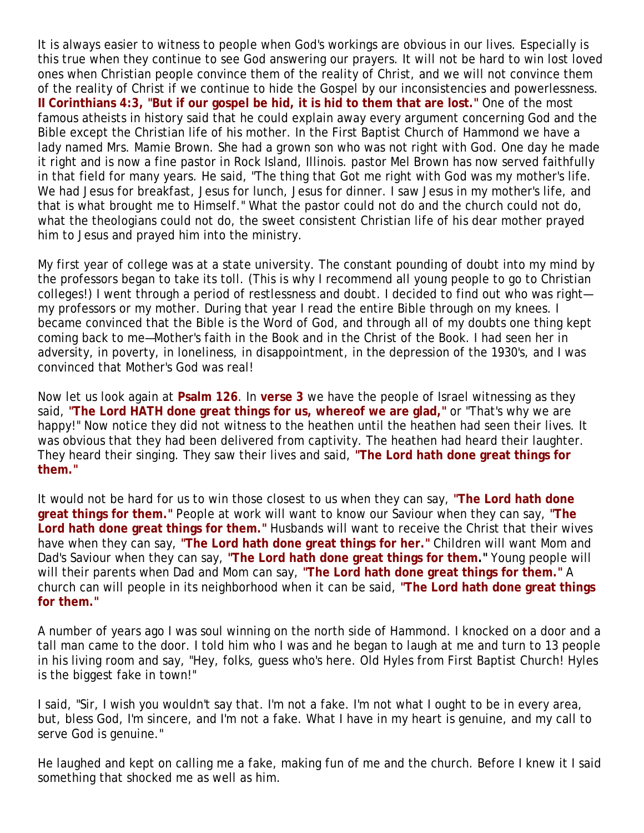It is always easier to witness to people when God's workings are obvious in our lives. Especially is this true when they continue to see God answering our prayers. It will not be hard to win lost loved ones when Christian people convince them of the reality of Christ, and we will not convince them of the reality of Christ if we continue to hide the Gospel by our inconsistencies and powerlessness. **II Corinthians 4:3, "But if our gospel be hid, it is hid to them that are lost."** One of the most famous atheists in history said that he could explain away every argument concerning God and the Bible except the Christian life of his mother. In the First Baptist Church of Hammond we have a lady named Mrs. Mamie Brown. She had a grown son who was not right with God. One day he made it right and is now a fine pastor in Rock Island, Illinois. pastor Mel Brown has now served faithfully in that field for many years. He said, "The thing that Got me right with God was my mother's life. We had Jesus for breakfast, Jesus for lunch, Jesus for dinner. I saw Jesus in my mother's life, and that is what brought me to Himself." What the pastor could not do and the church could not do, what the theologians could not do, the sweet consistent Christian life of his dear mother prayed him to Jesus and prayed him into the ministry.

My first year of college was at a state university. The constant pounding of doubt into my mind by the professors began to take its toll. (This is why I recommend all young people to go to Christian colleges!) I went through a period of restlessness and doubt. I decided to find out who was right my professors or my mother. During that year I read the entire Bible through on my knees. I became convinced that the Bible is the Word of God, and through all of my doubts one thing kept coming back to me—Mother's faith in the Book and in the Christ of the Book. I had seen her in adversity, in poverty, in loneliness, in disappointment, in the depression of the 1930's, and I was convinced that Mother's God was real!

Now let us look again at **Psalm 126**. In **verse 3** we have the people of Israel witnessing as they said, **"The Lord HATH done great things for us, whereof we are glad,"** or "That's why we are happy!" Now notice they did not witness to the heathen until the heathen had seen their lives. It was obvious that they had been delivered from captivity. The heathen had heard their laughter. They heard their singing. They saw their lives and said, **"The Lord hath done great things for them."**

It would not be hard for us to win those closest to us when they can say, **"The Lord hath done great things for them."** People at work will want to know our Saviour when they can say, **"The Lord hath done great things for them."** Husbands will want to receive the Christ that their wives have when they can say, **"The Lord hath done great things for her."** Children will want Mom and Dad's Saviour when they can say, **"The Lord hath done great things for them."** Young people will will their parents when Dad and Mom can say, **"The Lord hath done great things for them."** A church can will people in its neighborhood when it can be said, **"The Lord hath done great things for them."**

A number of years ago I was soul winning on the north side of Hammond. I knocked on a door and a tall man came to the door. I told him who I was and he began to laugh at me and turn to 13 people in his living room and say, "Hey, folks, guess who's here. Old Hyles from First Baptist Church! Hyles is the biggest fake in town!"

I said, "Sir, I wish you wouldn't say that. I'm not a fake. I'm not what I ought to be in every area, but, bless God, I'm sincere, and I'm not a fake. What I have in my heart is genuine, and my call to serve God is genuine."

He laughed and kept on calling me a fake, making fun of me and the church. Before I knew it I said something that shocked me as well as him.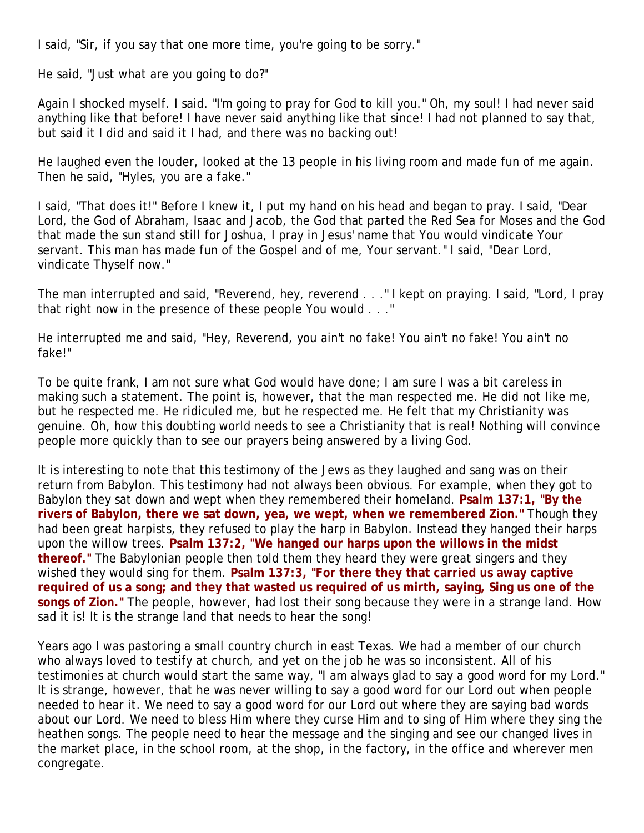I said, "Sir, if you say that one more time, you're going to be sorry."

He said, "Just what are you going to do?"

Again I shocked myself. I said. "I'm going to pray for God to kill you." Oh, my soul! I had never said anything like that before! I have never said anything like that since! I had not planned to say that, but said it I did and said it I had, and there was no backing out!

He laughed even the louder, looked at the 13 people in his living room and made fun of me again. Then he said, "Hyles, you are a fake."

I said, "That does it!" Before I knew it, I put my hand on his head and began to pray. I said, "Dear Lord, the God of Abraham, Isaac and Jacob, the God that parted the Red Sea for Moses and the God that made the sun stand still for Joshua, I pray in Jesus' name that You would vindicate Your servant. This man has made fun of the Gospel and of me, Your servant." I said, "Dear Lord, vindicate Thyself now."

The man interrupted and said, "Reverend, hey, reverend . . ." I kept on praying. I said, "Lord, I pray that right now in the presence of these people You would . . ."

He interrupted me and said, "Hey, Reverend, you ain't no fake! You ain't no fake! You ain't no fake!"

To be quite frank, I am not sure what God would have done; I am sure I was a bit careless in making such a statement. The point is, however, that the man respected me. He did not like me, but he respected me. He ridiculed me, but he respected me. He felt that my Christianity was genuine. Oh, how this doubting world needs to see a Christianity that is real! Nothing will convince people more quickly than to see our prayers being answered by a living God.

It is interesting to note that this testimony of the Jews as they laughed and sang was on their return from Babylon. This testimony had not always been obvious. For example, when they got to Babylon they sat down and wept when they remembered their homeland. **Psalm 137:1, "By the rivers of Babylon, there we sat down, yea, we wept, when we remembered Zion."** Though they had been great harpists, they refused to play the harp in Babylon. Instead they hanged their harps upon the willow trees. **Psalm 137:2, "We hanged our harps upon the willows in the midst thereof."** The Babylonian people then told them they heard they were great singers and they wished they would sing for them. **Psalm 137:3, "For there they that carried us away captive required of us a song; and they that wasted us required of us mirth, saying, Sing us one of the songs of Zion."** The people, however, had lost their song because they were in a strange land. How sad it is! It is the strange land that needs to hear the song!

Years ago I was pastoring a small country church in east Texas. We had a member of our church who always loved to testify at church, and yet on the job he was so inconsistent. All of his testimonies at church would start the same way, "I am always glad to say a good word for my Lord." It is strange, however, that he was never willing to say a good word for our Lord out when people needed to hear it. We need to say a good word for our Lord out where they are saying bad words about our Lord. We need to bless Him where they curse Him and to sing of Him where they sing the heathen songs. The people need to hear the message and the singing and see our changed lives in the market place, in the school room, at the shop, in the factory, in the office and wherever men congregate.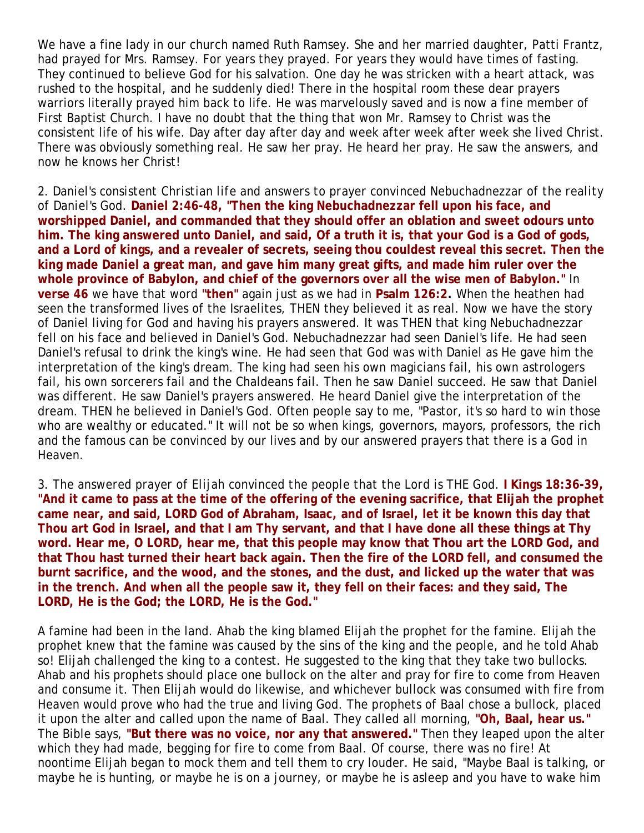We have a fine lady in our church named Ruth Ramsey. She and her married daughter, Patti Frantz, had prayed for Mrs. Ramsey. For years they prayed. For years they would have times of fasting. They continued to believe God for his salvation. One day he was stricken with a heart attack, was rushed to the hospital, and he suddenly died! There in the hospital room these dear prayers warriors literally prayed him back to life. He was marvelously saved and is now a fine member of First Baptist Church. I have no doubt that the thing that won Mr. Ramsey to Christ was the consistent life of his wife. Day after day after day and week after week after week she lived Christ. There was obviously something real. He saw her pray. He heard her pray. He saw the answers, and now he knows her Christ!

2. *Daniel's consistent Christian life and answers to prayer convinced Nebuchadnezzar of the reality of Daniel's God.* **Daniel 2:46-48, "Then the king Nebuchadnezzar fell upon his face, and worshipped Daniel, and commanded that they should offer an oblation and sweet odours unto him. The king answered unto Daniel, and said, Of a truth it is, that your God is a God of gods, and a Lord of kings, and a revealer of secrets, seeing thou couldest reveal this secret. Then the king made Daniel a great man, and gave him many great gifts, and made him ruler over the whole province of Babylon, and chief of the governors over all the wise men of Babylon."** In **verse 46** we have that word **"then"** again just as we had in **Psalm 126:2.** When the heathen had seen the transformed lives of the Israelites, THEN they believed it as real. Now we have the story of Daniel living for God and having his prayers answered. It was THEN that king Nebuchadnezzar fell on his face and believed in Daniel's God. Nebuchadnezzar had seen Daniel's life. He had seen Daniel's refusal to drink the king's wine. He had seen that God was with Daniel as He gave him the interpretation of the king's dream. The king had seen his own magicians fail, his own astrologers fail, his own sorcerers fail and the Chaldeans fail. Then he saw Daniel succeed. He saw that Daniel was different. He saw Daniel's prayers answered. He heard Daniel give the interpretation of the dream. THEN he believed in Daniel's God. Often people say to me, "Pastor, it's so hard to win those who are wealthy or educated." It will not be so when kings, governors, mayors, professors, the rich and the famous can be convinced by our lives and by our answered prayers that there is a God in Heaven.

3. *The answered prayer of Elijah convinced the people that the Lord is THE God.* **I Kings 18:36-39, "And it came to pass at the time of the offering of the evening sacrifice, that Elijah the prophet came near, and said, LORD God of Abraham, Isaac, and of Israel, let it be known this day that Thou art God in Israel, and that I am Thy servant, and that I have done all these things at Thy word. Hear me, O LORD, hear me, that this people may know that Thou art the LORD God, and that Thou hast turned their heart back again. Then the fire of the LORD fell, and consumed the burnt sacrifice, and the wood, and the stones, and the dust, and licked up the water that was in the trench. And when all the people saw it, they fell on their faces: and they said, The LORD, He is the God; the LORD, He is the God."** 

A famine had been in the land. Ahab the king blamed Elijah the prophet for the famine. Elijah the prophet knew that the famine was caused by the sins of the king and the people, and he told Ahab so! Elijah challenged the king to a contest. He suggested to the king that they take two bullocks. Ahab and his prophets should place one bullock on the alter and pray for fire to come from Heaven and consume it. Then Elijah would do likewise, and whichever bullock was consumed with fire from Heaven would prove who had the true and living God. The prophets of Baal chose a bullock, placed it upon the alter and called upon the name of Baal. They called all morning, **"Oh, Baal, hear us."** The Bible says, **"But there was no voice, nor any that answered."** Then they leaped upon the alter which they had made, begging for fire to come from Baal. Of course, there was no fire! At noontime Elijah began to mock them and tell them to cry louder. He said, "Maybe Baal is talking, or maybe he is hunting, or maybe he is on a journey, or maybe he is asleep and you have to wake him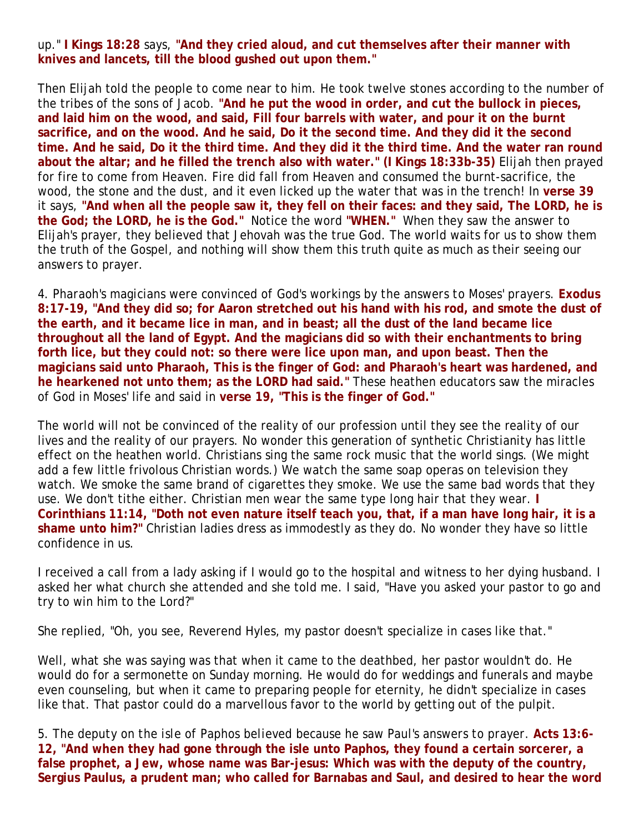#### up." **I Kings 18:28** says, **"And they cried aloud, and cut themselves after their manner with knives and lancets, till the blood gushed out upon them."**

Then Elijah told the people to come near to him. He took twelve stones according to the number of the tribes of the sons of Jacob. **"And he put the wood in order, and cut the bullock in pieces, and laid him on the wood, and said, Fill four barrels with water, and pour it on the burnt sacrifice, and on the wood. And he said, Do it the second time. And they did it the second time. And he said, Do it the third time. And they did it the third time. And the water ran round about the altar; and he filled the trench also with water." (I Kings 18:33b-35)** Elijah then prayed for fire to come from Heaven. Fire did fall from Heaven and consumed the burnt-sacrifice, the wood, the stone and the dust, and it even licked up the water that was in the trench! In **verse 39** it says, **"And when all the people saw it, they fell on their faces: and they said, The LORD, he is the God; the LORD, he is the God."** Notice the word **"WHEN."** When they saw the answer to Elijah's prayer, they believed that Jehovah was the true God. The world waits for us to show them the truth of the Gospel, and nothing will show them this truth quite as much as their seeing our answers to prayer.

4. *Pharaoh's magicians were convinced of God's workings by the answers to Moses' prayers.* **Exodus 8:17-19, "And they did so; for Aaron stretched out his hand with his rod, and smote the dust of the earth, and it became lice in man, and in beast; all the dust of the land became lice throughout all the land of Egypt. And the magicians did so with their enchantments to bring forth lice, but they could not: so there were lice upon man, and upon beast. Then the magicians said unto Pharaoh, This is the finger of God: and Pharaoh's heart was hardened, and he hearkened not unto them; as the LORD had said."** These heathen educators saw the miracles of God in Moses' life and said in **verse 19, "This is the finger of God."**

The world will not be convinced of the reality of our profession until they see the reality of our lives and the reality of our prayers. No wonder this generation of synthetic Christianity has little effect on the heathen world. Christians sing the same rock music that the world sings. (We might add a few little frivolous Christian words.) We watch the same soap operas on television they watch. We smoke the same brand of cigarettes they smoke. We use the same bad words that they use. We don't tithe either. Christian men wear the same type long hair that they wear. **I Corinthians 11:14, "Doth not even nature itself teach you, that, if a man have long hair, it is a shame unto him?"** Christian ladies dress as immodestly as they do. No wonder they have so little confidence in us.

I received a call from a lady asking if I would go to the hospital and witness to her dying husband. I asked her what church she attended and she told me. I said, "Have you asked your pastor to go and try to win him to the Lord?"

She replied, "Oh, you see, Reverend Hyles, my pastor doesn't specialize in cases like that."

Well, what she was saying was that when it came to the deathbed, her pastor wouldn't do. He would do for a sermonette on Sunday morning. He would do for weddings and funerals and maybe even counseling, but when it came to preparing people for eternity, he didn't specialize in cases like that. That pastor could do a marvellous favor to the world by getting out of the pulpit.

5. *The deputy on the isle of Paphos believed because he saw Paul's answers to prayer.* **Acts 13:6- 12, "And when they had gone through the isle unto Paphos, they found a certain sorcerer, a false prophet, a Jew, whose name was Bar-jesus: Which was with the deputy of the country, Sergius Paulus, a prudent man; who called for Barnabas and Saul, and desired to hear the word**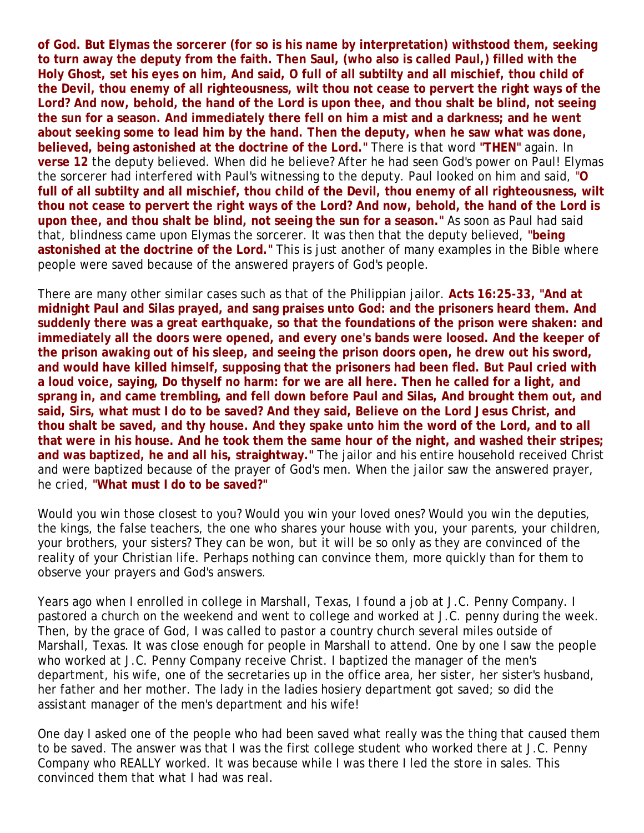**of God. But Elymas the sorcerer (for so is his name by interpretation) withstood them, seeking to turn away the deputy from the faith. Then Saul, (who also is called Paul,) filled with the Holy Ghost, set his eyes on him, And said, O full of all subtilty and all mischief, thou child of the Devil, thou enemy of all righteousness, wilt thou not cease to pervert the right ways of the Lord? And now, behold, the hand of the Lord is upon thee, and thou shalt be blind, not seeing the sun for a season. And immediately there fell on him a mist and a darkness; and he went about seeking some to lead him by the hand. Then the deputy, when he saw what was done, believed, being astonished at the doctrine of the Lord."** There is that word **"THEN"** again. In **verse 12** the deputy believed. When did he believe? After he had seen God's power on Paul! Elymas the sorcerer had interfered with Paul's witnessing to the deputy. Paul looked on him and said, "**O full of all subtilty and all mischief, thou child of the Devil, thou enemy of all righteousness, wilt thou not cease to pervert the right ways of the Lord? And now, behold, the hand of the Lord is upon thee, and thou shalt be blind, not seeing the sun for a season."** As soon as Paul had said that, blindness came upon Elymas the sorcerer. It was then that the deputy believed, **"being astonished at the doctrine of the Lord."** This is just another of many examples in the Bible where people were saved because of the answered prayers of God's people.

There are many other similar cases such as that of the Philippian jailor. **Acts 16:25-33, "And at midnight Paul and Silas prayed, and sang praises unto God: and the prisoners heard them. And suddenly there was a great earthquake, so that the foundations of the prison were shaken: and immediately all the doors were opened, and every one's bands were loosed. And the keeper of the prison awaking out of his sleep, and seeing the prison doors open, he drew out his sword, and would have killed himself, supposing that the prisoners had been fled. But Paul cried with a loud voice, saying, Do thyself no harm: for we are all here. Then he called for a light, and sprang in, and came trembling, and fell down before Paul and Silas, And brought them out, and said, Sirs, what must I do to be saved? And they said, Believe on the Lord Jesus Christ, and thou shalt be saved, and thy house. And they spake unto him the word of the Lord, and to all that were in his house. And he took them the same hour of the night, and washed their stripes; and was baptized, he and all his, straightway."** The jailor and his entire household received Christ and were baptized because of the prayer of God's men. When the jailor saw the answered prayer, he cried, **"What must I do to be saved?"**

Would you win those closest to you? Would you win your loved ones? Would you win the deputies, the kings, the false teachers, the one who shares your house with you, your parents, your children, your brothers, your sisters? They can be won, but it will be so only as they are convinced of the reality of your Christian life. Perhaps nothing can convince them, more quickly than for them to observe your prayers and God's answers.

Years ago when I enrolled in college in Marshall, Texas, I found a job at J.C. Penny Company. I pastored a church on the weekend and went to college and worked at J.C. penny during the week. Then, by the grace of God, I was called to pastor a country church several miles outside of Marshall, Texas. It was close enough for people in Marshall to attend. One by one I saw the people who worked at J.C. Penny Company receive Christ. I baptized the manager of the men's department, his wife, one of the secretaries up in the office area, her sister, her sister's husband, her father and her mother. The lady in the ladies hosiery department got saved; so did the assistant manager of the men's department and his wife!

One day I asked one of the people who had been saved what really was the thing that caused them to be saved. The answer was that I was the first college student who worked there at J.C. Penny Company who REALLY worked. It was because while I was there I led the store in sales. This convinced them that what I had was real.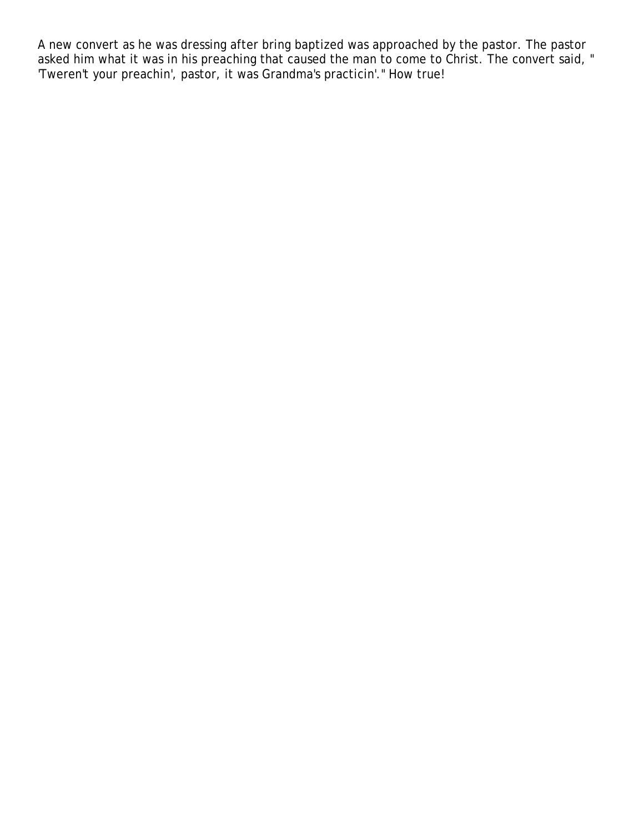A new convert as he was dressing after bring baptized was approached by the pastor. The pastor asked him what it was in his preaching that caused the man to come to Christ. The convert said, " 'Tweren't your preachin', pastor, it was Grandma's practicin'." How true!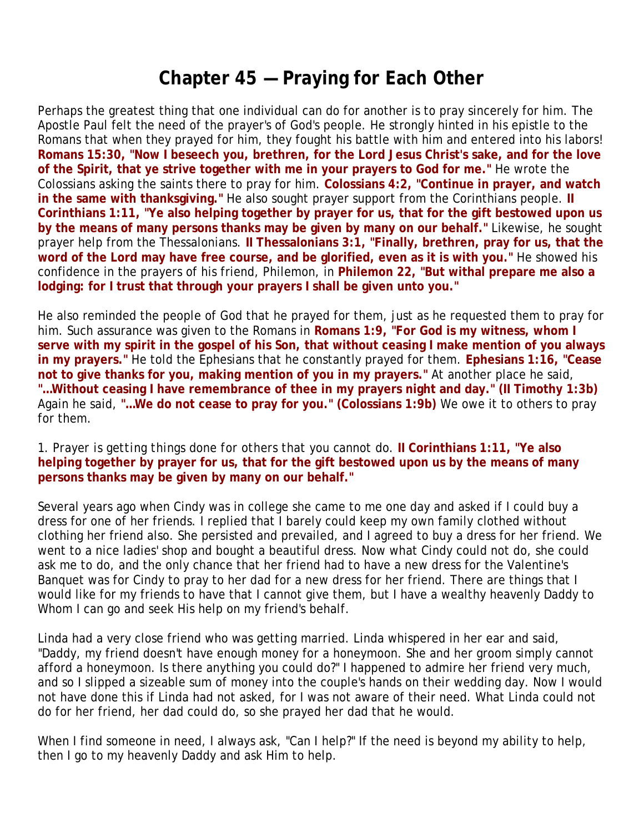### **Chapter 45 — Praying for Each Other**

Perhaps the greatest thing that one individual can do for another is to pray sincerely for him. The Apostle Paul felt the need of the prayer's of God's people. He strongly hinted in his epistle to the Romans that when they prayed for him, they fought his battle with him and entered into his labors! **Romans 15:30, "Now I beseech you, brethren, for the Lord Jesus Christ's sake, and for the love of the Spirit, that ye strive together with me in your prayers to God for me."** He wrote the Colossians asking the saints there to pray for him. **Colossians 4:2, "Continue in prayer, and watch in the same with thanksgiving."** He also sought prayer support from the Corinthians people. **II Corinthians 1:11, "Ye also helping together by prayer for us, that for the gift bestowed upon us by the means of many persons thanks may be given by many on our behalf."** Likewise, he sought prayer help from the Thessalonians. **II Thessalonians 3:1, "Finally, brethren, pray for us, that the word of the Lord may have free course, and be glorified, even as it is with you."** He showed his confidence in the prayers of his friend, Philemon, in **Philemon 22, "But withal prepare me also a lodging: for I trust that through your prayers I shall be given unto you."** 

He also reminded the people of God that he prayed for them, just as he requested them to pray for him. Such assurance was given to the Romans in **Romans 1:9, "For God is my witness, whom I serve with my spirit in the gospel of his Son, that without ceasing I make mention of you always in my prayers."** He told the Ephesians that he constantly prayed for them. **Ephesians 1:16, "Cease not to give thanks for you, making mention of you in my prayers."** At another place he said, **"…Without ceasing I have remembrance of thee in my prayers night and day." (II Timothy 1:3b)** Again he said, **"…We do not cease to pray for you." (Colossians 1:9b)** We owe it to others to pray for them.

#### 1. *Prayer is getting things done for others that you cannot do.* **II Corinthians 1:11, "Ye also helping together by prayer for us, that for the gift bestowed upon us by the means of many persons thanks may be given by many on our behalf."**

Several years ago when Cindy was in college she came to me one day and asked if I could buy a dress for one of her friends. I replied that I barely could keep my own family clothed without clothing her friend also. She persisted and prevailed, and I agreed to buy a dress for her friend. We went to a nice ladies' shop and bought a beautiful dress. Now what Cindy could not do, she could ask me to do, and the only chance that her friend had to have a new dress for the Valentine's Banquet was for Cindy to pray to her dad for a new dress for her friend. There are things that I would like for my friends to have that I cannot give them, but I have a wealthy heavenly Daddy to Whom I can go and seek His help on my friend's behalf.

Linda had a very close friend who was getting married. Linda whispered in her ear and said, "Daddy, my friend doesn't have enough money for a honeymoon. She and her groom simply cannot afford a honeymoon. Is there anything you could do?" I happened to admire her friend very much, and so I slipped a sizeable sum of money into the couple's hands on their wedding day. Now I would not have done this if Linda had not asked, for I was not aware of their need. What Linda could not do for her friend, her dad could do, so she prayed her dad that he would.

When I find someone in need, I always ask, "Can I help?" If the need is beyond my ability to help, then I go to my heavenly Daddy and ask Him to help.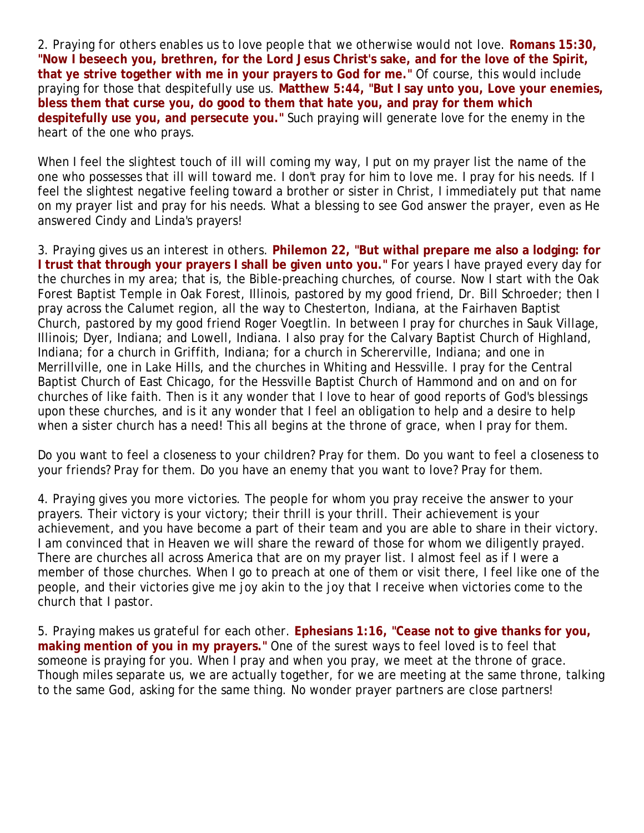2. *Praying for others enables us to love people that we otherwise would not love.* **Romans 15:30, "Now I beseech you, brethren, for the Lord Jesus Christ's sake, and for the love of the Spirit, that ye strive together with me in your prayers to God for me."** Of course, this would include praying for those that despitefully use us. **Matthew 5:44, "But I say unto you, Love your enemies, bless them that curse you, do good to them that hate you, and pray for them which despitefully use you, and persecute you."** Such praying will generate love for the enemy in the heart of the one who prays.

When I feel the slightest touch of ill will coming my way, I put on my prayer list the name of the one who possesses that ill will toward me. I don't pray for him to love me. I pray for his needs. If I feel the slightest negative feeling toward a brother or sister in Christ, I immediately put that name on my prayer list and pray for his needs. What a blessing to see God answer the prayer, even as He answered Cindy and Linda's prayers!

3. *Praying gives us an interest in others.* **Philemon 22, "But withal prepare me also a lodging: for I trust that through your prayers I shall be given unto you."** For years I have prayed every day for the churches in my area; that is, the Bible-preaching churches, of course. Now I start with the Oak Forest Baptist Temple in Oak Forest, Illinois, pastored by my good friend, Dr. Bill Schroeder; then I pray across the Calumet region, all the way to Chesterton, Indiana, at the Fairhaven Baptist Church, pastored by my good friend Roger Voegtlin. In between I pray for churches in Sauk Village, Illinois; Dyer, Indiana; and Lowell, Indiana. I also pray for the Calvary Baptist Church of Highland, Indiana; for a church in Griffith, Indiana; for a church in Schererville, Indiana; and one in Merrillville, one in Lake Hills, and the churches in Whiting and Hessville. I pray for the Central Baptist Church of East Chicago, for the Hessville Baptist Church of Hammond and on and on for churches of like faith. Then is it any wonder that I love to hear of good reports of God's blessings upon these churches, and is it any wonder that I feel an obligation to help and a desire to help when a sister church has a need! This all begins at the throne of grace, when I pray for them.

Do you want to feel a closeness to your children? Pray for them. Do you want to feel a closeness to your friends? Pray for them. Do you have an enemy that you want to love? Pray for them.

4. *Praying gives you more victories.* The people for whom you pray receive the answer to your prayers. Their victory is your victory; their thrill is your thrill. Their achievement is your achievement, and you have become a part of their team and you are able to share in their victory. I am convinced that in Heaven we will share the reward of those for whom we diligently prayed. There are churches all across America that are on my prayer list. I almost feel as if I were a member of those churches. When I go to preach at one of them or visit there, I feel like one of the people, and their victories give me joy akin to the joy that I receive when victories come to the church that I pastor.

5. *Praying makes us grateful for each other.* **Ephesians 1:16, "Cease not to give thanks for you, making mention of you in my prayers."** One of the surest ways to feel loved is to feel that someone is praying for you. When I pray and when you pray, we meet at the throne of grace. Though miles separate us, we are actually together, for we are meeting at the same throne, talking to the same God, asking for the same thing. No wonder prayer partners are close partners!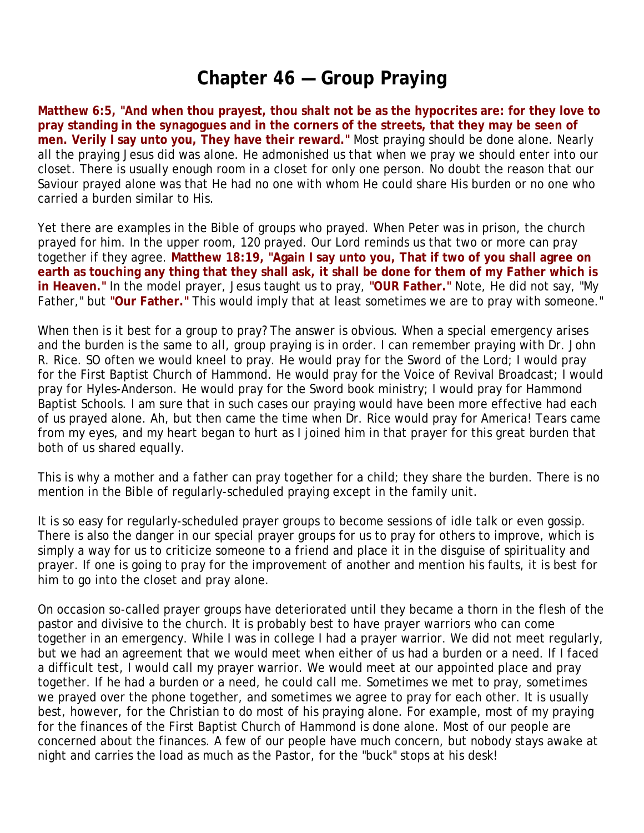## **Chapter 46 — Group Praying**

**Matthew 6:5, "And when thou prayest, thou shalt not be as the hypocrites are: for they love to pray standing in the synagogues and in the corners of the streets, that they may be seen of men. Verily I say unto you, They have their reward."** Most praying should be done alone. Nearly all the praying Jesus did was alone. He admonished us that when we pray we should enter into our closet. There is usually enough room in a closet for only one person. No doubt the reason that our Saviour prayed alone was that He had no one with whom He could share His burden or no one who carried a burden similar to His.

Yet there are examples in the Bible of groups who prayed. When Peter was in prison, the church prayed for him. In the upper room, 120 prayed. Our Lord reminds us that two or more can pray together if they agree. **Matthew 18:19, "Again I say unto you, That if two of you shall agree on earth as touching any thing that they shall ask, it shall be done for them of my Father which is in Heaven."** In the model prayer, Jesus taught us to pray, **"OUR Father."** Note, He did not say, "My Father," but **"Our Father."** This would imply that at least sometimes we are to pray with someone."

When then is it best for a group to pray? The answer is obvious. When a special emergency arises and the burden is the same to all, group praying is in order. I can remember praying with Dr. John R. Rice. SO often we would kneel to pray. He would pray for the Sword of the Lord; I would pray for the First Baptist Church of Hammond. He would pray for the Voice of Revival Broadcast; I would pray for Hyles-Anderson. He would pray for the Sword book ministry; I would pray for Hammond Baptist Schools. I am sure that in such cases our praying would have been more effective had each of us prayed alone. Ah, but then came the time when Dr. Rice would pray for America! Tears came from my eyes, and my heart began to hurt as I joined him in that prayer for this great burden that both of us shared equally.

This is why a mother and a father can pray together for a child; they share the burden. There is no mention in the Bible of regularly-scheduled praying except in the family unit.

It is so easy for regularly-scheduled prayer groups to become sessions of idle talk or even gossip. There is also the danger in our special prayer groups for us to pray for others to improve, which is simply a way for us to criticize someone to a friend and place it in the disguise of spirituality and prayer. If one is going to pray for the improvement of another and mention his faults, it is best for him to go into the closet and pray alone.

On occasion so-called prayer groups have deteriorated until they became a thorn in the flesh of the pastor and divisive to the church. It is probably best to have prayer warriors who can come together in an emergency. While I was in college I had a prayer warrior. We did not meet regularly, but we had an agreement that we would meet when either of us had a burden or a need. If I faced a difficult test, I would call my prayer warrior. We would meet at our appointed place and pray together. If he had a burden or a need, he could call me. Sometimes we met to pray, sometimes we prayed over the phone together, and sometimes we agree to pray for each other. It is usually best, however, for the Christian to do most of his praying alone. For example, most of my praying for the finances of the First Baptist Church of Hammond is done alone. Most of our people are concerned about the finances. A few of our people have much concern, but nobody stays awake at night and carries the load as much as the Pastor, for the "buck" stops at his desk!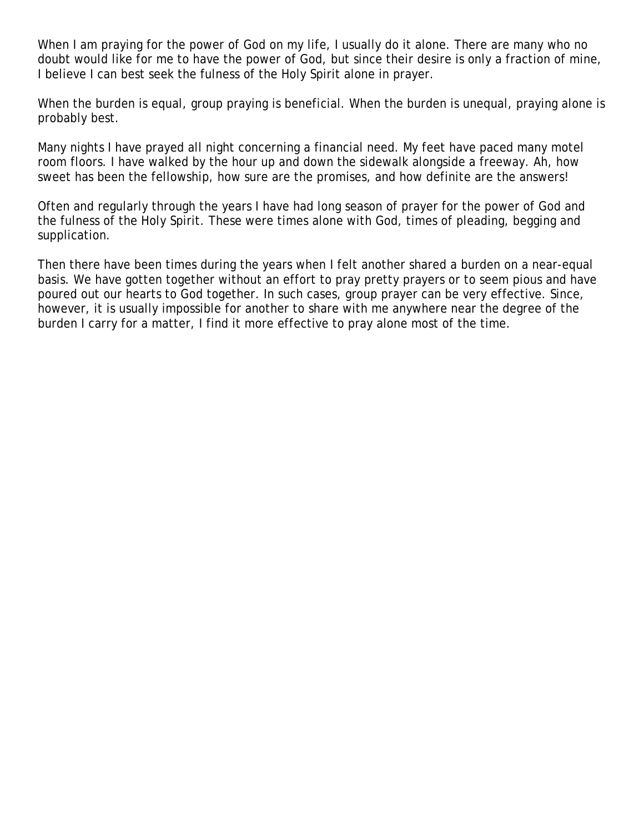When I am praying for the power of God on my life, I usually do it alone. There are many who no doubt would like for me to have the power of God, but since their desire is only a fraction of mine, I believe I can best seek the fulness of the Holy Spirit alone in prayer.

When the burden is equal, group praying is beneficial. When the burden is unequal, praying alone is probably best.

Many nights I have prayed all night concerning a financial need. My feet have paced many motel room floors. I have walked by the hour up and down the sidewalk alongside a freeway. Ah, how sweet has been the fellowship, how sure are the promises, and how definite are the answers!

Often and regularly through the years I have had long season of prayer for the power of God and the fulness of the Holy Spirit. These were times alone with God, times of pleading, begging and supplication.

Then there have been times during the years when I felt another shared a burden on a near-equal basis. We have gotten together without an effort to pray pretty prayers or to seem pious and have poured out our hearts to God together. In such cases, group prayer can be very effective. Since, however, it is usually impossible for another to share with me anywhere near the degree of the burden I carry for a matter, I find it more effective to pray alone most of the time.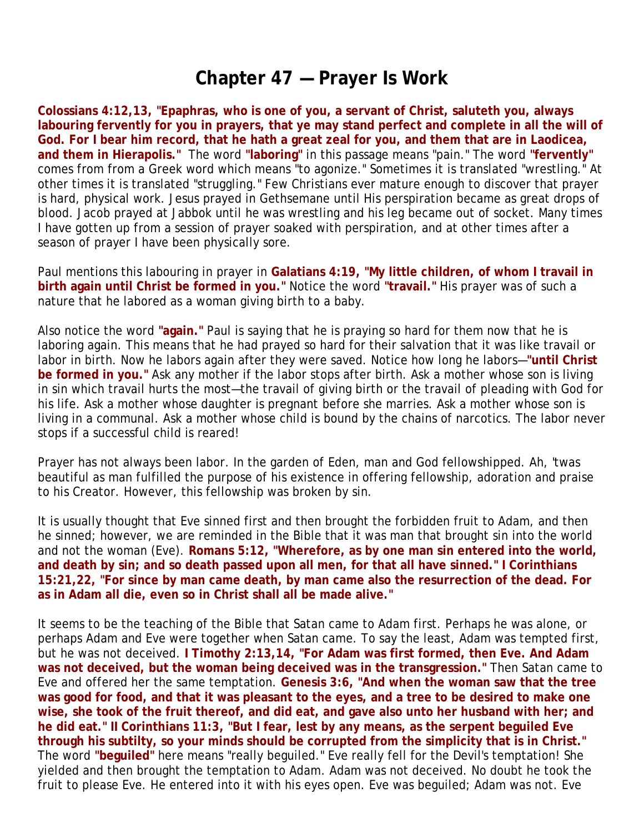## **Chapter 47 — Prayer Is Work**

**Colossians 4:12,13, "Epaphras, who is one of you, a servant of Christ, saluteth you, always labouring fervently for you in prayers, that ye may stand perfect and complete in all the will of God. For I bear him record, that he hath a great zeal for you, and them that are in Laodicea, and them in Hierapolis."** The word **"laboring"** in this passage means "pain." The word **"fervently"** comes from from a Greek word which means "to agonize." Sometimes it is translated "wrestling." At other times it is translated "struggling." Few Christians ever mature enough to discover that prayer is hard, physical work. Jesus prayed in Gethsemane until His perspiration became as great drops of blood. Jacob prayed at Jabbok until he was wrestling and his leg became out of socket. Many times I have gotten up from a session of prayer soaked with perspiration, and at other times after a season of prayer I have been physically sore.

Paul mentions this labouring in prayer in **Galatians 4:19, "My little children, of whom I travail in birth again until Christ be formed in you."** Notice the word **"travail."** His prayer was of such a nature that he labored as a woman giving birth to a baby.

Also notice the word **"again."** Paul is saying that he is praying so hard for them now that he is laboring again. This means that he had prayed so hard for their salvation that it was like travail or labor in birth. Now he labors again after they were saved. Notice how long he labors—**"until Christ be formed in you."** Ask any mother if the labor stops after birth. Ask a mother whose son is living in sin which travail hurts the most—the travail of giving birth or the travail of pleading with God for his life. Ask a mother whose daughter is pregnant before she marries. Ask a mother whose son is living in a communal. Ask a mother whose child is bound by the chains of narcotics. The labor never stops if a successful child is reared!

Prayer has not always been labor. In the garden of Eden, man and God fellowshipped. Ah, 'twas beautiful as man fulfilled the purpose of his existence in offering fellowship, adoration and praise to his Creator. However, this fellowship was broken by sin.

It is usually thought that Eve sinned first and then brought the forbidden fruit to Adam, and then he sinned; however, we are reminded in the Bible that it was man that brought sin into the world and not the woman (Eve). **Romans 5:12, "Wherefore, as by one man sin entered into the world, and death by sin; and so death passed upon all men, for that all have sinned." I Corinthians 15:21,22, "For since by man came death, by man came also the resurrection of the dead. For as in Adam all die, even so in Christ shall all be made alive."**

It seems to be the teaching of the Bible that Satan came to Adam first. Perhaps he was alone, or perhaps Adam and Eve were together when Satan came. To say the least, Adam was tempted first, but he was not deceived. **I Timothy 2:13,14, "For Adam was first formed, then Eve. And Adam was not deceived, but the woman being deceived was in the transgression."** Then Satan came to Eve and offered her the same temptation. **Genesis 3:6, "And when the woman saw that the tree was good for food, and that it was pleasant to the eyes, and a tree to be desired to make one wise, she took of the fruit thereof, and did eat, and gave also unto her husband with her; and he did eat." II Corinthians 11:3, "But I fear, lest by any means, as the serpent beguiled Eve through his subtilty, so your minds should be corrupted from the simplicity that is in Christ."** The word **"beguiled"** here means "really beguiled." Eve really fell for the Devil's temptation! She yielded and then brought the temptation to Adam. Adam was not deceived. No doubt he took the fruit to please Eve. He entered into it with his eyes open. Eve was beguiled; Adam was not. Eve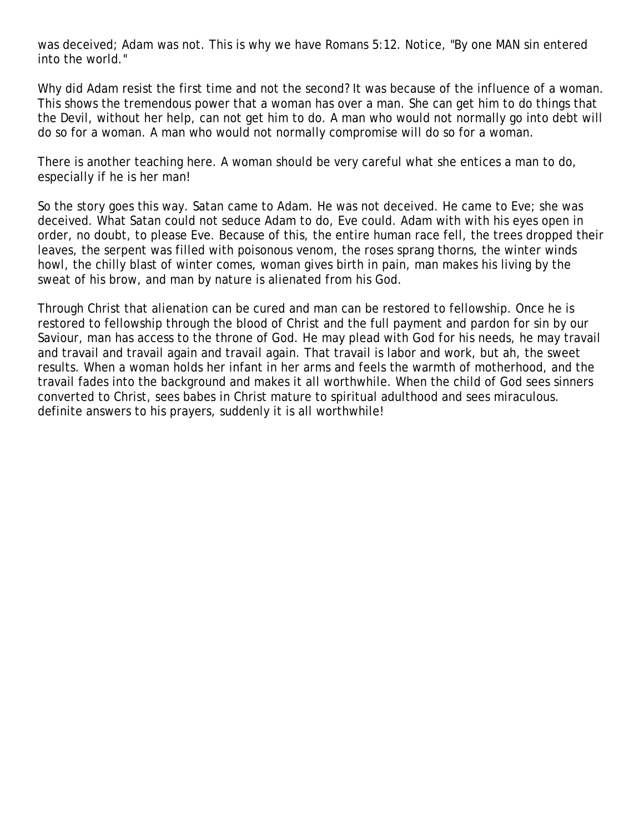was deceived; Adam was not. This is why we have Romans 5:12. Notice, "By one MAN sin entered into the world."

Why did Adam resist the first time and not the second? It was because of the influence of a woman. This shows the tremendous power that a woman has over a man. She can get him to do things that the Devil, without her help, can not get him to do. A man who would not normally go into debt will do so for a woman. A man who would not normally compromise will do so for a woman.

There is another teaching here. A woman should be very careful what she entices a man to do, especially if he is her man!

So the story goes this way. Satan came to Adam. He was not deceived. He came to Eve; she was deceived. What Satan could not seduce Adam to do, Eve could. Adam with with his eyes open in order, no doubt, to please Eve. Because of this, the entire human race fell, the trees dropped their leaves, the serpent was filled with poisonous venom, the roses sprang thorns, the winter winds howl, the chilly blast of winter comes, woman gives birth in pain, man makes his living by the sweat of his brow, and man by nature is alienated from his God.

Through Christ that alienation can be cured and man can be restored to fellowship. Once he is restored to fellowship through the blood of Christ and the full payment and pardon for sin by our Saviour, man has access to the throne of God. He may plead with God for his needs, he may travail and travail and travail again and travail again. That travail is labor and work, but ah, the sweet results. When a woman holds her infant in her arms and feels the warmth of motherhood, and the travail fades into the background and makes it all worthwhile. When the child of God sees sinners converted to Christ, sees babes in Christ mature to spiritual adulthood and sees miraculous. definite answers to his prayers, suddenly it is all worthwhile!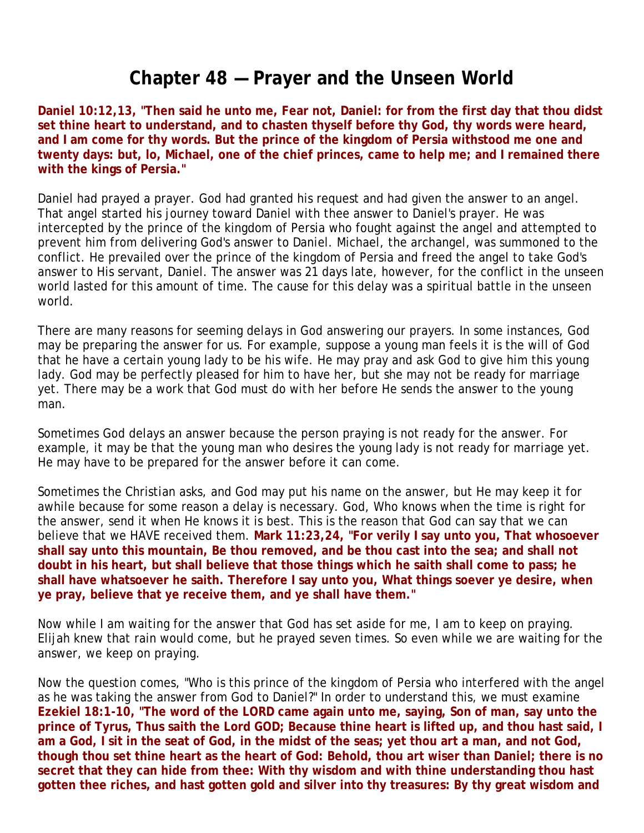## **Chapter 48 — Prayer and the Unseen World**

**Daniel 10:12,13, "Then said he unto me, Fear not, Daniel: for from the first day that thou didst set thine heart to understand, and to chasten thyself before thy God, thy words were heard, and I am come for thy words. But the prince of the kingdom of Persia withstood me one and twenty days: but, lo, Michael, one of the chief princes, came to help me; and I remained there with the kings of Persia."**

Daniel had prayed a prayer. God had granted his request and had given the answer to an angel. That angel started his journey toward Daniel with thee answer to Daniel's prayer. He was intercepted by the prince of the kingdom of Persia who fought against the angel and attempted to prevent him from delivering God's answer to Daniel. Michael, the archangel, was summoned to the conflict. He prevailed over the prince of the kingdom of Persia and freed the angel to take God's answer to His servant, Daniel. The answer was 21 days late, however, for the conflict in the unseen world lasted for this amount of time. The cause for this delay was a spiritual battle in the unseen world.

There are many reasons for seeming delays in God answering our prayers. In some instances, God may be preparing the answer for us. For example, suppose a young man feels it is the will of God that he have a certain young lady to be his wife. He may pray and ask God to give him this young lady. God may be perfectly pleased for him to have her, but she may not be ready for marriage yet. There may be a work that God must do with her before He sends the answer to the young man.

Sometimes God delays an answer because the person praying is not ready for the answer. For example, it may be that the young man who desires the young lady is not ready for marriage yet. He may have to be prepared for the answer before it can come.

Sometimes the Christian asks, and God may put his name on the answer, but He may keep it for awhile because for some reason a delay is necessary. God, Who knows when the time is right for the answer, send it when He knows it is best. This is the reason that God can say that we can believe that we HAVE received them. **Mark 11:23,24, "For verily I say unto you, That whosoever shall say unto this mountain, Be thou removed, and be thou cast into the sea; and shall not doubt in his heart, but shall believe that those things which he saith shall come to pass; he shall have whatsoever he saith. Therefore I say unto you, What things soever ye desire, when ye pray, believe that ye receive them, and ye shall have them."**

Now while I am waiting for the answer that God has set aside for me, I am to keep on praying. Elijah knew that rain would come, but he prayed seven times. So even while we are waiting for the answer, we keep on praying.

Now the question comes, "Who is this prince of the kingdom of Persia who interfered with the angel as he was taking the answer from God to Daniel?" In order to understand this, we must examine **Ezekiel 18:1-10, "The word of the LORD came again unto me, saying, Son of man, say unto the prince of Tyrus, Thus saith the Lord GOD; Because thine heart is lifted up, and thou hast said, I am a God, I sit in the seat of God, in the midst of the seas; yet thou art a man, and not God, though thou set thine heart as the heart of God: Behold, thou art wiser than Daniel; there is no secret that they can hide from thee: With thy wisdom and with thine understanding thou hast gotten thee riches, and hast gotten gold and silver into thy treasures: By thy great wisdom and**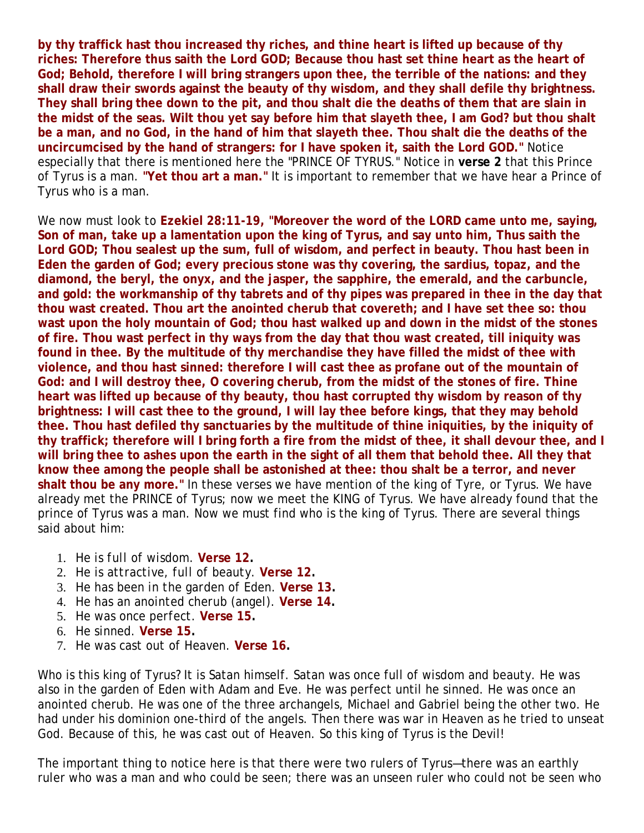**by thy traffick hast thou increased thy riches, and thine heart is lifted up because of thy riches: Therefore thus saith the Lord GOD; Because thou hast set thine heart as the heart of God; Behold, therefore I will bring strangers upon thee, the terrible of the nations: and they shall draw their swords against the beauty of thy wisdom, and they shall defile thy brightness. They shall bring thee down to the pit, and thou shalt die the deaths of them that are slain in the midst of the seas. Wilt thou yet say before him that slayeth thee, I am God? but thou shalt be a man, and no God, in the hand of him that slayeth thee. Thou shalt die the deaths of the uncircumcised by the hand of strangers: for I have spoken it, saith the Lord GOD."** Notice especially that there is mentioned here the "PRINCE OF TYRUS." Notice in **verse 2** that this Prince of Tyrus is a man. **"Yet thou art a man."** It is important to remember that we have hear a Prince of Tyrus who is a man.

We now must look to **Ezekiel 28:11-19, "Moreover the word of the LORD came unto me, saying, Son of man, take up a lamentation upon the king of Tyrus, and say unto him, Thus saith the Lord GOD; Thou sealest up the sum, full of wisdom, and perfect in beauty. Thou hast been in Eden the garden of God; every precious stone was thy covering, the sardius, topaz, and the diamond, the beryl, the onyx, and the jasper, the sapphire, the emerald, and the carbuncle,**  and gold: the workmanship of thy tabrets and of thy pipes was prepared in thee in the day that **thou wast created. Thou art the anointed cherub that covereth; and I have set thee so: thou wast upon the holy mountain of God; thou hast walked up and down in the midst of the stones of fire. Thou wast perfect in thy ways from the day that thou wast created, till iniquity was found in thee. By the multitude of thy merchandise they have filled the midst of thee with violence, and thou hast sinned: therefore I will cast thee as profane out of the mountain of God: and I will destroy thee, O covering cherub, from the midst of the stones of fire. Thine heart was lifted up because of thy beauty, thou hast corrupted thy wisdom by reason of thy brightness: I will cast thee to the ground, I will lay thee before kings, that they may behold thee. Thou hast defiled thy sanctuaries by the multitude of thine iniquities, by the iniquity of thy traffick; therefore will I bring forth a fire from the midst of thee, it shall devour thee, and I will bring thee to ashes upon the earth in the sight of all them that behold thee. All they that know thee among the people shall be astonished at thee: thou shalt be a terror, and never shalt thou be any more."** In these verses we have mention of the king of Tyre, or Tyrus. We have already met the PRINCE of Tyrus; now we meet the KING of Tyrus. We have already found that the prince of Tyrus was a man. Now we must find who is the king of Tyrus. There are several things said about him:

- 1. *He is full of wisdom.* **Verse 12.**
- 2. *He is attractive, full of beauty.* **Verse 12.**
- 3. *He has been in the garden of Eden.* **Verse 13.**
- 4. *He has an anointed cherub (angel).* **Verse 14.**
- 5. *He was once perfect.* **Verse 15.**
- 6. *He sinned.* **Verse 15.**
- 7. *He was cast out of Heaven.* **Verse 16.**

Who is this king of Tyrus? It is Satan himself. Satan was once full of wisdom and beauty. He was also in the garden of Eden with Adam and Eve. He was perfect until he sinned. He was once an anointed cherub. He was one of the three archangels, Michael and Gabriel being the other two. He had under his dominion one-third of the angels. Then there was war in Heaven as he tried to unseat God. Because of this, he was cast out of Heaven. So this king of Tyrus is the Devil!

The important thing to notice here is that there were two rulers of Tyrus—there was an earthly ruler who was a man and who could be seen; there was an unseen ruler who could not be seen who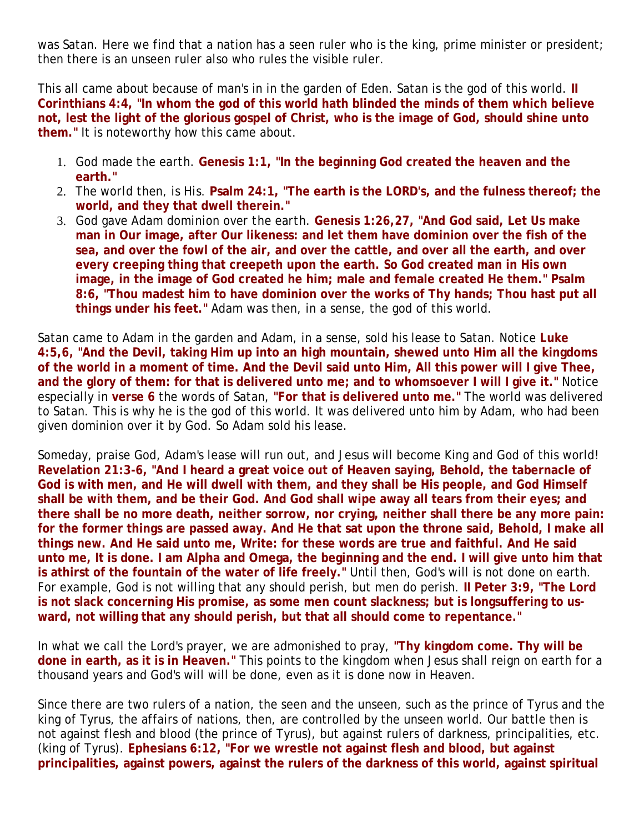was Satan. Here we find that a nation has a seen ruler who is the king, prime minister or president; then there is an unseen ruler also who rules the visible ruler.

This all came about because of man's in in the garden of Eden. Satan is the god of this world. **II Corinthians 4:4, "In whom the god of this world hath blinded the minds of them which believe not, lest the light of the glorious gospel of Christ, who is the image of God, should shine unto them."** It is noteworthy how this came about.

- 1. *God made the earth.* **Genesis 1:1, "In the beginning God created the heaven and the earth."**
- 2. *The world then, is His.* **Psalm 24:1, "The earth is the LORD's, and the fulness thereof; the world, and they that dwell therein."**
- 3. *God gave Adam dominion over the earth.* **Genesis 1:26,27, "And God said, Let Us make man in Our image, after Our likeness: and let them have dominion over the fish of the sea, and over the fowl of the air, and over the cattle, and over all the earth, and over every creeping thing that creepeth upon the earth. So God created man in His own image, in the image of God created he him; male and female created He them." Psalm 8:6, "Thou madest him to have dominion over the works of Thy hands; Thou hast put all things under his feet."** Adam was then, in a sense, the god of this world.

Satan came to Adam in the garden and Adam, in a sense, sold his lease to Satan. Notice **Luke 4:5,6, "And the Devil, taking Him up into an high mountain, shewed unto Him all the kingdoms of the world in a moment of time. And the Devil said unto Him, All this power will I give Thee, and the glory of them: for that is delivered unto me; and to whomsoever I will I give it."** Notice especially in **verse 6** the words of Satan, **"For that is delivered unto me."** The world was delivered to Satan. This is why he is the god of this world. It was delivered unto him by Adam, who had been given dominion over it by God. So Adam sold his lease.

Someday, praise God, Adam's lease will run out, and Jesus will become King and God of this world! **Revelation 21:3-6, "And I heard a great voice out of Heaven saying, Behold, the tabernacle of God is with men, and He will dwell with them, and they shall be His people, and God Himself shall be with them, and be their God. And God shall wipe away all tears from their eyes; and there shall be no more death, neither sorrow, nor crying, neither shall there be any more pain: for the former things are passed away. And He that sat upon the throne said, Behold, I make all things new. And He said unto me, Write: for these words are true and faithful. And He said unto me, It is done. I am Alpha and Omega, the beginning and the end. I will give unto him that is athirst of the fountain of the water of life freely."** Until then, God's will is not done on earth. For example, God is not willing that any should perish, but men do perish. **II Peter 3:9, "The Lord is not slack concerning His promise, as some men count slackness; but is longsuffering to usward, not willing that any should perish, but that all should come to repentance."**

In what we call the Lord's prayer, we are admonished to pray, **"Thy kingdom come. Thy will be done in earth, as it is in Heaven."** This points to the kingdom when Jesus shall reign on earth for a thousand years and God's will will be done, even as it is done now in Heaven.

Since there are two rulers of a nation, the seen and the unseen, such as the prince of Tyrus and the king of Tyrus, the affairs of nations, then, are controlled by the unseen world. Our battle then is not against flesh and blood (the prince of Tyrus), but against rulers of darkness, principalities, etc. (king of Tyrus). **Ephesians 6:12, "For we wrestle not against flesh and blood, but against principalities, against powers, against the rulers of the darkness of this world, against spiritual**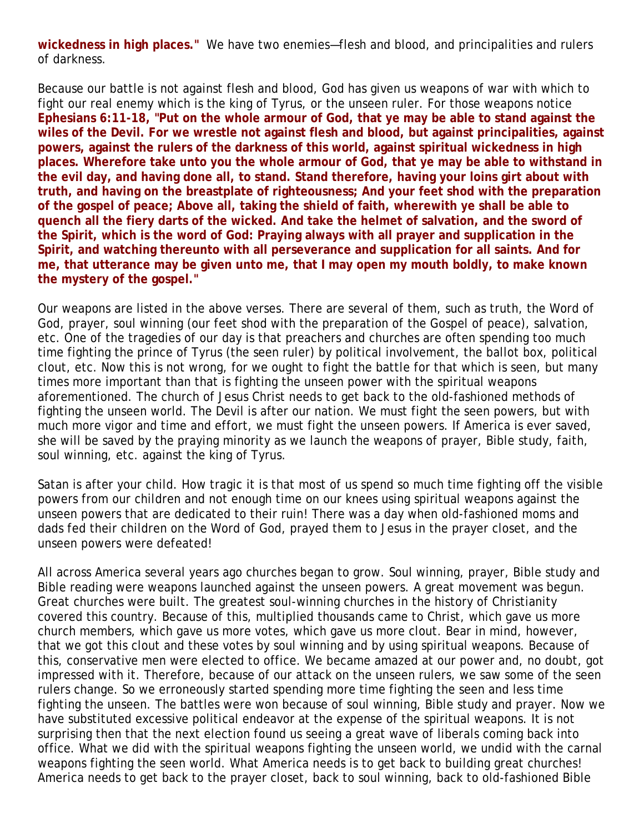**wickedness in high places."** We have two enemies—flesh and blood, and principalities and rulers of darkness.

Because our battle is not against flesh and blood, God has given us weapons of war with which to fight our real enemy which is the king of Tyrus, or the unseen ruler. For those weapons notice **Ephesians 6:11-18, "Put on the whole armour of God, that ye may be able to stand against the wiles of the Devil. For we wrestle not against flesh and blood, but against principalities, against powers, against the rulers of the darkness of this world, against spiritual wickedness in high places. Wherefore take unto you the whole armour of God, that ye may be able to withstand in the evil day, and having done all, to stand. Stand therefore, having your loins girt about with truth, and having on the breastplate of righteousness; And your feet shod with the preparation of the gospel of peace; Above all, taking the shield of faith, wherewith ye shall be able to quench all the fiery darts of the wicked. And take the helmet of salvation, and the sword of the Spirit, which is the word of God: Praying always with all prayer and supplication in the Spirit, and watching thereunto with all perseverance and supplication for all saints. And for me, that utterance may be given unto me, that I may open my mouth boldly, to make known the mystery of the gospel."**

Our weapons are listed in the above verses. There are several of them, such as truth, the Word of God, prayer, soul winning (our feet shod with the preparation of the Gospel of peace), salvation, etc. One of the tragedies of our day is that preachers and churches are often spending too much time fighting the prince of Tyrus (the seen ruler) by political involvement, the ballot box, political clout, etc. Now this is not wrong, for we ought to fight the battle for that which is seen, but many times more important than that is fighting the unseen power with the spiritual weapons aforementioned. The church of Jesus Christ needs to get back to the old-fashioned methods of fighting the unseen world. The Devil is after our nation. We must fight the seen powers, but with much more vigor and time and effort, we must fight the unseen powers. If America is ever saved, she will be saved by the praying minority as we launch the weapons of prayer, Bible study, faith, soul winning, etc. against the king of Tyrus.

Satan is after your child. How tragic it is that most of us spend so much time fighting off the visible powers from our children and not enough time on our knees using spiritual weapons against the unseen powers that are dedicated to their ruin! There was a day when old-fashioned moms and dads fed their children on the Word of God, prayed them to Jesus in the prayer closet, and the unseen powers were defeated!

All across America several years ago churches began to grow. Soul winning, prayer, Bible study and Bible reading were weapons launched against the unseen powers. A great movement was begun. Great churches were built. The greatest soul-winning churches in the history of Christianity covered this country. Because of this, multiplied thousands came to Christ, which gave us more church members, which gave us more votes, which gave us more clout. Bear in mind, however, that we got this clout and these votes by soul winning and by using spiritual weapons. Because of this, conservative men were elected to office. We became amazed at our power and, no doubt, got impressed with it. Therefore, because of our attack on the unseen rulers, we saw some of the seen rulers change. So we erroneously started spending more time fighting the seen and less time fighting the unseen. The battles were won because of soul winning, Bible study and prayer. Now we have substituted excessive political endeavor at the expense of the spiritual weapons. It is not surprising then that the next election found us seeing a great wave of liberals coming back into office. What we did with the spiritual weapons fighting the unseen world, we undid with the carnal weapons fighting the seen world. What America needs is to get back to building great churches! America needs to get back to the prayer closet, back to soul winning, back to old-fashioned Bible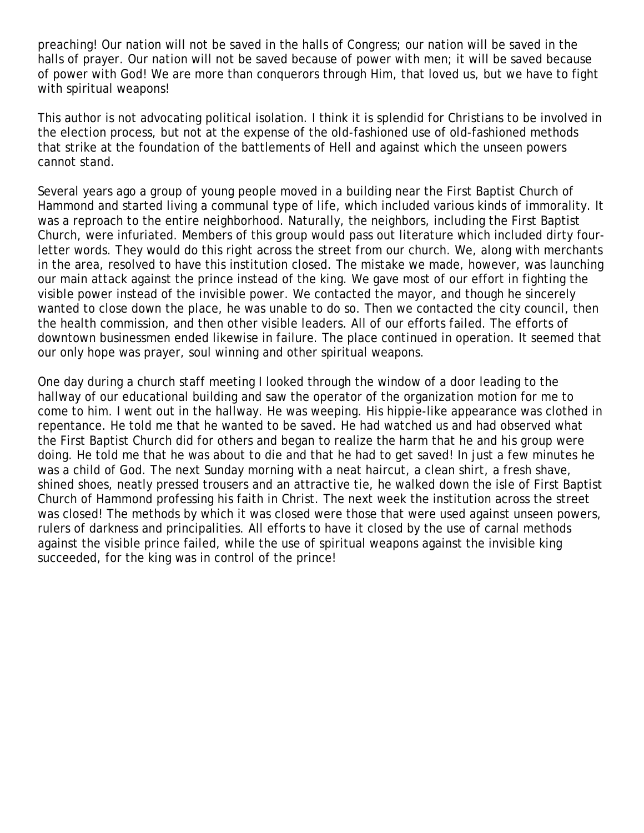preaching! Our nation will not be saved in the halls of Congress; our nation will be saved in the halls of prayer. Our nation will not be saved because of power with men; it will be saved because of power with God! We are more than conquerors through Him, that loved us, but we have to fight with spiritual weapons!

This author is not advocating political isolation. I think it is splendid for Christians to be involved in the election process, but not at the expense of the old-fashioned use of old-fashioned methods that strike at the foundation of the battlements of Hell and against which the unseen powers cannot stand.

Several years ago a group of young people moved in a building near the First Baptist Church of Hammond and started living a communal type of life, which included various kinds of immorality. It was a reproach to the entire neighborhood. Naturally, the neighbors, including the First Baptist Church, were infuriated. Members of this group would pass out literature which included dirty fourletter words. They would do this right across the street from our church. We, along with merchants in the area, resolved to have this institution closed. The mistake we made, however, was launching our main attack against the prince instead of the king. We gave most of our effort in fighting the visible power instead of the invisible power. We contacted the mayor, and though he sincerely wanted to close down the place, he was unable to do so. Then we contacted the city council, then the health commission, and then other visible leaders. All of our efforts failed. The efforts of downtown businessmen ended likewise in failure. The place continued in operation. It seemed that our only hope was prayer, soul winning and other spiritual weapons.

One day during a church staff meeting I looked through the window of a door leading to the hallway of our educational building and saw the operator of the organization motion for me to come to him. I went out in the hallway. He was weeping. His hippie-like appearance was clothed in repentance. He told me that he wanted to be saved. He had watched us and had observed what the First Baptist Church did for others and began to realize the harm that he and his group were doing. He told me that he was about to die and that he had to get saved! In just a few minutes he was a child of God. The next Sunday morning with a neat haircut, a clean shirt, a fresh shave, shined shoes, neatly pressed trousers and an attractive tie, he walked down the isle of First Baptist Church of Hammond professing his faith in Christ. The next week the institution across the street was closed! The methods by which it was closed were those that were used against unseen powers, rulers of darkness and principalities. All efforts to have it closed by the use of carnal methods against the visible prince failed, while the use of spiritual weapons against the invisible king succeeded, for the king was in control of the prince!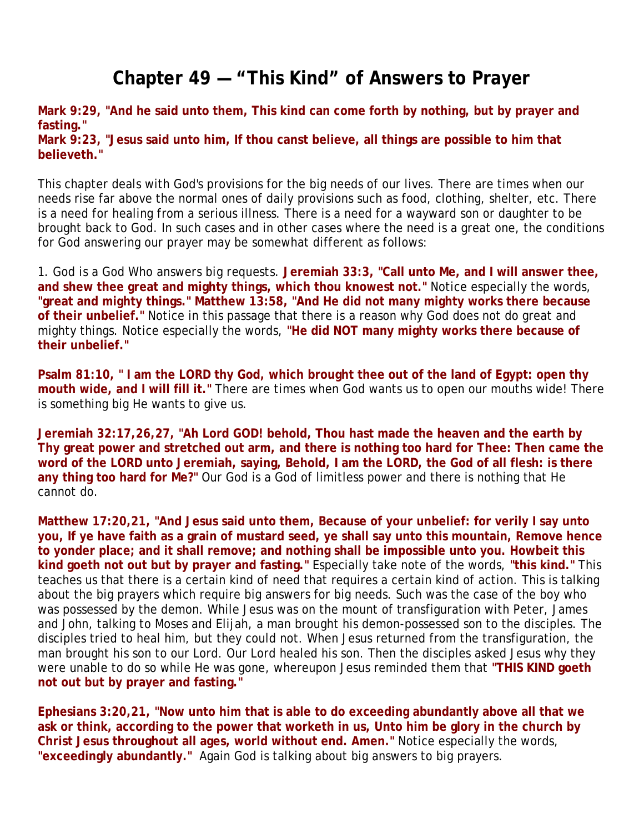## **Chapter 49 — "This Kind" of Answers to Prayer**

**Mark 9:29, "And he said unto them, This kind can come forth by nothing, but by prayer and fasting." Mark 9:23, "Jesus said unto him, If thou canst believe, all things are possible to him that believeth."**

This chapter deals with God's provisions for the big needs of our lives. There are times when our needs rise far above the normal ones of daily provisions such as food, clothing, shelter, etc. There is a need for healing from a serious illness. There is a need for a wayward son or daughter to be brought back to God. In such cases and in other cases where the need is a great one, the conditions for God answering our prayer may be somewhat different as follows:

1. *God is a God Who answers big requests.* **Jeremiah 33:3, "Call unto Me, and I will answer thee, and shew thee great and mighty things, which thou knowest not."** Notice especially the words, **"great and mighty things." Matthew 13:58, "And He did not many mighty works there because of their unbelief."** Notice in this passage that there is a reason why God does not do great and mighty things. Notice especially the words, **"He did NOT many mighty works there because of their unbelief."**

**Psalm 81:10, " I am the LORD thy God, which brought thee out of the land of Egypt: open thy mouth wide, and I will fill it."** There are times when God wants us to open our mouths wide! There is something big He wants to give us.

**Jeremiah 32:17,26,27, "Ah Lord GOD! behold, Thou hast made the heaven and the earth by Thy great power and stretched out arm, and there is nothing too hard for Thee: Then came the word of the LORD unto Jeremiah, saying, Behold, I am the LORD, the God of all flesh: is there any thing too hard for Me?"** Our God is a God of limitless power and there is nothing that He cannot do.

**Matthew 17:20,21, "And Jesus said unto them, Because of your unbelief: for verily I say unto you, If ye have faith as a grain of mustard seed, ye shall say unto this mountain, Remove hence to yonder place; and it shall remove; and nothing shall be impossible unto you. Howbeit this kind goeth not out but by prayer and fasting."** Especially take note of the words, **"this kind."** This teaches us that there is a certain kind of need that requires a certain kind of action. This is talking about the big prayers which require big answers for big needs. Such was the case of the boy who was possessed by the demon. While Jesus was on the mount of transfiguration with Peter, James and John, talking to Moses and Elijah, a man brought his demon-possessed son to the disciples. The disciples tried to heal him, but they could not. When Jesus returned from the transfiguration, the man brought his son to our Lord. Our Lord healed his son. Then the disciples asked Jesus why they were unable to do so while He was gone, whereupon Jesus reminded them that **"THIS KIND goeth not out but by prayer and fasting."**

**Ephesians 3:20,21, "Now unto him that is able to do exceeding abundantly above all that we ask or think, according to the power that worketh in us, Unto him be glory in the church by Christ Jesus throughout all ages, world without end. Amen."** Notice especially the words, **"exceedingly abundantly."** Again God is talking about big answers to big prayers.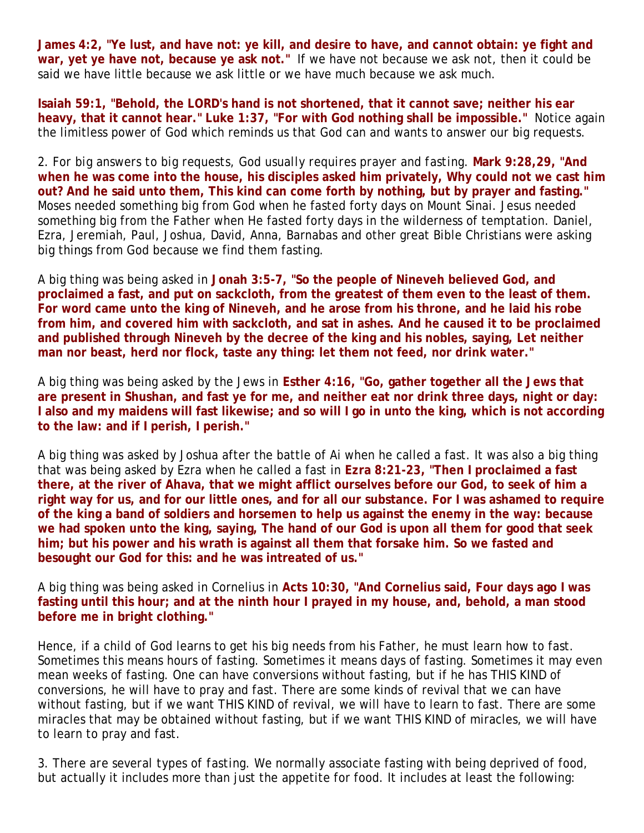**James 4:2, "Ye lust, and have not: ye kill, and desire to have, and cannot obtain: ye fight and war, yet ye have not, because ye ask not."** If we have not because we ask not, then it could be said we have little because we ask little or we have much because we ask much.

**Isaiah 59:1, "Behold, the LORD's hand is not shortened, that it cannot save; neither his ear heavy, that it cannot hear." Luke 1:37, "For with God nothing shall be impossible."** Notice again the limitless power of God which reminds us that God can and wants to answer our big requests.

2. *For big answers to big requests, God usually requires prayer and fasting.* **Mark 9:28,29, "And when he was come into the house, his disciples asked him privately, Why could not we cast him out? And he said unto them, This kind can come forth by nothing, but by prayer and fasting."** Moses needed something big from God when he fasted forty days on Mount Sinai. Jesus needed something big from the Father when He fasted forty days in the wilderness of temptation. Daniel, Ezra, Jeremiah, Paul, Joshua, David, Anna, Barnabas and other great Bible Christians were asking big things from God because we find them fasting.

A big thing was being asked in **Jonah 3:5-7, "So the people of Nineveh believed God, and proclaimed a fast, and put on sackcloth, from the greatest of them even to the least of them. For word came unto the king of Nineveh, and he arose from his throne, and he laid his robe from him, and covered him with sackcloth, and sat in ashes. And he caused it to be proclaimed and published through Nineveh by the decree of the king and his nobles, saying, Let neither man nor beast, herd nor flock, taste any thing: let them not feed, nor drink water."**

A big thing was being asked by the Jews in **Esther 4:16, "Go, gather together all the Jews that are present in Shushan, and fast ye for me, and neither eat nor drink three days, night or day: I also and my maidens will fast likewise; and so will I go in unto the king, which is not according to the law: and if I perish, I perish."**

A big thing was asked by Joshua after the battle of Ai when he called a fast. It was also a big thing that was being asked by Ezra when he called a fast in **Ezra 8:21-23, "Then I proclaimed a fast there, at the river of Ahava, that we might afflict ourselves before our God, to seek of him a right way for us, and for our little ones, and for all our substance. For I was ashamed to require of the king a band of soldiers and horsemen to help us against the enemy in the way: because we had spoken unto the king, saying, The hand of our God is upon all them for good that seek him; but his power and his wrath is against all them that forsake him. So we fasted and besought our God for this: and he was intreated of us."**

A big thing was being asked in Cornelius in **Acts 10:30, "And Cornelius said, Four days ago I was fasting until this hour; and at the ninth hour I prayed in my house, and, behold, a man stood before me in bright clothing."** 

Hence, if a child of God learns to get his big needs from his Father, he must learn how to fast. Sometimes this means hours of fasting. Sometimes it means days of fasting. Sometimes it may even mean weeks of fasting. One can have conversions without fasting, but if he has THIS KIND of conversions, he will have to pray and fast. There are some kinds of revival that we can have without fasting, but if we want THIS KIND of revival, we will have to learn to fast. There are some miracles that may be obtained without fasting, but if we want THIS KIND of miracles, we will have to learn to pray and fast.

3. *There are several types of fasting.* We normally associate fasting with being deprived of food, but actually it includes more than just the appetite for food. It includes at least the following: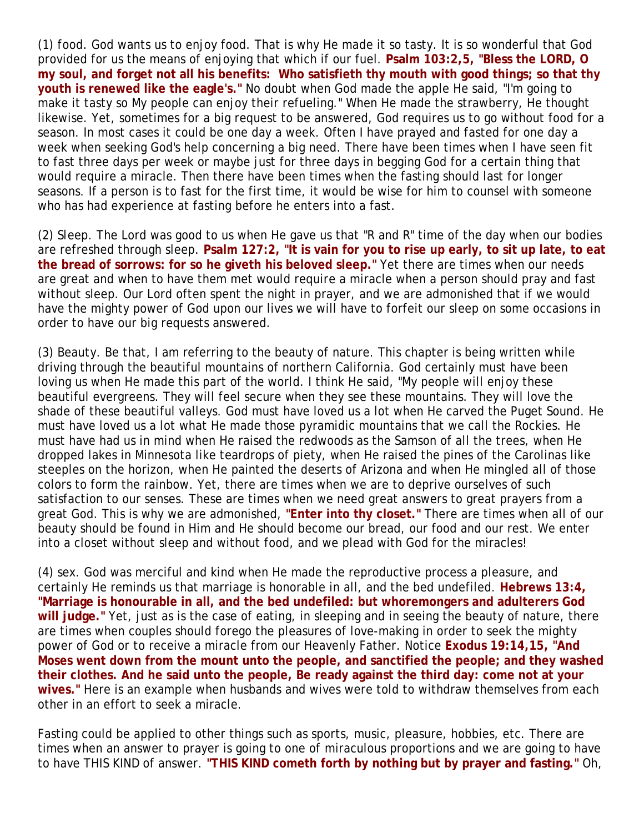(1) *food.* God wants us to enjoy food. That is why He made it so tasty. It is so wonderful that God provided for us the means of enjoying that which if our fuel. **Psalm 103:2,5, "Bless the LORD, O my soul, and forget not all his benefits: Who satisfieth thy mouth with good things; so that thy youth is renewed like the eagle's."** No doubt when God made the apple He said, "I'm going to make it tasty so My people can enjoy their refueling." When He made the strawberry, He thought likewise. Yet, sometimes for a big request to be answered, God requires us to go without food for a season. In most cases it could be one day a week. Often I have prayed and fasted for one day a week when seeking God's help concerning a big need. There have been times when I have seen fit to fast three days per week or maybe just for three days in begging God for a certain thing that would require a miracle. Then there have been times when the fasting should last for longer seasons. If a person is to fast for the first time, it would be wise for him to counsel with someone who has had experience at fasting before he enters into a fast.

(2) *Sleep.* The Lord was good to us when He gave us that "R and R" time of the day when our bodies are refreshed through sleep. **Psalm 127:2, "It is vain for you to rise up early, to sit up late, to eat the bread of sorrows: for so he giveth his beloved sleep."** Yet there are times when our needs are great and when to have them met would require a miracle when a person should pray and fast without sleep. Our Lord often spent the night in prayer, and we are admonished that if we would have the mighty power of God upon our lives we will have to forfeit our sleep on some occasions in order to have our big requests answered.

(3) *Beauty.* Be that, I am referring to the beauty of nature. This chapter is being written while driving through the beautiful mountains of northern California. God certainly must have been loving us when He made this part of the world. I think He said, "My people will enjoy these beautiful evergreens. They will feel secure when they see these mountains. They will love the shade of these beautiful valleys. God must have loved us a lot when He carved the Puget Sound. He must have loved us a lot what He made those pyramidic mountains that we call the Rockies. He must have had us in mind when He raised the redwoods as the Samson of all the trees, when He dropped lakes in Minnesota like teardrops of piety, when He raised the pines of the Carolinas like steeples on the horizon, when He painted the deserts of Arizona and when He mingled all of those colors to form the rainbow. Yet, there are times when we are to deprive ourselves of such satisfaction to our senses. These are times when we need great answers to great prayers from a great God. This is why we are admonished, **"Enter into thy closet."** There are times when all of our beauty should be found in Him and He should become our bread, our food and our rest. We enter into a closet without sleep and without food, and we plead with God for the miracles!

(4) *sex.* God was merciful and kind when He made the reproductive process a pleasure, and certainly He reminds us that marriage is honorable in all, and the bed undefiled. **Hebrews 13:4, "Marriage is honourable in all, and the bed undefiled: but whoremongers and adulterers God will judge."** Yet, just as is the case of eating, in sleeping and in seeing the beauty of nature, there are times when couples should forego the pleasures of love-making in order to seek the mighty power of God or to receive a miracle from our Heavenly Father. Notice **Exodus 19:14,15, "And Moses went down from the mount unto the people, and sanctified the people; and they washed their clothes. And he said unto the people, Be ready against the third day: come not at your wives."** Here is an example when husbands and wives were told to withdraw themselves from each other in an effort to seek a miracle.

Fasting could be applied to other things such as sports, music, pleasure, hobbies, etc. There are times when an answer to prayer is going to one of miraculous proportions and we are going to have to have THIS KIND of answer. **"THIS KIND cometh forth by nothing but by prayer and fasting."** Oh,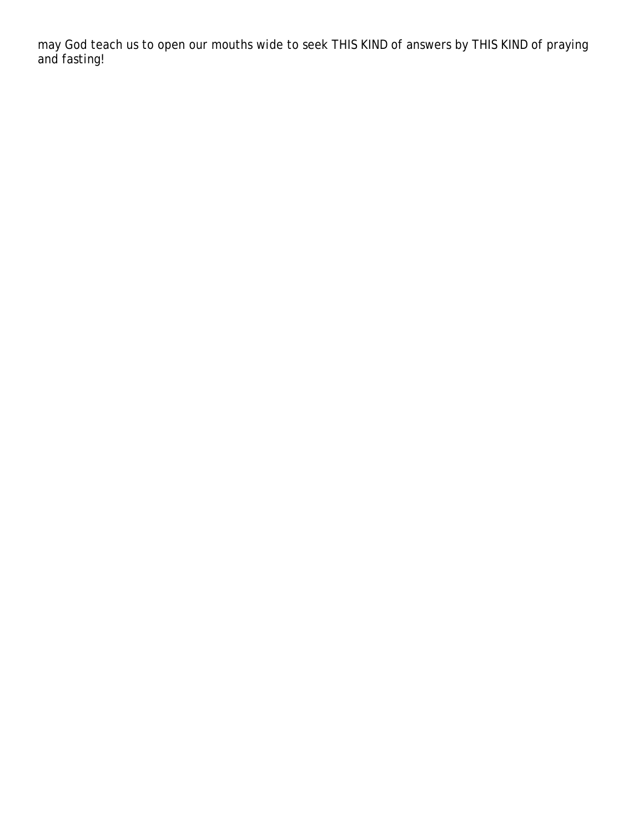may God teach us to open our mouths wide to seek THIS KIND of answers by THIS KIND of praying and fasting!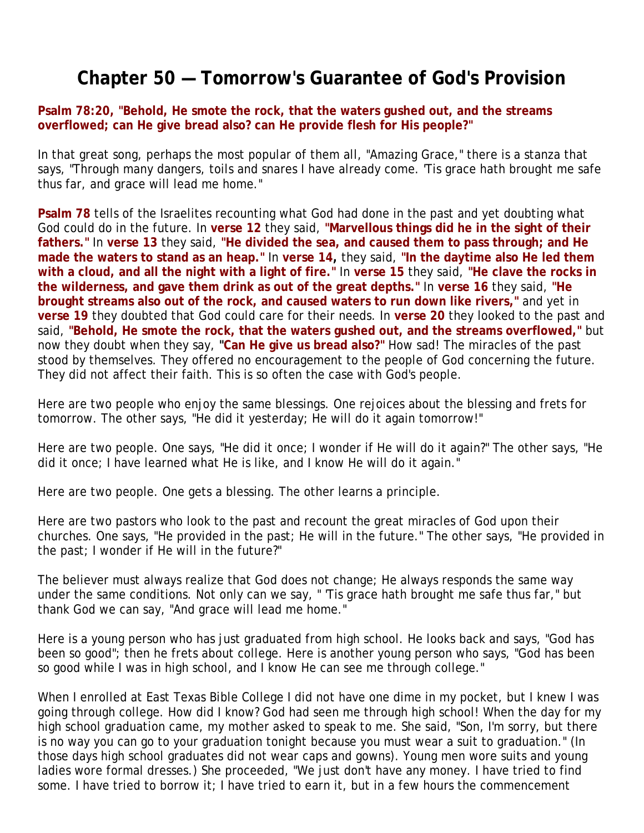## **Chapter 50 — Tomorrow's Guarantee of God's Provision**

**Psalm 78:20, "Behold, He smote the rock, that the waters gushed out, and the streams overflowed; can He give bread also? can He provide flesh for His people?"**

In that great song, perhaps the most popular of them all, "Amazing Grace," there is a stanza that says, "Through many dangers, toils and snares I have already come. 'Tis grace hath brought me safe thus far, and grace will lead me home."

**Psalm 78** tells of the Israelites recounting what God had done in the past and yet doubting what God could do in the future. In **verse 12** they said, **"Marvellous things did he in the sight of their fathers."** In **verse 13** they said, **"He divided the sea, and caused them to pass through; and He made the waters to stand as an heap."** In **verse 14,** they said, **"In the daytime also He led them with a cloud, and all the night with a light of fire."** In **verse 15** they said, **"He clave the rocks in the wilderness, and gave them drink as out of the great depths."** In **verse 16** they said, **"He brought streams also out of the rock, and caused waters to run down like rivers,"** and yet in **verse 19** they doubted that God could care for their needs. In **verse 20** they looked to the past and said, **"Behold, He smote the rock, that the waters gushed out, and the streams overflowed,"** but now they doubt when they say, **"Can He give us bread also?"** How sad! The miracles of the past stood by themselves. They offered no encouragement to the people of God concerning the future. They did not affect their faith. This is so often the case with God's people.

Here are two people who enjoy the same blessings. One rejoices about the blessing and frets for tomorrow. The other says, "He did it yesterday; He will do it again tomorrow!"

Here are two people. One says, "He did it once; I wonder if He will do it again?" The other says, "He did it once; I have learned what He is like, and I know He will do it again."

Here are two people. One gets a blessing. The other learns a principle.

Here are two pastors who look to the past and recount the great miracles of God upon their churches. One says, "He provided in the past; He will in the future." The other says, "He provided in the past; I wonder if He will in the future?"

The believer must always realize that God does not change; He always responds the same way under the same conditions. Not only can we say, " 'Tis grace hath brought me safe thus far," but thank God we can say, "And grace will lead me home."

Here is a young person who has just graduated from high school. He looks back and says, "God has been so good"; then he frets about college. Here is another young person who says, "God has been so good while I was in high school, and I know He can see me through college."

When I enrolled at East Texas Bible College I did not have one dime in my pocket, but I knew I was going through college. How did I know? God had seen me through high school! When the day for my high school graduation came, my mother asked to speak to me. She said, "Son, I'm sorry, but there is no way you can go to your graduation tonight because you must wear a suit to graduation." (In those days high school graduates did not wear caps and gowns). Young men wore suits and young ladies wore formal dresses.) She proceeded, "We just don't have any money. I have tried to find some. I have tried to borrow it; I have tried to earn it, but in a few hours the commencement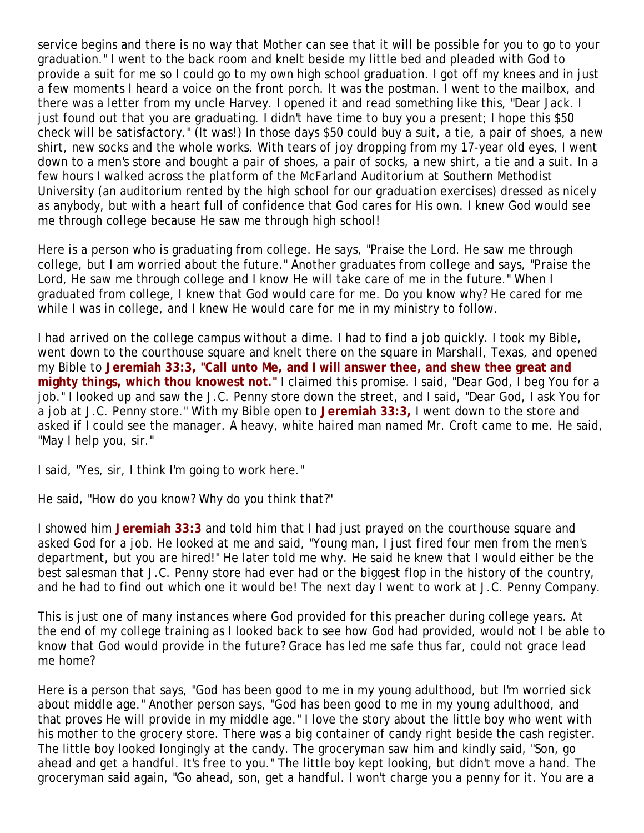service begins and there is no way that Mother can see that it will be possible for you to go to your graduation." I went to the back room and knelt beside my little bed and pleaded with God to provide a suit for me so I could go to my own high school graduation. I got off my knees and in just a few moments I heard a voice on the front porch. It was the postman. I went to the mailbox, and there was a letter from my uncle Harvey. I opened it and read something like this, "Dear Jack. I just found out that you are graduating. I didn't have time to buy you a present; I hope this \$50 check will be satisfactory." (It was!) In those days \$50 could buy a suit, a tie, a pair of shoes, a new shirt, new socks and the whole works. With tears of joy dropping from my 17-year old eyes, I went down to a men's store and bought a pair of shoes, a pair of socks, a new shirt, a tie and a suit. In a few hours I walked across the platform of the McFarland Auditorium at Southern Methodist University (an auditorium rented by the high school for our graduation exercises) dressed as nicely as anybody, but with a heart full of confidence that God cares for His own. I knew God would see me through college because He saw me through high school!

Here is a person who is graduating from college. He says, "Praise the Lord. He saw me through college, but I am worried about the future." Another graduates from college and says, "Praise the Lord, He saw me through college and I know He will take care of me in the future." When I graduated from college, I knew that God would care for me. Do you know why? He cared for me while I was in college, and I knew He would care for me in my ministry to follow.

I had arrived on the college campus without a dime. I had to find a job quickly. I took my Bible, went down to the courthouse square and knelt there on the square in Marshall, Texas, and opened my Bible to **Jeremiah 33:3, "Call unto Me, and I will answer thee, and shew thee great and mighty things, which thou knowest not."** I claimed this promise. I said, "Dear God, I beg You for a job." I looked up and saw the J.C. Penny store down the street, and I said, "Dear God, I ask You for a job at J.C. Penny store." With my Bible open to **Jeremiah 33:3,** I went down to the store and asked if I could see the manager. A heavy, white haired man named Mr. Croft came to me. He said, "May I help you, sir."

I said, "Yes, sir, I think I'm going to work here."

He said, "How do you know? Why do you think that?"

I showed him **Jeremiah 33:3** and told him that I had just prayed on the courthouse square and asked God for a job. He looked at me and said, "Young man, I just fired four men from the men's department, but you are hired!" He later told me why. He said he knew that I would either be the best salesman that J.C. Penny store had ever had or the biggest flop in the history of the country, and he had to find out which one it would be! The next day I went to work at J.C. Penny Company.

This is just one of many instances where God provided for this preacher during college years. At the end of my college training as I looked back to see how God had provided, would not I be able to know that God would provide in the future? Grace has led me safe thus far, could not grace lead me home?

Here is a person that says, "God has been good to me in my young adulthood, but I'm worried sick about middle age." Another person says, "God has been good to me in my young adulthood, and that proves He will provide in my middle age." I love the story about the little boy who went with his mother to the grocery store. There was a big container of candy right beside the cash register. The little boy looked longingly at the candy. The groceryman saw him and kindly said, "Son, go ahead and get a handful. It's free to you." The little boy kept looking, but didn't move a hand. The groceryman said again, "Go ahead, son, get a handful. I won't charge you a penny for it. You are a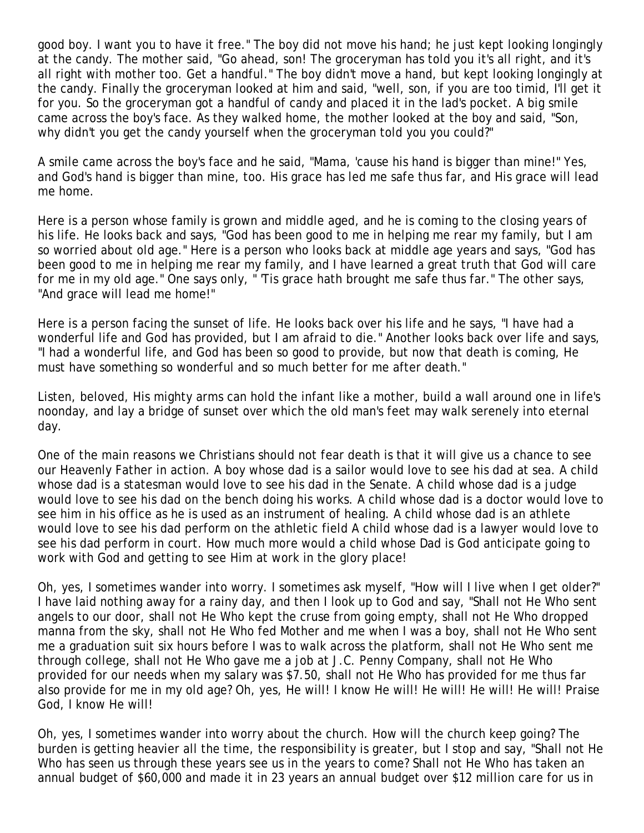good boy. I want you to have it free." The boy did not move his hand; he just kept looking longingly at the candy. The mother said, "Go ahead, son! The groceryman has told you it's all right, and it's all right with mother too. Get a handful." The boy didn't move a hand, but kept looking longingly at the candy. Finally the groceryman looked at him and said, "well, son, if you are too timid, I'll get it for you. So the groceryman got a handful of candy and placed it in the lad's pocket. A big smile came across the boy's face. As they walked home, the mother looked at the boy and said, "Son, why didn't you get the candy yourself when the groceryman told you you could?"

A smile came across the boy's face and he said, "Mama, 'cause his hand is bigger than mine!" Yes, and God's hand is bigger than mine, too. His grace has led me safe thus far, and His grace will lead me home.

Here is a person whose family is grown and middle aged, and he is coming to the closing years of his life. He looks back and says, "God has been good to me in helping me rear my family, but I am so worried about old age." Here is a person who looks back at middle age years and says, "God has been good to me in helping me rear my family, and I have learned a great truth that God will care for me in my old age." One says only, " 'Tis grace hath brought me safe thus far." The other says, "And grace will lead me home!"

Here is a person facing the sunset of life. He looks back over his life and he says, "I have had a wonderful life and God has provided, but I am afraid to die." Another looks back over life and says, "I had a wonderful life, and God has been so good to provide, but now that death is coming, He must have something so wonderful and so much better for me after death."

Listen, beloved, His mighty arms can hold the infant like a mother, build a wall around one in life's noonday, and lay a bridge of sunset over which the old man's feet may walk serenely into eternal day.

One of the main reasons we Christians should not fear death is that it will give us a chance to see our Heavenly Father in action. A boy whose dad is a sailor would love to see his dad at sea. A child whose dad is a statesman would love to see his dad in the Senate. A child whose dad is a judge would love to see his dad on the bench doing his works. A child whose dad is a doctor would love to see him in his office as he is used as an instrument of healing. A child whose dad is an athlete would love to see his dad perform on the athletic field A child whose dad is a lawyer would love to see his dad perform in court. How much more would a child whose Dad is God anticipate going to work with God and getting to see Him at work in the glory place!

Oh, yes, I sometimes wander into worry. I sometimes ask myself, "How will I live when I get older?" I have laid nothing away for a rainy day, and then I look up to God and say, "Shall not He Who sent angels to our door, shall not He Who kept the cruse from going empty, shall not He Who dropped manna from the sky, shall not He Who fed Mother and me when I was a boy, shall not He Who sent me a graduation suit six hours before I was to walk across the platform, shall not He Who sent me through college, shall not He Who gave me a job at J.C. Penny Company, shall not He Who provided for our needs when my salary was \$7.50, shall not He Who has provided for me thus far also provide for me in my old age? Oh, yes, He will! I know He will! He will! He will! He will! Praise God, I know He will!

Oh, yes, I sometimes wander into worry about the church. How will the church keep going? The burden is getting heavier all the time, the responsibility is greater, but I stop and say, "Shall not He Who has seen us through these years see us in the years to come? Shall not He Who has taken an annual budget of \$60,000 and made it in 23 years an annual budget over \$12 million care for us in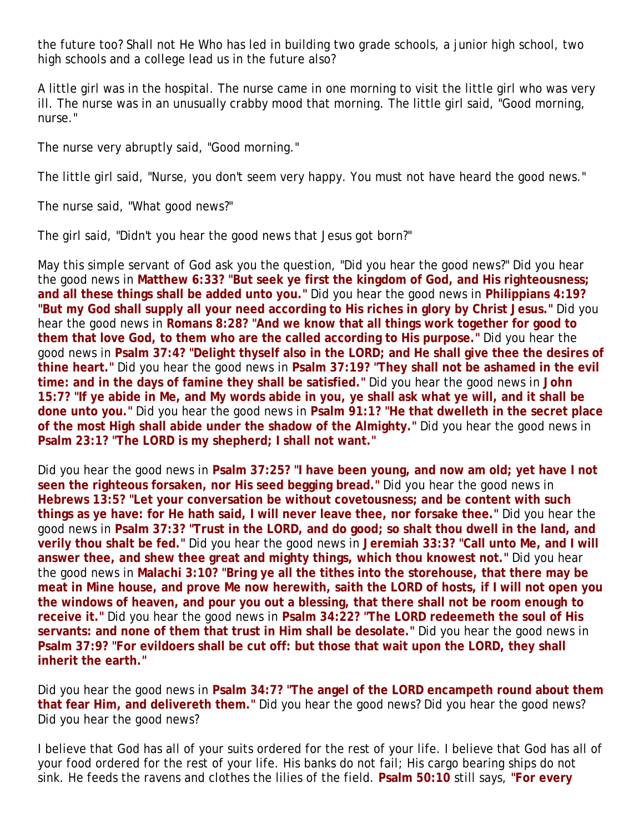the future too? Shall not He Who has led in building two grade schools, a junior high school, two high schools and a college lead us in the future also?

A little girl was in the hospital. The nurse came in one morning to visit the little girl who was very ill. The nurse was in an unusually crabby mood that morning. The little girl said, "Good morning, nurse."

The nurse very abruptly said, "Good morning."

The little girl said, "Nurse, you don't seem very happy. You must not have heard the good news."

The nurse said, "What good news?"

The girl said, "Didn't you hear the good news that Jesus got born?"

May this simple servant of God ask you the question, "Did you hear the good news?" Did you hear the good news in **Matthew 6:33? "But seek ye first the kingdom of God, and His righteousness; and all these things shall be added unto you."** Did you hear the good news in **Philippians 4:19? "But my God shall supply all your need according to His riches in glory by Christ Jesus."** Did you hear the good news in **Romans 8:28? "And we know that all things work together for good to them that love God, to them who are the called according to His purpose."** Did you hear the good news in **Psalm 37:4? "Delight thyself also in the LORD; and He shall give thee the desires of thine heart."** Did you hear the good news in **Psalm 37:19? "They shall not be ashamed in the evil time: and in the days of famine they shall be satisfied."** Did you hear the good news in **John 15:7? "If ye abide in Me, and My words abide in you, ye shall ask what ye will, and it shall be done unto you."** Did you hear the good news in **Psalm 91:1? "He that dwelleth in the secret place of the most High shall abide under the shadow of the Almighty."** Did you hear the good news in **Psalm 23:1? "The LORD is my shepherd; I shall not want."**

Did you hear the good news in **Psalm 37:25? "I have been young, and now am old; yet have I not seen the righteous forsaken, nor His seed begging bread."** Did you hear the good news in **Hebrews 13:5? "Let your conversation be without covetousness; and be content with such things as ye have: for He hath said, I will never leave thee, nor forsake thee."** Did you hear the good news in **Psalm 37:3? "Trust in the LORD, and do good; so shalt thou dwell in the land, and verily thou shalt be fed."** Did you hear the good news in **Jeremiah 33:3? "Call unto Me, and I will answer thee, and shew thee great and mighty things, which thou knowest not."** Did you hear the good news in **Malachi 3:10? "Bring ye all the tithes into the storehouse, that there may be meat in Mine house, and prove Me now herewith, saith the LORD of hosts, if I will not open you the windows of heaven, and pour you out a blessing, that there shall not be room enough to receive it."** Did you hear the good news in **Psalm 34:22? "The LORD redeemeth the soul of His servants: and none of them that trust in Him shall be desolate."** Did you hear the good news in **Psalm 37:9? "For evildoers shall be cut off: but those that wait upon the LORD, they shall inherit the earth."**

Did you hear the good news in **Psalm 34:7? "The angel of the LORD encampeth round about them that fear Him, and delivereth them."** Did you hear the good news? Did you hear the good news? Did you hear the good news?

I believe that God has all of your suits ordered for the rest of your life. I believe that God has all of your food ordered for the rest of your life. His banks do not fail; His cargo bearing ships do not sink. He feeds the ravens and clothes the lilies of the field. **Psalm 50:10** still says, **"For every**